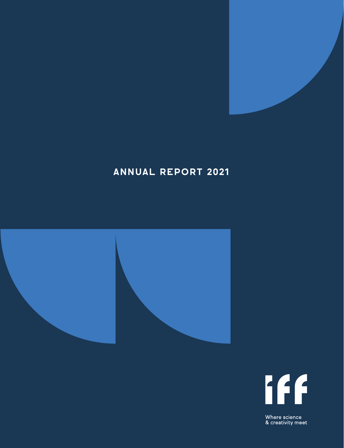# **ANNUAL REPORT 2021**





Where science<br>& creativity meet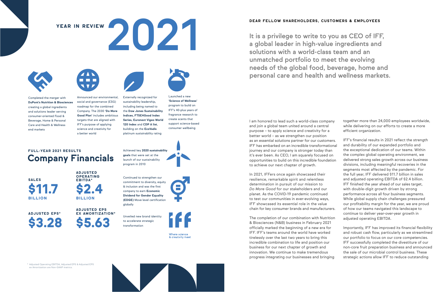I am honored to lead such a world-class company and join a global team united around a central purpose – to apply science and creativity for a better world – as we strengthen our position as an essential solutions partner for our customers. IFF has embarked on an incredible transformational journey and our company is stronger today than it's ever been. As CEO, I am squarely focused on opportunities to build on this incredible foundation to achieve our next chapter of growth.

In 2021, IFFers once again showcased their resilience, remarkable spirit and relentless determination in pursuit of our mission to *Do More Good* for our stakeholders and our planet. As the COVID-19 pandemic continued to test our communities in ever-evolving ways, IFF showcased its essential role in the value chain for key consumer brands and manufacturers.

The completion of our combination with Nutrition & Biosciences (N&B) business in February 2021 officially marked the beginning of a new era for IFF. IFF's teams around the world have worked tirelessly over the last two years to bring this incredible combination to life and position our business for our next chapter of growth and innovation. We continue to make tremendous progress integrating our businesses and bringing together more than 24,000 employees worldwide, while delivering on our efforts to create a more efficient organization.

SALES COPERATING Continued to strengthen our<br>SALES commitment to diversity, equity & inclusion and was the first company to earn **Economic Dividend for Gender Equality (EDGE)** Move level certification globally

IFF's financial results in 2021 reflect the strength and durability of our expanded portfolio and the exceptional dedication of our teams. Within the complex global operating environment, we delivered strong sales growth across our business divisions, including meaningful recoveries in the segments most affected by the pandemic. For the full year, IFF delivered \$11.7 billion in sales and adjusted operating EBITDA of \$2.4 billion. IFF finished the year ahead of our sales target, with double-digit growth driven by strong performance across all four business segments. While global supply chain challenges pressured our profitability margin for the year, we are proud of how our teams navigated this landscape to continue to deliver year-over-year growth in adjusted operating EBITDA.

Importantly, IFF has improved its financial flexibility and robust cash flow, particularly as we streamlined our portfolio to focus on our core competencies. IFF successfully completed the divestiture of our non-core fruit preparation business and announced the sale of our microbial control business. These strategic actions allow IFF to reduce outstanding

It is a privilege to write to you as CEO of IFF, a global leader in high-value ingredients and solutions with a world-class team and an unmatched portfolio to meet the evolving needs of the global food, beverage, home and personal care and health and wellness markets.

FULL-YEAR 2021 RESULTS

BILLION \$11.7

**Company Financials**

\$3.28 ADJUSTED EPS\*

\$5.63

ADJUSTED EPS EX AMORTIZATION\*

ADJUSTED OPERATING EBITDA\*

\$2.4

BILLION

# YEAR IN REVIEW





Completed the merger with **DuPont's Nutrition & Biosciences** creating a global ingredients and solutions leader serving consumer-oriented Food & Beverage, Home & Personal Care and Health & Wellness end markets



a better world

Launched a new **'Science of Wellness'** program to build on IFF's 40-plus years of fragrance research to create scents that support science-based consumer wellbeing

Externally recognized for sustainability leadership, including being named to the **Dow Jones Sustainability Indices, FTSE4Good Index Series, Euronext Vigeo World** 

> **120 Index** and **CDP A list**, building on the **EcoVadis** platinum sustainability rating

Achieved key **2020 sustainability goals** that were set at the launch of our sustainability

program in 2010

Unveiled new brand identity to accelerate strategic transformation





Where science & creativity meet

\* Adjusted Operating EBITDA, Adjusted EPS & Adjusted EPS ex Amortization are Non-GAAP metrics.

## **DEAR FELLOW SHAREHOLDERS, CUSTOMERS & EMPLOYEES**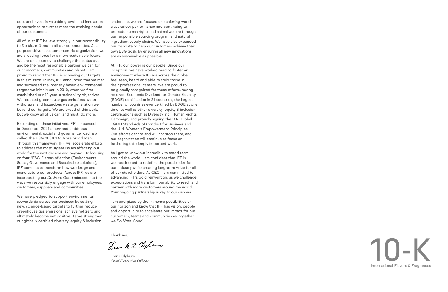debt and invest in valuable growth and innovation opportunities to further meet the evolving needs of our customers.

All of us at IFF believe strongly in our responsibility to *Do More Good* in all our communities. As a purpose-driven, customer-centric organization, we are a leading force for a more sustainable future. We are on a journey to challenge the status quo and be the most responsible partner we can for our customers, communities and planet. I am proud to report that IFF is achieving our targets in this mission. In May, IFF announced that we met and surpassed the intensity-based environmental targets we initially set in 2010, when we first established our 10-year sustainability objectives. We reduced greenhouse gas emissions, water withdrawal and hazardous waste generation well beyond our targets. We are proud of this work, but we know all of us can, and must, do more.

Expanding on these initiatives, IFF announced in December 2021 a new and ambitious environmental, social and governance roadmap called the ESG 2030 'Do More Good Plan.' Through this framework, IFF will accelerate efforts to address the most urgent issues affecting our world for the next decade and beyond. By focusing on four "ESG+" areas of action (Environmental, Social, Governance and Sustainable solutions), IFF commits to transform how we design and manufacture our products. Across IFF, we are incorporating our *Do More Good* mindset into the ways we responsibly engage with our employees, customers, suppliers and communities.

We have pledged to support environmental stewardship across our business by setting new, science-based targets to further reduce greenhouse gas emissions, achieve net zero and ultimately become net positive. As we strengthen our globally certified diversity, equity & inclusion

leadership, we are focused on achieving worldclass safety performance and continuing to promote human rights and animal welfare through our responsible sourcing program and natural ingredient supply chains. We have also expanded our mandate to help our customers achieve their own ESG goals by ensuring all new innovations are as sustainable as possible.

At IFF, our power is our people. Since our inception, we have worked hard to foster an environment where IFFers across the globe feel seen, heard and able to truly thrive in their professional careers. We are proud to be globally recognized for these efforts, having received Economic Dividend for Gender Equality (EDGE) certification in 21 countries, the largest number of countries ever certified by EDGE at one time, as well as other diversity, equity & inclusion certifications such as Diversity Inc., Human Rights Campaign, and proudly signing the U.N. Global LGBTI Standards of Conduct for Business and the U.N. Women's Empowerment Principles. Our efforts cannot and will not stop there, and our organization will continue to focus on furthering this deeply important work.

As I get to know our incredibly talented team around the world, I am confident that IFF is well-positioned to redefine the possibilities for our industry while creating long-term value for all of our stakeholders. As CEO, I am committed to advancing IFF's bold reinvention, as we challenge expectations and transform our ability to reach and partner with more customers around the world. Your ongoing partnership is key to our success.

I am energized by the immense possibilities on our horizon and know that IFF has vision, people and opportunity to accelerate our impact for our customers, teams and communities as, together, we *Do More Good*.

Thank you.

Frank Clyburn

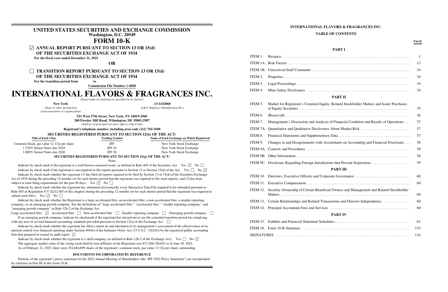## **UNITED STATES SECURITIES AND EXCHANGE COMMISSION Washington, D.C. 20549 FORM 10-K**

Í **ANNUAL REPORT PURSUANT TO SECTION 13 OR 15(d)**

**OF THE SECURITIES EXCHANGE ACT OF 1934**

**For the fiscal year ended December 31, 2021**

**OR**

## ' **TRANSITION REPORT PURSUANT TO SECTION 13 OR 15(d) OF THE SECURITIES EXCHANGE ACT OF 1934**

For the transition period from

**Commission File Number 1-4858**

## **INTERNATIONAL FLAVORS & FRAGRANCES INC.**

*(Exact name of registrant as specified in its charter)*

**New York 13-1432060**

*(State or other jurisdiction of incorporation or organization)* *(I.R.S. Employer Identification No.)*

**521 West 57th Street, New York, NY 10019-2960**

**200 Powder Mill Road, Wilmington, DE 19803-2907**

*(Address of principal executive offices) (Zip Code***)**

**Registrant's telephone number, including area code (212) 765-5500**

**SECURITIES REGISTERED PURSUANT TO SECTION 12(b) OF THE ACT:**

Indicate by check mark whether the registrant has submitted electronically every Interactive Data File required to be submitted pursuant to Rule 405 of Regulation S-T (§232.405 of this chapter) during the preceding 12 months (or for such shorter period that the registrant was required to submit such files). Yes  $\triangledown$  No  $\square$ 

| <b>Title of Each Class</b>                         | <b>Trading Symbol</b> | Name of Each Exchange on Which Registered |
|----------------------------------------------------|-----------------------|-------------------------------------------|
| Common Stock, par value $12 \frac{1}{2}$ per share | IFF                   | New York Stock Exchange                   |
| 1.750% Senior Notes due 2024                       | <b>IFF 24</b>         | New York Stock Exchange                   |
| $1.800\%$ Senior Notes due 2026                    | <b>IFF 26</b>         | New York Stock Exchange                   |
|                                                    |                       |                                           |

#### **SECURITIES REGISTERED PURSUANT TO SECTION 12(g) OF THE ACT:**

None

Indicate by check mark if the registrant is a well-known seasoned issuer, as defined in Rule 405 of the Securities Act. Yes  $\boxed{\triangledown}$  No  $\boxed{\cdot}$ Indicate by check mark if the registrant is not required to file reports pursuant to Section 13 or Section 15(d) of the Act. Yes  $\Box$  No  $\Box$ Indicate by check mark whether the registrant (1) has filed all reports required to be filed by Section 13 or 15(d) of the Securities Exchange Act of 1934 during the preceding 12 months (or for such shorter period that the registrant was required to file such reports), and (2) has been subject to such filing requirements for the past 90 days. Yes  $\Box$  No  $\Box$ 

Indicate by check mark whether the registrant has filed a report on and attestation to its management's assessment of the effectiveness of its internal control over financial reporting under Section 404(b) of the Sarbanes-Oxley Act (15 U.S.C. 7262(b)) by the registered public accounting firm that prepared or issued its audit report.  $\boxed{\checkmark}$ 

Indicate by check mark whether the registrant is a shell company (as defined in Rule 12b-2 of the Exchange Act). Yes  $\Box$  No  $\Box$ The aggregate market value of the voting stock held by non-affiliates of the Registrant was \$37,208,150,825 as of June 30, 2021. As of February 21, 2022, there were 254,684,699 shares of the registrant's common stock, par value 12  $\frac{1}{2}$  per share, outstanding.

Indicate by check mark whether the Registrant is a large accelerated filer, an accelerated filer, a non-accelerated filer, a smaller reporting company, or an emerging growth company. See the definitions of "large accelerated filer," "accelerated filer," "smaller reporting company," and "emerging growth company" in Rule 12b-2 of the Exchange Act.

Large accelerated filer  $\Box$  Accelerated filer  $\Box$  Non-accelerated filer  $\Box$  Smaller reporting company  $\Box$  Emerging growth company  $\Box$ If an emerging growth company, indicate by checkmark if the registrant has elected not to use the extended transition period for complying with any new or revised financial accounting standards provided pursuant to Section 13(a) of the Exchange Act.  $\Box$ 

#### **DOCUMENTS INCORPORATED BY REFERENCE**

Portions of the registrant's proxy statement for the 2022 Annual Meeting of Shareholders (the "IFF 2022 Proxy Statement") are incorporated by reference in Part III of this Form 10-K.

#### **INTERNATIONAL FLAVORS & FRAGRANCES INC.**

**TABLE OF CONTENTS**

#### PAR<sup>'</sup>

#### **PAGE**

| ITEM 1.  |                                                                                         | $\mathbf{1}$ |
|----------|-----------------------------------------------------------------------------------------|--------------|
|          |                                                                                         | 13           |
|          |                                                                                         | 34           |
| ITEM 2.  |                                                                                         | 34           |
| ITEM 3.  |                                                                                         | 34           |
| ITEM 4.  |                                                                                         | 34           |
|          | <b>PART II</b>                                                                          |              |
| ITEM 5.  | Market for Registrant's Common Equity, Related Stockholder Matters and Issuer Purchases | 35           |
| ITEM 6.  |                                                                                         | 36           |
| ITEM 7.  | Management's Discussion and Analysis of Financial Condition and Results of Operations   | 37           |
| ITEM 7A. | Quantitative and Qualitative Disclosures About Market Risk                              | 57           |
| ITEM 8.  |                                                                                         | 57           |
| ITEM 9.  | Changes in and Disagreements with Accountants on Accounting and Financial Disclosure    | 58           |
|          |                                                                                         | 58           |
|          |                                                                                         | 58           |
|          | ITEM 9C. Disclosure Regarding Foreign Jurisdictions that Prevent Inspections            | 59           |
|          | <b>PART III</b>                                                                         |              |
|          |                                                                                         | 60           |
|          |                                                                                         | 60           |
| ITEM 12. | Security Ownership of Certain Beneficial Owners and Management and Related Stockholder  | 60           |
|          | ITEM 13. Certain Relationships and Related Transactions and Director Independence       | 60           |
|          |                                                                                         | 60           |
|          | <b>PART IV</b>                                                                          |              |
|          |                                                                                         | 61           |
|          |                                                                                         | 133          |
|          |                                                                                         | 134          |
|          |                                                                                         |              |

|                                                                                         | 1   |
|-----------------------------------------------------------------------------------------|-----|
|                                                                                         | 13  |
|                                                                                         | 34  |
|                                                                                         | 34  |
|                                                                                         | 34  |
|                                                                                         | 34  |
| <b>PART II</b>                                                                          |     |
| Market for Registrant's Common Equity, Related Stockholder Matters and Issuer Purchases | 35  |
|                                                                                         | 36  |
| Management's Discussion and Analysis of Financial Condition and Results of Operations   | 37  |
| Quantitative and Qualitative Disclosures About Market Risk                              | 57  |
|                                                                                         | 57  |
| Changes in and Disagreements with Accountants on Accounting and Financial Disclosure    | 58  |
|                                                                                         | 58  |
|                                                                                         | 58  |
| Disclosure Regarding Foreign Jurisdictions that Prevent Inspections                     | 59  |
| <b>PART III</b>                                                                         |     |
|                                                                                         | 60  |
|                                                                                         | 60  |
| Security Ownership of Certain Beneficial Owners and Management and Related Stockholder  | 60  |
| Certain Relationships and Related Transactions and Director Independence                | 60  |
|                                                                                         | 60  |
| <b>PART IV</b>                                                                          |     |
|                                                                                         | 61  |
|                                                                                         | 133 |
|                                                                                         | 134 |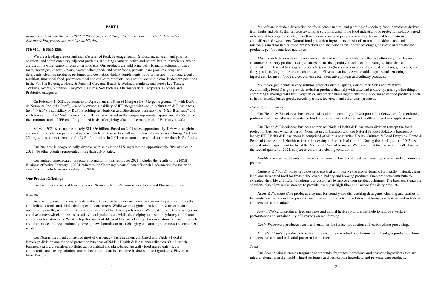#### **PART I**

*In this report, we use the terms "IFF," "the Company," "we," "us" and "our" to refer to International Flavors & Fragrances Inc. and its subsidiaries.*

#### **ITEM 1. BUSINESS.**

We are a leading creator and manufacturer of food, beverage, health & biosciences, scent and pharma solutions and complementary adjacent products, including cosmetic active and natural health ingredients, which are used in a wide variety of consumer products. Our products are sold principally to manufacturers of dairy, meat, beverages, snacks, savory, sweet, baked goods and other foods, personal care products, soaps and detergents, cleaning products, perfumes and cosmetics, dietary supplements, food protection, infant and elderly nutrition, functional food, pharmaceutical and oral care products. As a result, we hold global leadership positions in the Food & Beverage, Home & Personal Care and Health & Wellness markets, and across key Tastes, Textures, Scents, Nutrition, Enzymes, Cultures, Soy Proteins, Pharmaceutical Excipients, Biocides and Probiotics categories.

On February 1, 2021, pursuant to an Agreement and Plan of Merger (the "Merger Agreement") with DuPont de Nemours, Inc. ("DuPont"), a wholly owned subsidiary of IFF merged with and into Nutrition & Biosciences, Inc. ("N&B"), a subsidiary of DuPont holding its Nutrition and Biosciences business (the "N&B Business," and such transaction, the "N&B Transaction"). The shares issued in the merger represented approximately 55.4% of the common stock of IFF on a fully diluted basis, after giving effect to the merger, as of February 1, 2021.

Sales in 2021 were approximately \$11.656 billion. Based on 2021 sales, approximately 41% were to global consumer products companies and approximately 59% were to small and mid-sized companies. During 2021, our 25 largest customers accounted for 29% of our sales. In 2021, no customer accounted for more than 10% of sales.

Our Nourish segment consists of most of our legacy Taste segment combined with N&B's Food  $\&$ Beverage division and the food protection business of N&B's Health & Biosciences division. Our Nourish business spans a diversified portfolio across natural and plant-based specialty food ingredients, flavor compounds, and savory solutions and inclusions and consists of three business units: Ingredients, Flavors and Food Designs.

Our business is geographically diverse, with sales in the U.S. representing approximately 28% of sales in 2021. No other country represented more than 7% of sales.

Our audited consolidated financial information in this report for 2021 includes the results of the N&B Business effective February 1, 2021, whereas the Company's consolidated financial information for the prior years do not include amounts related to N&B.

#### **Our Product Offerings**

Our business consists of four segments: Nourish, Health & Biosciences, Scent and Pharma Solutions.

#### *Nourish*

As a leading creator of ingredients and solutions, we help our customers deliver on the promise of healthy and delicious foods and drinks that appeal to consumers. While we are a global leader, our Nourish business operates regionally, with different formulas that reflect local taste preferences. We create products in our regional creative centers which allows us to satisfy local preferences, while also helping to ensure regulatory compliance and production standards. We develop thousands of different Nourish offerings for our customers, most of which are tailor-made, and we continually develop new formulas to meet changing consumer preferences and customer needs.

*Home & Personal Care produces enzymes for laundry and dishwashing detergents, cleaning and textiles to* help enhance the product and process performance of products in the fabric and homecare, textiles and industrials and personal care markets.

*Ingredients* include a diversified portfolio across natural and plant-based specialty food ingredients derived from herbs and plants that provide texturizing solutions used in the food industry, food protection solutions used in food and beverage products, as well as specialty soy and pea protein with value-added formulations, emulsifiers and sweeteners. Natural food protection ingredients consist of natural antioxidants and antimicrobials used for natural food preservation and shelf-life extension for beverages, cosmetic and healthcare products, pet food and feed additives.

*Flavors* include a range of flavor compounds and natural taste solutions that are ultimately used by our customers in savory products (soups, sauces, meat, fish, poultry, snacks, etc.), beverages (juice drinks, carbonated or flavored beverages, spirits, etc.), sweets (bakery products, candy, cereal, chewing gum, etc.), and dairy products (yogurt, ice cream, cheese, etc.). Flavors also include value-added spices and seasoning ingredients for meat, food service, convenience, alternative protein and culinary products.

*Food Designs* include savory solution products such as spices, sauces, marinades and mixtures. Additionally, Food Designs provide inclusion products that help with taste and texture by, among other things, combining flavorings with fruit, vegetables and other natural ingredients for a wide range of food products, such as health snacks, baked goods, cereals, pastries, ice cream and other dairy products.

#### *Health & Biosciences*

Our Health & Biosciences business consists of a biotechnology-driven portfolio of enzymes, food cultures, probiotics and specialty ingredients for food, home and personal care, and health and wellness applications.

Our Health & Biosciences business comprises N&B's Health & Biosciences division (except the food protection business which is part of Nourish) in combination with the Natural Product Solutions business of legacy IFF. Health & Biosciences is comprised of six business units: Health, Cultures & Food Enzymes, Home & Personal Care, Animal Nutrition, Grain Processing and Microbial Control. During the third quarter of 2021, we entered into an agreement to divest the Microbial Control business. We expect that the transaction will close in the second quarter of 2022, subject to customary closing conditions.

*Health* provides ingredients for dietary supplements, functional food and beverage, specialized nutrition and pharma.

*Cultures & Food Enzymes* provides products that aim to serve the global demand for healthy, natural, clean label and fermented food for fresh dairy, cheese, bakery and brewing products. Such products contribute to extended shelf life and stability helping our customers to improve their product offerings. The business's enzyme solutions also allow our customers to provide low sugar, high fiber and lactose-free dairy products.

*Animal Nutrition* produces feed enzymes and animal health solutions that help to improve welfare, performance and sustainability of livestock animal farming.

*Grain Processing* produces yeasts and enzymes for biofuel production and carbohydrate processing.

*Microbial Control* produces biocides for controlling microbial populations for oil and gas production, home and personal care and industrial preservation markets.

#### *Scent*

Our Scent business creates fragrance compounds, fragrance ingredients and cosmetic ingredients that are integral elements in the world's finest perfumes and best-known household and personal care products.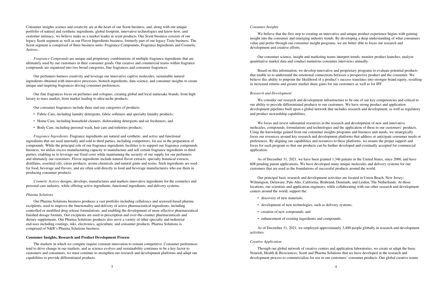Consumer insights science and creativity are at the heart of our Scent business, and, along with our unique portfolio of natural and synthetic ingredients, global footprint, innovative technologies and know-how, and customer intimacy, we believe make us a market leader in scent products. Our Scent business consists of our legacy Scent segment as well as our Flavor Ingredients business, formerly part of our legacy Taste business. The Scent segment is comprised of three business units: Fragrance Compounds, Fragrance Ingredients and Cosmetic Actives.

*Fragrance Compounds* are unique and proprietary combinations of multiple fragrance ingredients that are ultimately used by our customers in their consumer goods. Our creative and commercial teams within fragrance compounds are organized into two broad categories, fine fragrances and consumer fragrances.

Our perfumers harness creativity and leverage our innovative captive molecules, sustainable natural ingredients obtained with innovative processes, biotech ingredients, data science, and consumer insights to create unique and inspiring fragrances driving consumer preferences.

Our fine fragrances focus on perfumes and colognes, creating global and local namesake brands, from high luxury to mass market, from market leading to ultra-niche products.

Our consumer fragrances include three end-use categories of products:

- ‰ Fabric Care, including laundry detergents, fabric softeners and specialty laundry products;
- ‰ Home Care, including household cleaners, dishwashing detergents and air fresheners; and
- ‰ Body Care, including personal wash, hair care and toiletries products.

*Fragrance Ingredients.* Fragrance ingredients are natural and synthetic, and active and functional ingredients that are used internally and sold to third parties, including competitors, for use in the preparation of compounds. While the principal role of our fragrance ingredients facilities is to support our fragrance compounds business, we utilize excess manufacturing capacity to manufacture and sell certain fragrance ingredients to third parties, enabling us to leverage our fixed costs while maintaining the security of our supply for our perfumers and ultimately our customers. Flavor ingredients include natural flavor extracts, specialty botanical extracts, distillates, essential oils, citrus products, aroma chemicals and natural gums and resins. Such ingredients are used for food, beverage and flavors, and are often sold directly to food and beverage manufacturers who use them in producing consumer products.

We believe that the first step to creating an innovative and unique product experience begins with gaining insight into the consumer and emerging industry trends. By developing a deep understanding of what consumers value and prefer through our consumer insight programs, we are better able to focus our research and development and creative efforts.

We consider our research and development infrastructure to be one of our key competencies and critical to our ability to provide differentiated products to our customers. We have strong product and application development pipelines built upon a global network that includes research and development, as well as regulatory and product stewardship capabilities.

*Cosmetic Actives* designs, develops, manufactures and markets innovative ingredients for the cosmetics and personal care industry, while offering active ingredients, functional ingredients, and delivery systems.

#### *Pharma Solutions*

Our Pharma Solutions business produces a vast portfolio including cellulosics and seaweed-based pharma excipients, used to improve the functionality and delivery of active pharmaceutical ingredients, including controlled or modified drug release formulations, and enabling the development of more effective pharmaceutical finished dosage formats. Our excipients are used in prescription and over-the-counter pharmaceuticals and dietary supplements. Our Pharma Solutions products also serve a variety of other specialty and industrial end-uses including coatings, inks, electronics, agriculture, and consumer products. Pharma Solutions is comprised of N&B's Pharma Solutions business.

#### **Consumer Insights, Research and Product Development Process**

The markets in which we compete require constant innovation to remain competitive. Consumer preferences tend to drive change in our markets, and as science evolves and sustainability continues to be a key factor to customers and consumers, we must continue to strengthen our research and development platforms and adapt our capabilities to provide differentiated products.

#### *Consumer Insights*

Our consumer science, insight and marketing teams interpret trends, monitor product launches, analyze quantitative market data and conduct numerous consumer interviews annually.

Based on this information, we develop innovative and proprietary programs to evaluate potential products that enable us to understand the emotional connections between a prospective product and the consumer. We believe this ability to pinpoint the likelihood of a product's success translates into stronger brand equity, resulting in increased returns and greater market share gains for our customers as well as for IFF.

#### *Research and Development*

We focus and invest substantial resources in the research and development of new and innovative molecules, compounds, formulations and technologies and the application of these to our customers' products. Using the knowledge gained from our consumer insights programs and business unit needs, we strategically focus our resources around key research and development platforms that address or anticipate consumer needs or preferences. By aligning our capabilities and resources to these platforms, we ensure the proper support and focus for each program so that our products can be further developed and eventually accepted for commercial application.

As of December 31, 2021, we have been granted 1,346 patents in the United States, since 2000, and have 608 pending patent applications. We have developed many unique molecules and delivery systems for our customers that are used as the foundations of successful products around the world.

Our principal basic research and development activities are located in Union Beach, New Jersey; Wilmington, Delaware; Palo Alto, California; Brabrand, Denmark; and Leiden, The Netherlands. At those locations, our scientists and application engineers, while collaborating with our other research and development centers around the world, support the:

- discovery of new materials;
- development of new technologies, such as delivery systems;
- creation of new compounds; and
- enhancement of existing ingredients and compounds.

As of December 31, 2021, we employed approximately 3,400 people globally in research and development activities.

#### *Creative Application*

Through our global network of creative centers and application laboratories, we create or adapt the basic Nourish, Health & Biosciences, Scent and Pharma Solutions that we have developed in the research and development process to commercialize for use in our customers' consumer products. Our global creative teams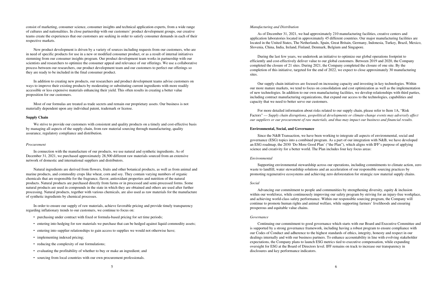consist of marketing, consumer science, consumer insights and technical application experts, from a wide range of cultures and nationalities. In close partnership with our customers' product development groups, our creative teams create the experiences that our customers are seeking in order to satisfy consumer demands in each of their respective markets.

New product development is driven by a variety of sources including requests from our customers, who are in need of specific products for use in a new or modified consumer product, or as a result of internal initiatives stemming from our consumer insights program. Our product development team works in partnership with our scientists and researchers to optimize the consumer appeal and relevance of our offerings. We use a collaborative process between our researchers, our product development team and our customers to perfect our offerings so they are ready to be included in the final consumer product.

We strive to provide our customers with consistent and quality products on a timely and cost-effective basis by managing all aspects of the supply chain, from raw material sourcing through manufacturing, quality assurance, regulatory compliance and distribution.

In addition to creating new products, our researchers and product development teams advise customers on ways to improve their existing products by moderating or substituting current ingredients with more readily accessible or less expensive materials enhancing their yield. This often results in creating a better value proposition for our customers.

Most of our formulas are treated as trade secrets and remain our proprietary assets. Our business is not materially dependent upon any individual patent, trademark or license.

- ‰ purchasing under contract with fixed or formula-based pricing for set time periods;
- ‰ entering into hedging for raw materials we purchase that can be hedged against liquid commodity assets;
- entering into supplier relationships to gain access to supplies we would not otherwise have;
- implementing indexed pricing;
- reducing the complexity of our formulations;
- evaluating the profitability of whether to buy or make an ingredient; and
- sourcing from local countries with our own procurement professionals.

#### **Supply Chain**

#### *Procurement*

In connection with the manufacture of our products, we use natural and synthetic ingredients. As of December 31, 2021, we purchased approximately 28,500 different raw materials sourced from an extensive network of domestic and international suppliers and distributors.

Natural ingredients are derived from flowers, fruits and other botanical products, as well as from animal and marine products, and commodity crops like wheat, corn and soy. They contain varying numbers of organic chemicals that are responsible for the fragrance, flavor, antioxidant properties and nutrition of the natural products. Natural products are purchased directly from farms or in processed and semi-processed forms. Some natural products are used in compounds in the state in which they are obtained and others are used after further processing. Natural products, together with various chemicals, are also used as raw materials for the manufacture of synthetic ingredients by chemical processes.

In order to ensure our supply of raw materials, achieve favorable pricing and provide timely transparency regarding inflationary trends to our customers, we continue to focus on:

#### *Manufacturing and Distribution*

As of December 31, 2021, we had approximately 210 manufacturing facilities, creative centers and application laboratories located in approximately 45 different countries. Our major manufacturing facilities are located in the United States, The Netherlands, Spain, Great Britain, Germany, Indonesia, Turkey, Brazil, Mexico, Slovenia, China, India, Ireland, Finland, Denmark, Belgium and Singapore.

During the last few years, we undertook an initiative to optimize our global operations footprint to efficiently and cost-effectively deliver value to our global customers. Between 2019 and 2020, the Company completed the closure of 21 sites. During 2021, the Company completed the closure of one site. By the completion of this initiative, targeted for the end of 2022, we expect to close approximately 30 manufacturing sites.

Our supply chain initiatives are focused on increasing capacity and investing in key technologies. Within our more mature markets, we tend to focus on consolidation and cost optimization as well as the implementation of new technologies. In addition to our own manufacturing facilities, we develop relationships with third parties, including contract manufacturing organizations, that expand our access to the technologies, capabilities and capacity that we need to better serve our customers.

For more detailed information about risks related to our supply chain, please refer to Item 1A, "Risk Factors" — *Supply chain disruptions, geopolitical developments or climate-change events may adversely affect our suppliers or our procurement of raw materials, and thus may impact our business and financial results.*

#### **Environmental, Social, and Governance**

Since the N&B Transaction, we have been working to integrate all aspects of environmental, social and governance (ESG) topics into a combined program. As a part of our integration with N&B, we have developed an ESG roadmap, the 2030 'Do More Good Plan' ("the Plan"), which aligns with IFF's purpose of applying science and creativity for a better world. The Plan includes four key focus areas:

#### *Environmental*

Supporting environmental stewardship across our operations, including commitments to climate action, zero waste to landfill, water stewardship solutions and an acceleration of our responsible sourcing practices by promoting regenerative ecosystems and achieving zero deforestation for strategic raw material supply chains.

#### *Social*

Advancing our commitment to people and communities by strengthening diversity, equity & inclusion within our workforce, while continuously improving our safety program by striving for an injury-free workplace, and achieving world-class safety performance. Within our responsible sourcing program, the Company will continue to promote human rights and animal welfare, while supporting farmers' livelihoods and ensuring prosperous and equitable value chains.

#### *Governance*

Continuing our commitment to good governance which starts with our Board and Executive Committee and is supported by a strong governance framework, including having a robust program to ensure compliance with our Codes of Conduct and adherence to the highest standards of ethics, integrity, honesty and respect in our dealings internally and with our business partners. To enhance accountability in line with evolving stakeholder expectations, the Company plans to launch ESG metrics tied to executive compensation, while expanding oversight for ESG at the Board of Directors level. IFF remains on track to increase our transparency in disclosures and key performance indicators.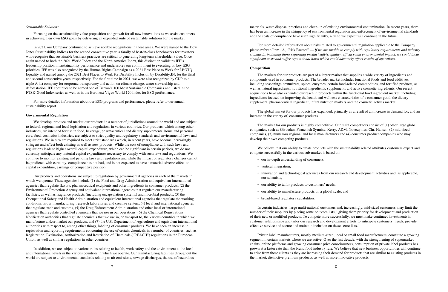#### *Sustainable Solutions*

Focusing on the sustainability value proposition and growth for all new innovations as we assist customers in achieving their own ESG goals by delivering an expanded suite of sustainable solutions for the market.

In 2021, our Company continued to achieve notable recognitions in these areas. We were named to the Dow Jones Sustainability Indices for the second consecutive year, a family of best-in-class benchmarks for investors who recognize that sustainable business practices are critical to generating long-term shareholder value. Once again named to both the 2021 World Index and the North America Index, this distinction validates IFF's leadership position in sustainability performance and underscores our commitment to executing on key ESG priorities. IFF was also recognized by the Human Rights Campaign as a 2021 Best Place to Work for LBGTQ Equality and named among the 2021 Best Places to Work for Disability Inclusion by Disability:IN, for the third and second consecutive years, respectively. For the first time in 2021, we were also recognized by CDP as a triple A list company for corporate transparency and action on climate change, water stewardship and deforestation. IFF continues to be named one of Barron's 100 Most Sustainable Companies and listed in the FTSE4Good Index series as well as in the Euronext Vigeo World 120 Index for ESG performance.

We develop, produce and market our products in a number of jurisdictions around the world and are subject to federal, regional and local legislation and regulations in various countries. Our products, which among other industries, are intended for use in food, beverage, pharmaceutical and dietary supplements, home and personal care, feed, cosmetics industries, are subject to strict quality and regulatory standards and environmental laws and regulations. We in turn are required to meet strict standards which, in recent years, have become increasingly stringent and affect both existing as well as new products. While the cost of compliance with such laws and regulations leads to higher overall capital expenditure, which can be significant in certain periods, we do not currently anticipate any material capital expenditures necessary to comply with such laws and regulations. We continue to monitor existing and pending laws and regulations and while the impact of regulatory changes cannot be predicted with certainty, compliance has not had, and is not expected to have a material adverse effect on capital expenditure, earnings or competitive position.

For more detailed information about our ESG programs and performance, please refer to our annual sustainability report.

#### **Governmental Regulation**

We believe that our ability to create products with the sustainability related attributes customers expect and compete successfully in the various sub-market is based on:

Our products and operations are subject to regulation by governmental agencies in each of the markets in which we operate. These agencies include (1) the Food and Drug Administration and equivalent international agencies that regulate flavors, pharmaceutical excipients and other ingredients in consumer products, (2) the Environmental Protection Agency and equivalent international agencies that regulate our manufacturing facilities, as well as fragrance products (including encapsulation systems) and microbial products, (3) the Occupational Safety and Health Administration and equivalent international agencies that regulate the working conditions in our manufacturing, research laboratories and creative centers, (4) local and international agencies that regulate trade and customs, (5) the Drug Enforcement Administration and other local or international agencies that regulate controlled chemicals that we use in our operations, (6) the Chemical Registration/ Notification authorities that regulate chemicals that we use in, or transport to, the various countries in which we manufacture and/or market our products, and (7) the U.S. Department of Agriculture and equivalent international authorities with respect to, among other things, labeling of consumer products. We have seen an increase in registration and reporting requirements concerning the use of certain chemicals in a number of countries, such as Registration, Evaluation, Authorization and Restriction of Chemicals ("REACH") regulations in the European Union, as well as similar regulations in other countries.

- our in-depth understanding of consumers,
- vertical integration,
- our scientists,
- our ability to tailor products to customers' needs,
- ‰ our ability to manufacture products on a global scale, and
- ‰ broad-based regulatory capabilities.

In addition, we are subject to various rules relating to health, work safety and the environment at the local and international levels in the various countries in which we operate. Our manufacturing facilities throughout the world are subject to environmental standards relating to air emissions, sewage discharges, the use of hazardous

materials, waste disposal practices and clean-up of existing environmental contamination. In recent years, there has been an increase in the stringency of environmental regulation and enforcement of environmental standards, and the costs of compliance have risen significantly, a trend we expect will continue in the future.

For more detailed information about risks related to governmental regulation applicable to the Company, please refer to Item 1A, "Risk Factors" — *If we are unable to comply with regulatory requirements and industry standards, including those regarding product safety, quality, efficacy and environmental impact, we could incur significant costs and suffer reputational harm which could adversely affect results of operations.*

#### **Competition**

The markets for our products are part of a larger market that supplies a wide variety of ingredients and compounds used in consumer products. The broader market includes functional foods and food additives, including seasonings, texturizers, spices, enzymes, certain food-related commodities, and fortified products, as well as natural ingredients, nutritional ingredients, supplements and active cosmetic ingredients. Our recent acquisitions have also expanded our reach in products within the functional food ingredient market, including ingredients focused on improving the health and wellness characteristics of a consumer good, the dietary supplement, pharmaceutical ingredient, infant nutrition markets and the cosmetic actives market.

The global market for our products has expanded, primarily as a result of an increase in demand for, and an increase in the variety of, consumer products.

The market for our products is highly competitive. Our main competitors consist of (1) other large global companies, such as Givaudan, Firmenich Symrise, Kerry, ADM, Novozymes, Chr. Hansen, (2) mid-sized companies, (3) numerous regional and local manufacturers and (4) consumer product companies who may develop their own competing products.

‰ innovation and technological advances from our research and development activities and, as applicable,

In certain industries, large multi-national customers and, increasingly, mid-sized customers, may limit the number of their suppliers by placing some on "core lists," giving them priority for development and production of their new or modified products. To compete more successfully, we must make continued investments in customer relationships and tailor our research and development efforts to anticipate customers' needs, provide effective service and secure and maintain inclusion on these "core lists."

Private label manufacturers, mostly medium-sized, local or small food manufacturers, constitute a growing segment in certain markets where we are active. Over the last decade, with the strengthening of supermarket chains, online platforms and growing consumer price consciousness, consumption of private label products has grown at a faster rate than the brand food industry rate. We believe that new business opportunities will continue to arise from these clients as they are increasing their demand for products that are similar to existing products in the market, distinctive premium products, as well as more innovative products.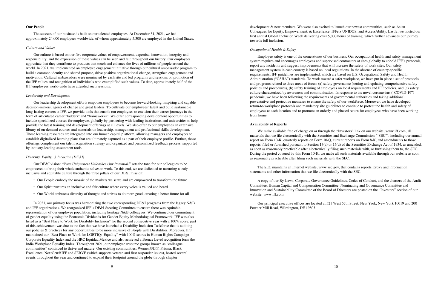#### **Our People**

The success of our business is built on our talented employees. At December 31, 2021, we had approximately 24,000 employees worldwide, of whom approximately 5,300 are employed in the United States.

#### *Culture and Values*

Our culture is based on our five corporate values of empowerment, expertise, innovation, integrity and responsibility, and the expression of these values can be seen and felt throughout our history. Our employees appreciate that they contribute to products that touch and enhance the lives of millions of people around the world. In 2021, we implemented an employee engagement initiative through our cultural ambassador program to build a common identity and shared purpose, drive positive organizational change, strengthen engagement and motivation. Cultural ambassadors were nominated by each site and led programs and sessions on promotion of the IFF values and recognition of individuals who exemplified such values. To date, approximately half of the IFF employees world-wide have attended such sessions.

#### *Leadership and Development*

Our leadership development efforts empower employees to become forward-looking, inspiring and capable decision-makers, agents of change and great leaders. To cultivate our employees' talent and build sustainable long-lasting careers at IFF, we provide tools that enable our employees to envision their career journeys in the form of articulated career "ladders" and "frameworks". We offer corresponding development opportunities to include specialized courses for employees globally by partnering with leading institutions and universities to help provide the latest training and development offerings at all levels. We also offer to our employees an extensive library of on-demand courses and materials on leadership, management and professional skills development. Those learning resources are integrated into our human capital platform, allowing managers and employees to establish digitalized learning plans that are ultimately captured as a part of their employee profile. Further, those offerings complement our talent acquisition strategy and organized and personalized feedback process, supported by industry-leading assessment tools.

#### *Diversity, Equity, & Inclusion (DE&I)*

Our DE&I vision: *"Your Uniqueness Unleashes Our Potential.*" sets the tone for our colleagues to be empowered to bring their whole authentic selves to work. To this end, we are dedicated to nurturing a truly inclusive and equitable culture through the three pillars of our DE&I mission:

- ‰ Our People embody the mosaic of the markets we serve and are empowered to transform the future
- ‰ Our Spirit nurtures an inclusive and fair culture where every voice is valued and heard
- ‰ Our World embraces diversity of thought and strives to do more good, creating a better future for all

We make available free of charge on or through the "Investors" link on our website, www.iff.com, all materials that we file electronically with the Securities and Exchange Commission ("SEC"), including our annual report on Form 10-K, quarterly reports on Form 10-Q, current reports on Form 8-K, and amendments to those reports, filed or furnished pursuant to Section 13(a) or 15(d) of the Securities Exchange Act of 1934, as amended, as soon as reasonably practicable after electronically filing such materials with, or furnishing them to, the SEC. During the period covered by this Form 10-K, we made all such materials available through our website as soon as reasonably practicable after filing such materials with the SEC.

In 2021, our primary focus was harmonizing the two corresponding DE&I programs from the legacy N&B and IFF organizations. We reorganized IFF's DE&I Steering Committee to ensure there was equitable representation of our employee population, including heritage N&B colleagues. We continued our commitment of gender equality using the Economic Dividends for Gender Equity Methodological Framework. IFF was also listed as a "Best Place to Work for Disability Inclusion" for the second consecutive year with a 100% score; part of this achievement was due to the fact that we have launched a Disability Inclusion Taskforce that is auditing our policies & practices for any opportunities to be more inclusive of People with Disabilities. Moreover, IFF maintained our "Best Place to Work for LGBTIQ+ Equality" with 100% scores in Human Rights Campaign Corporate Equality Index and the HRC Equidad Mexico and also achieved a Bronze Level recognition form the India Workplace Equality Index. Throughout 2021, our employee resource groups known as "colleague communities" continued to thrive and mature. Our existing communities; Women@IFF, Prisma, Black Excellence, NextGen@IFF and SERVE (which supports veteran and first responder issues), hosted several events throughout the year and continued to expand their footprint around the globe through chapter

development & new members. We were also excited to launch our newest communities, such as Asian Colleagues for Equity, Empowerment, & Excellence, IFFers UNIDOS, and AccessAbility. Lastly, we hosted our first annual Global Inclusion Week delivering over 5,000 hours of training, which further advances our journey towards full inclusion.

#### *Occupational Health & Safety*

Employee safety is one of the cornerstones of our business. Our occupational health and safety management system requires and encourages employees and supervised contractors at sites globally to uphold IFF's protocols, report any incidents and suggest improvements that will increase the safety of work sites. Our safety management system in each country is based on local regulations. In the absence of country-specific requirements, IFF guidelines are implemented, which are based on U.S. Occupational Safety and Health Administration ("OSHA") standards. To work toward a safer workplace, we have put in place a set of protocols and programs related to three areas of focus: (a) safety governance (setting and updating comprehensive safety policies and procedures), (b) safety training of employees on local requirements and IFF policies, and (c) safety culture characterized by awareness and communication. In response to the novel coronavirus ("COVID-19") pandemic, we have been following the requirements of governmental authorities and taking additional preventative and protective measures to ensure the safety of our workforce. Moreover, we have developed return-to-workplace protocols and mandatory site guidelines to continue to protect the health and safety of employees at each location and to promote an orderly and phased return for employees who have been working from home.

#### **Availability of Reports**

The SEC maintains an Internet website, www.sec.gov, that contains reports, proxy and information statements and other information that we file electronically with the SEC.

A copy of our By-Laws, Corporate Governance Guidelines, Codes of Conduct, and the charters of the Audit Committee, Human Capital and Compensation Committee, Nominating and Governance Committee and Innovation and Sustainability Committee of the Board of Directors are posted on the "Investors" section of our website, www.iff.com.

Our principal executive offices are located at 521 West 57th Street, New York, New York 10019 and 200 Powder Mill Road, Wilmington, DE 19803.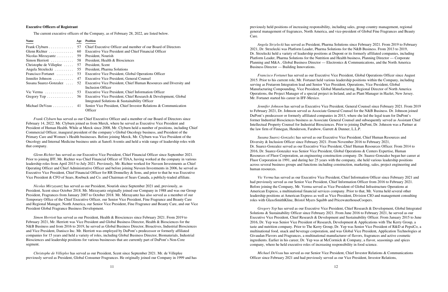#### **Executive Officers of Registrant**

The current executive officers of the Company, as of February 28, 2022, are listed below.

| Name                                  | Age | <b>Position</b>                                                   |
|---------------------------------------|-----|-------------------------------------------------------------------|
| Frank Clyburn                         | 57  | Chief Executive Officer and member of our Board of Directors      |
| Glenn Richter                         | 60  | Executive Vice President and Chief Financial Officer              |
| Nicolas Mirzayantz                    | 59  | President, Nourish                                                |
| $Simon$ Herriott                      | 58  | President, Health & Biosciences                                   |
| Christophe de Villeplee $\dots$       | 57  | President, Scent                                                  |
| Angela Strzelecki                     | 55  | President, Pharma Solutions                                       |
| Francisco Fortanet                    | 53  | Executive Vice President, Global Operations Officer               |
| Jennifer Johnson $\dots\dots\dots$    | 47  | Executive Vice President, General Counsel                         |
| Susana Suarez-Gonzalez                | 52  | Executive Vice President, Chief Human Resources and Diversity and |
|                                       |     | <b>Inclusion Officer</b>                                          |
| Vic Verma $\ldots \ldots \ldots$      | 53  | Executive Vice President, Chief Information Officer               |
| Gregory Yep $\dots \dots \dots \dots$ | 56  | Executive Vice President, Chief Research & Development, Global    |
|                                       |     | Integrated Solutions & Sustainability Officer                     |
| Michael DeVeau                        | 41  | Senior Vice President, Chief Investor Relations & Communication   |
|                                       |     | Officer                                                           |

*Frank Clyburn* has served as our Chief Executive Officer and a member of our Board of Directors since February 14, 2022. Mr. Clyburn joined us from Merck, where he served as Executive Vice President and President of Human Health. While at Merck since 2008, Mr. Clyburn held a number of positions, including Chief Commercial Officer, inaugural president of the company's Global Oncology business, and President of the Primary Care and Women's Health businesses. Before joining Merck, Mr. Clyburn was Vice President of the Oncology and Internal Medicine business units at Sanofi Aventis and held a wide range of leadership roles with that company.

*Glenn Richter* has served as our Executive Vice President, Chief Financial Officer since September 2021. Prior to joining IFF, Mr. Richter was Chief Financial Officer of TIAA, having worked at the company in various leadership roles from April 2015 to July 2021. Previously, Mr. Richter worked for Nuveen Investments as Chief Operating Officer and Chief Administrative Officer and before joining Nuveen Investments in 2006, he served as Executive Vice President, Chief Financial Officer for RR Donnelley & Sons, and prior to that he was Executive Vice President & CFO of Sears, Roebuck and Co. and Chairman of Sears Canada, a publicly-traded affiliate.

*Nicolas Mirzayantz* has served as our President, Nourish since September 2021 and, previously, as President, Scent since October 2018. Mr. Mirzayantz originally joined our Company in 1988 and was our Group President, Fragrances from January 2007 to October 2018. Mr. Mirzayantz has also served as a member of our Temporary Office of the Chief Executive Officer, our Senior Vice President, Fine Fragrance and Beauty Care and Regional Manager, North America, our Senior Vice President, Fine Fragrance and Beauty Care, and our Vice President Global Fragrance Business Development.

*Simon Herriott* has served as our President, Health & Biosciences since February 2021. From 2019 to February 2021, Mr. Herriott was Vice President and Global Business Director, Health & Biosciences for the N&B Business and from 2016 to 2019, he served as Global Business Director, Bioactives, Industrial Biosciences and Vice President, Danisco Inc. Mr. Herriott was employed by DuPont's predecessor or formerly affiliated companies for 15 years and held a variety of roles, including Global Business Director, Biomaterials, Industrial Biosciences and leadership positions for various businesses that are currently part of DuPont's Non-Core segment.

*Christophe de Villeplee* has served as our President, Scent since September 2021. Mr. de Villeplee previously served as President, Global Consumer Fragrances. He originally joined our Company in 1999 and has previously held positions of increasing responsibility, including sales, group country management, regional general management of fragrances, North America, and vice-president of Global Fine Fragrances and Beauty Care.

*Angela Strzelecki* has served as President, Pharma Solutions since February 2021. From 2019 to February 2021, Dr. Strzelecki was Platform Leader, Pharma Solutions for the N&B Business. From 2013 to 2019, Dr. Strzelecki held a variety of leadership positions at Dupont or its formerly affiliated companies, including Platform Leader, Pharma Solutions for the Nutrition and Health business, Planning Director — Corporate Planning and M&A , Global Business Director — Electronics & Communications, and the North America Business Director — Building Innovations.

*Francisco Fortanet* has served as our Executive Vice President, Global Operations Officer since August 2015. Prior to his current role, Mr. Fortanet held various leadership positions within the Company, including serving as Frutarom Integration lead and Senior Vice President, Operations, Vice President, Global Manufacturing Compounding, Vice President, Global Manufacturing, Regional Director of North America Operations, the Project Manager of a special project in Ireland, and as Plant Manager in Hazlet, New Jersey. Mr. Fortanet started his career in IFF-Mexico.

*Jennifer Johnson* has served as Executive Vice President, General Counsel since February 2021. From 2019 to February 2021, Dr. Johnson served as Associate General Counsel for the N&B Business. Dr. Johnson joined DuPont's predecessor or formerly affiliated companies in 2013, where she led the legal team for DuPont's former Industrial Biosciences business as Associate General Counsel and subsequently served as Assistant Chief Intellectual Property Counsel for Industrial Biosciences. Prior to joining DuPont, Dr. Johnson was a Partner at the law firm of Finnegan, Henderson, Farabow, Garrett & Dunner, L.L.P.

*Susana Suarez-Gonzalez* has served as our Executive Vice President, Chief Human Resources and Diversity & Inclusion Officer since February 2021. From November 2016 to February 2021, Dr. Suarez-Gonzalez served as our Executive Vice President, Chief Human Resources Officer. From 2014 to 2016, Dr. Suarez-Gonzalez was Senior Vice President, Global Operations & Centers Expertise, Human Resources of Fluor Corporation, an engineering construction company. Dr. Suarez-Gonzalez began her career at Fluor Corporation in 1991, and during her 25 years with the company, she held various leadership positions across several business groups and functions including construction, marketing, sales, project engineering and human resources.

*Vic Verma* has served as our Executive Vice President, Chief Information Officer since February 2021 and had previously served as our Senior Vice President, Chief Information Officer from 2016 to February 2021. Before joining the Company, Mr. Verma served as Vice President of Global Infrastructure Operations at American Express, a multinational financial services company. Prior to that, Mr. Verma held several other leadership positions at American Express as well as Vice President, Division CIO and management consulting roles with GlaxoSmithKline, Bristol Myers Squibb and PricewaterhouseCoopers.

*Gregory Yep* has served as our Executive Vice President, Chief Research & Development, Global Integrated Solutions & Sustainability Officer since February 2021. From June 2016 to February 2021, he served as our Executive Vice President, Chief Research & Development and Sustainability Officer. From January 2015 to June 2016, Dr. Yep was Senior Vice President of Research, Development & Applications with The Kerry Group, a taste and nutrition company. Prior to The Kerry Group, Dr. Yep was Senior Vice President of R&D at PepsiCo, a multinational food, snack and beverage corporation, and was Global Vice President, Application Technologies at Givaudan Flavors and Fragrances, a multinational manufacturer of flavors, fragrances and active cosmetic ingredients. Earlier in his career, Dr. Yep was at McCormick & Company, a flavor, seasonings and spices company, where he held executive roles of increasing responsibility in food science.

*Michael DeVeau* has served as our Senior Vice President, Chief Investor Relations & Communications Officer since February 2021 and had previously served as our Vice President, Investor Relations,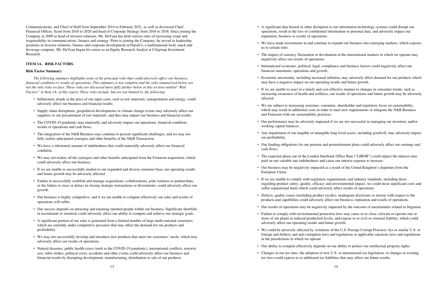Communications, and Chief of Staff from September 2014 to February 2021, as well as divisional Chief Financial Officer, Scent from 2018 to 2020 and head of Corporate Strategy from 2016 to 2018. Since joining the Company in 2009 as head of investor relations, Mr. DeVeau has held various roles of increasing scope and responsibility in communications, finance and strategy. Prior to joining the Company, he served in leadership positions in investor relations, finance and corporate development at PepsiCo, a multinational food, snack and beverage company. Mr. DeVeau began his career as an Equity Research Analyst at Citigroup Investment Research.

#### **ITEM 1A. RISK FACTORS.**

#### **Risk Factor Summary**

*The following summary highlights some of the principal risks that could adversely affect our business, financial condition or results of operations. This summary is not complete and the risks summarized below are not the only risks we face. These risks are discussed more fully further below in this section entitled "Risk Factors" in Item 1A. of this report. These risks include, but are not limited to, the following:*

- ‰ Inflationary trends in the price of our input costs, such as raw materials, transportation and energy, could adversely affect our business and financial results.
- ‰ Supply chain disruptions, geopolitical developments or climate change events may adversely affect our suppliers or our procurement of raw materials, and thus may impact our business and financial results.
- ‰ The COVID-19 pandemic may materially and adversely impact our operations, financial condition, results of operations and cash flows.
- The integration of the N&B Business may continue to present significant challenges, and we may not fully realize anticipated synergies and other benefits of the N&B Transaction.
- ‰ We have a substantial amount of indebtedness that could materially adversely affect our financial condition.
- ‰ We may not realize all the synergies and other benefits anticipated from the Frutarom acquisition, which could adversely affect our business.
- ‰ If we are unable to successfully market to our expanded and diverse customer base, our operating results and future growth may be adversely affected.
- ‰ Failure to successfully establish and manage acquisitions, collaborations, joint ventures or partnerships, or the failure to close or delays in closing strategic transactions or divestments, could adversely affect our growth.
- ‰ Our business is highly competitive, and if we are unable to compete effectively our sales and results of operations will suffer.
- ‰ Our success depends on attracting and retaining talented people within our business. Significant shortfalls in recruitment or retention could adversely affect our ability to compete and achieve our strategic goals.
- ‰ A significant portion of our sales is generated from a limited number of large multi-national customers, which are currently under competitive pressures that may affect the demand for our products and profitability.
- ‰ We may not successfully develop and introduce new products that meet our customers' needs, which may adversely affect our results of operations.
- ‰ Natural disasters, public health crises (such as the COVID-19 pandemic), international conflicts, terrorist acts, labor strikes, political crisis, accidents and other events could adversely affect our business and financial results by disrupting development, manufacturing, distribution or sale of our products.
- ‰ A significant data breach or other disruption to our information technology systems could disrupt our operations, result in the loss of confidential information or personal data, and adversely impact our reputation, business or results of operations.
- ‰ We have made investments in and continue to expand our business into emerging markets, which exposes us to certain risks.
- ‰ The impact of currency fluctuation or devaluation in the international markets in which we operate may negatively affect our results of operations.
- ‰ International economic, political, legal, compliance and business factors could negatively affect our financial statements, operations and growth.
- ‰ Economic uncertainty, including increased inflation, may adversely affect demand for our products which may have a negative impact on our operating results and future growth.
- ‰ If we are unable to react in a timely and cost-effective manner to changes in consumer trends, such as increasing awareness of health and wellness, our results of operations and future growth may be adversely affected.
- ‰ We are subject to increasing customer, consumer, shareholder and regulatory focus on sustainability, which may result in additional costs in order to meet new requirements or integrate the N&B Business and Frutarom with our sustainability practices.
- ‰ Our performance may be adversely impacted if we are not successful in managing our inventory and/or working capital balances.
- ‰ Any impairment of our tangible or intangible long-lived assets, including goodwill, may adversely impact our profitability.
- ‰ Our funding obligations for our pension and postretirement plans could adversely affect our earnings and cash flows.
- ‰ The expected phase out of the London Interbank Office Rate ("LIBOR") could impact the interest rates paid on our variable rate indebtedness and cause our interest expense to increase.
- ‰ Our business may be negatively impacted as a result of the United Kingdom's departure from the European Union.
- If we are unable to comply with regulatory requirements and industry standards, including those regarding product safety, quality, efficacy and environmental impact, we could incur significant costs and suffer reputational harm which could adversely affect results of operations.
- Defects, quality issues (including product recalls), inadequate disclosure or misuse with respect to the products and capabilities could adversely affect our business, reputation and results of operations.
- ‰ Our results of operations may be negatively impacted by the outcome of uncertainties related to litigation.
- ‰ Failure to comply with environmental protection laws may cause us to close, relocate or operate one or more of our plants at reduced production levels, and expose us to civil or criminal liability, which could adversely affect our operating results and future growth.
- ‰ We could be adversely affected by violations of the U.S. Foreign Corrupt Practices Act or similar U.S. or foreign anti-bribery and anti-corruption laws and regulations or applicable sanctions laws and regulations in the jurisdictions in which we operate.
- ‰ Our ability to compete effectively depends on our ability to protect our intellectual property rights.
- ‰ Changes in our tax rates, the adoption of new U.S. or international tax legislation, or changes in existing tax laws could expose us to additional tax liabilities that may affect our future results.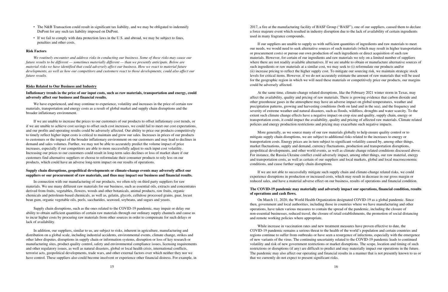- The N&B Transaction could result in significant tax liability, and we may be obligated to indemnify DuPont for any such tax liability imposed on DuPont.
- ‰ If we fail to comply with data protection laws in the U.S. and abroad, we may be subject to fines, penalties and other costs.

#### **Risk Factors**

*We routinely encounter and address risks in conducting our business. Some of these risks may cause our future results to be different — sometimes materially different — than we presently anticipate. Below are material risks we have identified that could adversely affect our business. How we react to material future developments, as well as how our competitors and customers react to those developments, could also affect our future results.*

#### **Risks Related to Our Business and Industry**

**Inflationary trends in the price of our input costs, such as raw materials, transportation and energy, could adversely affect our business and financial results.**

We have experienced, and may continue to experience, volatility and increases in the price of certain raw materials, transportation and energy costs as a result of global market and supply chain disruptions and the broader inflationary environment.

If we are unable to increase the prices to our customers of our products to offset inflationary cost trends, or if we are unable to achieve cost savings to offset such cost increases, we could fail to meet our cost expectations, and our profits and operating results could be adversely affected. Our ability to price our products competitively to timely reflect higher input costs is critical to maintain and grow our sales. Increases in prices of our products to customers or the impact of the broader inflationary environment on our customers and may lead to declines in demand and sales volumes. Further, we may not be able to accurately predict the volume impact of price increases, especially if our competitors are able to more successfully adjust to such input cost volatility. Increasing our prices to our customers could result in long-term sales declines or loss of market share if our customers find alternative suppliers or choose to reformulate their consumer products to rely less on our products, which could have an adverse long-term impact on our results of operations.

#### **Supply chain disruptions, geopolitical developments or climate-change events may adversely affect our suppliers or our procurement of raw materials, and thus may impact our business and financial results.**

In connection with our manufacturing of our products, we often rely on third party suppliers for raw materials. We use many different raw materials for our business, such as essential oils, extracts and concentrates derived from fruits, vegetables, flowers, woods and other botanicals, animal products, raw fruits, organic chemicals and petroleum-based chemicals, as well as, gelatin, glycols, cellulose processed grains, guar, locust bean gum, organic vegetable oils, peels, saccharides, seaweed, soybeans, and sugars and yeasts.

Supply chain disruptions, such as the ones related to the COVID-19 pandemic, may impair or delay our ability to obtain sufficient quantities of certain raw materials through our ordinary supply channels and cause us to incur higher costs by procuring raw materials from other sources in order to compensate for such delays or lack of availability.

In addition, our suppliers, similar to us, are subject to risks, inherent in agriculture, manufacturing and distribution on a global scale, including industrial accidents, environmental events, climate change, strikes and other labor disputes, disruptions in supply chain or information systems, disruption or loss of key research or manufacturing sites, product quality control, safety and environmental compliance issues, licensing requirements and other regulatory issues, as well as natural disasters, global or local health crisis, international conflicts, terrorist acts, geopolitical developments, trade wars, and other external factors over which neither they nor we have control. These suppliers also could become insolvent or experience other financial distress. For example, in 2017, a fire at the manufacturing facility of BASF Group ("BASF"), one of our suppliers, caused them to declare a force majeure event which resulted in industry disruption due to the lack of availability of certain ingredients used in many fragrance compounds.

If our suppliers are unable to supply us with sufficient quantities of ingredients and raw materials to meet our needs, we would need to seek alternative sources of such materials (which may result in higher transportation or procurement costs) or pursue our own production of such ingredients or direct acquisition of such raw materials. However, for certain of our ingredients and raw materials we rely on a limited number of suppliers where there are not readily available alternatives. If we are unable to obtain or manufacture alternative sources of such ingredients or raw materials at a similar cost, we may seek to (i) reformulate our products and/or (ii) increase pricing to reflect the higher supply cost. To mitigate our sourcing risk, we maintain strategic stock levels for critical items. However, if we do not accurately estimate the amount of raw materials that will be used for the geographic region in which we will need these materials or competitively price our products, our margins could be adversely affected.

At the same time, climate-change related disruptions, like the February 2021 winter storm in Texas, may affect the availability, quality and pricing of raw materials. There is growing evidence that carbon dioxide and other greenhouse gases in the atmosphere may have an adverse impact on global temperatures, weather and precipitation patterns, growing and harvesting conditions (both on land and in the sea), and the frequency and severity of extreme weather and natural disasters, such as floods, wildfires, droughts and water scarcity. To the extent such climate change effects have a negative impact on crop size and quality, supply chain, energy or transportation costs, it could impact the availability, quality and pricing of affected raw materials. Climate related policies and energy production restrictions and pricing may exacerbate such negative impacts.

More generally, as we source many of our raw materials globally to help ensure quality control or to mitigate supply chain disruptions, we are subject to additional risks related to the increases to energy or transportation costs. Energy prices are in turn subject to significant volatility caused by, among other things, market fluctuations, supply and demand, currency fluctuations, production and transportation disruptions, geopolitical developments, and other world events, as well as climate change related conditions discussed above. For instance, the Russia-Ukraine conflict could adversely impact, among other things, our raw material, energy and transportation costs, as well as certain of our suppliers and local markets, global and local macroeconomic conditions, and cause further supply chain disruptions.

If we are not able to successfully mitigate such supply chain and climate-change related risks, we could experience disruptions in production or increased costs, which may result in decrease in our gross margin or reduced sales, and have a material adverse effect on our business, results of operations and financial condition.

#### **The COVID-19 pandemic may materially and adversely impact our operations, financial condition, results of operations and cash flows.**

On March 11, 2020, the World Health Organization designated COVID-19 as a global pandemic. Since then, government and local authorities, including those in countries where we have manufacturing and other operations, have taken various measures to contain the spread of the pandemic, including the closure of non-essential businesses, reduced travel, the closure of retail establishments, the promotion of social distancing and remote working policies where appropriate.

While increase in vaccination rates and new treatment measures have proven effective to date, the COVID-19 pandemic remains a serious threat to the health of the world's population and certain countries and regions continue to suffer from outbreaks or have seen a resurgence of infections, especially with the emergence of new variants of the virus. The continuing uncertainty related to the COVID-19 pandemic leads to continued volatility and risk of new government restrictions or market disruptions. The scope, location and timing of such restrictions or disruptions (if any) are difficult to predict and may materially impact our operations in the future. The pandemic may also affect our operating and financial results in a manner that is not presently known to us or that we currently do not expect to present significant risks.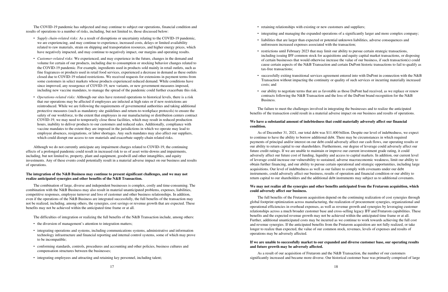The COVID-19 pandemic has subjected and may continue to subject our operations, financial condition and results of operations to a number of risks, including, but not limited to, those discussed below:

- ‰ *Supply chain-related risks:* As a result of disruptions or uncertainty relating to the COVID-19 pandemic, we are experiencing, and may continue to experience, increased costs, delays or limited availability related to raw materials, strain on shipping and transportation resources, and higher energy prices, which have negatively impacted, and may continue to negatively impact, our margins and operating results.
- ‰ *Customer-related risks:* We experienced, and may experience in the future, changes in the demand and volume for certain of our products, including due to consumption or stocking behavior changes related to the COVID-19 pandemic. For example, ingredients used in products sold mainly in retail outlets, such as fine fragrances or products used in retail food services, experienced a decrease in demand as these outlets closed due to COVID-19 related restrictions. We received requests for extensions in payment terms from some customers in select markets whose products experienced reduced demand. While conditions have since improved, any resurgence of COVID-19, new variants, or new government measures imposed, including new vaccine mandates, to manage the spread of the pandemic could further exacerbate this risk.
- ‰ *Operations-related risks:* Although our sites have restored operations to historical levels, there is a risk that our operations may be affected if employees are infected at high rates or if new restrictions are reintroduced. While we are following the requirements of governmental authorities and taking additional protective measures (such as mandatory site guidelines and return-to-workplace protocols) to ensure the safety of our workforce, to the extent that employees in our manufacturing or distribution centers contract COVID-19, we may need to temporarily close those facilities, which may result in reduced production hours, inability to deliver products to our customers and reduced sales. Additionally, compliance with vaccine mandates to the extent they are imposed in the jurisdictions in which we operate may lead to employee absences, resignations, or labor shortages. Any such mandates may also affect our suppliers, which could disrupt our access to raw materials and exacerbate supply-chain related risks.

Although we do not currently anticipate any impairment charges related to COVID-19, the continuing effects of a prolonged pandemic could result in increased risk to us of asset write-downs and impairments, including, but not limited to, property, plant and equipment, goodwill and other intangibles, and equity investments. Any of these events could potentially result in a material adverse impact on our business and results of operations.

- retaining relationships with existing or new customers and suppliers;
- integrating and managing the expanded operations of a significantly larger and more complex company;
- ‰ liabilities that are larger than expected or potential unknown liabilities, adverse consequences and unforeseen increased expenses associated with the transaction;
- restrictions until February 2023 that may limit our ability to pursue certain strategic transactions, including issuing IFF common stock for acquisitions and equity capital market transactions, or disposing of certain businesses that would otherwise increase the value of our business, if such transaction(s) could cause certain aspects of the N&B Transaction and certain DuPont historic transactions to fail to qualify as tax-free transactions;
- successfully exiting transitional services agreement entered into with DuPont in connection with the N&B Transaction without impacting the continuity or quality of such services or incurring materially increased costs; and
- ‰ our ability to negotiate terms that are as favorable as those DuPont had received, as we replace or renew contracts following the N&B Transaction and the loss of the DuPont brand recognition for the N&B Business.

#### **The integration of the N&B Business may continue to present significant challenges, and we may not realize anticipated synergies and other benefits of the N&B Transaction.**

The combination of large, diverse and independent businesses is complex, costly and time-consuming. The combination with the N&B Business may also result in material unanticipated problems, expenses, liabilities, competitive responses, employee turnover and loss of customer and other business relationships. In addition, even if the operations of the N&B Business are integrated successfully, the full benefits of the transaction may not be realized, including, among others, the synergies, cost savings or revenue growth that are expected. These benefits may not be achieved within the anticipated time frame or at all.

The difficulties of integration or realizing the full benefits of the N&B Transaction include, among others:

- the diversion of management's attention to integration matters;
- ‰ integrating operations and systems, including communications systems, administrative and information technology infrastructure and financial reporting and internal control systems, some of which may prove to be incompatible;
- ‰ conforming standards, controls, procedures and accounting and other policies, business cultures and compensation structures between the businesses;
- integrating employees and attracting and retaining key personnel, including talent;

The failure to meet the challenges involved in integrating the businesses and to realize the anticipated benefits of the transaction could result in a material adverse impact on our business and results of operations.

#### **We have a substantial amount of indebtedness that could materially adversely affect our financial condition.**

to continue to have the ability to borrow additional debt. There may be circumstances in which required payments of principal and/or interest on our debt could adversely affect our cash flows, our operating results or our ability to return capital to our shareholders. Furthermore, our degree of leverage could adversely affect our future credit ratings. If we are unable to maintain or improve our current investment grade rating, it could adversely affect our future cost of funding, liquidity and access to capital markets. In addition, our current level of leverage could increase our vulnerability to sustained, adverse macroeconomic weakness, limit our ability to obtain further financing, and our ability to pursue certain operational and strategic opportunities, including large acquisitions. Our level of indebtedness as well as our failure to comply with covenants under our debt instruments, could adversely affect our business, results of operation and financial condition or our ability to return capital to our shareholders and the additional debt instruments may subject us to additional covenants.

- 
- As of December 31, 2021, our total debt was \$11.400 billion. Despite our level of indebtedness, we expect
- The full benefits of the Frutarom acquisition depend on the continuing realization of cost synergies through
	-

#### **We may not realize all the synergies and other benefits anticipated from the Frutarom acquisition, which could adversely affect our business.**

global footprint optimization across manufacturing, the realization of procurement synergies, organizational and operational efficiencies in overhead expenses, as well as revenue growth and synergies by leveraging customer relationships across a much broader customer base and cross-selling legacy IFF and Frutarom capabilities. These benefits and the expected revenue growth may not be achieved within the anticipated time frame or at all. Further, additional unanticipated costs may be incurred as we continue to work towards achieving the full cost and revenue synergies. If the anticipated benefits from the Frutarom acquisition are not fully realized, or take longer to realize than expected, the value of our common stock, revenues, levels of expenses and results of operations may be adversely affected.

#### **If we are unable to successfully market to our expanded and diverse customer base, our operating results and future growth may be adversely affected.**

As a result of our acquisition of Frutarom and the N&B Transaction, the number of our customers significantly increased and became more diverse. Our historical customer base was primarily comprised of large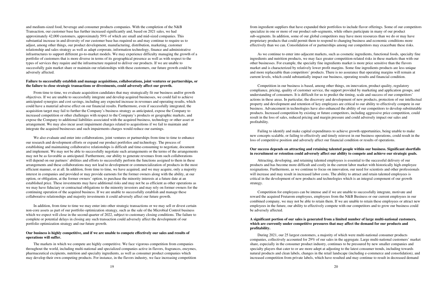and medium-sized food, beverage and consumer products companies. With the completion of the N&B Transaction, our customer base has further increased significantly and, based on 2021 sales, we had approximately 42,000 customers, approximately 59% of which are small and mid-sized companies. This substantial increase in and diversity of our customer base has required us and may continue to require us to adjust, among other things, our product development, manufacturing, distribution, marketing, customer relationship and sales strategy as well as adapt corporate, information technology, finance and administrative infrastructures to support different go-to-market models. We may experience difficulty managing the growth of a portfolio of customers that is more diverse in terms of its geographical presence as well as with respect to the types of services they require and the infrastructure required to deliver our products. If we are unable to successfully gain market share or maintain our relationships with these customers, our future growth could be adversely affected.

#### **Failure to successfully establish and manage acquisitions, collaborations, joint ventures or partnerships, or the failure to close strategic transactions or divestments, could adversely affect our growth.**

From time to time, we evaluate acquisition candidates that may strategically fit our business and/or growth objectives. If we are unable to successfully integrate and develop acquired businesses, we could fail to achieve anticipated synergies and cost savings, including any expected increase in revenues and operating results, which could have a material adverse effect on our financial results. Furthermore, even if successfully integrated, the acquisition target may fail to further the Company's business strategy as anticipated, expose the Company to increased competition or other challenges with respect to the Company's products or geographic markets, and expose the Company to additional liabilities associated with the acquired business, technology or other asset or arrangement. We may also incur asset impairment charges related to acquisitions if we fail to maintain and integrate the acquired businesses and such impairments charges would reduce our earnings.

We also evaluate and enter into collaborations, joint ventures or partnerships from time to time to enhance our research and development efforts or expand our product portfolios and technology. The process of establishing and maintaining collaborative relationships is difficult and time-consuming to negotiate, document and implement. We may not be able to successfully negotiate such arrangements or the terms of the arrangements may not be as favorable as anticipated. Furthermore, our ability to generate revenues from such collaborations will depend on our partners' abilities and efforts to successfully perform the functions assigned to them in these arrangements and these collaborations may not lead to development or commercialization of products in the most efficient manner, or at all. In addition, from time to time, we have acquired, and we may acquire, only a majority interest in companies and provided or may provide earnouts for the former owners along with the ability, at our option, or obligation, at the former owners' option, to purchase the minority interests at a future date at an established price. These investments may have additional risks and may not be as efficient as other operations as we may have fiduciary or contractual obligations to the minority investors and may rely on former owners for the continuing operation of the acquired business. If we are unable to successfully establish and manage these collaborative relationships and majority investments it could adversely affect our future growth.

In addition, from time to time we may enter into other strategic transactions or we may sell or divest certain non-core assets as part of our portfolio optimization strategy, such as the sale of the Microbial Control business which we expect will close in the second quarter of 2022, subject to customary closing conditions. The failure to complete or potential delays in closing any such transaction could adversely affect the development of our portfolio optimization strategy and our future growth.

#### **Our business is highly competitive, and if we are unable to compete effectively our sales and results of operations will suffer.**

The markets in which we compete are highly competitive. We face vigorous competition from companies throughout the world, including multi-national and specialized companies active in flavors, fragrances, enzymes, pharmaceutical excipients, nutrition and specialty ingredients, as well as consumer product companies which may develop their own competing products. For instance, in the flavors industry, we face increasing competition from ingredient suppliers that have expanded their portfolios to include flavor offerings. Some of our competitors specialize in one or more of our product sub-segments, while others participate in many of our product sub-segments. In addition, some of our global competitors may have more resources than we do or may have proprietary products that could permit them to respond to changing business and economic conditions more effectively than we can. Consolidation of or partnerships among our competitors may exacerbate these risks.

As we continue to enter into adjacent markets, such as cosmetic ingredients, functional foods, specialty fine ingredients and nutrition products, we may face greater competition-related risks in these markets than with our other businesses. For example, the specialty fine ingredients market is more price sensitive than the flavors market and is characterized by relatively lower profit margins. Some fine ingredients products are less unique and more replaceable than competitors' products. There is no assurance that operating margins will remain at current levels, which could substantially impact our business, operating results and financial condition.

Competition in our business is based, among other things, on innovation, product quality, regulatory compliance, pricing, quality of customer service, the support provided by marketing and application groups, and understanding of consumers. It is difficult for us to predict the timing, scale and success of our competitors' actions in these areas. In particular, the discovery and development of new products, protection of our intellectual property and development and retention of key employees are critical to our ability to effectively compete in our business. Advancement in technologies have also enhanced the ability of our competitors to develop substitutable products. Increased competition by existing or future competitors, including aggressive price competition, could result in the loss of sales, reduced pricing and margin pressure and could adversely impact our sales and profitability.

Failing to identify and make capital expenditures to achieve growth opportunities, being unable to make new concepts scalable, or failing to effectively and timely reinvest in our business operations, could result in the loss of competitive position and adversely affect our financial condition or results of operations.

#### **Our success depends on attracting and retaining talented people within our business. Significant shortfalls in recruitment or retention could adversely affect our ability to compete and achieve our strategic goals.**

Attracting, developing, and retaining talented employees is essential to the successful delivery of our products and has become more difficult and costly in the current labor market with historically high employee resignations. Furthermore, as we continue to focus on innovation, our need for scientists and other professionals will increase and may result in increased labor costs. The ability to attract and retain talented employees is critical in the development of new products and technologies which is an integral component of our growth strategy.

Competition for employees can be intense and if we are unable to successfully integrate, motivate and reward the acquired Frutarom employees, employees from the N&B Business or our current employees in our combined company, we may not be able to retain them. If we are unable to retain these employees or attract new employees in the future, our ability to effectively compete with our competitors and to grow our business could be adversely affected.

#### **A significant portion of our sales is generated from a limited number of large multi-national customers, which are currently under competitive pressures that may affect the demand for our products and profitability.**

During 2021, our 25 largest customers, a majority of which were multi-national consumer products companies, collectively accounted for 29% of our sales in the aggregate. Large multi-national customers' market share, especially in the consumer product industry, continues to be pressured by new smaller companies and specialty players that cater to or are more adept at adjusting to the latest consumer trends, including towards natural products and clean labels, changes in the retail landscape (including e-commerce and consolidation), and increased competition from private labels, which have resulted and may continue to result in decreased demand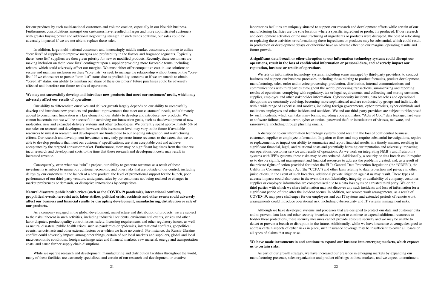for our products by such multi-national customers and volume erosion, especially in our Nourish business. Furthermore, consolidations amongst our customers have resulted in larger and more sophisticated customers with greater buying power and additional negotiating strength. If such trends continue, our sales could be adversely impacted if we are not able to replace these sales.

In addition, large multi-national customers and, increasingly middle market customers, continue to utilize "core lists" of suppliers to improve margins and profitability in the flavors and fragrance segments. Typically, these "core list" suppliers are then given priority for new or modified products. Recently, these customers are making inclusion on their "core lists" contingent upon a supplier providing more favorable terms, including rebates, which could adversely affect our margins. We must either offer competitive cost-in-use solutions to secure and maintain inclusion on these "core lists" or seek to manage the relationship without being on the "corelist." If we choose not to pursue "core-list" status due to profitability concerns or if we are unable to obtain "core-list" status, our ability to maintain our share of these customers' future purchases could be adversely affected and therefore our future results of operations.

#### **We may not successfully develop and introduce new products that meet our customers' needs, which may adversely affect our results of operations.**

Our ability to differentiate ourselves and deliver growth largely depends on our ability to successfully develop and introduce new products and product improvements that meet our customers' needs, and ultimately appeal to consumers. Innovation is a key element of our ability to develop and introduce new products. We cannot be certain that we will be successful in achieving our innovation goals, such as the development of new molecules, new and expanded delivery systems and other technologies. We currently spend approximately 5% of our sales on research and development; however, this investment level may vary in the future if available resources to invest in research and development are limited due to our ongoing integration and restructuring efforts. Our research and development investments may only generate future revenues to the extent that we are able to develop products that meet our customers' specifications, are at an acceptable cost and achieve acceptance by the targeted consumer market. Furthermore, there may be significant lag times from the time we incur research and development costs to the time that these research and development costs may result in increased revenue.

Consequently, even when we "win" a project, our ability to generate revenues as a result of these investments is subject to numerous customer, economic and other risks that are outside of our control, including delays by our customers in the launch of a new product, the level of promotional support for the launch, poor performance of our third-party vendors, anticipated sales by our customers not being realized or changes in market preferences or demands, or disruptive innovations by competitors.

## **Natural disasters, public health crises (such as the COVID-19 pandemic), international conflicts, geopolitical events, terrorist acts, labor strikes, political crisis, accidents and other events could adversely affect our business and financial results by disrupting development, manufacturing, distribution or sale of our products.**

As a company engaged in the global development, manufacture and distribution of products, we are subject to the risks inherent in such activities, including industrial accidents, environmental events, strikes and other labor disputes, product quality control issues, safety, licensing requirements and other regulatory issues, as well as natural disasters, public health crises, such as pandemics or epidemics, international conflicts, geopolitical events, terrorist acts and other external factors over which we have no control. For instance, the Russia-Ukraine conflict could adversely impact, among other things, certain of our local markets and suppliers, global and local macroeconomic conditions, foreign exchange rates and financial markets, raw material, energy and transportation costs, and cause further supply chain disruptions.

While we operate research and development, manufacturing and distribution facilities throughout the world, many of these facilities are extremely specialized and certain of our research and development or creative

laboratories facilities are uniquely situated to support our research and development efforts while certain of our manufacturing facilities are the sole location where a specific ingredient or product is produced. If our research and development activities or the manufacturing of ingredients or products were disrupted, the cost of relocating or replacing these activities or reformulating these ingredients or products may be substantial, which could result in production or development delays or otherwise have an adverse effect on our margins, operating results and future growth.

#### **A significant data breach or other disruption to our information technology systems could disrupt our operations, result in the loss of confidential information or personal data, and adversely impact our reputation, business or results of operations.**

We rely on information technology systems, including some managed by third-party providers, to conduct business and support our business processes, including those relating to product formulas, product development, manufacturing, sales, order and invoice processing, production, distribution, internal communications and communications with third parties throughout the world, processing transactions, summarizing and reporting results of operations, complying with regulatory, tax or legal requirements, and collecting and storing customer, supplier, employee and other stakeholder information. Cybersecurity incidents, data breaches and operational disruptions are constantly evolving, becoming more sophisticated and are conducted by groups and individuals with a wide range of expertise and motives, including foreign governments, cyber terrorists, cyber criminals and malicious employees and other insiders and outsiders. We and our third-party providers are subject to risks posed by such incidents, which can take many forms, including code anomalies, "Acts of God," data leakage, hardware or software failures, human error, cyber extortion, password theft or introduction of viruses, malware, and ransomware, including through phishing emails.

A disruption to our information technology systems could result in the loss of confidential business, customer, supplier or employee information, litigation or fines and may require substantial investigations, repairs or replacements, or impact our ability to summarize and report financial results in a timely manner, resulting in significant financial, legal, and relational costs and potentially harming our reputation and adversely impacting our operations, customer service and results of operations. As we work on integrating N&B's and Frutarom's systems with IFF's systems, these risks may be exacerbated. Additionally, a security or data breach could require us to devote significant management and financial resources to address the problems created, and, as a result of the private rights of action provided for under the EU's General Data Protection Regulation (the "GDPR"), the California Consumer Privacy Act (the "CCPA") and other laws relating to data protection and privacy in other jurisdictions, in the event of such breaches, additional private litigation against us may result. These types of adverse impacts could also occur in the event the confidentiality, integrity or availability of company, customer, supplier or employee information are compromised due to a data loss by us or a trusted third party. We or the third parties with which we share information may not discover any such incidents and loss of information for a significant period of time after the incident occurs. In addition, our remote work arrangements, as a result of COVID-19, may pose challenges for our employees and our IT systems and extended periods of remote work arrangements could introduce operational risk, including cybersecurity and IT systems management risks.

Although we have developed systems and processes that are designed to protect our data and customer data and to prevent data loss and other security breaches and expect to continue to expend additional resources to bolster these protections, these security measures cannot provide absolute security and we may be unable to detect or prevent a breach or disruption in the future. Additionally, while we have insurance coverage designed to address certain aspects of cyber risks in place, such insurance coverage may be insufficient to cover all losses or all types of claims that may arise.

#### **We have made investments in and continue to expand our business into emerging markets, which exposes us to certain risks.**

As part of our growth strategy, we have increased our presence in emerging markets by expanding our manufacturing presence, sales organization and product offerings in these markets, and we expect to continue to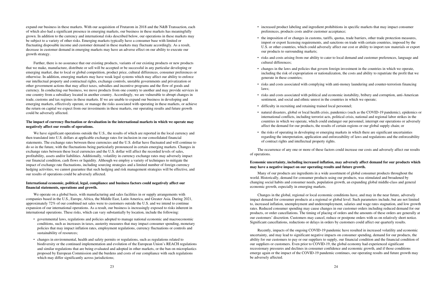expand our business in these markets. With our acquisition of Frutarom in 2018 and the N&B Transaction, each of which also had a significant presence in emerging markets, our business in these markets has meaningfully grown. In addition to the currency and international risks described below, our operations in these markets may be subject to a variety of other risks. Emerging markets typically have a consumer base with limited or fluctuating disposable income and customer demand in these markets may fluctuate accordingly. As a result, decrease in customer demand in emerging markets may have an adverse effect on our ability to execute our growth strategy.

Further, there is no assurance that our existing products, variants of our existing products or new products that we make, manufacture, distribute or sell will be accepted or be successful in any particular developing or emerging market, due to local or global competition, product price, cultural differences, consumer preferences or otherwise. In addition, emerging markets may have weak legal systems which may affect our ability to enforce our intellectual property and contractual rights, exchange controls, unstable governments and privatization or other government actions that may affect taxes, subsidies and incentive programs and the flow of goods and currency. In conducting our business, we move products from one country to another and may provide services in one country from a subsidiary located in another country. Accordingly, we are vulnerable to abrupt changes in trade, customs and tax regimes in these markets. If we are unable to expand our business in developing and emerging markets, effectively operate, or manage the risks associated with operating in these markets, or achieve the return on capital we expect from our investments in these markets, our operating results and future growth could be adversely affected.

We have significant operations outside the U.S., the results of which are reported in the local currency and then translated into U.S. dollars at applicable exchange rates for inclusion in our consolidated financial statements. The exchange rates between these currencies and the U.S. dollar have fluctuated and will continue to do so in the future, with the fluctuations being particularly pronounced in certain emerging markets. Changes in exchange rates between these local currencies and the U.S. dollar will affect the recorded levels of sales, profitability, assets and/or liabilities. Additionally, volatility in currency exchange rates may adversely impact our financial condition, cash flows or liquidity. Although we employ a variety of techniques to mitigate the impact of exchange rate fluctuations, including sourcing strategies and a limited number of foreign currency hedging activities, we cannot guarantee that such hedging and risk management strategies will be effective, and our results of operations could be adversely affected.

We operate on a global basis, with manufacturing and sales facilities in or supply arrangements with companies based in the U.S., Europe, Africa, the Middle East, Latin America, and Greater Asia. During 2021, approximately 72% of our combined net sales were to customers outside the U.S. and we intend to continue expansion of our international operations. As a result, our business is increasingly exposed to risks inherent in international operations. These risks, which can vary substantially by location, include the following:

- ‰ governmental laws, regulations and policies adopted to manage national economic and macroeconomic conditions, such as increases in taxes, austerity measures that may impact consumer spending, monetary policies that may impact inflation rates, employment regulations, currency fluctuations or controls and sustainability of resources;
- ‰ changes in environmental, health and safety permits or regulations, such as regulations related to biodiversity or the continued implementation and evolution of the European Union's REACH regulations and similar regulations that are being evaluated and adopted in other markets, or the ban on microplastics proposed by European Commission and the burdens and costs of our compliance with such regulations which may differ significantly across jurisdictions;

#### **The impact of currency fluctuation or devaluation in the international markets in which we operate may negatively affect our results of operations.**

## **International economic, political, legal, compliance and business factors could negatively affect our financial statements, operations and growth.**

U.S. or other countries, which could adversely affect our cost or ability to import raw materials or export

including the risk of expropriation or nationalization, the costs and ability to repatriate the profit that we

- ‰ increased product labeling and ingredient prohibitions in specific markets that may impact consumer preferences, products costs and/or customer acceptance;
- ‰ the imposition of or changes in customs, tariffs, quotas, trade barriers, other trade protection measures, import or export licensing requirements, and sanctions on trade with certain countries, imposed by the our products to surrounding markets;
- ‰ risks and costs arising from our ability to cater to local demand and customer preferences, language and cultural differences;
- ‰ changes in the laws and policies that govern foreign investment in the countries in which we operate, generate in these countries;
- ‰ risks and costs associated with complying with anti-money laundering and counter-terrorism financing laws;
- ‰ risks and costs associated with political and economic instability, bribery and corruption, anti-American sentiment, and social and ethnic unrest in the countries in which we operate;
- ‰ difficulty in recruiting and retaining trained local personnel;
- ‰ natural disasters, global or local health crisis, pandemics (such as the COVID-19 pandemic), epidemics or international conflicts, including terrorist acts, political crisis, national and regional labor strikes in the affect the demand for our products, the results of certain regions or our global supply chain; or
- ‰ the risks of operating in developing or emerging markets in which there are significant uncertainties of contract rights and intellectual property rights.

countries in which we operate, which could endanger our personnel, interrupt our operations or adversely

regarding the interpretation, application and enforceability of laws and regulations and the enforceability

The occurrence of any one or more of these factors could increase our costs and adversely affect our results of operations.

#### **Economic uncertainty, including increased inflation, may adversely affect demand for our products which may have a negative impact on our operating results and future growth.**

Many of our products are ingredients in a wide assortment of global consumer products throughout the world. Historically, demand for consumer products using our products, was stimulated and broadened by changing social habits and consumer needs, population growth, an expanding global middle-class and general economic growth, especially in emerging markets.

Changes in the global, regional or local economic conditions have, and may in the near future, adversely impact demand for consumer products at a regional or global level. Such parameters include, but are not limited to, increased inflation, unemployment and underemployment, salaries and wage rates stagnation, and low growth rates. Reduced consumer spending may cause changes in our customer orders including reduced demand for our products, or order cancellations. The timing of placing of orders and the amounts of these orders are generally at our customers' discretion. Customers may cancel, reduce or postpone orders with us on relatively short notice. Significant cancellations, reductions or delays in orders by customers could affect our quarterly results.

Recently, impacts of the ongoing COVID-19 pandemic have resulted in increased volatility and economic uncertainty, and may lead to significant negative impacts on consumer spending, demand for our products, the ability for our customers to pay or our suppliers to supply, our financial condition and the financial condition of our suppliers or customers. Even prior to COVID-19, the global economy had experienced significant recessionary pressures and declines in consumer confidence and economic growth, and if those conditions emerge again or the impact of the COVID-19 pandemic continues, our operating results and future growth may be adversely affected.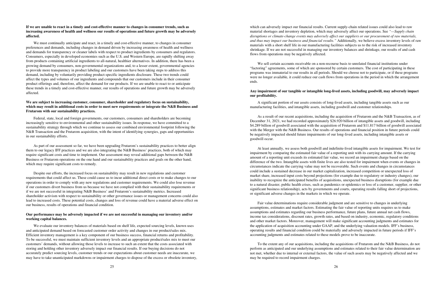#### **If we are unable to react in a timely and cost-effective manner to changes in consumer trends, such as increasing awareness of health and wellness our results of operations and future growth may be adversely affected.**

We must continually anticipate and react, in a timely and cost-effective manner, to changes in consumer preferences and demands, including changes in demand driven by increasing awareness of health and wellness and demands for transparency or cleaner labels with respect to product ingredients by consumers and regulators. Consumers, especially in developed economies such as the U.S. and Western Europe, are rapidly shifting away from products containing artificial ingredients to all-natural, healthier alternatives. In addition, there has been a growing demand by consumers, non-governmental organizations and, to a lesser extent, governmental agencies to provide more transparency in product labeling and our customers have been taking steps to address this demand, including by voluntarily providing product-specific ingredients disclosure. These two trends could affect the types and volumes of our ingredients and compounds that our customers include in their consumer product offerings and, therefore, affect the demand for our products. If we are unable to react to or anticipate these trends in a timely and cost-effective manner, our results of operations and future growth may be adversely affected.

#### **We are subject to increasing customer, consumer, shareholder and regulatory focus on sustainability, which may result in additional costs in order to meet new requirements or integrate the N&B Business and Frutarom with our sustainability practices.**

Federal, state, local and foreign governments, our customers, consumers and shareholders are becoming increasingly sensitive to environmental and other sustainability issues. In response, we have committed to a sustainability strategy through which we continue to assess our combined environmental footprint following the N&B Transaction and the Frutarom acquisition, with the intent of identifying synergies, gaps and opportunities in our sustainability efforts.

We evaluate our inventory balances of materials based on shelf life, expected sourcing levels, known uses and anticipated demand based on forecasted customer order activity and changes in our product/sales mix. Efficient inventory management is a key component of our business success, financial returns and profitability. To be successful, we must maintain sufficient inventory levels and an appropriate product/sales mix to meet our customers' demands, without allowing those levels to increase to such an extent that the costs associated with storing and holding other inventory adversely impact our financial results. If our buying decisions do not accurately predict sourcing levels, customer trends or our expectations about customer needs are inaccurate, we may have to take unanticipated markdowns or impairment charges to dispose of the excess or obsolete inventory,

As part of our assessment so far, we have been upgrading Frutarom's sustainability practices to better align them to our legacy IFF practices and we are also integrating the N&B Business' practices, both of which may require significant costs and time to implement. Our assessment may reveal additional gaps between the N&B Business or Frutarom operations on the one hand and our sustainability practices and goals on the other hand, which may require significant costs to remedy.

Despite our efforts, the increased focus on sustainability may result in new regulations and customer requirements that could affect us. These could cause us to incur additional direct costs or to make changes to our operations in order to comply with any new regulations and customer requirements. We could also lose revenue if our customers divert business from us because we have not complied with their sustainability requirements or if we are not successful in integrating N&B Business' and Frutarom's sustainability metrics. Increased shareholder activism with respect to sustainability or other governance issues or management concerns could also lead to increased costs. These potential costs, changes and loss of revenue could have a material adverse effect on our business, results of operations and financial condition.

#### **Our performance may be adversely impacted if we are not successful in managing our inventory and/or working capital balances.**

which can adversely impact our financial results. Current supply-chain related issues could also lead to raw material shortages and inventory depletion, which may adversely affect our operations. See *"—Supply chain disruptions or climate-change events may adversely affect our suppliers or our procurement of raw materials, and thus may impact our business and financial results."* Additionally, we believe excess inventory levels of raw materials with a short shelf life in our manufacturing facilities subjects us to the risk of increased inventory shrinkage. If we are not successful in managing our inventory balances and shrinkage, our results of and cash flows from operations may be negatively affected.

We sell certain accounts receivable on a non-recourse basis to unrelated financial institutions under "factoring" agreements, some of which are sponsored by certain customers. The cost of participating in these programs was immaterial to our results in all periods. Should we choose not to participate, or if these programs were no longer available, it could reduce our cash flows from operations in the period in which the arrangement ends.

#### **Any impairment of our tangible or intangible long-lived assets, including goodwill, may adversely impact our profitability.**

A significant portion of our assets consists of long-lived assets, including tangible assets such as our manufacturing facilities, and intangible assets, including goodwill and customer relationships.

As a result of our recent acquisitions, including the acquisition of Frutarom and the N&B Transaction, as of December 31, 2021, we had recorded approximately \$26.920 billion of intangible assets and goodwill, including \$4.289 billion of goodwill associated with the acquisition of Frutarom and \$11.817 billion of goodwill associated with the Merger with the N&B Business. Our results of operations and financial position in future periods could be negatively impacted should future impairments of our long-lived assets, including intangible assets or goodwill occur.

At least annually, we assess both goodwill and indefinite-lived intangible assets for impairment. We test for impairment by comparing the estimated fair value of a reporting unit with its carrying amount. If the carrying amount of a reporting unit exceeds its estimated fair value, we record an impairment charge based on the difference of the two. Intangible assets with finite lives are also tested for impairment when events or changes in circumstances indicate the carrying value may not be recoverable. Such events and changes in circumstances could include a sustained decrease in our market capitalization, increased competition or unexpected loss of market share, increased input costs beyond projections (for example due to regulatory or industry changes), our inability to recognize the anticipated benefits of acquisitions, unexpected business disruptions (for example due to a natural disaster, public health crises, such as pandemics or epidemics or loss of a customer, supplier, or other significant business relationship), acts by governments and courts, operating results falling short of projections, or significant adverse changes in the markets in which we operate.

Fair value determinations require considerable judgment and are sensitive to changes in underlying assumptions, estimates and market factors. Estimating the fair value of reporting units requires us to make assumptions and estimates regarding our business performance, future plans, future annual net cash flows, income tax considerations, discount rates, growth rates, and based on industry, economic, regulatory conditions and other market factors. Moreover, management will make significant accounting judgments and estimates for the application of acquisition accounting under GAAP, and the underlying valuation models. IFF's business, operating results and financial condition could be materially and adversely impacted in future periods if IFF's accounting judgments and estimates related to these models prove to be inaccurate.

To the extent any of our acquisitions, including the acquisitions of Frutarom and the N&B Business, do not perform as anticipated and our underlying assumptions and estimates related to their fair value determination are not met, whether due to internal or external factors, the value of such assets may be negatively affected and we may be required to record impairment charges.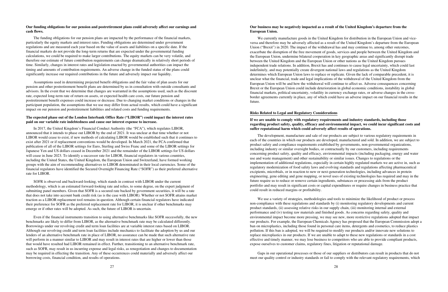#### **Our funding obligations for our pension and postretirement plans could adversely affect our earnings and cash flows.**

The funding obligations for our pension plans are impacted by the performance of the financial markets, particularly the equity markets and interest rates. Funding obligations are determined under government regulations and are measured each year based on the value of assets and liabilities on a specific date. If the financial markets do not provide the long-term returns that are expected under the governmental funding calculations, we could be required to make larger contributions. The equity markets can be very volatile, and therefore our estimate of future contribution requirements can change dramatically in relatively short periods of time. Similarly, changes in interest rates and legislation enacted by governmental authorities can impact the timing and amounts of contribution requirements. An adverse change in the funded status of the plans could significantly increase our required contributions in the future and adversely impact our liquidity.

Assumptions used in determining projected benefit obligations and the fair value of plan assets for our pension and other postretirement benefit plans are determined by us in consultation with outside consultants and advisors. In the event that we determine that changes are warranted in the assumptions used, such as the discount rate, expected long-term rate of return on assets, or expected health care costs, our future pension and postretirement benefit expenses could increase or decrease. Due to changing market conditions or changes in the participant population, the assumptions that we use may differ from actual results, which could have a significant impact on our pension and postretirement liabilities and related costs and funding requirements.

#### **The expected phase out of the London Interbank Office Rate ("LIBOR") could impact the interest rates paid on our variable rate indebtedness and cause our interest expense to increase.**

In 2017, the United Kingdom's Financial Conduct Authority (the "FCA"), which regulates LIBOR, announced that it intends to phase out LIBOR by the end of 2021. It was unclear at that time whether or not LIBOR would cease to exist, if new methods of calculating LIBOR would be established such that it continues to exist after 2021 or if replacement conventions would be developed. In March 2021, the FCA confirmed that publication of all of the LIBOR settings for Euro, Sterling and Swiss Franc and some of the LIBOR settings for Japanese Yen and US dollars ceased in December 2021 and the remainder of the LIBOR settings for US dollars will cease in June 2023. To identify a successor rate for LIBOR, financial regulators in various countries, including the United States, the United Kingdom, the European Union and Switzerland, have formed working groups with the aim of recommending alternatives to LIBOR denominated in their local currencies. Some of the financial regulators have identified the Secured Overnight Financing Rate ("SOFR") as their preferred alternative rate for LIBOR.

SOFR is observed and backward-looking, which stands in contrast with LIBOR under the current methodology, which is an estimated forward-looking rate and relies, to some degree, on the expert judgment of submitting panel members. Given that SOFR is a secured rate backed by government securities, it will be a rate that does not take into account bank credit risk (as is the case with LIBOR). Whether or not SOFR attains market traction as a LIBOR replacement tool remains in question. Although certain financial regulators have indicated their preference for SOFR as the preferred replacement rate for LIBOR, it is unclear if other benchmarks may emerge or if other rates will be adopted. As such, the future of LIBOR is uncertain.

Even if the financial instruments transition to using alternative benchmarks like SOFR successfully, the new benchmarks are likely to differ from LIBOR, as the alternative benchmark rate may be calculated differently. Borrowings under our revolving credit and term loan facilities are at variable interest rates based on LIBOR. Although our revolving credit and term loan facilities include mechanics to facilitate the adoption by us and our lenders of an alternative benchmark rate in place of LIBOR, no assurance can be made that such alternative rate will perform in a manner similar to LIBOR and may result in interest rates that are higher or lower than those that would have resulted had LIBOR remained in effect. Further, transitioning to an alternative benchmark rate, such as SOFR, may result in us incurring expense and legal risks, as renegotiation and changes to documentation may be required in effecting the transition. Any of these occurrences could materially and adversely affect our borrowing costs, financial condition, and results of operations.

#### **Our business may be negatively impacted as a result of the United Kingdom's departure from the European Union.**

We currently manufacture goods in the United Kingdom for distribution in the European Union and viceversa and therefore may be adversely affected as a result of the United Kingdom's departure from the European Union ("Brexit") in 2020. The impact of the withdrawal has and may continue to, among other outcomes, exacerbate the disruption of the free movement of goods, services and people between the United Kingdom and the European Union, undermine bilateral cooperation in key geographic areas and significantly disrupt trade between the United Kingdom and the European Union or other nations as the United Kingdom pursues independent trade relations. In addition, Brexit has and continues to cause legal uncertainty, which could last indefinitely, and may potentially create divergent national laws and regulations as the United Kingdom determines which European Union laws to replace or replicate. Given the lack of comparable precedent, it is unclear what the financial, trade and legal implications of the withdrawal of the United Kingdom from the European Union will be and how the withdrawal will continue to affect us. Adverse consequences concerning Brexit or the European Union could include deterioration in global economic conditions, instability in global financial markets, political uncertainty, volatility in currency exchange rates, or adverse changes in the crossborder agreements currently in place, any of which could have an adverse impact on our financial results in the future.

#### **Risks Related to Legal and Regulatory Considerations**

## **If we are unable to comply with regulatory requirements and industry standards, including those regarding product safety, quality, efficacy and environmental impact, we could incur significant costs and suffer reputational harm which could adversely affect results of operations.**

The development, manufacture and sale of our products are subject to various regulatory requirements in each of the countries in which our products are developed, manufactured and sold. In addition, we are subject to product safety and compliance requirements established by governments, non-governmental organizations, including industry or similar oversight bodies, or contractually by our customers, including requirements concerning product safety, quality and efficacy, environmental impacts (including packaging, energy and water use and waste management) and other sustainability or similar issues. Changes to regulations or the implementation of additional regulations, especially in certain highly regulated markets we are active in, such as regulatory modernization of food safety laws and evolving standards and regulations affecting pharmaceutical excipients, microbials, or in reaction to new or next-generation technologies, including advances in protein engineering, gene editing and gene mapping, or novel uses of existing technologies has required and may in the future require us to reduce or remove certain ingredients, substances or processing aids from the product portfolio and may result in significant costs or capital expenditures or require changes in business practice that could result in reduced margins or profitability.

We use a variety of strategies, methodologies and tools to minimize the likelihood of product or process non-compliance with these regulations and standards by (i) monitoring regulatory developments and current product standards, (ii) assessing relative risks in our supply chain, (iii) monitoring internal and external performance and (iv) testing raw materials and finished goods. As concerns regarding safety, quality and environmental impact become more pressing, we may see new, more restrictive regulations adopted that impact our products. For example, the European Chemicals Agency has proposed that the European Commission adopt a ban on microplastics, including those found in personal care items, detergents and cosmetics, to reduce plastics pollution. If this ban is adopted, we will be required to modify our products and/or innovate new solutions to replace microplastics in our products. If we are unable to adapt to these new regulations or standards in a cost effective and timely manner, we may lose business to competitors who are able to provide compliant products, expose ourselves to customer claims, regulatory fines, litigation or reputational damage.

Gaps in our operational processes or those of our suppliers or distributors can result in products that do not meet our quality control or industry standards or fail to comply with the relevant regulatory requirements, which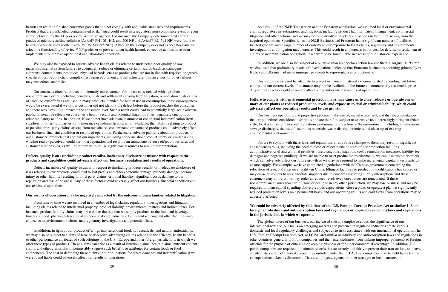in turn can result in finished consumer goods that do not comply with applicable standards and requirements. Products that are mislabeled, contaminated or damaged could result in a regulatory non-compliance event or even a product recall by the FDA or a similar foreign agency. For instance, the Company determined that certain grades of microcrystalline cellulose (Avicel® PH 101, 102, and 200 NF and Avicel® RC-591 NF) were found to be out-of-specification (collectively, "OOS Avicel® NF"). Although the Company does not expect this issue to affect the functionality of Avicel® NF grades or to pose a human health hazard, corrective actions have been implemented to improve operational and laboratory conditions.

We may also be exposed to serious adverse health claims related to undetected poor quality of raw materials, internal system failures to adequately reduce or eliminate certain hazards (such as pathogens, allergens, contaminants, pesticides, physical hazards, etc.) or products that are not in line with required or agreed specifications. Supply chain complexities, aging equipment and infrastructure, human errors, or other failures may exacerbate such risks.

Our contracts often require us to indemnify our customers for the costs associated with a product non-compliance event, including penalties, costs and settlements arising from litigation, remediation costs or loss of sales. As our offerings are used in many products intended for human use or consumption, these consequences would be exacerbated if we or our customer did not identify the defect before the product reaches the consumer and there was a resulting impact at the consumer level. Such a result could lead to potentially large-scale adverse publicity, negative effects on consumer's health, recalls and potential litigation, fines, penalties, sanctions or other regulatory actions. In addition, if we do not have adequate insurance or contractual indemnification from suppliers or other third parties, or if insurance or indemnification is not available, the liability relating to product or possible third-party claims arising from mislabeled, contaminated or damaged products could adversely affect our business, financial condition or results of operations. Furthermore, adverse publicity about our products, or our customers' products that contain our ingredients, including concerns about product safety or similar issues, whether real or perceived, could harm our reputation and result in an immediate adverse effect on our sales and customer relationships, as well as require us to utilize significant resources to rebuild our reputation.

#### **Defects, quality issues (including product recalls), inadequate disclosure or misuse with respect to the products and capabilities could adversely affect our business, reputation and results of operations.**

Defects in, misuse of, quality issues with respect to (including products recalls) or inadequate disclosure of risks relating to our products, could lead to lost profits and other economic damage, property damage, personal injury or other liability resulting in third-party claims, criminal liability, significant costs, damage to our reputation and loss of business. Any of these factors could adversely affect our business, financial condition and our results of operations.

#### **Our results of operations may be negatively impacted by the outcome of uncertainties related to litigation.**

From time to time we are involved in a number of legal claims, regulatory investigations and litigation, including claims related to intellectual property, product liability, environmental matters and indirect taxes. For instance, product liability claims may arise due to the fact that we supply products to the food and beverage, functional food, pharma/nutraceutical and personal care industries. Our manufacturing and other facilities may expose us to environmental claims and regulatory investigations and potential fines.

In addition, in light of our product offerings into functional food, nutraceuticals, and natural antioxidants, we may also be subject to claims of false or deceptive advertising claims relating to the efficacy, health benefits or other performance attributes of such offerings in the U.S., Europe and other foreign jurisdictions in which we offer these types of products. These claims can arise as a result of function claims, health claims, nutrient content claims and other claims that impermissibly suggest such benefits or attributes for certain foods or food components. The cost of defending these claims or our obligations for direct damages and indemnification if we were found liable could adversely affect our results of operations.

As a result of the N&B Transaction and the Frutarom acquisition, we assumed legal or environmental claims, regulatory investigations, and litigation, including product liability, patent infringement, commercial litigation and other actions, and we may become involved in additional actions in the future arising from the acquired operations. Specifically, as the N&B Business and Frutarom had a significant number of facilities located globally and a large number of customers, our exposure to legal claims, regulatory and environmental investigations and litigation may increase. This could result in an increase in our cost for defense or settlement of claims or indemnification obligations if we were to be found liable in excess of our historical experience.

In addition, we are also the subject of a putative shareholder class action lawsuit filed in August 2019 after we disclosed that preliminary results of investigations indicated that Frutarom businesses operating principally in Russia and Ukraine had made improper payments to representatives of customers.

Our insurance may not be adequate to protect us from all material expenses related to pending and future claims and our current levels of insurance may not be available in the future at commercially reasonable prices. Any of these factors could adversely affect our profitability and results of operations.

#### **Failure to comply with environmental protection laws may cause us to close, relocate or operate one or more of our plants at reduced production levels, and expose us to civil or criminal liability, which could adversely affect our operating results and future growth.**

Our business operations and properties procure, make use of, manufacture, sell, and distribute substances that are sometimes considered hazardous and are therefore subject to extensive and increasingly stringent federal, state, local and foreign laws and regulations pertaining to protection of the environment, including air emissions, sewage discharges, the use of hazardous materials, waste disposal practices and clean-up of existing environmental contamination.

Failure to comply with these laws and regulations or any future changes to them may result in significant consequences to us, including the need to close or relocate one or more of our production facilities, administrative, civil and criminal penalties, fines, sanctions, litigation, costly remediation measures, liability for damages and negative publicity. If we are unable to meet production requirements, we can lose customer orders, which can adversely affect our future growth or we may be required to make incremental capital investments to ensure supply. For example, we have completed negotiations with the Chinese government concerning the relocation of a second fragrance facility in China. Idling of facilities or production modifications has caused or may cause customers to seek alternate suppliers due to concerns regarding supply interruptions and these customers may not return or may order at reduced levels even once issues are remediated. If these non-compliance issues reoccur in China or occur or in any other jurisdiction, we may lose business and may be required to incur capital spending above previous expectations, close a plant, or operate a plant at significantly reduced production levels on a permanent basis, and our operating results and cash flows from operations may be adversely affected.

#### **We could be adversely affected by violations of the U.S. Foreign Corrupt Practices Act or similar U.S. or foreign anti-bribery and anti-corruption laws and regulations or applicable sanctions laws and regulations in the jurisdictions in which we operate.**

The global nature of our business, our increased size and employee count, the significance of our international revenue, our focus on emerging markets and presence in regulated industries create various domestic and local regulatory challenges and subject us to risks associated with our international operations. The U.S. Foreign Corrupt Practices Act, or FCPA, and similar anti-bribery and anti-corruption laws and regulations in other countries generally prohibit companies and their intermediaries from making improper payments to foreign officials for the purpose of obtaining or keeping business or for other commercial advantage. In addition, U.S. public companies are required to maintain records that accurately and fairly represent their transactions and have an adequate system of internal accounting controls. Under the FCPA, U.S. companies may be held liable for the corrupt actions taken by directors, officers, employees, agents, or other strategic or local partners or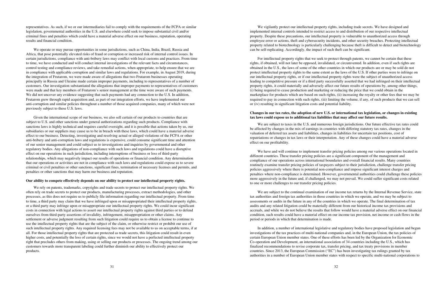representatives. As such, if we or our intermediaries fail to comply with the requirements of the FCPA or similar legislation, governmental authorities in the U.S. and elsewhere could seek to impose substantial civil and/or criminal fines and penalties which could have a material adverse effect on our business, reputation, operating results and financial condition.

We operate or may pursue opportunities in some jurisdictions, such as China, India, Brazil, Russia and Africa, that pose potentially elevated risks of fraud or corruption or increased risk of internal control issues. In certain jurisdictions, compliance with anti-bribery laws may conflict with local customs and practices. From time to time, we have conducted and will conduct internal investigations of the relevant facts and circumstances, control testing and compliance reviews, and take remedial actions, when appropriate, to help ensure that we are in compliance with applicable corruption and similar laws and regulations. For example, in August 2019, during the integration of Frutarom, we were made aware of allegations that two Frutarom businesses operating principally in Russia and Ukraine made certain improper payments, including to representatives of a number of customers. Our investigation substantiated the allegations that improper payments to representatives of customers were made and that key members of Frutarom's senior management at the time were aware of such payments. We did not uncover any evidence suggesting that such payments had any connection to the U.S. In addition, Frutarom grew through rapid acquisition and, as part of our integration efforts, we have implemented our anti-corruption and similar policies throughout a number of those acquired companies, many of which were not previously subject to these U.S. laws.

Given the international scope of our business, we also sell certain of our products to countries that are subject to U.S. and other sanctions under general authorizations regarding such products. Compliance with sanctions laws is highly technical and requires careful oversight, and it is possible that actions taken by us, our subsidiaries or our suppliers may cause us to be in breach with these laws, which could have a material adverse effect to our business. Detecting, investigating and resolving actual or alleged violations of the FCPA or other anti-bribery and anti-corruption laws and regulations is expensive, could consume significant time and attention of our senior management and could subject us to investigations and inquiries by governmental and other regulatory bodies. Any allegations of non-compliance with such laws and regulations could have a disruptive effect on our operations in such jurisdiction, including interruptions of business or loss of third-party relationships, which may negatively impact our results of operations or financial condition. Any determination that our operations or activities are not in compliance with such laws and regulations could expose us to severe criminal or civil penalties or other sanctions, significant fines, termination of necessary licenses and permits, and penalties or other sanctions that may harm our business and reputation.

We vigilantly protect our intellectual property rights, including trade secrets. We have designed and implemented internal controls intended to restrict access to and distribution of our respective intellectual property. Despite these precautions, our intellectual property is vulnerable to unauthorized access through employee error or actions, theft and cybersecurity incidents, and other security breaches. Protecting intellectual property related to biotechnology is particularly challenging because theft is difficult to detect and biotechnology can be self-replicating. Accordingly, the impact of such theft can be significant.

#### **Our ability to compete effectively depends on our ability to protect our intellectual property rights.**

We are subject to taxes in the U.S. and numerous foreign jurisdictions. Our future effective tax rates could be affected by changes in the mix of earnings in countries with differing statutory tax rates, changes in the valuation of deferred tax assets and liabilities, changes in liabilities for uncertain tax positions, cost of repatriations or changes in tax laws or their interpretation. Any of these changes could have a material adverse effect on our profitability.

We rely on patents, trademarks, copyrights and trade secrets to protect our intellectual property rights. We often rely on trade secrets to protect our products, manufacturing processes, extract methodologies, and other processes, as this does not require us to publicly file information regarding our intellectual property. From time to time, a third party may claim that we have infringed upon or misappropriated their intellectual property rights, or a third party may infringe upon or misappropriate our intellectual property rights. We could incur significant costs in connection with legal actions to assert our intellectual property rights against third parties or to defend ourselves from third-party assertions of invalidity, infringement, misappropriation or other claims. Any settlement or adverse judgment resulting from such litigation could require us to obtain a license to continue to use the intellectual property rights that are the subject of the claim, or otherwise restrict or prohibit our use of such intellectual property rights. Any required licensing fees may not be available to us on acceptable terms, if at all. For those intellectual property rights that are protected as trade secrets, this litigation could result in even higher costs, and potentially the loss of certain rights, since we would not have a perfected intellectual property right that precludes others from making, using or selling our products or processes. The ongoing trend among our customers towards more transparent labeling could further diminish our ability to effectively protect our products.

We have and will continue to implement transfer pricing policies among our various operations located in different countries. These transfer pricing policies are a significant component of the management and compliance of our operations across international boundaries and overall financial results. Many countries routinely examine transfer pricing policies of taxpayers subject to their jurisdiction, challenge transfer pricing policies aggressively where there is potential non-compliance and impose significant interest charges and penalties where non-compliance is determined. However, governmental authorities could challenge these policies more aggressively in the future and, if challenged, we may not prevail. We could suffer significant costs related to one or more challenges to our transfer pricing policies.

We are subject to the continual examination of our income tax returns by the Internal Revenue Service, state tax authorities and foreign tax authorities in those countries in which we operate, and we may be subject to assessments or audits in the future in any of the countries in which we operate. The final determination of tax audits and any related litigation could be materially different from our historical income tax provisions and accruals, and while we do not believe the results that follow would have a material adverse effect on our financial condition, such results could have a material effect on our income tax provision, net income or cash flows in the period or periods in which that determination is made.

For intellectual property rights that we seek to protect through patents, we cannot be certain that these rights, if obtained, will not later be opposed, invalidated, or circumvented. In addition, even if such rights are obtained in the U.S., the laws of some of the other countries in which our products are or may be sold do not protect intellectual property rights to the same extent as the laws of the U.S. If other parties were to infringe on our intellectual property rights, or if our intellectual property rights were the subject of unauthorized access leading to competitive pressure or if a third party successfully asserted that we had infringed on their intellectual property rights, it could materially and adversely affect our future results of operations by, among other things, (i) being required to cease production and marketing or reducing the price that we could obtain in the marketplace for products which are based on such rights, (ii) increasing the royalty or other fees that we may be required to pay in connection with such rights, (iii) limiting the volume, if any, of such products that we can sell or (iv) resulting in significant litigation costs and potential liability.

#### **Changes in our tax rates, the adoption of new U.S. or international tax legislation, or changes in existing tax laws could expose us to additional tax liabilities that may affect our future results.**

In addition, a number of international legislative and regulatory bodies have proposed legislation and begun investigations of the tax practices of multi-national companies and, in the European Union, the tax policies of certain European Union member states. One of these efforts has been led by the Organization for Economic Co-operation and Development, an international association of 34 countries including the U.S., which has finalized recommendations to revise corporate tax, transfer pricing, and tax treaty provisions in member countries. Since 2013, the European Commission ("EC") has been investigating tax rulings granted by tax authorities in a number of European Union member states with respect to specific multi-national corporations to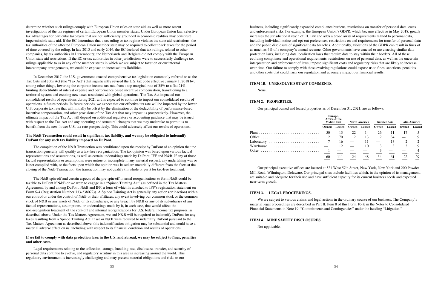determine whether such rulings comply with European Union rules on state aid, as well as more recent investigations of the tax regimes of certain European Union member states. Under European Union law, selective tax advantages for particular taxpayers that are not sufficiently grounded in economic realities may constitute impermissible state aid. If the EC determines that a tax ruling or tax regime violates the state aid restrictions, the tax authorities of the affected European Union member state may be required to collect back taxes for the period of time covered by the ruling. In late 2015 and early 2016, the EC declared that tax rulings, related to other companies, by tax authorities in Luxembourg, the Netherlands and Belgium did not comply with the European Union state aid restrictions. If the EC or tax authorities in other jurisdictions were to successfully challenge tax rulings applicable to us in any of the member states in which we are subject to taxation or our internal intercompany arrangements, we could be exposed to increased tax liabilities.

In December 2017, the U.S. government enacted comprehensive tax legislation commonly referred to as the Tax Cuts and Jobs Act (the "Tax Act") that significantly revised the U.S. tax code effective January 1, 2018 by, among other things, lowering the corporate income tax rate from a top marginal rate of 35% to a flat 21%, limiting deductibility of interest expense and performance based incentive compensation, transitioning to a territorial system and creating new taxes associated with global operations. The Tax Act impacted our consolidated results of operations during 2021 and is expected to continue to impact our consolidated results of operations in future periods. In future periods, we expect that our effective tax rate will be impacted by the lower U.S. corporate tax rate that will initially be offset by the elimination of the deductibility of performance-based incentive compensation, and other provisions of the Tax Act that may impact us prospectively. However, the ultimate impact of the Tax Act will depend on additional regulatory or accounting guidance that may be issued with respect to the Tax Act and any operating and structural changes that we may undertake to permit us to benefit from the new, lower U.S. tax rate prospectively. This could adversely affect our results of operations.

#### **The N&B Transaction could result in significant tax liability, and we may be obligated to indemnify DuPont for any such tax liability imposed on DuPont.**

The completion of the N&B Transaction was conditioned upon the receipt by DuPont of an opinion that the transaction generally will qualify as a tax-free reorganization. The tax opinion was based upon various factual representations and assumptions, as well as certain undertakings made by DuPont, IFF and N&B. If any of those factual representations or assumptions were untrue or incomplete in any material respect, any undertaking was or is not complied with, or the facts upon which the opinion was based are materially different from the facts at the closing of the N&B Transaction, the transaction may not qualify (in whole or part) for tax-free treatment.

The N&B spin-off and certain aspects of the pre-spin-off internal reorganizations to form N&B could be taxable to DuPont if N&B or we were to engage in a "Spinco Tainting Act" (as defined in the Tax Matters Agreement, by and among DuPont, N&B and IFF, a form of which is attached to IFF's registration statement on Form S-4 (Registration Number 333-238072)). A Spinco Tainting Act is generally any action (or inaction) within our control or under the control of N&B or their affiliates, any event involving our common stock or the common stock of N&B or any assets of N&B or its subsidiaries, or any breach by N&B or any of its subsidiaries of any factual representations, assumptions, or undertakings made by it, in each case, that would affect the non-recognition treatment of the spin-off and internal reorganizations for U.S. federal income tax purposes, as described above. Under the Tax Matters Agreement, we and N&B will be required to indemnify DuPont for any taxes resulting from a Spinco Tainting Act. If we or N&B were required to indemnify DuPont pursuant to the Tax Matters Agreement as described above, this indemnification obligation may be substantial and could have a material adverse effect on us, including with respect to its financial condition and results of operations.

#### **If we fail to comply with data protection laws in the U.S. and abroad, we may be subject to fines, penalties and other costs.**

Legal requirements relating to the collection, storage, handling, use, disclosure, transfer, and security of personal data continue to evolve, and regulatory scrutiny in this area is increasing around the world. This regulatory environment is increasingly challenging and may present material obligations and risks to our

business, including significantly expanded compliance burdens, restrictions on transfer of personal data, costs and enforcement risks. For example, the European Union's GDPR, which became effective in May 2018, greatly increases the jurisdictional reach of EU law and adds a broad array of requirements related to personal data, including individual notice and opt-out preferences, restrictions on and requirements for transfer of personal data and the public disclosure of significant data breaches. Additionally, violations of the GDPR can result in fines of as much as 4% of a company's annual revenue. Other governments have enacted or are enacting similar data protection laws, including data localization laws that require data to stay within their borders. All of these evolving compliance and operational requirements, restrictions on use of personal data, as well as the uncertain interpretation and enforcement of laws, impose significant costs and regulatory risks that are likely to increase over time. Our failure to comply with these evolving regulations could expose us to fines, sanctions, penalties and other costs that could harm our reputation and adversely impact our financial results.

#### **ITEM 1B. UNRESOLVED STAFF COMMENTS.**

None.

#### **ITEM 2. PROPERTIES.**

Our principal owned and leased properties as of December 31, 2021, are as follows:

|            | Europe.<br>Africa & the<br><b>Middle East</b> |        | <b>North America</b> |        | <b>Greater Asia</b> |               | <b>Latin America</b> |        |
|------------|-----------------------------------------------|--------|----------------------|--------|---------------------|---------------|----------------------|--------|
|            | Owned                                         | Leased | Owned                | Leased | Owned               | <b>Leased</b> | Owned                | Leased |
|            | 50                                            | 13     | 22                   | 14     | 26                  | 11            |                      |        |
|            | $\mathcal{D}_{\mathcal{L}}$                   | 70     | $\overline{2}$       | 13     |                     | 34            |                      |        |
| Laboratory | 7                                             | 16     |                      | 11     |                     | 13            |                      |        |
| Warehouse  |                                               | 12     |                      | 10     |                     | 3             |                      |        |
| Other      |                                               |        |                      |        |                     |               |                      |        |
|            | 60                                            | 111    | 24                   | 48     | 34                  | 61            | 22                   | 29     |

Our principal executive offices are located at 521 West 57th Street, New York, New York and 200 Powder Mill Road, Wilmington, Delaware. Our principal sites include facilities which, in the opinion of its management, are suitable and adequate for their use and have sufficient capacity for its current business needs and expected near-term growth.

## **ITEM 3. LEGAL PROCEEDINGS.**

We are subject to various claims and legal actions in the ordinary course of our business. The Company's material legal proceedings are described in Part II, Item 8 of this Form 10-K in the Notes to Consolidated Financial Statements in Note 19, "Commitments and Contingencies" under the heading "Litigation."

#### **ITEM 4. MINE SAFETY DISCLOSURES.**

Not applicable.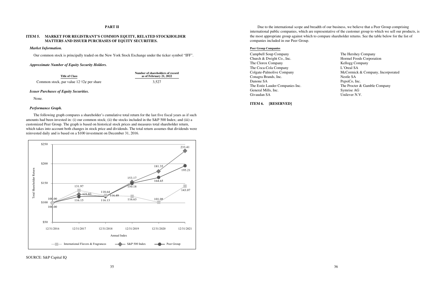### **PART II**

#### **ITEM 5. MARKET FOR REGISTRANT'S COMMON EQUITY, RELATED STOCKHOLDER MATTERS AND ISSUER PURCHASES OF EQUITY SECURITIES.**

#### *Market Information.*

**Number of shareholders of record as of February 21, 2022** Common stock, par value  $12 \frac{1}{2}$  per share 3,527

Our common stock is principally traded on the New York Stock Exchange under the ticker symbol "IFF".

#### *Approximate Number of Equity Security Holders.*

#### *Issuer Purchases of Equity Securities.*

None.

#### *Performance Graph.*

The following graph compares a shareholder's cumulative total return for the last five fiscal years as if such amounts had been invested in: (i) our common stock; (ii) the stocks included in the S&P 500 Index; and (iii) a customized Peer Group. The graph is based on historical stock prices and measures total shareholder return, which takes into account both changes in stock price and dividends. The total return assumes that dividends were reinvested daily and is based on a \$100 investment on December 31, 2016.

Campbell Soup Company The Hershey Company Church & Dwight Co., Inc. 
Hormel Foods Corporation The Clorox Company **Kellogg Company** The Coca-Cola Company L'Oreal SA Conagra Brands, Inc. Nestle SA Danone SA PepsiCo, Inc. The Estée Lauder Companies Inc. The Procter & Gamble Company General Mills, Inc. Symrise AG Givaudan SA Unilever N.V.



#### SOURCE: S&P Capital IQ

Due to the international scope and breadth of our business, we believe that a Peer Group comprising international public companies, which are representative of the customer group to which we sell our products, is the most appropriate group against which to compare shareholder returns. See the table below for the list of companies included in our Peer Group.

#### **Peer Group Companies**

- 
- 
- 
- 
- Colgate-Palmolive Company McCormick & Company, Incorporated
	-
	-
	-
	-
	-

#### **ITEM 6. [RESERVED]**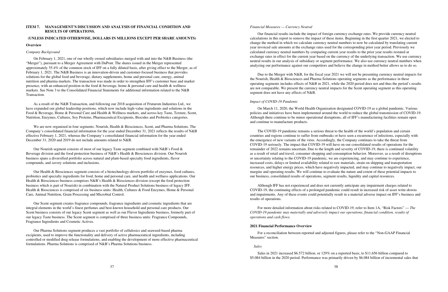#### **ITEM 7. MANAGEMENT'S DISCUSSION AND ANALYSIS OF FINANCIAL CONDITION AND RESULTS OF OPERATIONS.**

#### **(UNLESS INDICATED OTHERWISE, DOLLARS IN MILLIONS EXCEPT PER SHARE AMOUNTS)**

#### **Overview**

#### *Company Background*

On February 1, 2021, one of our wholly owned subsidiaries merged with and into the N&B Business (the "Merger"), pursuant to a Merger Agreement with DuPont. The shares issued in the Merger represented approximately 55.4% of the common stock of IFF on a fully diluted basis, after giving effect to the Merger, as of February 1, 2021. The N&B Business is an innovation-driven and customer-focused business that provides solutions for the global food and beverage, dietary supplements, home and personal care, energy, animal nutrition and pharma markets. The transaction was made in order to strengthen IFF's customer base and market presence, with an enhanced position in the food & beverage, home & personal care and health & wellness markets. See Note 3 to the Consolidated Financial Statements for additional information related to the N&B Transaction.

As a result of the N&B Transaction, and following our 2018 acquisition of Frutarom Industries Ltd., we have expanded our global leadership positions, which now include high-value ingredients and solutions in the Food & Beverage, Home & Personal Care and Health & Wellness markets, and across key Taste, Texture, Scent, Nutrition, Enzymes, Cultures, Soy Proteins, Pharmaceutical Excipients, Biocides and Probiotics categories.

We are now organized in four segments: Nourish, Health & Biosciences, Scent, and Pharma Solutions. The Company's consolidated financial information for the year ended December 31, 2021 reflects the results of N&B effective February 1, 2021, whereas the Company's consolidated financial information for the year ended December 31, 2020 and 2019 do not include amounts related to N&B.

Our Nourish segment consists of most of our legacy Taste segment combined with N&B's Food & Beverage division and the food protection business of N&B's Health & Biosciences division. Our Nourish business spans a diversified portfolio across natural and plant-based specialty food ingredients, flavor compounds, and savory solutions and inclusions.

Our Health & Biosciences segment consists of a biotechnology-driven portfolio of enzymes, food cultures, probiotics and specialty ingredients for food, home and personal care, and health and wellness applications. Our Health & Biosciences business comprises N&B's Health & Biosciences division (except the food protection business which is part of Nourish) in combination with the Natural Product Solutions business of legacy IFF. Health & Biosciences is comprised of six business units: Health, Cultures & Food Enzymes, Home & Personal Care, Animal Nutrition, Grain Processing and Microbial Control.

Our Scent segment creates fragrance compounds, fragrance ingredients and cosmetic ingredients that are integral elements in the world's finest perfumes and best-known household and personal care products. Our Scent business consists of our legacy Scent segment as well as our Flavor Ingredients business, formerly part of our legacy Taste business. The Scent segment is comprised of three business units: Fragrance Compounds, Fragrance Ingredients and Cosmetic Actives.

Our Pharma Solutions segment produces a vast portfolio of cellulosics and seaweed-based pharma excipients, used to improve the functionality and delivery of active pharmaceutical ingredients, including controlled or modified drug release formulations, and enabling the development of more effective pharmaceutical formulations. Pharma Solutions is comprised of N&B's Pharma Solutions business.

#### *Financial Measures — Currency Neutral*

Our financial results include the impact of foreign currency exchange rates. We provide currency neutral calculations in this report to remove the impact of these items. Beginning in the first quarter 2021, we elected to change the method in which we calculate currency neutral numbers to now be calculated by translating current year invoiced sale amounts at the exchange rates used for the corresponding prior year period. Previously we calculated currency neutral numbers by comparing current year results to the prior year results restated at exchange rates in effect for the current year based on the currency of the underlying transaction. We use currency neutral results in our analysis of subsidiary or segment performance. We also use currency neutral numbers when analyzing our performance against our competitors and believe the change in method better allows us to do so.

Due to the Merger with N&B, for the fiscal year 2021 we will not be presenting currency neutral impacts for the Nourish, Health & Biosciences and Pharma Solutions operating segments as the performance in these operating segments includes effects of N&B in 2021, while the 2020 period does not and thus the period's results are not comparable. We present the currency neutral impacts for the Scent operating segment as this operating segment does not have any effects of N&B.

#### *Impact of COVID-19 Pandemic*

On March 11, 2020, the World Health Organization designated COVID-19 as a global pandemic. Various policies and initiatives have been implemented around the world to reduce the global transmission of COVID-19. Although there continue to be minor operational disruptions, all of IFF's manufacturing facilities remain open and continue to manufacture products.

The COVID-19 pandemic remains a serious threat to the health of the world's population and certain countries and regions continue to suffer from outbreaks or have seen a recurrence of infections, especially with the emergence of new variants of the virus. Accordingly, the Company continues to take the threat from COVID-19 seriously. The impact that COVID-19 will have on our consolidated results of operations for the remainder of 2022 remains uncertain. Due to the length and severity of COVID-19, there is continued volatility as a result of retail and travel, consumer shopping and consumption behavior. Moreover, as a result of disruptions or uncertainty relating to the COVID-19 pandemic, we are experiencing, and may continue to experience, increased costs, delays or limited availability related to raw materials, strain on shipping and transportation resources, and higher energy prices, which have negatively impacted, and may continue to negatively impact, our margins and operating results. We will continue to evaluate the nature and extent of these potential impacts to our business, consolidated results of operations, segment results, liquidity and capital resources.

Although IFF has not experienced and does not currently anticipate any impairment charges related to COVID-19, the continuing effects of a prolonged pandemic could result in increased risk of asset write-downs and impairments. Any of these events could potentially result in a material adverse impact on IFF's business and results of operations.

For more detailed information about risks related to COVID-19, refer to Item 1A, "Risk Factors" — *The COVID-19 pandemic may materially and adversely impact our operations, financial condition, results of operations and cash flows.*

#### **2021 Financial Performance Overview**

For a reconciliation between reported and adjusted figures, please refer to the "Non-GAAP Financial Measures" section.

#### *Sales*

Sales in 2021 increased \$6.572 billion, or 129% on a reported basis, to \$11.656 billion compared to \$5.084 billion in the 2020 period. Performance was primarily driven by \$6.084 billion of incremental sales that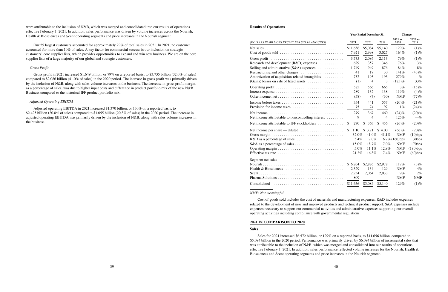were attributable to the inclusion of N&B, which was merged and consolidated into our results of operations effective February 1, 2021. In addition, sales performance was driven by volume increases across the Nourish, Health & Biosciences and Scent operating segments and price increases in the Nourish segment.

Our 25 largest customers accounted for approximately 29% of total sales in 2021. In 2021, no customer accounted for more than 10% of sales. A key factor for commercial success is our inclusion on strategic customers' core supplier lists, which provides opportunities to expand and win new business. We are on the core supplier lists of a large majority of our global and strategic customers.

Gross profit in 2021 increased \$1.649 billion, or 79% on a reported basis, to \$3.735 billion (32.0% of sales) compared to \$2.086 billion (41.0% of sales) in the 2020 period. The increase in gross profit was primarily driven by the inclusion of N&B, along with sales volume increases in the business. The decrease in gross profit margin, as a percentage of sales, was due to higher input costs and difference in product portfolio mix of the new N&B Business compared to the historical IFF product portfolio mix.

#### *Gross Profit*

#### *Adjusted Operating EBITDA*

Adjusted operating EBITDA in 2021 increased \$1.370 billion, or 130% on a reported basis, to \$2.425 billion (20.8% of sales) compared to \$1.055 billion (20.8% of sales) in the 2020 period. The increase in adjusted operating EBITDA was primarily driven by the inclusion of N&B, along with sales volume increases in the business.

#### **Results of Operations**

|             | Year Ended December 31, |            |                  | Change           |
|-------------|-------------------------|------------|------------------|------------------|
| 2021        | 2020                    | 2019       | 2021 vs.<br>2020 | 2020 vs.<br>2019 |
| \$11,656    | \$5,084                 | \$5,140    | 129%             | (1)%             |
| 7,921       | 2,998                   | 3,027      | 164%             | $(1)$ %          |
| 3,735       | 2,086                   | 2,113      | 79%              | $(1)$ %          |
| 629         | 357                     | 346        | 76%              | 3%               |
| 1,749       | 949                     | 876        | 84%              | 8%               |
| 41          | 17                      | 30         | 141%             | (43)%            |
| 732         | 193                     | 193        | 279%             | $-\%$            |
| (1)         | 4                       | 3          | $(125)$ %        | 33%              |
| 585         | 566                     | 665        | 3%               | (15)%            |
| 289         | 132                     | 138        | 119%             | (4)%             |
| (58)        | (7)                     | (30)       | <b>NMF</b>       | (77)%            |
| 354         | 441                     | 557        | (20)%            | (21)%            |
| 75          | 74                      | 97         | $1\%$            | (24)%            |
| 279         | 367                     | 460        | (24)%            | (20)%            |
| 9           | 4                       | 4          | 125%             | -%               |
| \$<br>270   | \$<br>363               | \$<br>456  | (26)%            | (20)%            |
| \$<br>1.10  | \$<br>3.21              | \$<br>4.00 | $(66)$ %         | (20)%            |
| 32.0%       | 41.0%                   | 41.1%      | <b>NMF</b>       | $(10)$ bps       |
| 5.4%        | 7.0%                    |            | 6.7% (160)bps    | 30bps            |
| 15.0%       | 18.7%                   | 17.0%      | <b>NMF</b>       | 170bps           |
| 5.0%        | 11.1%                   | 12.9%      | <b>NMF</b>       | $(180)$ bps      |
| 21.2%       | 16.8%                   | 17.4%      | <b>NMF</b>       | $(60)$ bps       |
| 6,264<br>\$ | \$2,886                 | \$2,978    | 117%             | (3)%             |
| 2,329       | 134                     | 129        | <b>NMF</b>       | 4%               |
| 2,254       | 2,064                   | 2,033      | 9%               | 2%               |
| 809         |                         |            | <b>NMF</b>       | <b>NMF</b>       |
| \$11,656    | \$5,084                 | \$5,140    | 129%             | $(1)$ %          |

| (DOLLARS IN MILLIONS EXCEPT PER SHARE AMOUNTS)                                                     | 2021              | 2020             | 2019                 | 2020             | 2019               |
|----------------------------------------------------------------------------------------------------|-------------------|------------------|----------------------|------------------|--------------------|
| $Cost of goods sold \dots \dots \dots \dots \dots \dots \dots \dots \dots \dots \dots$             | \$11,656<br>7,921 | \$5,084<br>2,998 | \$5,140<br>3,027     | 129%<br>164%     | $(1)$ %<br>$(1)$ % |
| Gross profit $\ldots \ldots \ldots \ldots \ldots \ldots \ldots \ldots \ldots \ldots \ldots \ldots$ | 3,735             | 2,086            | 2,113                | 79%              | $(1)$ %            |
| Research and development (R&D) expenses                                                            | 629               | 357              | 346                  | 76%              | 3%                 |
| Selling and administrative $(S&A)$ expenses $\ldots \ldots \ldots$                                 | 1,749             | 949              | 876                  | 84%              | 8%                 |
| Restructuring and other charges                                                                    | 41                | 17               | 30                   | 141%             | (43)%              |
| Amortization of acquisition-related intangibles                                                    | 732               | 193              | 193                  | 279%             | $-\%$              |
| (Gains) losses on sale of fixed assets                                                             | (1)               | 4                | 3                    | $(125)\%$        | 33%                |
|                                                                                                    | 585               | 566              | 665                  | 3%               | (15)%              |
|                                                                                                    | 289               | 132              | 138                  | 119%             | (4)%               |
|                                                                                                    | (58)              | (7)              | (30)                 | <b>NMF</b>       | (77)%              |
| Income before taxes $\dots \dots \dots \dots \dots \dots \dots \dots \dots \dots \dots$            | 354               | 441              | 557                  | (20)%            | (21)%              |
| Provision for income taxes                                                                         | 75                | 74               | 97                   | $1\%$            | (24)%              |
|                                                                                                    | 279               | 367              | 460                  | $(24)\%$         | (20)%              |
| Net income attributable to noncontrolling interest $\dots\dots\dots$                               | 9                 | 4                | 4                    | 125%             | $-\%$              |
| Net income attributable to IFF stockholders                                                        | 270<br>\$         | \$363            | $\mathcal{L}$<br>456 | $(26)$ %         | (20)%              |
| Net income per share $\rightarrow$ diluted $\ldots \ldots \ldots \ldots \ldots \ldots$             | \$<br>1.10        | \$3.21           | \$4.00               | $(66)$ %         | (20)%              |
| Gross margin $\ldots \ldots \ldots \ldots \ldots \ldots \ldots \ldots \ldots \ldots \ldots \ldots$ | 32.0%             | 41.0%            | 41.1%                | <b>NMF</b>       | $(10)$ bps         |
| $R&D$ as a percentage of sales $\ldots \ldots \ldots \ldots \ldots \ldots \ldots$                  | 5.4%              | 7.0%             |                      | $6.7\%$ (160)bps | 30bps              |
| S&A as a percentage of sales $\dots \dots \dots \dots \dots \dots \dots \dots$                     | 15.0%             | 18.7%            | 17.0%                | <b>NMF</b>       | 170bps             |
|                                                                                                    | 5.0%              | 11.1%            | 12.9%                | <b>NMF</b>       | $(180)$ bps        |
|                                                                                                    | 21.2%             | 16.8%            | 17.4%                | <b>NMF</b>       | $(60)$ bps         |
| Segment net sales                                                                                  |                   |                  |                      |                  |                    |
|                                                                                                    | \$6,264           | \$2,886          | \$2,978              | 117%             | (3)%               |
| Health & Biosciences                                                                               | 2,329             | 134              | 129                  | <b>NMF</b>       | 4%                 |
|                                                                                                    | 2,254             | 2,064            | 2,033                | $9\%$            | 2%                 |
|                                                                                                    | 809               |                  |                      | <b>NMF</b>       | <b>NMF</b>         |
|                                                                                                    | \$11,656          | \$5,084          | \$5,140              | 129%             | $(1)$ %            |
|                                                                                                    |                   |                  |                      |                  |                    |

#### *NMF: Not meaningful*

Cost of goods sold includes the cost of materials and manufacturing expenses. R&D includes expenses related to the development of new and improved products and technical product support. S&A expenses include expenses necessary to support our commercial activities and administrative expenses supporting our overall operating activities including compliance with governmental regulations.

#### **2021 IN COMPARISON TO 2020**

## **Sales**

Sales for 2021 increased \$6.572 billion, or 129% on a reported basis, to \$11.656 billion, compared to \$5.084 billion in the 2020 period. Performance was primarily driven by \$6.084 billion of incremental sales that was attributable to the inclusion of N&B, which was merged and consolidated into our results of operations effective February 1, 2021. In addition, sales performance reflected volume increases for the Nourish, Health & Biosciences and Scent operating segments and price increases in the Nourish segment.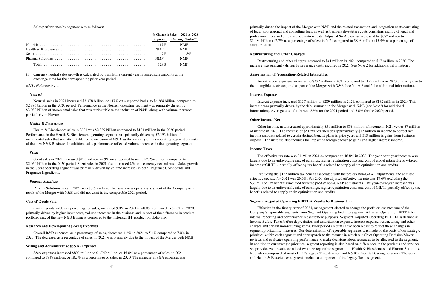#### Sales performance by segment was as follows:

|                      |          | % Change in Sales - 2021 vs. 2020      |
|----------------------|----------|----------------------------------------|
|                      | Reported | <b>Currency Neutral</b> <sup>(1)</sup> |
|                      |          | <b>NMF</b>                             |
|                      |          | <b>NMF</b>                             |
| Scent $\ldots$ $9\%$ |          | 8%                                     |
|                      |          | <b>NMF</b>                             |
|                      |          | <b>NMF</b>                             |

(1) Currency neutral sales growth is calculated by translating current year invoiced sale amounts at the exchange rates for the corresponding prior year period.

#### *NMF: Not meaningful*

#### *Nourish*

Nourish sales in 2021 increased \$3.378 billion, or 117% on a reported basis, to \$6.264 billion, compared to \$2.886 billion in the 2020 period. Performance in the Nourish operating segment was primarily driven by \$3.082 billion of incremental sales that was attributable to the inclusion of N&B, along with volume increases, particularly in Flavors.

#### *Health & Biosciences*

Health & Biosciences sales in 2021 was \$2.329 billion compared to \$134 million in the 2020 period. Performance in the Health & Biosciences operating segment was primarily driven by \$2.193 billion of incremental sales that was attributable to the inclusion of N&B, as the majority of this operating segment consists of the new N&B Business. In addition, sales performance reflected volume increases in the operating segment.

S&A expenses increased \$800 million to \$1.749 billion, or 15.0% as a percentage of sales, in 2021 compared to \$949 million, or 18.7% as a percentage of sales, in 2020. The increase in S&A expenses was

#### *Scent*

Scent sales in 2021 increased \$190 million, or 9% on a reported basis, to \$2.254 billion, compared to \$2.064 billion in the 2020 period. Scent sales in 2021 also increased 8% on a currency neutral basis. Sales growth in the Scent operating segment was primarily driven by volume increases in both Fragrance Compounds and Fragrance Ingredients.

#### *Pharma Solutions*

Pharma Solutions sales in 2021 was \$809 million. This was a new operating segment of the Company as a result of the Merger with N&B and did not exist in the comparable 2020 period.

#### **Cost of Goods Sold**

Cost of goods sold, as a percentage of sales, increased 9.0% in 2021 to 68.0% compared to 59.0% in 2020, primarily driven by higher input costs, volume increases in the business and impact of the difference in product portfolio mix of the new N&B Business compared to the historical IFF product portfolio mix.

#### **Research and Development (R&D) Expenses**

Overall R&D expenses, as a percentage of sales, decreased 1.6% in 2021 to 5.4% compared to 7.0% in 2020. The decrease, as a percentage of sales, in 2021 was primarily due to the impact of the Merger with N&B.

#### **Selling and Administrative (S&A) Expenses**

primarily due to the impact of the Merger with N&B and the related transaction and integration costs consisting of legal, professional and consulting fees, as well as business divestiture costs consisting mainly of legal and professional fees and employee separation costs. Adjusted S&A expense increased by \$672 million to \$1.480 billion (12.7% as a percentage of sales) in 2021 compared to \$808 million (15.9% as a percentage of sales) in 2020.

#### **Restructuring and Other Charges**

Restructuring and other charges increased to \$41 million in 2021 compared to \$17 million in 2020. The increase was primarily driven by severance costs incurred in 2021 (see Note 2 for additional information).

#### **Amortization of Acquisition-Related Intangibles**

Amortization expenses increased to \$732 million in 2021 compared to \$193 million in 2020 primarily due to the intangible assets acquired as part of the Merger with N&B (see Notes 3 and 5 for additional information).

#### **Interest Expense**

Interest expense increased \$157 million to \$289 million in 2021, compared to \$132 million in 2020. This increase was primarily driven by the debt assumed in the Merger with N&B (see Note 9 for additional information). Average cost of debt was 2.9% for the 2021 period and 3.0% for the 2020 period.

#### **Other Income, Net**

Other income, net, increased approximately \$51 million to \$58 million of income in 2021 versus \$7 million of income in 2020. The increase of \$51 million includes approximately \$17 million in income to correct net income amounts related to certain defined benefit plans in prior years and \$13 million in gains from business disposal. The increase also includes the impact of foreign exchange gains and higher interest income.

#### **Income Taxes**

The effective tax rate was 21.2% in 2021 as compared to 16.8% in 2020. The year-over-year increase was largely due to an unfavorable mix of earnings, higher repatriation costs and cost of global intangible low-taxed income ("GILTI"), partially offset by tax benefits related to supply chain optimization and credits.

Excluding the \$127 million tax benefit associated with the pre-tax non-GAAP adjustments, the adjusted effective tax rate for 2021 was 20.0%. For 2020, the adjusted effective tax rate was 17.6% excluding the \$33 million tax benefit associated with the pre-tax non-GAAP adjustments. The year-over-year increase was largely due to an unfavorable mix of earnings, higher repatriation costs and cost of GILTI, partially offset by tax benefits related to supply chain optimization and credits.

#### **Segment Adjusted Operating EBITDA Results by Business Unit**

Effective in the first quarter of 2021, management elected to change the profit or loss measure of the Company's reportable segments from Segment Operating Profit to Segment Adjusted Operating EBITDA for internal reporting and performance measurement purposes. Segment Adjusted Operating EBITDA is defined as Income Before Taxes before depreciation and amortization expense, interest expense, restructuring and other charges and certain non-recurring items. Prior period amounts have been recast to reflect these changes in segment profitability measures. Our determination of reportable segments was made on the basis of our strategic priorities within each segment and corresponds to the manner in which our Chief Operating Decision Maker reviews and evaluates operating performance to make decisions about resources to be allocated to the segment. In addition to our strategic priorities, segment reporting is also based on differences in the products and services we provide. As a result, we added two new reportable segments — Health & Biosciences and Pharma Solutions. Nourish is composed of most of IFF's legacy Taste division and N&B's Food & Beverage division. The Scent and Health & Biosciences segments include a component of the legacy Taste segment.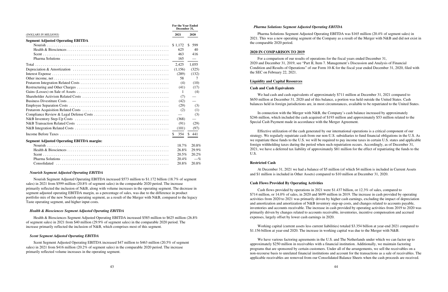|                                                  | <b>For the Year Ended</b><br>December 31, |                      |
|--------------------------------------------------|-------------------------------------------|----------------------|
| (DOLLARS IN MILLIONS)                            | 2021                                      | <b>2020</b>          |
| <b>Segment Adjusted Operating EBITDA</b>         |                                           |                      |
|                                                  | \$1.172                                   | $\mathbb{S}$<br>599  |
|                                                  | 625                                       | 40                   |
|                                                  | 463                                       | 416                  |
|                                                  | 165                                       |                      |
|                                                  | 2,425                                     | 1,055                |
|                                                  | (1,156)                                   | (325)                |
|                                                  | (289)                                     | (132)                |
|                                                  | 58                                        | 7                    |
|                                                  | (4)                                       | (10)                 |
|                                                  | (41)                                      | (17)                 |
|                                                  | -1                                        | (4)                  |
|                                                  | (7)                                       |                      |
|                                                  | (42)                                      |                      |
|                                                  | (29)                                      | (3)                  |
|                                                  | (2)                                       | (1)                  |
|                                                  |                                           | (3)                  |
|                                                  | (368)                                     |                      |
|                                                  | (91)                                      | (29)                 |
|                                                  | (101)                                     | (97)                 |
|                                                  | 354<br>\$                                 | $\mathbb{S}$<br>-441 |
| <b>Segment Adjusted Operating EBITDA margin:</b> |                                           |                      |
|                                                  | $18.7\%$                                  | 20.8%                |
|                                                  | 26.8%                                     | 29.9%                |
|                                                  | 20.5%                                     | 20.2%                |
|                                                  | 20.4%                                     | $-\%$                |

We had cash and cash equivalents of approximately \$711 million at December 31, 2021 compared to \$650 million at December 31, 2020 and of this balance, a portion was held outside the United States. Cash balances held in foreign jurisdictions are, in most circumstances, available to be repatriated to the United States.

Consolidated ............................................................ 20.8% 20.8%

#### *Nourish Segment Adjusted Operating EBITDA*

Nourish Segment Adjusted Operating EBITDA increased \$573 million to \$1.172 billion (18.7% of segment sales) in 2021 from \$599 million (20.8% of segment sales) in the comparable 2020 period. The increase primarily reflected the inclusion of N&B, along with volume increases in the operating segment. The decrease in segment adjusted operating EBITDA margin, as a percentage of sales, was due to the difference in product portfolio mix of the new Nourish operating segment, as a result of the Merger with N&B, compared to the legacy Taste operating segment, and higher input costs.

#### *Health & Biosciences Segment Adjusted Operating EBITDA*

Health & Biosciences Segment Adjusted Operating EBITDA increased \$585 million to \$625 million (26.8% of segment sales) in 2021 from \$40 million (29.9% of segment sales) in the comparable 2020 period. The increase primarily reflected the inclusion of N&B, which comprises most of this segment.

#### *Scent Segment Adjusted Operating EBITDA*

Scent Segment Adjusted Operating EBITDA increased \$47 million to \$463 million (20.5% of segment sales) in 2021 from \$416 million (20.2% of segment sales) in the comparable 2020 period. The increase primarily reflected volume increases in the operating segment.

#### *Pharma Solutions Segment Adjusted Operating EBITDA*

Pharma Solutions Segment Adjusted Operating EBITDA was \$165 million (20.4% of segment sales) in 2021. This was a new operating segment of the Company as a result of the Merger with N&B and did not exist in the comparable 2020 period.

## **2020 IN COMPARISON TO 2019**

For a comparison of our results of operations for the fiscal years ended December 31, 2020 and December 31, 2019, see "Part II, Item 7. Management's Discussion and Analysis of Financial Condition and Results of Operations" of our Form 10-K for the fiscal year ended December 31, 2020, filed with the SEC on February 22, 2021.

#### **Liquidity and Capital Resources**

#### **Cash and Cash Equivalents**

In connection with the Merger with N&B, the Company's cash balance increased by approximately \$246 million, which included the cash acquired of \$193 million and approximately \$53 million related to the Special Cash Payment made in accordance with the Merger Agreement.

Effective utilization of the cash generated by our international operations is a critical component of our strategy. We regularly repatriate cash from our non-U.S. subsidiaries to fund financial obligations in the U.S. As we repatriate these funds to the U.S. we will be required to pay income taxes in certain U.S. states and applicable foreign withholding taxes during the period when such repatriation occurs. Accordingly, as of December 31, 2021, we have a deferred tax liability of approximately \$81 million for the effect of repatriating the funds to the U.S.

#### **Restricted Cash**

At December 31, 2021 we had a balance of \$5 million (of which \$4 million is included in Current Assets and \$1 million is included in Other Assets) compared to \$10 million at December 31, 2020.

#### **Cash Flows Provided By Operating Activities**

Cash flows provided by operations in 2021 were \$1.437 billion, or 12.3% of sales, compared to \$714 million, or 14.0% of sales, in 2020 and \$699 million in 2019. The increase in cash provided by operating activities from 2020 to 2021 was primarily driven by higher cash earnings, excluding the impact of depreciation and amortization and amortization of N&B inventory step-up costs, and changes related to accounts payable, inventories and accounts receivable. The increase in cash provided by operating activities from 2019 to 2020 was primarily driven by changes related to accounts receivable, inventories, incentive compensation and accrued expenses, largely offset by lower cash earnings in 2020.

Working capital (current assets less current liabilities) totaled \$3.354 billion at year-end 2021 compared to \$1.156 billion at year-end 2020. The increase in working capital was due to the Merger with N&B.

We have various factoring agreements in the U.S. and The Netherlands under which we can factor up to approximately \$250 million in receivables with a financial institution. Additionally, we maintain factoring programs that are sponsored by certain customers. Under all of the arrangements, we sell the receivables on a non-recourse basis to unrelated financial institutions and account for the transactions as a sale of receivables. The applicable receivables are removed from our Consolidated Balance Sheets when the cash proceeds are received.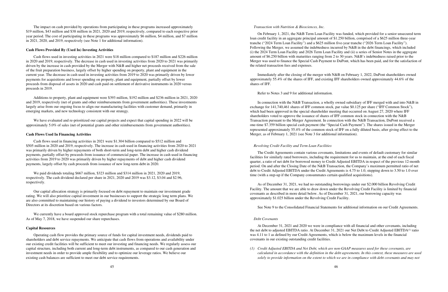The impact on cash provided by operations from participating in these programs increased approximately \$19 million, \$43 million and \$38 million in 2021, 2020 and 2019, respectively, compared to each respective prior year period. The cost of participating in these programs was approximately \$6 million, \$4 million, and \$7 million in 2021, 2020, and 2019, respectively (see Note 1 for additional information).

#### **Cash Flows Provided By (Used In) Investing Activities**

Cash flows used in investing activities in 2021 were \$18 million compared to \$187 million and \$226 million in 2020 and 2019, respectively. The decrease in cash used in investing activities from 2020 to 2021 was primarily driven by the increase in cash provided by the Merger with N&B and higher net proceeds received from the sale of the fruit preparation business, largely offset by higher spending on property, plant and equipment in the current year. The decrease in cash used in investing activities from 2019 to 2020 was primarily driven by lower payments for acquisitions and lower spending on property, plant and equipment, partially offset by lower proceeds from disposal of assets in 2020 and cash paid on settlement of derivative instruments in 2020 versus proceeds in 2019.

We have evaluated and re-prioritized our capital projects and expect that capital spending in 2022 will be approximately 5.0% of sales (net of potential grants and other reimbursements from government authorities).

We paid dividends totaling \$667 million, \$323 million and \$314 million in 2021, 2020 and 2019, respectively. The cash dividend declared per share in 2021, 2020 and 2019 was \$3.12, \$3.04 and \$2.96, respectively.

Additions to property, plant and equipment were \$393 million, \$192 million and \$236 million in 2021, 2020 and 2019, respectively (net of grants and other reimbursements from government authorities). These investments largely arise from our ongoing focus to align our manufacturing facilities with customer demand, primarily in emerging markets, and new technology consistent with our strategy.

We currently have a board approved stock repurchase program with a total remaining value of \$280 million. As of May 7, 2018, we have suspended our share repurchases.

#### **Cash Flows Used In Financing Activities**

Cash flows used in financing activities in 2021 were \$1.304 billion compared to \$512 million and \$505 million in 2020 and 2019, respectively. The increase in cash used in financing activities from 2020 to 2021 was primarily driven by higher repayments of both short-term and long-term debt and higher cash dividend payments, partially offset by proceeds from issuance of commercial paper. The increase in cash used in financing activities from 2019 to 2020 was primarily driven by higher repayments of debt and higher cash dividend payments, largely offset by cash proceeds from issuance of new long-term debt in 2020.

Our capital allocation strategy is primarily focused on debt repayment to maintain our investment grade rating. We will also prioritize capital investment in our businesses to support the strategic long term plans. We are also committed to maintaining our history of paying a dividend to investors determined by our Board of Directors at its discretion based on various factors.

#### **Capital Resources**

Operating cash flow provides the primary source of funds for capital investment needs, dividends paid to shareholders and debt service repayments. We anticipate that cash flows from operations and availability under our existing credit facilities will be sufficient to meet our investing and financing needs. We regularly assess our capital structure, including both current and long-term debt instruments, as compared to our cash generation and investment needs in order to provide ample flexibility and to optimize our leverage ratios. We believe our existing cash balances are sufficient to meet our debt service requirements.

#### *Transaction with Nutrition & Biosciences, Inc.*

On February 1, 2021, the N&B Term Loan Facility was funded, which provided for a senior unsecured term loan credit facility in an aggregate principal amount of \$1.250 billion, comprised of a \$625 million three-year tranche ("2024 Term Loan Facility") and a \$625 million five-year tranche ("2026 Term Loan Facility"). Following the Merger, we assumed the indebtedness incurred by N&B in the debt financings, which included (i) the 2024 Term Loan Facility and 2026 Term Loan Facility and (ii) a series of Senior Notes in the aggregate amount of \$6.250 billion with maturities ranging from 2 to 30 years. N&B's indebtedness raised prior to the Merger was used to finance the Special Cash Payment to DuPont, which has been paid, and for the satisfaction of the related transaction fees and expenses.

Immediately after the closing of the merger with N&B on February 1, 2022, DuPont shareholders owned approximately 55.4% of the shares of IFF, and existing IFF shareholders owned approximately 44.6% of the shares of IFF.

Refer to Notes 3 and 9 for additional information.

In connection with the N&B Transaction, a wholly owned subsidiary of IFF merged with and into N&B in exchange for 141,740,461 shares of IFF common stock, par value \$0.125 per share ("IFF Common Stock"), which had been approved in the special shareholder meeting that occurred on August 27, 2020 where IFF shareholders voted to approve the issuance of shares of IFF common stock in connection with the N&B Transaction pursuant to the Merger Agreement. In connection with the N&B Transaction, DuPont received a one-time \$7.359 billion special cash payment (the "Special Cash Payment"). The shares issued in the Merger represented approximately 55.4% of the common stock of IFF on a fully diluted basis, after giving effect to the Merger, as of February 1, 2021 (see Note 3 for additional information).

#### *Revolving Credit Facility and Term Loan Facilities*

The Credit Agreements contain various covenants, limitations and events of default customary for similar facilities for similarly rated borrowers, including the requirement for us to maintain, at the end of each fiscal quarter, a ratio of net debt for borrowed money to Credit Adjusted EBITDA in respect of the previous 12-month period. On and after the Closing Date of the N&B Transaction, the Company's maximum permitted ratio of net debt to Credit Adjusted EBITDA under the Credit Agreements is 4.75 to 1.0, stepping down to 3.50 to 1.0 over time (with a step-up if the Company consummates certain qualified acquisitions).

As of December 31, 2021, we had no outstanding borrowings under our \$2.000 billion Revolving Credit Facility. The amount that we are able to draw down under the Revolving Credit Facility is limited by financial covenants as described in more detail below. As of December 31, 2021, our borrowing capacity was approximately \$1.025 billion under the Revolving Credit Facility.

See Note 9 to the Consolidated Financial Statements for additional information on our Credit Agreements.

#### *Debt Covenants*

At December 31, 2021 and 2020 we were in compliance with all financial and other covenants, including the net debt to adjusted EBITDA ratio. At December 31, 2021 our Net Debt to Credit Adjusted EBITDA(1) ratio was 4.11 to 1 as defined by our Credit Agreements, which is below the maximum levels in the financial covenants in our existing outstanding credit facilities.

*calculated in accordance with the definition in the debt agreements. In this context, these measures are used*

*(1) Credit Adjusted EBITDA and Net Debt, which are non-GAAP measures used for these covenants, are solely to provide information on the extent to which we are in compliance with debt covenants and may not*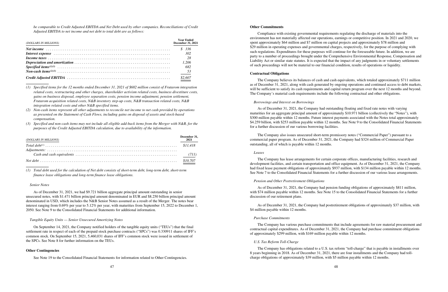*be comparable to Credit Adjusted EBITDA and Net Debt used by other companies. Reconciliations of Credit Adjusted EBITDA to net income and net debt to total debt are as follows:*

| (DOLLARS IN MILLIONS)                                                                                          | <b>Year Ended</b><br><b>December 31, 2021</b> |
|----------------------------------------------------------------------------------------------------------------|-----------------------------------------------|
|                                                                                                                |                                               |
|                                                                                                                |                                               |
|                                                                                                                |                                               |
| Depreciation and amortization continuous continuous contractor and amortization continuous continuous continuo |                                               |
|                                                                                                                |                                               |
|                                                                                                                |                                               |
|                                                                                                                | $\frac{$2,607}{2}$                            |

*(1) Specified items for the 12 months ended December 31, 2021 of \$682 million consist of Frutarom integration related costs, restructuring and other charges, shareholder activism related costs, business divestiture costs, gains on business disposal, employee separation costs, pension income adjustment, pension settlement, Frutarom acquisition related costs, N&B inventory step-up costs, N&B transaction related costs, N&B integration related costs and other N&B specified items.*

*(2) Non-cash items represent all other adjustments to reconcile net income to net cash provided by operations as presented on the Statement of Cash Flows, including gains on disposal of assets and stock-based compensation.*

*(3) Specified and non-cash items may not include all eligible add-back items from the Merger with N&B, for the purposes of the Credit Adjusted EBITDA calculation, due to availability of the information.*

| (DOLLARS IN MILLIONS) | December 31,<br>2021 |
|-----------------------|----------------------|
|                       |                      |
|                       |                      |
|                       |                      |
|                       |                      |

*(1) Total debt used for the calculation of Net debt consists of short-term debt, long-term debt, short-term finance lease obligations and long-term finance lease obligations.*

#### *Senior Notes*

As of December 31, 2021, we had \$9.721 billion aggregate principal amount outstanding in senior unsecured notes, with \$1.471 billion principal amount denominated in EUR and \$8.250 billion principal amount denominated in USD, which includes the N&B Senior Notes assumed as a result of the Merger. The notes bear interest ranging from 0.69% per year to 5.12% per year, with maturities from September 15, 2022 to December 1, 2050. See Note 9 to the Consolidated Financial Statements for additional information.

#### *Tangible Equity Units — Senior Unsecured Amortizing Notes*

On September 14, 2021, the Company notified holders of the tangible equity units ("TEUs") that the final settlement rate in respect of each of the prepaid stock purchase contracts ("SPCs") was 0.330911 shares of IFF's common stock. On September 15, 2021, 5,460,031 shares of IFF's common stock were issued in settlement of the SPCs. See Note 8 for further information on the TEUs.

As of December 31, 2021, the Company had postretirement obligations of approximately \$37 million, with \$4 million payable within 12 months.

#### **Other Contingencies**

See Note 19 to the Consolidated Financial Statements for information related to Other Contingencies.

#### **Other Commitments**

Compliance with existing governmental requirements regulating the discharge of materials into the environment has not materially affected our operations, earnings or competitive position. In 2021 and 2020, we spent approximately \$64 million and \$7 million on capital projects and approximately \$78 million and \$29 million in operating expenses and governmental charges, respectively, for the purpose of complying with such regulations. Expenditures for these purposes will continue for the foreseeable future. In addition, we are party to a number of proceedings brought under the Comprehensive Environmental Response, Compensation and Liability Act or similar state statutes. It is expected that the impact of any judgments in or voluntary settlements of such proceedings will not be material to our financial condition, results of operations or liquidity.

#### **Contractual Obligations**

The Company believes its balances of cash and cash equivalents, which totaled approximately \$711 million as of December 31, 2021, along with cash generated by ongoing operations and continued access to debt markets, will be sufficient to satisfy its cash requirements and capital return program over the next 12 months and beyond. The Company's material cash requirements include the following contractual and other obligations.

#### *Borrowings and Interest on Borrowings*

As of December 31, 2021, the Company had outstanding floating and fixed rate notes with varying maturities for an aggregate principal amount of approximately \$10.971 billion (collectively the "Notes"), with \$300 million payable within 12 months. Future interest payments associated with the Notes total approximately \$4.259 billion, with \$253 million payable within 12 months. See Note 9 to the Consolidated Financial Statements for a further discussion of our various borrowing facilities.

The Company also issues unsecured short-term promissory notes ("Commercial Paper") pursuant to a commercial paper program. As of December 31, 2021, the Company had \$324 million of Commercial Paper outstanding, all of which is payable within 12 months.

#### *Leases*

The Company has lease arrangements for certain corporate offices, manufacturing facilities, research and development facilities, and certain transportation and office equipment. As of December 31, 2021, the Company had fixed lease payment obligations of approximately \$937 million, with \$134 million payable within 12 months. See Note 7 to the Consolidated Financial Statements for a further discussion of our various lease arrangements.

#### *Pension and Other Postretirement Obligations*

As of December 31, 2021, the Company had pension funding obligations of approximately \$811 million, with \$74 million payable within 12 months. See Note 15 to the Consolidated Financial Statements for a further discussion of our retirement plans.

#### *Purchase Commitments*

The Company has various purchase commitments that include agreements for raw material procurement and contractual capital expenditures. As of December 31, 2021, the Company had purchase commitment obligations of approximately \$299 million, with \$169 million payable within 12 months.

#### *U.S. Tax Reform Toll-Charge*

The Company has obligations related to a U.S. tax reform "toll-charge" that is payable in installments over 8 years beginning in 2018. As of December 31, 2021, there are four installments and the Company had tollcharge obligations of approximately \$39 million, with \$5 million payable within 12 months.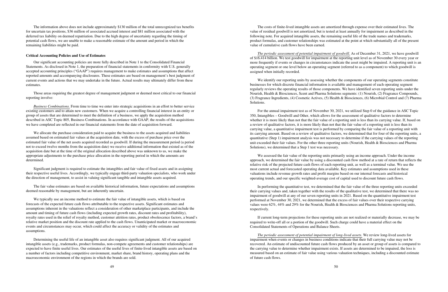The information above does not include approximately \$130 million of the total unrecognized tax benefits for uncertain tax positions, \$36 million of associated accrued interest and \$81 million associated with the deferred tax liability on deemed repatriation. Due to the high degree of uncertainty regarding the timing of potential cash flows, we are unable to make a reasonable estimate of the amount and period in which the remaining liabilities might be paid.

#### **Critical Accounting Policies and Use of Estimates**

Our significant accounting policies are more fully described in Note 1 to the Consolidated Financial Statements. As disclosed in Note 1, the preparation of financial statements in conformity with U.S. generally accepted accounting principles ("GAAP") requires management to make estimates and assumptions that affect reported amounts and accompanying disclosures. These estimates are based on management's best judgment of current events and actions that we may undertake in the future. Actual results may ultimately differ from these estimates.

Those areas requiring the greatest degree of management judgment or deemed most critical to our financial reporting involve:

*Business Combinations.* From time to time we enter into strategic acquisitions in an effort to better service existing customers and to attain new customers. When we acquire a controlling financial interest in an entity or group of assets that are determined to meet the definition of a business, we apply the acquisition method described in ASC Topic 805, Business Combinations. In accordance with GAAP, the results of the acquisitions we have completed are reflected in our financial statements from the date of acquisition forward.

We allocate the purchase consideration paid to acquire the business to the assets acquired and liabilities assumed based on estimated fair values at the acquisition date, with the excess of purchase price over the estimated fair value of the net assets acquired recorded as goodwill. If during the measurement period (a period not to exceed twelve months from the acquisition date) we receive additional information that existed as of the acquisition date but at the time of the original allocation described above was unknown to us, we make the appropriate adjustments to the purchase price allocation in the reporting period in which the amounts are determined.

Significant judgment is required to estimate the intangibles and fair value of fixed assets and in assigning their respective useful lives. Accordingly, we typically engage third-party valuation specialists, who work under the direction of management, to assist in valuing significant tangible and intangible assets acquired.

The fair value estimates are based on available historical information, future expectations and assumptions deemed reasonable by management, but are inherently uncertain.

We identify our reporting units by assessing whether the components of our operating segments constitute businesses for which discrete financial information is available and management of each operating segment regularly reviews the operating results of those components. We have identified seven reporting units under the Nourish, Health & Biosciences, Scent and Pharma Solutions segments: (1) Nourish, (2) Fragrance Compounds, (3) Fragrance Ingredients, (4) Cosmetic Actives, (5) Health & Biosciences, (6) Microbial Control and (7) Pharma Solutions.

We typically use an income method to estimate the fair value of intangible assets, which is based on forecasts of the expected future cash flows attributable to the respective assets. Significant estimates and assumptions inherent in the valuations reflect a consideration of other marketplace participants, and include the amount and timing of future cash flows (including expected growth rates, discount rates and profitability), royalty rates used in the relief of royalty method, customer attrition rates, product obsolescence factors, a brand's relative market position and the discount rate applied to the cash flows. Unanticipated market or macroeconomic events and circumstances may occur, which could affect the accuracy or validity of the estimates and assumptions.

Determining the useful life of an intangible asset also requires significant judgment. All of our acquired intangible assets (e.g., trademarks, product formulas, non-compete agreements and customer relationships) are expected to have finite useful lives. Our estimates of the useful lives of finite-lived intangible assets are based on a number of factors including competitive environment, market share, brand history, operating plans and the macroeconomic environment of the regions in which the brands are sold.

The costs of finite-lived intangible assets are amortized through expense over their estimated lives. The value of residual goodwill is not amortized, but is tested at least annually for impairment as described in the following note. For acquired intangible assets, the remaining useful life of the trade names and trademarks, product formulas, and customer relationships was estimated at the point at which substantially all of the present value of cumulative cash flows have been earned.

*The periodic assessment of potential impairment of goodwill.* As of December 31, 2021, we have goodwill of \$16.414 billion. We test goodwill for impairment at the reporting unit level as of November 30 every year or more frequently if events or changes in circumstances indicate the asset might be impaired. A reporting unit is an operating segment or one level below an operating segment (referred to as a component) to which goodwill is assigned when initially recorded.

For the annual impairment test as of November 30, 2021, we utilized Step 0 of the guidance in ASC Topic 350, Intangibles – Goodwill and Other, which allows for the assessment of qualitative factors to determine whether it is more likely than not that the fair value of a reporting unit is less than its carrying value. If, based on a review of qualitative factors, it is more likely than not that the fair value of a reporting unit is less than its carrying value, a quantitative impairment test is performed by comparing the fair value of a reporting unit with its carrying amount. Based on a review of qualitative factors, we determined that for four of the reporting units, a quantitative (Step 1) impairment analysis was not necessary to determine if the carrying values of the reporting unit exceeded their fair values. For the other three reporting units (Nourish, Health & Biosciences and Pharma Solutions), we determined that a Step 1 test was necessary.

We assessed the fair value of the reporting units primarily using an income approach. Under the income approach, we determined the fair value by using a discounted cash flow method at a rate of return that reflects the relative risk of the projected future cash flows of each reporting unit, as well as a terminal value. We use the most current actual and forecasted operating data available. Key estimates and assumptions used in these valuations include revenue growth rates and profit margins based on our internal forecasts and historical operating trends, and our specific weighted-average cost of capital used to discount future cash flows.

In performing the quantitative test, we determined that the fair value of the three reporting units exceeded their carrying values and, taken together with the results of the qualitative test, we determined that there was no impairment of goodwill at any of our seven reporting units in 2021. Based on the quantitative impairment test performed at November 30, 2021, we determined that the excess of fair values over their respective carrying values were 62%, 44% and 29% for the Nourish, Health & Biosciences and Pharma Solutions reporting units, respectively.

If current long-term projections for these reporting units are not realized or materially decrease, we may be required to write-off all or a portion of the goodwill. Such charge could have a material effect on the Consolidated Statements of Operations and Balance Sheets.

*The periodic assessment of potential impairment of long-lived assets.* We review long-lived assets for impairment when events or changes in business conditions indicate that their full carrying value may not be recovered. An estimate of undiscounted future cash flows produced by an asset or group of assets is compared to the carrying value to determine whether impairment exists. If assets are determined to be impaired, the loss is measured based on an estimate of fair value using various valuation techniques, including a discounted estimate of future cash flows.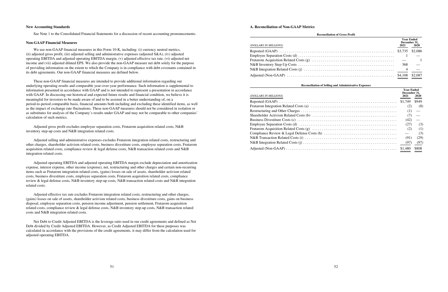#### **New Accounting Standards**

See Note 1 to the Consolidated Financial Statements for a discussion of recent accounting pronouncements.

#### **Non-GAAP Financial Measures**

We use non-GAAP financial measures in this Form 10-K, including: (i) currency neutral metrics, (ii) adjusted gross profit, (iii) adjusted selling and administrative expenses (adjusted  $S&A$ ), (iv) adjusted operating EBITDA and adjusted operating EBITDA margin, (v) adjusted effective tax rate, (vi) adjusted net income and (vii) adjusted diluted EPS. We also provide the non-GAAP measure net debt solely for the purpose of providing information on the extent to which the Company is in compliance with debt covenants contained in its debt agreements. Our non-GAAP financial measures are defined below.

These non-GAAP financial measures are intended to provide additional information regarding our underlying operating results and comparable year-over-year performance. Such information is supplemental to information presented in accordance with GAAP and is not intended to represent a presentation in accordance with GAAP. In discussing our historical and expected future results and financial condition, we believe it is meaningful for investors to be made aware of and to be assisted in a better understanding of, on a period-to-period comparable basis, financial amounts both including and excluding these identified items, as well as the impact of exchange rate fluctuations. These non-GAAP measures should not be considered in isolation or as substitutes for analysis of the Company's results under GAAP and may not be comparable to other companies' calculation of such metrics.

Adjusted gross profit excludes employee separation costs, Frutarom acquisition related costs, N&B inventory step-up costs and N&B integration related costs.

Adjusted selling and administrative expenses excludes Frutarom integration related costs, restructuring and other charges, shareholder activism related costs, business divestiture costs, employee separation costs, Frutarom acquisition related costs, compliance review & legal defense costs, N&B transaction related costs and N&B integration related costs.

Adjusted operating EBITDA and adjusted operating EBITDA margin exclude depreciation and amortization expense, interest expense, other income (expense), net, restructuring and other charges and certain non-recurring items such as Frutarom integration related costs, (gains) losses on sale of assets, shareholder activism related costs, business divestiture costs, employee separation costs, Frutarom acquisition related costs, compliance review & legal defense costs, N&B inventory step-up costs, N&B transaction related costs and N&B integration related costs.

Adjusted effective tax rate excludes Frutarom integration related costs, restructuring and other charges, (gains) losses on sale of assets, shareholder activism related costs, business divestiture costs, gains on business disposal, employee separation costs, pension income adjustment, pension settlement, Frutarom acquisition related costs, compliance review & legal defense costs, N&B inventory step-up costs, N&B transaction related costs and N&B integration related costs.

Net Debt to Credit Adjusted EBITDA is the leverage ratio used in our credit agreements and defined as Net Debt divided by Credit Adjusted EBITDA. However, as Credit Adjusted EBITDA for these purposes was calculated in accordance with the provisions of the credit agreements, it may differ from the calculation used for adjusted operating EBITDA.

#### **A. Reconciliation of Non-GAAP Metrics**

| Reconciliation o |  |  |
|------------------|--|--|
|                  |  |  |

#### **Reconciliation of Gross Profit**

|  |  |  |  |  |  |  |  |  |  |  |  |  | 2021 |         |     | <b>Year Ended</b><br>December 31,<br>2020 |  |                 |  |
|--|--|--|--|--|--|--|--|--|--|--|--|--|------|---------|-----|-------------------------------------------|--|-----------------|--|
|  |  |  |  |  |  |  |  |  |  |  |  |  |      |         |     |                                           |  | \$3,735 \$2,086 |  |
|  |  |  |  |  |  |  |  |  |  |  |  |  |      |         |     |                                           |  |                 |  |
|  |  |  |  |  |  |  |  |  |  |  |  |  |      |         |     |                                           |  |                 |  |
|  |  |  |  |  |  |  |  |  |  |  |  |  |      |         | 368 |                                           |  |                 |  |
|  |  |  |  |  |  |  |  |  |  |  |  |  |      |         |     | 4                                         |  |                 |  |
|  |  |  |  |  |  |  |  |  |  |  |  |  |      | \$4,108 |     |                                           |  | \$2.087         |  |

#### *(DOLLARS IN MILLIONS)* **2021 2020**

|  | $\blacksquare$ |
|--|----------------|
|  | $368 -$        |
|  |                |
|  |                |
|  |                |

#### **Reconciliation of Selling and Administrative Expenses**

|  |  |  |  |  |  |  |   |  |  |  |  |  |  |  | <b>Year Ended</b><br>December 31,<br>2021 | 2020  |  |
|--|--|--|--|--|--|--|---|--|--|--|--|--|--|--|-------------------------------------------|-------|--|
|  |  |  |  |  |  |  |   |  |  |  |  |  |  |  | \$1,749                                   | \$949 |  |
|  |  |  |  |  |  |  |   |  |  |  |  |  |  |  | (2)                                       | (8)   |  |
|  |  |  |  |  |  |  |   |  |  |  |  |  |  |  | (1)                                       |       |  |
|  |  |  |  |  |  |  |   |  |  |  |  |  |  |  | (7)                                       |       |  |
|  |  |  |  |  |  |  |   |  |  |  |  |  |  |  | (42)                                      |       |  |
|  |  |  |  |  |  |  |   |  |  |  |  |  |  |  | (27)                                      | (3)   |  |
|  |  |  |  |  |  |  |   |  |  |  |  |  |  |  | (2)                                       | (1)   |  |
|  |  |  |  |  |  |  | . |  |  |  |  |  |  |  |                                           | (3)   |  |
|  |  |  |  |  |  |  |   |  |  |  |  |  |  |  | (91)                                      | (29)  |  |
|  |  |  |  |  |  |  |   |  |  |  |  |  |  |  | (97)                                      | (97)  |  |
|  |  |  |  |  |  |  |   |  |  |  |  |  |  |  | \$1,480                                   | \$808 |  |

#### *(DOLLARS IN MILLIONS)* **2021 2020**

| (2)      | (8)     |
|----------|---------|
|          | $(1)$ — |
|          | $(7)$ — |
| $(42)$ — |         |
| (27)     | (3)     |
| (2)      | (1)     |
|          | (3)     |
| (91)     | (29)    |
|          |         |
|          |         |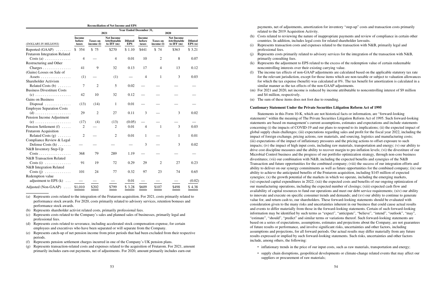|                                                                        |                                  |                               | <b>Reconciliation of Net Income and EPS</b>              |                                |                                  |                               |                                                          |                          |
|------------------------------------------------------------------------|----------------------------------|-------------------------------|----------------------------------------------------------|--------------------------------|----------------------------------|-------------------------------|----------------------------------------------------------|--------------------------|
|                                                                        |                                  |                               | 2021                                                     | <b>Year Ended December 31,</b> |                                  |                               | 2020                                                     |                          |
| (DOLLARS IN MILLIONS)                                                  | <b>Income</b><br>before<br>taxes | <b>Taxes</b> on<br>income (l) | <b>Net Income</b><br><b>Attributable</b><br>to IFF $(m)$ | <b>Diluted</b><br><b>EPS</b>   | <b>Income</b><br>before<br>taxes | <b>Taxes on</b><br>income (I) | <b>Net Income</b><br><b>Attributable</b><br>to IFF $(m)$ | <b>Diluted</b><br>EPS(n) |
| Reported $(GAAP)$                                                      | \$354                            | \$75                          | \$270                                                    | \$1.10                         | \$441                            | \$74                          | \$363                                                    | \$3.21                   |
| <b>Frutarom Integration Related</b><br>$Costs(a) \ldots \ldots \ldots$ | 4                                |                               | 4                                                        | 0.01                           | 10                               | $\overline{2}$                | 8                                                        | 0.07                     |
| Restructuring and Other<br>$Charges \ldots \ldots \ldots \ldots$       | 41                               | 9                             | 32                                                       | 0.13                           | 17                               | $\overline{4}$                | 13                                                       | 0.12                     |
| (Gains) Losses on Sale of<br>Assets $\dots\dots\dots\dots\dots\dots$   | (1)                              |                               | (1)                                                      |                                | $\overline{4}$                   | 1                             | 3                                                        | 0.03                     |
| Shareholder Activism<br>Related Costs $(b)$                            | 7                                | $\overline{2}$                | 5                                                        | 0.02                           |                                  |                               |                                                          |                          |
| <b>Business Divestiture Costs</b>                                      | 42                               | 10                            | 32                                                       | 0.12                           |                                  |                               |                                                          |                          |
| Gains on Business<br>$Disposal$                                        | (13)                             | (14)                          | 1                                                        | 0.01                           |                                  |                               |                                                          |                          |
| <b>Employee Separation Costs</b>                                       | 29                               | $\overline{2}$                | 27                                                       | 0.11                           | 3                                |                               | 3                                                        | 0.02                     |
| Pension Income Adjustment<br>$(e)$                                     | (17)                             | (4)                           | (13)                                                     | (0.05)                         |                                  |                               |                                                          |                          |
| Pension Settlement (f)<br><b>Frutarom Acquisition</b>                  | $\overline{2}$                   |                               | 2                                                        | 0.01                           | $\overline{4}$                   | $\overline{1}$                | 3                                                        | 0.03                     |
| Related Costs $(g)$<br>Compliance Review & Legal                       | $\overline{2}$                   |                               | $\overline{2}$                                           | 0.01                           | 1                                |                               | 1                                                        | 0.01                     |
| Defense Costs $(h)$                                                    |                                  |                               |                                                          |                                | 3                                |                               | 3                                                        | 0.02                     |
| N&B Inventory Step-Up<br>$Costs$                                       | 368                              | 79                            | 289                                                      | 1.19                           |                                  |                               |                                                          |                          |
| <b>N&amp;B</b> Transaction Related<br>$Costs(i)$                       | 91                               | 19                            | 72                                                       | 0.29                           | 29                               | $\overline{2}$                | 27                                                       | 0.23                     |
| <b>N&amp;B</b> Integration Related<br>$Costs (j)$                      | 101                              | 24                            | 77                                                       | 0.32                           | 97                               | 23                            | 74                                                       | 0.65                     |
| Redemption value<br>adjustment to EPS $(k)$                            |                                  |                               |                                                          | 0.01                           |                                  |                               |                                                          | (0.02)                   |
| Adjusted (Non-GAAP) $\dots$                                            | \$1,010                          | \$202                         | \$799                                                    | \$3.28                         | \$609                            | \$107                         | \$498                                                    | \$4.38                   |

(a) Represents costs related to the integration of the Frutarom acquisition. For 2021, costs primarily related to performance stock awards. For 2020, costs primarily related to advisory services, retention bonuses and performance stock awards.

- (b) Represents shareholder activist related costs, primarily professional fees.
- (c) Represents costs related to the Company's sales and planned sales of businesses, primarily legal and professional fees.
- (d) Represents costs related to severance, including accelerated stock compensation expense, for certain employees and executives who have been separated or will separate from the Company.
- (e) Represents catch-up of net pension income from prior periods that had been excluded from their respective periods.
- Represents pension settlement charges incurred in one of the Company's UK pension plans.
- (g) Represents transaction-related costs and expenses related to the acquisition of Frutarom. For 2021, amount primarily includes earn-out payments, net of adjustments. For 2020, amount primarily includes earn-out

payments, net of adjustments, amortization for inventory "step-up" costs and transaction costs primarily related to the 2019 Acquisition Activity.

- (h) Costs related to reviewing the nature of inappropriate payments and review of compliance in certain other countries. In addition, includes legal costs for related shareholder lawsuits.
- (i) Represents transaction costs and expenses related to the transaction with N&B, primarily legal and professional fees.
- (i) Represents costs primarily related to advisory services for the integration of the transaction with  $N&B$ , primarily consulting fees.
- (k) Represents the adjustment to EPS related to the excess of the redemption value of certain redeemable noncontrolling interests over their existing carrying value.
- (l) The income tax effects of non-GAAP adjustments are calculated based on the applicable statutory tax rate for the relevant jurisdiction, except for those items which are non-taxable or subject to valuation allowances for which the tax expense (benefit) was calculated at 0%. The tax benefit for amortization is calculated in a similar manner as the tax effects of the non-GAAP adjustments.
- (m) For 2021 and 2020, net income is reduced by income attributable to noncontrolling interest of \$9 million and \$4 million, respectively.
- (n) The sum of these items does not foot due to rounding.

#### **Cautionary Statement Under the Private Securities Litigation Reform Act of 1995**

Statements in this Form 10-K, which are not historical facts or information, are "forward-looking statements" within the meaning of The Private Securities Litigation Reform Act of 1995. Such forward-looking statements are based on management's current assumptions, estimates and expectations and include statements concerning (i) the impacts of COVID-19 and our plans to respond to its implications; (ii) the expected impact of global supply chain challenges; (iii) expectations regarding sales and profit for the fiscal year 2022, including the impact of foreign exchange, pricing actions, raw materials, and sourcing, logistics and manufacturing costs; (iii) expectations of the impact of inflationary pressures and the pricing actions to offset exposure to such impacts; (iv) the impact of high input costs, including raw materials, transportation and energy; (v) our ability to drive cost discipline measures and the ability to recover margin to pre-inflation levels; (vi) the divestiture of our Microbial Control business and the progress of our portfolio optimization strategy, through non-core business divestitures; (vii) our combination with N&B, including the expected benefits and synergies of the N&B Transaction and future opportunities for the combined company; (viii) the success of our integration efforts and ability to deliver on our synergy commitments as well as future opportunities for the combined company; (ix) our ability to achieve the anticipated benefits of the Frutarom acquisition, including \$145 million of expected synergies;  $(x)$  the growth potential of the markets in which we operate, including the emerging markets, (xi) expected capital expenditures in 2022; (xii) the expected costs and benefits of our ongoing optimization of our manufacturing operations, including the expected number of closings; (xiii) expected cash flow and availability of capital resources to fund our operations and meet our debt service requirements; (xiv) our ability to innovate and execute on specific consumer trends and demands; and (xv) our ability to continue to generate value for, and return cash to, our shareholders. These forward-looking statements should be evaluated with consideration given to the many risks and uncertainties inherent in our business that could cause actual results and events to differ materially from those in the forward-looking statements. Certain of such forward-looking information may be identified by such terms as "expect", "anticipate", "believe", "intend", "outlook", "may", "estimate", "should", "predict" and similar terms or variations thereof. Such forward-looking statements are based on a series of expectations, assumptions, estimates and projections about the Company, are not guarantees of future results or performance, and involve significant risks, uncertainties and other factors, including assumptions and projections, for all forward periods. Our actual results may differ materially from any future results expressed or implied by such forward-looking statements. Such risks, uncertainties and other factors include, among others, the following:

- inflationary trends in the price of our input costs, such as raw materials, transportation and energy;
- suppliers or procurement of raw materials;

‰ supply chain disruptions, geopolitical developments or climate-change related events that may affect our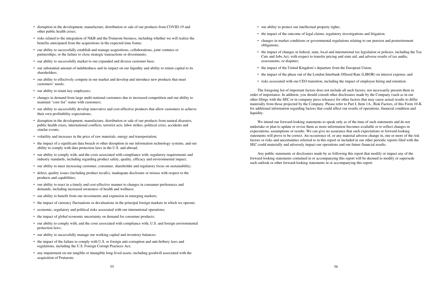- ‰ disruption in the development, manufacture, distribution or sale of our products from COVID-19 and other public health crises;
- ‰ risks related to the integration of N&B and the Frutarom business, including whether we will realize the benefits anticipated from the acquisitions in the expected time frame;
- ‰ our ability to successfully establish and manage acquisitions, collaborations, joint ventures or partnerships, or the failure to close strategic transactions or divestments;
- ‰ our ability to successfully market to our expanded and diverse customer base;
- ‰ our substantial amount of indebtedness and its impact on our liquidity and ability to return capital to its shareholders;
- ‰ our ability to effectively compete in our market and develop and introduce new products that meet customers' needs;
- our ability to retain key employees;
- ‰ changes in demand from large multi-national customers due to increased competition and our ability to maintain "core list" status with customers:
- ‰ our ability to successfully develop innovative and cost-effective products that allow customers to achieve their own profitability expectations;
- ‰ disruption in the development, manufacture, distribution or sale of our products from natural disasters, public health crises, international conflicts, terrorist acts, labor strikes, political crisis, accidents and similar events;
- ‰ volatility and increases in the price of raw materials, energy and transportation;
- ‰ the impact of a significant data breach or other disruption in our information technology systems, and our ability to comply with data protection laws in the U.S. and abroad;
- ‰ our ability to comply with, and the costs associated with compliance with, regulatory requirements and industry standards, including regarding product safety, quality, efficacy and environmental impact;
- ‰ our ability to meet increasing customer, consumer, shareholder and regulatory focus on sustainability;
- ‰ defect, quality issues (including product recalls), inadequate disclosure or misuse with respect to the products and capabilities;
- ‰ our ability to react in a timely and cost-effective manner to changes in consumer preferences and demands, including increased awareness of health and wellness;
- ‰ our ability to benefit from our investments and expansion in emerging markets;
- ‰ the impact of currency fluctuations or devaluations in the principal foreign markets in which we operate;
- ‰ economic, regulatory and political risks associated with our international operations;
- the impact of global economic uncertainty on demand for consumer products;
- ‰ our ability to comply with, and the costs associated with compliance with, U.S. and foreign environmental protection laws;
- our ability to successfully manage our working capital and inventory balances;
- ‰ the impact of the failure to comply with U.S. or foreign anti-corruption and anti-bribery laws and regulations, including the U.S. Foreign Corrupt Practices Act;
- ‰ any impairment on our tangible or intangible long-lived assets, including goodwill associated with the acquisition of Frutarom;
- our ability to protect our intellectual property rights;
- the impact of the outcome of legal claims, regulatory investigations and litigation;
- ‰ changes in market conditions or governmental regulations relating to our pension and postretirement obligations;
- ‰ the impact of changes in federal, state, local and international tax legislation or policies, including the Tax Cuts and Jobs Act, with respect to transfer pricing and state aid, and adverse results of tax audits, assessments, or disputes;
- the impact of the United Kingdom's departure from the European Union;
- ‰ the impact of the phase out of the London Interbank Offered Rate (LIBOR) on interest expense; and
- ‰ risks associated with our CEO transition, including the impact of employee hiring and retention.

The foregoing list of important factors does not include all such factors, nor necessarily present them in order of importance. In addition, you should consult other disclosures made by the Company (such as in our other filings with the SEC or in company press releases) for other factors that may cause actual results to differ materially from those projected by the Company. Please refer to Part I. Item 1A., Risk Factors, of this Form 10-K for additional information regarding factors that could affect our results of operations, financial condition and liquidity.

We intend our forward-looking statements to speak only as of the time of such statements and do not undertake or plan to update or revise them as more information becomes available or to reflect changes in expectations, assumptions or results. We can give no assurance that such expectations or forward-looking statements will prove to be correct. An occurrence of, or any material adverse change in, one or more of the risk factors or risks and uncertainties referred to in this report or included in our other periodic reports filed with the SEC could materially and adversely impact our operations and our future financial results.

Any public statements or disclosures made by us following this report that modify or impact any of the forward-looking statements contained in or accompanying this report will be deemed to modify or supersede such outlook or other forward-looking statements in or accompanying this report.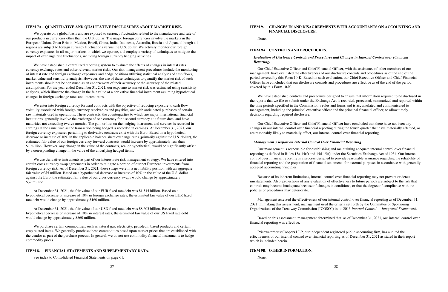#### **ITEM 7A. QUANTITATIVE AND QUALITATIVE DISCLOSURES ABOUT MARKET RISK.**

We operate on a global basis and are exposed to currency fluctuation related to the manufacture and sale of our products in currencies other than the U.S. dollar. The major foreign currencies involve the markets in the European Union, Great Britain, Mexico, Brazil, China, India, Indonesia, Australia, Russia and Japan, although all regions are subject to foreign currency fluctuations versus the U.S. dollar. We actively monitor our foreign currency exposures in all major markets in which we operate, and employ a variety of techniques to mitigate the impact of exchange rate fluctuations, including foreign currency hedging activities.

We have established a centralized reporting system to evaluate the effects of changes in interest rates, currency exchange rates and other relevant market risks. Our risk management procedures include the monitoring of interest rate and foreign exchange exposures and hedge positions utilizing statistical analyses of cash flows, market value and sensitivity analysis. However, the use of these techniques to quantify the market risk of such instruments should not be construed as an endorsement of their accuracy or the accuracy of the related assumptions. For the year ended December 31, 2021, our exposure to market risk was estimated using sensitivity analyses, which illustrate the change in the fair value of a derivative financial instrument assuming hypothetical changes in foreign exchange rates and interest rates.

We enter into foreign currency forward contracts with the objective of reducing exposure to cash flow volatility associated with foreign currency receivables and payables, and with anticipated purchases of certain raw materials used in operations. These contracts, the counterparties to which are major international financial institutions, generally involve the exchange of one currency for a second currency at a future date, and have maturities not exceeding twelve months. The gain or loss on the hedging instrument and services is recorded in earnings at the same time as the transaction being hedged is recorded in earnings. At December 31, 2021, our foreign currency exposures pertaining to derivative contracts exist with the Euro. Based on a hypothetical decrease or increase of 10% in the applicable balance sheet exchange rates (primarily against the U.S. dollar), the estimated fair value of our foreign currency forward contracts would increase by approximately less than \$1 million. However, any change in the value of the contracts, real or hypothetical, would be significantly offset by a corresponding change in the value of the underlying hedged items.

We use derivative instruments as part of our interest rate risk management strategy. We have entered into certain cross currency swap agreements in order to mitigate a portion of our net European investments from foreign currency risk. As of December 31, 2021, these swaps were in a net liability position with an aggregate fair value of \$5 million. Based on a hypothetical decrease or increase of 10% in the value of the U.S. dollar against the Euro, the estimated fair value of our cross currency swaps would change by approximately \$32 million.

We purchase certain commodities, such as natural gas, electricity, petroleum based products and certain crop related items. We generally purchase these commodities based upon market prices that are established with the vendor as part of the purchase process. In general, we do not use commodity financial instruments to hedge commodity prices.

At December 31, 2021, the fair value of our EUR fixed rate debt was \$1.545 billion. Based on a hypothetical decrease or increase of 10% in foreign exchange rates, the estimated fair value of our EUR fixed rate debt would change by approximately \$160 million.

At December 31, 2021, the fair value of our USD fixed rate debt was \$8.603 billion. Based on a hypothetical decrease or increase of 10% in interest rates, the estimated fair value of our US fixed rate debt would change by approximately \$860 million.

#### **ITEM 8. FINANCIAL STATEMENTS AND SUPPLEMENTARY DATA.**

See index to Consolidated Financial Statements on page 61.

## **ITEM 9. CHANGES IN AND DISAGREEMENTS WITH ACCOUNTANTS ON ACCOUNTING AND FINANCIAL DISCLOSURE.**

None.

#### **ITEM 9A. CONTROLS AND PROCEDURES.**

### *Evaluation of Disclosure Controls and Procedures and Changes in Internal Control over Financial Reporting.*

Our Chief Executive Officer and Chief Financial Officer, with the assistance of other members of our management, have evaluated the effectiveness of our disclosure controls and procedures as of the end of the period covered by this Form 10-K. Based on such evaluation, our Chief Executive Officer and Chief Financial Officer have concluded that our disclosure controls and procedures are effective as of the end of the period covered by this Form 10-K.

We have established controls and procedures designed to ensure that information required to be disclosed in the reports that we file or submit under the Exchange Act is recorded, processed, summarized and reported within the time periods specified in the Commission's rules and forms and is accumulated and communicated to management, including the principal executive officer and the principal financial officer, to allow timely decisions regarding required disclosure.

Our Chief Executive Officer and Chief Financial Officer have concluded that there have not been any changes in our internal control over financial reporting during the fourth quarter that have materially affected, or are reasonably likely to materially affect, our internal control over financial reporting.

#### *Management's Report on Internal Control Over Financial Reporting.*

Our management is responsible for establishing and maintaining adequate internal control over financial reporting as defined in Rules 13a-15(f) and 15d-15(f) under the Securities Exchange Act of 1934. Our internal control over financial reporting is a process designed to provide reasonable assurance regarding the reliability of financial reporting and the preparation of financial statements for external purposes in accordance with generally accepted accounting principles.

Because of its inherent limitations, internal control over financial reporting may not prevent or detect misstatements. Also, projections of any evaluation of effectiveness to future periods are subject to the risk that controls may become inadequate because of changes in conditions, or that the degree of compliance with the policies or procedures may deteriorate.

Management assessed the effectiveness of our internal control over financial reporting as of December 31, 2021. In making this assessment, management used the criteria set forth by the Committee of Sponsoring Organizations of the Treadway Commission ("COSO") in its 2013 *Internal Control — Integrated Framework*.

Based on this assessment, management determined that, as of December 31, 2021, our internal control over financial reporting was effective.

PricewaterhouseCoopers LLP, our independent registered public accounting firm, has audited the effectiveness of our internal control over financial reporting as of December 31, 2021 as stated in their report which is included herein.

#### **ITEM 9B. OTHER INFORMATION.**

None.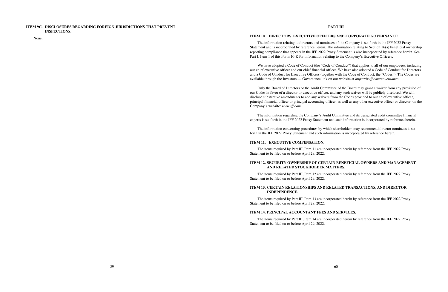#### **ITEM 9C. DISCLOSURES REGARDING FOREIGN JURISDICTIONS THAT PREVENT INSPECTIONS.**

None.

#### **PART III**

#### **ITEM 10. DIRECTORS, EXECUTIVE OFFICERS AND CORPORATE GOVERNANCE.**

The information relating to directors and nominees of the Company is set forth in the IFF 2022 Proxy Statement and is incorporated by reference herein. The information relating to Section 16(a) beneficial ownership reporting compliance that appears in the IFF 2022 Proxy Statement is also incorporated by reference herein. See Part I, Item 1 of this Form 10-K for information relating to the Company's Executive Officers.

We have adopted a Code of Conduct (the "Code of Conduct") that applies to all of our employees, including our chief executive officer and our chief financial officer. We have also adopted a Code of Conduct for Directors and a Code of Conduct for Executive Officers (together with the Code of Conduct, the "Codes"). The Codes are available through the Investors — Governance link on our website at *https://ir.iff.com/governance.*

Only the Board of Directors or the Audit Committee of the Board may grant a waiver from any provision of our Codes in favor of a director or executive officer, and any such waiver will be publicly disclosed. We will disclose substantive amendments to and any waivers from the Codes provided to our chief executive officer, principal financial officer or principal accounting officer, as well as any other executive officer or director, on the Company's website: *www.iff.com*.

The information regarding the Company's Audit Committee and its designated audit committee financial experts is set forth in the IFF 2022 Proxy Statement and such information is incorporated by reference herein.

The information concerning procedures by which shareholders may recommend director nominees is set forth in the IFF 2022 Proxy Statement and such information is incorporated by reference herein.

#### **ITEM 11. EXECUTIVE COMPENSATION.**

The items required by Part III, Item 11 are incorporated herein by reference from the IFF 2022 Proxy Statement to be filed on or before April 29, 2022.

#### **ITEM 12. SECURITY OWNERSHIP OF CERTAIN BENEFICIAL OWNERS AND MANAGEMENT AND RELATED STOCKHOLDER MATTERS.**

The items required by Part III, Item 12 are incorporated herein by reference from the IFF 2022 Proxy Statement to be filed on or before April 29, 2022.

#### **ITEM 13. CERTAIN RELATIONSHIPS AND RELATED TRANSACTIONS, AND DIRECTOR INDEPENDENCE.**

The items required by Part III, Item 13 are incorporated herein by reference from the IFF 2022 Proxy Statement to be filed on or before April 29, 2022.

#### **ITEM 14. PRINCIPAL ACCOUNTANT FEES AND SERVICES.**

The items required by Part III, Item 14 are incorporated herein by reference from the IFF 2022 Proxy Statement to be filed on or before April 29, 2022.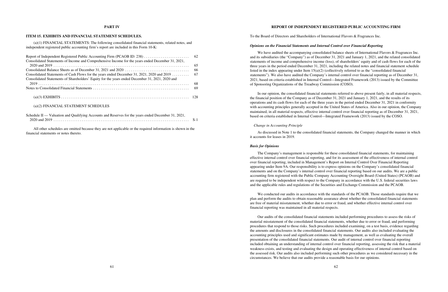#### **PART IV**

#### **ITEM 15. EXHIBITS AND FINANCIAL STATEMENT SCHEDULES.**

(a)(1) FINANCIAL STATEMENTS: The following consolidated financial statements, related notes, and independent registered public accounting firm's report are included in this Form 10-K:

| -65  |
|------|
| -66  |
| -67  |
|      |
| - 68 |
|      |
|      |
|      |
|      |
|      |

We have audited the accompanying consolidated balance sheets of International Flavors & Fragrances Inc. and its subsidiaries (the "Company") as of December 31, 2021 and January 1, 2021, and the related consolidated statements of income and comprehensive income (loss), of shareholders' equity and of cash flows for each of the three years in the period ended December 31, 2021, including the related notes and financial statement schedule listed in the index appearing under Item 15(a)(2) (collectively referred to as the "consolidated financial statements"). We also have audited the Company's internal control over financial reporting as of December 31, 2021, based on criteria established in Internal Control—Integrated Framework (2013) issued by the Committee of Sponsoring Organizations of the Treadway Commission (COSO).

| Schedule II — Valuation and Qualifying Accounts and Reserves for the years ended December 31, 2021, |  |
|-----------------------------------------------------------------------------------------------------|--|
|                                                                                                     |  |

All other schedules are omitted because they are not applicable or the required information is shown in the financial statements or notes thereto.

#### **REPORT OF INDEPENDENT REGISTERED PUBLIC ACCOUNTING FIRM**

To the Board of Directors and Shareholders of International Flavors & Fragrances Inc.

#### *Opinions on the Financial Statements and Internal Control over Financial Reporting*

In our opinion, the consolidated financial statements referred to above present fairly, in all material respects, the financial position of the Company as of December 31, 2021 and January 1, 2021, and the results of its operations and its cash flows for each of the three years in the period ended December 31, 2021 in conformity with accounting principles generally accepted in the United States of America. Also in our opinion, the Company maintained, in all material respects, effective internal control over financial reporting as of December 31, 2021, based on criteria established in Internal Control—Integrated Framework (2013) issued by the COSO.

#### *Change in Accounting Principle*

As discussed in Note 1 to the consolidated financial statements, the Company changed the manner in which it accounts for leases in 2019.

#### *Basis for Opinions*

The Company's management is responsible for these consolidated financial statements, for maintaining effective internal control over financial reporting, and for its assessment of the effectiveness of internal control over financial reporting, included in Management's Report on Internal Control Over Financial Reporting appearing under Item 9A. Our responsibility is to express opinions on the Company's consolidated financial statements and on the Company's internal control over financial reporting based on our audits. We are a public accounting firm registered with the Public Company Accounting Oversight Board (United States) (PCAOB) and are required to be independent with respect to the Company in accordance with the U.S. federal securities laws and the applicable rules and regulations of the Securities and Exchange Commission and the PCAOB.

We conducted our audits in accordance with the standards of the PCAOB. Those standards require that we plan and perform the audits to obtain reasonable assurance about whether the consolidated financial statements are free of material misstatement, whether due to error or fraud, and whether effective internal control over financial reporting was maintained in all material respects.

Our audits of the consolidated financial statements included performing procedures to assess the risks of material misstatement of the consolidated financial statements, whether due to error or fraud, and performing procedures that respond to those risks. Such procedures included examining, on a test basis, evidence regarding the amounts and disclosures in the consolidated financial statements. Our audits also included evaluating the accounting principles used and significant estimates made by management, as well as evaluating the overall presentation of the consolidated financial statements. Our audit of internal control over financial reporting included obtaining an understanding of internal control over financial reporting, assessing the risk that a material weakness exists, and testing and evaluating the design and operating effectiveness of internal control based on the assessed risk. Our audits also included performing such other procedures as we considered necessary in the circumstances. We believe that our audits provide a reasonable basis for our opinions.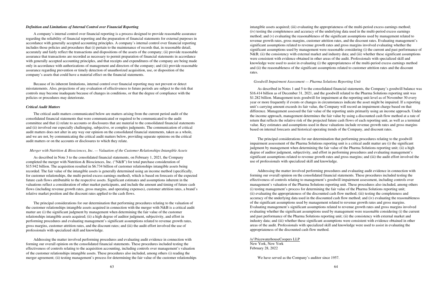#### *Definition and Limitations of Internal Control over Financial Reporting*

A company's internal control over financial reporting is a process designed to provide reasonable assurance regarding the reliability of financial reporting and the preparation of financial statements for external purposes in accordance with generally accepted accounting principles. A company's internal control over financial reporting includes those policies and procedures that (i) pertain to the maintenance of records that, in reasonable detail, accurately and fairly reflect the transactions and dispositions of the assets of the company; (ii) provide reasonable assurance that transactions are recorded as necessary to permit preparation of financial statements in accordance with generally accepted accounting principles, and that receipts and expenditures of the company are being made only in accordance with authorizations of management and directors of the company; and (iii) provide reasonable assurance regarding prevention or timely detection of unauthorized acquisition, use, or disposition of the company's assets that could have a material effect on the financial statements.

Because of its inherent limitations, internal control over financial reporting may not prevent or detect misstatements. Also, projections of any evaluation of effectiveness to future periods are subject to the risk that controls may become inadequate because of changes in conditions, or that the degree of compliance with the policies or procedures may deteriorate.

#### *Critical Audit Matters*

The critical audit matters communicated below are matters arising from the current period audit of the consolidated financial statements that were communicated or required to be communicated to the audit committee and that (i) relate to accounts or disclosures that are material to the consolidated financial statements and (ii) involved our especially challenging, subjective, or complex judgments. The communication of critical audit matters does not alter in any way our opinion on the consolidated financial statements, taken as a whole, and we are not, by communicating the critical audit matters below, providing separate opinions on the critical audit matters or on the accounts or disclosures to which they relate.

#### *Merger with Nutrition & Biosciences, Inc. — Valuation of the Customer Relationships Intangible Assets*

As described in Note 3 to the consolidated financial statements, on February 1, 2021, the Company completed the merger with Nutrition & Biosciences, Inc. ("N&B") for total purchase consideration of \$15.942 billion. The acquisition resulted in \$6.734 billion of customer relationships intangible assets being recorded. The fair value of the intangible assets is generally determined using an income method (specifically, for customer relationships, the multi-period excess earnings method), which is based on forecasts of the expected future cash flows attributable to the respective assets. Significant estimates and assumptions inherent in the valuations reflect a consideration of other market participants, and include the amount and timing of future cash flows (including revenue growth rates, gross margins, and operating expenses), customer attrition rates, a brand's relative market position and the discount rates applied to the cash flows.

The principal considerations for our determination that performing procedures relating to the valuation of the customer relationships intangible assets acquired in connection with the merger with N&B is a critical audit matter are (i) the significant judgment by management when determining the fair value of the customer relationships intangible assets acquired; (ii) a high degree of auditor judgment, subjectivity, and effort in performing procedures and evaluating management's significant assumptions related to revenue growth rates, gross margins, customer attrition rates, and the discount rates; and (iii) the audit effort involved the use of professionals with specialized skill and knowledge.

Addressing the matter involved performing procedures and evaluating audit evidence in connection with forming our overall opinion on the consolidated financial statements. These procedures included testing the effectiveness of controls relating to the acquisition accounting, including controls over management's valuation of the customer relationships intangible assets. These procedures also included, among others (i) reading the merger agreement; (ii) testing management's process for determining the fair value of the customer relationships intangible assets acquired; (iii) evaluating the appropriateness of the multi-period excess earnings method; (iv) testing the completeness and accuracy of the underlying data used in the multi-period excess earnings method; and (v) evaluating the reasonableness of the significant assumptions used by management related to revenue growth rates, gross margins, customer attrition rates, and the discount rates. Evaluating management's significant assumptions related to revenue growth rates and gross margins involved evaluating whether the significant assumptions used by management were reasonable considering (i) the current and past performance of N&B; (ii) the consistency with external market and industry data; and (iii) whether these significant assumptions were consistent with evidence obtained in other areas of the audit. Professionals with specialized skill and knowledge were used to assist in evaluating (i) the appropriateness of the multi-period excess earnings method and (ii) the reasonableness of the significant assumptions related to customer attrition rates and the discount rates.

#### *Goodwill Impairment Assessment — Pharma Solutions Reporting Unit*

As described in Notes 1 and 5 to the consolidated financial statements, the Company's goodwill balance was \$16.414 billion as of December 31, 2021, and the goodwill related to the Pharma Solutions reporting unit was \$1.282 billion. Management tests goodwill for impairment at the reporting unit level as of November 30 every year or more frequently if events or changes in circumstances indicate the asset might be impaired. If a reporting unit's carrying amount exceeds its fair value, the Company will record an impairment charge based on that difference. Management assessed the fair value of the reporting units primarily using an income approach. Under the income approach, management determines the fair value by using a discounted cash flow method at a rate of return that reflects the relative risk of the projected future cash flows of each reporting unit, as well as a terminal value. Key estimates and assumptions used in these valuations include revenue growth rates and gross margins based on internal forecasts and historical operating trends of the Company, and discount rates.

The principal considerations for our determination that performing procedures relating to the goodwill impairment assessment of the Pharma Solutions reporting unit is a critical audit matter are (i) the significant judgment by management when determining the fair value of the Pharma Solutions reporting unit; (ii) a high degree of auditor judgment, subjectivity, and effort in performing procedures and evaluating management's significant assumptions related to revenue growth rates and gross margins; and (iii) the audit effort involved the use of professionals with specialized skill and knowledge.

Addressing the matter involved performing procedures and evaluating audit evidence in connection with forming our overall opinion on the consolidated financial statements. These procedures included testing the effectiveness of controls relating to management's goodwill impairment assessment, including controls over management's valuation of the Pharma Solutions reporting unit. These procedures also included, among others (i) testing management's process for determining the fair value of the Pharma Solutions reporting unit; (ii) evaluating the appropriateness of the discounted cash flow method; (iii) testing the completeness and accuracy of the underlying data used in the discounted cash flow method; and (iv) evaluating the reasonableness of the significant assumptions used by management related to revenue growth rates and gross margins. Evaluating management's significant assumptions related to revenue growth rates and gross margins involved evaluating whether the significant assumptions used by management were reasonable considering (i) the current and past performance of the Pharma Solutions reporting unit; (ii) the consistency with external market and industry data; and (iii) whether these significant assumptions were consistent with evidence obtained in other areas of the audit. Professionals with specialized skill and knowledge were used to assist in evaluating the appropriateness of the discounted cash flow method.

/s/ PricewaterhouseCoopers LLP New York, New York February 28, 2022

We have served as the Company's auditor since 1957.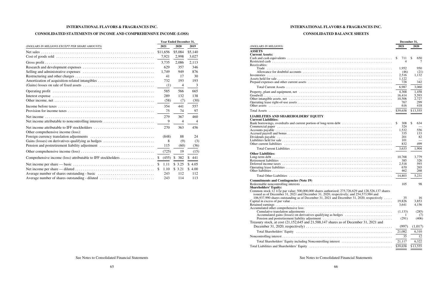# **INTERNATIONAL FLAVORS & FRAGRANCES INC.**

# **CONSOLIDATED STATEMENTS OF INCOME AND COMPREHENSIVE INCOME (LOSS)**

|                                                     | <b>Year Ended December 31,</b> |                |                |  |
|-----------------------------------------------------|--------------------------------|----------------|----------------|--|
| (DOLLARS IN MILLIONS EXCEPT PER SHARE AMOUNTS)      | 2021                           | 2020           | 2019           |  |
|                                                     | \$11,656                       | \$5,084        | \$5,140        |  |
|                                                     | 7,921                          | 2,998          | 3,027          |  |
|                                                     | 3.735                          | 2,086          | 2,113          |  |
|                                                     | 629                            | 357            | 346            |  |
|                                                     | 1,749                          | 949            | 876            |  |
|                                                     | 41                             | 17             | 30             |  |
|                                                     | 732                            | 193            | 193            |  |
|                                                     | (1)                            | 4              | 3              |  |
|                                                     | 585                            | 566            | 665            |  |
|                                                     | 289                            | 132            | 138            |  |
|                                                     | (58)                           | (7)            | (30)           |  |
|                                                     | 354                            | 441            | 557            |  |
|                                                     | 75                             | 74             | 97             |  |
|                                                     | 279                            | 367            | 460            |  |
| Net income attributable to noncontrolling interests | 9                              | $\overline{4}$ | $\overline{4}$ |  |
| Other comprehensive income (loss):                  | 270                            | 363            | 456            |  |
|                                                     | (848)                          | 88             | 24             |  |
| Gains (losses) on derivatives qualifying as hedges  | 8                              | (9)            | (3)            |  |
| Pension and postretirement liability adjustment     | 115                            | (60)           | (36)           |  |
|                                                     | (725)                          | 19             | (15)           |  |
|                                                     | \$<br>(455)                    | \$382          | \$441          |  |
|                                                     | <sup>\$</sup><br>1.11          | \$3.25         | \$4.05         |  |
|                                                     | 1.10                           | \$3.21         | \$4.00         |  |
| Average number of shares outstanding - basic        | 243                            | 112            | 112            |  |
| Average number of shares outstanding - diluted      | 243                            | 114            | 113            |  |

# **INTERNATIONAL FLAVORS & FRAGRANCES INC.**

# **CONSOLIDATED BALANCE SHEETS**

|                                                                                                                                                                                                     | December 31,     |               |
|-----------------------------------------------------------------------------------------------------------------------------------------------------------------------------------------------------|------------------|---------------|
| (DOLLARS IN MILLIONS)                                                                                                                                                                               | 2021             | <b>2020</b>   |
| <b>ASSETS</b>                                                                                                                                                                                       |                  |               |
| <b>Current Assets:</b>                                                                                                                                                                              |                  |               |
|                                                                                                                                                                                                     | S<br>711         | \$<br>650     |
|                                                                                                                                                                                                     | 4                | 7             |
| Receivables:                                                                                                                                                                                        |                  |               |
|                                                                                                                                                                                                     | 1,952            | 950           |
|                                                                                                                                                                                                     | (46)<br>2,516    | (21)<br>1,132 |
|                                                                                                                                                                                                     | 1,122            |               |
|                                                                                                                                                                                                     | 728              | 342           |
|                                                                                                                                                                                                     | 6,987            | 3,060         |
|                                                                                                                                                                                                     | 4,368            | 1.458         |
|                                                                                                                                                                                                     | 16,414           | 5,593         |
|                                                                                                                                                                                                     | 10,506           | 2,727         |
|                                                                                                                                                                                                     | 767              | 299           |
|                                                                                                                                                                                                     | 616              | 418           |
|                                                                                                                                                                                                     | \$39,658         | \$13,555      |
| <b>LIABILITIES AND SHAREHOLDERS' EQUITY</b>                                                                                                                                                         |                  |               |
| <b>Current Liabilities:</b>                                                                                                                                                                         |                  |               |
| Bank borrowings, overdrafts and current portion of long-term debt                                                                                                                                   | \$<br>308<br>324 | \$<br>634     |
|                                                                                                                                                                                                     | 1,532            | 556           |
|                                                                                                                                                                                                     | 335              | 133           |
| Dividends payable …………………………………………………………………………………                                                                                                                                                   | 201              | 82            |
|                                                                                                                                                                                                     | 101              |               |
|                                                                                                                                                                                                     | 832              | 499           |
|                                                                                                                                                                                                     | 3,633            | 1,904         |
| <b>Other Liabilities:</b>                                                                                                                                                                           |                  |               |
|                                                                                                                                                                                                     | 10,768           | 3,779         |
|                                                                                                                                                                                                     | 385              | 326           |
|                                                                                                                                                                                                     | 2,518            | 593           |
|                                                                                                                                                                                                     | 670<br>462       | 265<br>268    |
|                                                                                                                                                                                                     |                  |               |
|                                                                                                                                                                                                     | 14,803           | 5,231         |
| <b>Commitments and Contingencies (Note 19)</b>                                                                                                                                                      |                  |               |
|                                                                                                                                                                                                     | 105              | 98            |
| <b>Shareholders' Equity:</b>                                                                                                                                                                        |                  |               |
| Common stock 12 $1/2\ell$ par value; 500,000,000 shares authorized; 275,726,629 and 128,526,137 shares<br>issued as of December 31, 2021 and December 31, 2020, respectively; and 254, 573, 984 and |                  |               |
| 106,937,990 shares outstanding as of December 31, 2021 and December 31, 2020, respectively $\dots$                                                                                                  | 35               | 16            |
|                                                                                                                                                                                                     | 19,826           | 3,853         |
|                                                                                                                                                                                                     | 3,641            | 4.156         |
| Accumulated other comprehensive loss:                                                                                                                                                               |                  |               |
|                                                                                                                                                                                                     | (1,133)          | (285)         |
|                                                                                                                                                                                                     |                  | (7)           |
|                                                                                                                                                                                                     | (291)            | (406)         |
| Treasury stock, at cost (21,152,645 and 21,588,147 shares as of December 31, 2021 and                                                                                                               |                  |               |
|                                                                                                                                                                                                     | (997)            | (1,017)       |
|                                                                                                                                                                                                     | 21,082           | 6,310         |
|                                                                                                                                                                                                     | 35               | 12            |
|                                                                                                                                                                                                     | 21,117           | 6,322         |
| Total Liabilities and Shareholders' Equity (and accommodation of the contract of the state of the state of the                                                                                      | \$39,658         | \$13,555      |
|                                                                                                                                                                                                     |                  |               |

# See Notes to Consolidated Financial Statements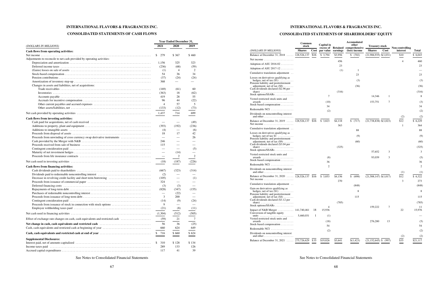# **INTERNATIONAL FLAVORS & FRAGRANCES INC.**

# **CONSOLIDATED STATEMENTS OF CASH FLOWS**

|                                                                               |                               | <b>Year Ended December 31,</b> |                                    |
|-------------------------------------------------------------------------------|-------------------------------|--------------------------------|------------------------------------|
| (DOLLARS IN MILLIONS)                                                         | 2021                          | 2020                           | 2019                               |
| Cash flows from operating activities:                                         |                               |                                |                                    |
|                                                                               | \$<br>279                     | \$ 367                         | \$460                              |
| Adjustments to reconcile to net cash provided by operating activities:        |                               |                                |                                    |
|                                                                               | 1,156                         | 325                            | 323                                |
|                                                                               | (236)                         | (68)                           | (59)                               |
|                                                                               | (1)                           | 4                              | 2                                  |
|                                                                               | 54                            | 36                             | 34                                 |
|                                                                               | (37)                          | (24)                           | (24)                               |
|                                                                               | 368                           |                                |                                    |
| Changes in assets and liabilities, net of acquisitions:                       |                               |                                |                                    |
|                                                                               | (169)                         | (61)                           | 60                                 |
|                                                                               | (363)                         | 18                             | (62)                               |
|                                                                               | 419                           | 28                             | 55                                 |
|                                                                               | 96                            | 44                             | (22)                               |
|                                                                               | $\overline{4}$                | 57                             | 5                                  |
|                                                                               | (133)                         | (12)                           | (73)                               |
|                                                                               | 1,437                         | 714                            | 699                                |
| Cash flows from investing activities:                                         |                               |                                |                                    |
|                                                                               | $\overline{\phantom{0}}$      |                                | (49)                               |
|                                                                               | (393)                         | (192)                          | (236)                              |
|                                                                               | (4)                           |                                | (6)                                |
|                                                                               | 18                            | 17                             | 42                                 |
|                                                                               |                               |                                | 26                                 |
|                                                                               | 246                           |                                | $\qquad \qquad$                    |
|                                                                               | 115                           |                                |                                    |
|                                                                               |                               |                                | (5)                                |
|                                                                               |                               | (14)                           |                                    |
|                                                                               | $\overline{\phantom{0}}$      | 2                              | $\overline{2}$                     |
|                                                                               | (18)                          | (187)                          | (226)                              |
| Cash flows from financing activities:                                         |                               |                                |                                    |
|                                                                               | (667)                         | (323)                          | (314)                              |
|                                                                               |                               |                                |                                    |
|                                                                               | (2)                           |                                | (1)                                |
|                                                                               | (105)<br>324                  | $\qquad \qquad$                |                                    |
|                                                                               |                               |                                | $\qquad \qquad$<br>$\qquad \qquad$ |
|                                                                               | (3)                           | (3)                            |                                    |
|                                                                               | (828)                         | (347)                          | (155)                              |
|                                                                               | $\overline{\phantom{0}}$<br>3 | (22)                           | $\qquad \qquad$                    |
|                                                                               |                               | 200                            |                                    |
|                                                                               | (14)<br>9                     | (9)                            | (24)                               |
|                                                                               |                               | $\overline{\phantom{0}}$       |                                    |
|                                                                               | (21)                          | (8)                            | (11)                               |
|                                                                               | (1,304)                       | (512)                          | (505)                              |
| Effect of exchange rate changes on cash, cash equivalents and restricted cash | (59)                          | 21                             | 7                                  |
|                                                                               | 56                            | 36                             | (25)                               |
| Cash, cash equivalents and restricted cash at beginning of year               | 660                           | 624                            | 649                                |
|                                                                               | \$<br>716                     | \$660                          | \$624                              |
| <b>Supplemental Disclosures:</b>                                              |                               | $=$                            |                                    |
|                                                                               | 310<br>\$                     | \$128                          | \$134                              |
|                                                                               | 289                           | 133                            | 126                                |
|                                                                               | 117                           | 41                             | 39                                 |
|                                                                               |                               |                                |                                    |

See Notes to Consolidated Financial Statements

# **INTERNATIONAL FLAVORS & FRAGRANCES INC.**

# **CONSOLIDATED STATEMENTS OF SHAREHOLDERS' EQUITY**

|                                                                                                     | Common<br>stock |              |                        |          | Capital in                              |                             | Accumulated<br>other | <b>Treasury stock</b>       |                |  |  |
|-----------------------------------------------------------------------------------------------------|-----------------|--------------|------------------------|----------|-----------------------------------------|-----------------------------|----------------------|-----------------------------|----------------|--|--|
| (DOLLARS IN MILLIONS)                                                                               | <b>Shares</b>   | Cost         | excess of<br>par value | earnings | Retained comprehensive<br>(loss) income | <b>Shares</b>               | Cost                 | Non-controlling<br>interest | Total          |  |  |
| Balance at December 31, 2018                                                                        | 128,526,137     | \$16         | \$ 3,794               | \$3,956  | \$ (702)                                | $(21,906,935)$ \$ $(1,031)$ |                      | \$10                        | \$6,043        |  |  |
| Net income $\dots\dots\dots\dots\dots\dots\dots\dots$                                               |                 |              |                        | 456      |                                         |                             |                      | 4                           | 460            |  |  |
| Adoption of ASU 2016-02 $\dots\dots\dots$                                                           |                 |              |                        | 23       |                                         |                             |                      |                             | 23             |  |  |
| Adoption of ASU 2017-12 $\dots\dots\dots$                                                           |                 |              |                        | (1)      | 1                                       |                             |                      |                             |                |  |  |
| Cumulative translation adjustment                                                                   |                 |              |                        |          | 23                                      |                             |                      |                             | 23             |  |  |
| Losses on derivatives qualifying as<br>hedges; net of tax $(\$1)$                                   |                 |              |                        |          | (3)                                     |                             |                      |                             | (3)            |  |  |
| Pension liability and postretirement<br>adjustment; net of tax $(\$8) \dots$                        |                 |              |                        |          | (36)                                    |                             |                      |                             | (36)           |  |  |
| Cash dividends declared (\$2.96 per                                                                 |                 |              |                        |          |                                         |                             |                      |                             |                |  |  |
| share)<br>Stock options/SSARs                                                                       |                 |              |                        | (316)    |                                         |                             |                      |                             | (316)<br>8     |  |  |
| Vested restricted stock units and                                                                   |                 |              | 7                      |          |                                         | 14,346                      | 1                    |                             |                |  |  |
| Stock-based compensation                                                                            |                 |              | (10)                   |          |                                         | 153,751                     | 7                    |                             | (3)            |  |  |
| Redeemable NCI                                                                                      |                 |              | 34                     |          |                                         |                             |                      |                             | 34             |  |  |
| Dividends on noncontrolling interest                                                                |                 |              | (2)                    |          |                                         |                             |                      |                             | (2)            |  |  |
| Balance at December 31, 2019  128,526,137                                                           |                 | \$16         | \$ 3,823               | \$4,118  | \$<br>(717)                             | $(21,738,838)$ \$ $(1,023)$ |                      | (2)<br>\$12                 | (2)<br>\$6,229 |  |  |
| Net income $\ldots \ldots \ldots \ldots \ldots \ldots$                                              |                 |              |                        | 363      |                                         |                             |                      | 1                           | 364            |  |  |
| Cumulative translation adjustment                                                                   |                 |              |                        |          | 88                                      |                             |                      |                             | 88             |  |  |
| Losses on derivatives qualifying as                                                                 |                 |              |                        |          |                                         |                             |                      |                             |                |  |  |
| hedges; net of tax $$1$<br>Pension liability and postretirement                                     |                 |              |                        |          | (9)                                     |                             |                      |                             | (9)            |  |  |
| adjustment; net of tax $($ 9) \ldots<br>Cash dividends declared (\$3.04 per                         |                 |              |                        |          | (60)                                    |                             |                      |                             | (60)           |  |  |
| share) $\ldots \ldots \ldots \ldots \ldots \ldots \ldots$<br>Stock options/SSARs                    |                 |              |                        | (325)    |                                         | 57,652                      | 3                    |                             | (325)<br>3     |  |  |
| Vested restricted stock units and                                                                   |                 |              |                        |          |                                         |                             |                      |                             |                |  |  |
| awards<br>Stock-based compensation                                                                  |                 |              | (8)                    |          |                                         | 93,039                      | 3                    |                             | (5)            |  |  |
| Redeemable NCI                                                                                      |                 |              | 36                     |          |                                         |                             |                      |                             | 36             |  |  |
| Dividends on noncontrolling interest                                                                |                 |              | 2                      |          |                                         |                             |                      |                             | $\overline{2}$ |  |  |
|                                                                                                     |                 |              |                        |          |                                         |                             |                      | (1)                         | (1)            |  |  |
| Balance at December 31, 2020  128,526,137<br>Net income $\ldots \ldots \ldots \ldots \ldots \ldots$ |                 | \$16         | \$ 3,853               | \$4,156  | \$<br>(698)                             | $(21,588,147)$ \$ $(1,017)$ |                      | \$12                        | \$6,322        |  |  |
| Cumulative translation adjustment                                                                   |                 |              |                        | 270      |                                         |                             |                      | 3                           | 273            |  |  |
| Gain on derivatives qualifying as                                                                   |                 |              |                        |          | (848)                                   |                             |                      |                             | (848)          |  |  |
| hedges; net of tax $(\$1)$<br>Pension liability and postretirement                                  |                 |              |                        |          | 8                                       |                             |                      |                             | 8              |  |  |
| adjustment; net of tax $(\$4)$<br>Cash dividends declared (\$3.12 per                               |                 |              |                        |          | 115                                     |                             |                      |                             | 115            |  |  |
| share)<br>Stock options/SSARs                                                                       |                 |              |                        | (785)    |                                         |                             |                      |                             | (785)          |  |  |
| Impact of N&B Merger  141,740,461                                                                   |                 | 18           | 4<br>15,936            |          |                                         | 159,222                     | 7                    | 22                          | 11<br>15,976   |  |  |
| Conversion of tangible equity<br>units $\ldots \ldots \ldots \ldots$                                | 5,460,031       | $\mathbf{1}$ | (1)                    |          |                                         |                             |                      |                             |                |  |  |
| Vested restricted stock units and                                                                   |                 |              | (18)                   |          |                                         | 276,280                     | 13                   |                             | (5)            |  |  |
| Stock-based compensation                                                                            |                 |              | 54                     |          |                                         |                             |                      |                             | 54             |  |  |
| Redeemable NCI                                                                                      |                 |              | (2)                    |          |                                         |                             |                      |                             | (2)            |  |  |
| Dividends on noncontrolling interest                                                                |                 |              |                        |          |                                         |                             |                      | (2)                         | (2)            |  |  |
| Balance at December 31, 2021                                                                        | 275,726,629     | \$35         | \$19,826               | \$3,641  | \$(1,423)                               | $(21, 152, 645)$ \$         | (997)                | $\overline{$35}$            | \$21,117       |  |  |

See Notes to Consolidated Financial Statements

68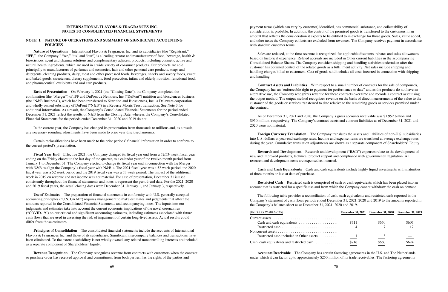# **INTERNATIONAL FLAVORS & FRAGRANCES INC. NOTES TO CONSOLIDATED FINANCIAL STATEMENTS**

# **NOTE 1. NATURE OF OPERATIONS AND SUMMARY OF SIGNIFICANT ACCOUNTING POLICIES**

**Nature of Operations** International Flavors & Fragrances Inc. and its subsidiaries (the "Registrant," "IFF," "the Company," "we," "us" and "our") is a leading creator and manufacturer of food, beverage, health & biosciences, scent and pharma solutions and complementary adjacent products, including cosmetic active and natural health ingredients, which are used in a wide variety of consumer products. Our products are sold principally to manufacturers of perfumes and cosmetics, hair and other personal care products, soaps and detergents, cleaning products, dairy, meat and other processed foods, beverages, snacks and savory foods, sweet and baked goods, sweeteners, dietary supplements, food protection, infant and elderly nutrition, functional food, and pharmaceutical excipients and oral care products.

**Basis of Presentation** On February 1, 2021 (the "Closing Date"), the Company completed the combination (the "Merger") of IFF and DuPont de Nemours, Inc ("DuPont") nutrition and biosciences business (the "N&B Business"), which had been transferred to Nutrition and Biosciences, Inc., a Delaware corporation and wholly owned subsidiary of DuPont ("N&B") in a Reverse Morris Trust transaction. See Note 3 for additional information. As a result, the Company's Consolidated Financial Statements for the period ended December 31, 2021 reflect the results of N&B from the Closing Date, whereas the Company's Consolidated Financial Statements for the periods ended December 31, 2020 and 2019 do not.

In the current year, the Company has changed its presentation from thousands to millions and, as a result, any necessary rounding adjustments have been made to prior year disclosed amounts.

Certain reclassifications have been made to the prior periods' financial information in order to conform to the current period's presentation.

**Fiscal Year End** Effective 2021, the Company changed its fiscal year end from a 52/53-week fiscal year ending on the Friday closest to the last day of the quarter, to a calendar year of the twelve-month period from January 1 to December 31. The Company elected to change its fiscal year end in connection with the Merger with N&B to align the Company's fiscal year with N&B's. The 2021 fiscal year was a 52 week period, the 2020 fiscal year was a 52 week period and the 2019 fiscal year was a 53 week period. The impact of the additional week in 2019 on revenue and net income was not material. For ease of presentation, December 31 is used consistently throughout the financial statements and notes to represent the period-end date. For the 2021, 2020 and 2019 fiscal years, the actual closing dates were December 31, January 1, and January 3, respectively.

**Use of Estimates** The preparation of financial statements in conformity with U.S. generally accepted accounting principles ("U.S. GAAP") requires management to make estimates and judgments that affect the amounts reported in the Consolidated Financial Statements and accompanying notes. The inputs into our judgments and estimates take into account the current economic implications of the novel coronavirus ("COVID-19") on our critical and significant accounting estimates, including estimates associated with future cash flows that are used in assessing the risk of impairment of certain long-lived assets. Actual results could differ from those estimates.

**Restricted Cash** Restricted cash is comprised of cash or cash equivalents which has been placed into an account that is restricted for a specific use and from which the Company cannot withdraw the cash on demand.

**Principles of Consolidation** The consolidated financial statements include the accounts of International Flavors & Fragrances Inc. and those of its subsidiaries. Significant intercompany balances and transactions have been eliminated. To the extent a subsidiary is not wholly owned, any related noncontrolling interests are included as a separate component of Shareholders' Equity.

**Revenue Recognition** The Company recognizes revenue from contracts with customers when the contract or purchase order has received approval and commitment from both parties, has the rights of the parties and

payment terms (which can vary by customer) identified, has commercial substance, and collectability of consideration is probable. In addition, the control of the promised goods is transferred to the customers in an amount that reflects the consideration it expects to be entitled to in exchange for those goods. Sales, value added, and other taxes the Company collects are excluded from revenues. The Company receives payment in accordance with standard customer terms.

Sales are reduced, at the time revenue is recognized, for applicable discounts, rebates and sales allowances based on historical experience. Related accruals are included in Other current liabilities in the accompanying Consolidated Balance Sheets. The Company considers shipping and handling activities undertaken after the customer has obtained control of the related goods as a fulfillment activity. Net sales include shipping and handling charges billed to customers. Cost of goods sold includes all costs incurred in connection with shipping and handling.

**Contract Assets and Liabilities** With respect to a small number of contracts for the sale of compounds, the Company has an "enforceable right to payment for performance to date" and as the products do not have an alternative use, the Company recognizes revenue for these contracts over time and records a contract asset using the output method. The output method recognizes revenue on the basis of direct measurements of the value to the customer of the goods or services transferred to date relative to the remaining goods or services promised under the contract.

As of December 31, 2021 and 2020, the Company's gross accounts receivable was \$1.952 billion and \$950 million, respectively. The Company's contract assets and contract liabilities as of December 31, 2021 and 2020 were not material.

**Foreign Currency Translation** The Company translates the assets and liabilities of non-U.S. subsidiaries into U.S. dollars at year-end exchange rates. Income and expense items are translated at average exchange rates during the year. Cumulative translation adjustments are shown as a separate component of Shareholders' Equity.

**Research and Development** Research and development ("R&D") expenses relate to the development of new and improved products, technical product support and compliance with governmental regulation. All research and development costs are expensed as incurred.

**Cash and Cash Equivalents** Cash and cash equivalents include highly liquid investments with maturities of three months or less at date of purchase.

The following table provides a reconciliation of cash, cash equivalents and restricted cash reported in the Company's statement of cash flows periods ended December 31, 2021, 2020 and 2019 to the amounts reported in the Company's balance sheet as at December 31, 2021, 2020 and 2019.

# *(DOLLARS IN MILLIONS)* **December 31, 2021 December 31, 2020 December 31, 2019**

| Cash and cash equivalents $\dots \dots \dots \dots \dots \dots$                       | \$711 | \$650 | \$607 |
|---------------------------------------------------------------------------------------|-------|-------|-------|
|                                                                                       |       |       | 17    |
| Noncurrent assets $\dots \dots \dots \dots \dots \dots \dots \dots \dots \dots \dots$ |       |       |       |
| Restricted cash included in Other assets                                              |       |       |       |
| Cash, cash equivalents and restricted cash $\dots \dots \dots$                        | \$716 | \$660 | \$624 |

**Accounts Receivable** The Company has certain factoring agreements in the U.S. and The Netherlands under which it can factor up to approximately \$250 million of its trade receivables. The factoring agreements

| <b>December 31, 2021</b> | <b>December 31, 2020</b> | <b>December 31, 2019</b> |
|--------------------------|--------------------------|--------------------------|
| \$711                    | \$650                    | \$607                    |
|                          |                          | 17                       |
|                          | 3                        |                          |
| \$716                    | \$660                    |                          |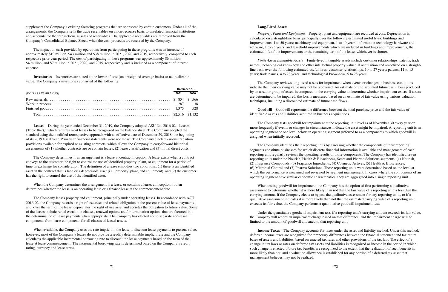supplement the Company's existing factoring programs that are sponsored by certain customers. Under all of the arrangements, the Company sells the trade receivables on a non-recourse basis to unrelated financial institutions and accounts for the transactions as sales of receivables. The applicable receivables are removed from the Company's Consolidated Balance Sheets when the cash proceeds are received by the Company.

The impact on cash provided by operations from participating in these programs was an increase of approximately \$19 million, \$43 million and \$38 million in 2021, 2020 and 2019, respectively, compared to each respective prior year period. The cost of participating in these programs was approximately \$6 million, \$4 million, and \$7 million in 2021, 2020, and 2019, respectively and is included as a component of interest expense.

**Inventories** Inventories are stated at the lower of cost (on a weighted-average basis) or net realizable value. The Company's inventories consisted of the following:

|                       |      | December 31. |
|-----------------------|------|--------------|
| (DOLLARS IN MILLIONS) | 2021 | 2020         |
|                       |      |              |
|                       |      |              |
|                       |      |              |
|                       |      |              |

**Leases** During the year ended December 31, 2019, the Company adopted ASU No. 2016-02, "Leases (Topic 842)," which requires most leases to be recognized on the balance sheet. The Company adopted the standard using the modified retrospective approach with an effective date of December 29, 2018, the beginning of its 2019 fiscal year. Prior year financial statements were not recast. The Company elected various transition provisions available for expired or existing contracts, which allows the Company to carryforward historical assessments of (1) whether contracts are or contain leases, (2) lease classification and (3) initial direct costs.

When available, the Company uses the rate implicit in the lease to discount lease payments to present value, however, most of the Company's leases do not provide a readily determinable implicit rate and the Company calculates the applicable incremental borrowing rate to discount the lease payments based on the term of the lease at lease commencement. The incremental borrowing rate is determined based on the Company's credit rating, currency and lease terms.

The Company determines if an arrangement is a lease at contract inception. A lease exists when a contract conveys to the customer the right to control the use of identified property, plant, or equipment for a period of time in exchange for consideration. The definition of a lease embodies two conditions: (1) there is an identified asset in the contract that is land or a depreciable asset (i.e., property, plant, and equipment), and (2) the customer has the right to control the use of the identified asset.

When the Company determines the arrangement is a lease, or contains a lease, at inception, it then determines whether the lease is an operating lease or a finance lease at the commencement date.

The Company leases property and equipment, principally under operating leases. In accordance with ASU 2016-02, the Company records a right of use asset and related obligation at the present value of lease payments and, over the term of the lease, depreciates the right of use asset and accretes the obligation to future value. Some of the leases include rental escalation clauses, renewal options and/or termination options that are factored into the determination of lease payments when appropriate. The Company has elected not to separate non-lease components from lease components for all classes of leased assets.

## **Long-Lived Assets**

*Property, Plant and Equipment* Property, plant and equipment are recorded at cost. Depreciation is calculated on a straight-line basis, principally over the following estimated useful lives: buildings and improvements, 1 to 50 years; machinery and equipment, 1 to 40 years; information technology hardware and software, 1 to 23 years; and leasehold improvements which are included in buildings and improvements, the estimated life of the improvements or the remaining term of the lease, whichever is shorter.

*Finite-Lived Intangible Assets* Finite-lived intangible assets include customer relationships, patents, trade names, technological know-how and other intellectual property valued at acquisition and amortized on a straightline basis over the following estimated useful lives: customer relationships, 10 to 27 years; patents, 11 to 15 years; trade names, 4 to 28 years; and technological know-how, 5 to 28 years.

The Company reviews long-lived assets for impairment when events or changes in business conditions indicate that their carrying value may not be recovered. An estimate of undiscounted future cash flows produced by an asset or group of assets is compared to the carrying value to determine whether impairment exists. If assets are determined to be impaired, the loss is measured based on an estimate of fair value using various valuation techniques, including a discounted estimate of future cash flows.

**Goodwill** Goodwill represents the difference between the total purchase price and the fair value of identifiable assets and liabilities acquired in business acquisitions.

The Company tests goodwill for impairment at the reporting unit level as of November 30 every year or more frequently if events or changes in circumstances indicate the asset might be impaired. A reporting unit is an operating segment or one level below an operating segment (referred to as a component) to which goodwill is assigned when initially recorded.

The Company identifies their reporting units by assessing whether the components of their reporting segments constitute businesses for which discrete financial information is available and management of each reporting unit regularly reviews the operating results of those components. The Company has identified seven reporting units under the Nourish, Health & Biosciences, Scent and Pharma Solutions segments: (1) Nourish, (2) Fragrance Compounds, (3) Fragrance Ingredients, (4) Cosmetic Actives, (5) Health & Biosciences, (6) Microbial Control and (7) Pharma Solutions. These reporting units were determined based on the level at which the performance is measured and reviewed by segment management. In cases where the components of an operating segment have similar economic characteristics, they are aggregated into a single reporting unit.

When testing goodwill for impairment, the Company has the option of first performing a qualitative assessment to determine whether it is more likely than not that the fair value of a reporting unit is less than the carrying amount. If the Company elects to bypass the qualitative assessment for any reporting units, or if a qualitative assessment indicates it is more likely than not that the estimated carrying value of a reporting unit exceeds its fair value, the Company performs a quantitative goodwill impairment test.

Under the quantitative goodwill impairment test, if a reporting unit's carrying amount exceeds its fair value, the Company will record an impairment charge based on that difference, and the impairment charge will be limited to the amount of goodwill allocated to that reporting unit.

**Income Taxes** The Company accounts for taxes under the asset and liability method. Under this method, deferred income taxes are recognized for temporary differences between the financial statement and tax return bases of assets and liabilities, based on enacted tax rates and other provisions of the tax law. The effect of a change in tax laws or rates on deferred tax assets and liabilities is recognized as income in the period in which such change is enacted. Future tax benefits are recognized to the extent that the realization of such benefits is more likely than not, and a valuation allowance is established for any portion of a deferred tax asset that management believes may not be realized.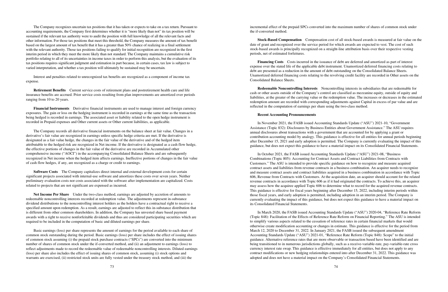The Company recognizes uncertain tax positions that it has taken or expects to take on a tax return. Pursuant to accounting requirements, the Company first determines whether it is "more likely than not" its tax position will be sustained if the relevant tax authority were to audit the position with full knowledge of all the relevant facts and other information. For those tax positions that meet this threshold, the Company measures the amount of tax benefit based on the largest amount of tax benefit that it has a greater than 50% chance of realizing in a final settlement with the relevant authority. Those tax positions failing to qualify for initial recognition are recognized in the first interim period in which they meet the more likely than not standard. The Company maintains a cumulative risk portfolio relating to all of its uncertainties in income taxes in order to perform this analysis, but the evaluation of its tax positions requires significant judgment and estimation in part because, in certain cases, tax law is subject to varied interpretation, and whether a tax position will ultimately be sustained may be uncertain.

Interest and penalties related to unrecognized tax benefits are recognized as a component of income tax expense.

**Retirement Benefits** Current service costs of retirement plans and postretirement health care and life insurance benefits are accrued. Prior service costs resulting from plan improvements are amortized over periods ranging from 10 to 20 years.

**Financial Instruments** Derivative financial instruments are used to manage interest and foreign currency exposures. The gain or loss on the hedging instrument is recorded in earnings at the same time as the transaction being hedged is recorded in earnings. The associated asset or liability related to the open hedge instrument is recorded in Prepaid expenses and Other current assets or Other current liabilities, as applicable.

The Company records all derivative financial instruments on the balance sheet at fair value. Changes in a derivative's fair value are recognized in earnings unless specific hedge criteria are met. If the derivative is designated as a fair value hedge, the changes in the fair value of the derivative and of the hedged item attributable to the hedged risk are recognized in Net income. If the derivative is designated as a cash flow hedge, the effective portions of changes in the fair value of the derivative are recorded in Accumulated other comprehensive income ("AOCI") in the accompanying Consolidated Balance Sheets and are subsequently recognized in Net income when the hedged item affects earnings. Ineffective portions of changes in the fair value of cash flow hedges, if any, are recognized as a charge or credit to earnings.

**Software Costs** The Company capitalizes direct internal and external development costs for certain significant projects associated with internal-use software and amortizes these costs over seven years. Neither preliminary evaluation costs nor costs associated with the software after implementation are capitalized. Costs related to projects that are not significant are expensed as incurred.

**Net Income Per Share** Under the two-class method, earnings are adjusted by accretion of amounts to redeemable noncontrolling interests recorded at redemption value. The adjustments represent in-substance dividend distributions to the noncontrolling interest holders as the holders have a contractual right to receive a specified amount upon redemption. As a result, earnings are adjusted to reflect this in-substance distribution that is different from other common shareholders. In addition, the Company has unvested share based payment awards with a right to receive nonforfeitable dividends and thus are considered participating securities which are required to be included in the computation of basic and diluted earnings per share.

Basic earnings (loss) per share represents the amount of earnings for the period available to each share of common stock outstanding during the period. Basic earnings (loss) per share includes the effect of issuing shares of common stock assuming (i) the prepaid stock purchase contracts ("SPCs") are converted into the minimum number of shares of common stock under the if-converted method, and (ii) an adjustment to earnings (loss) to reflect adjustments made to record the redeemable value of redeemable noncontrolling interests. Diluted earnings (loss) per share also includes the effect of issuing shares of common stock, assuming (i) stock options and warrants are exercised, (ii) restricted stock units are fully vested under the treasury stock method, and (iii) the

incremental effect of the prepaid SPCs converted into the maximum number of shares of common stock under the if-converted method.

**Stock-Based Compensation** Compensation cost of all stock-based awards is measured at fair value on the date of grant and recognized over the service period for which awards are expected to vest. The cost of such stock-based awards is principally recognized on a straight-line attribution basis over their respective vesting periods, net of estimated forfeitures.

**Financing Costs** Costs incurred in the issuance of debt are deferred and amortized as part of interest expense over the stated life of the applicable debt instrument. Unamortized deferred financing costs relating to debt are presented as a reduction in the amount of debt outstanding on the Consolidated Balance Sheets. Unamortized deferred financing costs relating to the revolving credit facility are recorded in Other assets on the Consolidated Balance Sheets.

**Redeemable Noncontrolling Interests** Noncontrolling interests in subsidiaries that are redeemable for cash or other assets outside of the Company's control are classified as mezzanine equity, outside of equity and liabilities, at the greater of the carrying value or the redemption value. The increases or decreases in the estimated redemption amount are recorded with corresponding adjustments against Capital in excess of par value and are reflected in the computation of earnings per share using the two-class method.

# **Recent Accounting Pronouncements**

In November 2021, the FASB issued Accounting Standards Update ("ASU") 2021-10, "Government Assistance (Topic 832): Disclosures by Business Entities about Government Assistance." The ASU requires annual disclosures about transactions with a government that are accounted for by applying a grant or contribution accounting model by analogy. This guidance is effective for all entities for annual periods beginning after December 15, 2021 and early adoption is permitted. The Company is currently evaluating the impact of this guidance, but does not expect this guidance to have a material impact on its Consolidated Financial Statements.

In October 2021, the FASB issued Accounting Standards Update ("ASU") 2021-08, "Business Combinations (Topic 805): Accounting for Contract Assets and Contract Liabilities from Contracts with Customers." The ASU is intended to provide specific guidance on how to recognize and measure acquired contract assets and liabilities from revenue contracts in a business combination. An acquirer needs to recognize and measure contract assets and contract liabilities acquired in a business combination in accordance with Topic 606, Revenue from Contracts with Customers. At the acquisition date, an acquirer should account for the related revenue contracts in accordance with Topic 606 as if it had originated the contracts. To achieve this, an acquirer may assess how the acquiree applied Topic 606 to determine what to record for the acquired revenue contracts. This guidance is effective for fiscal years beginning after December 15, 2022, including interim periods within those fiscal years, and early adoption is permitted, including adoption in an interim period. The Company is currently evaluating the impact of this guidance, but does not expect this guidance to have a material impact on its Consolidated Financial Statements.

In March 2020, the FASB issued Accounting Standards Update ("ASU") 2020-04, "Reference Rate Reform (Topic 848): Facilitation of the Effects of Reference Rate Reform on Financial Reporting." The ASU is intended to simplify various aspects related to the cessation of reference rates in certain financial markets that would otherwise create modification accounting or changes in estimate. This guidance is effective for the period from March 12, 2020 to December 31, 2022. In January 2021, the FASB issued the subsequent amendment Accounting Standards Update ("ASU") 2021-01, "Reference Rate Reform (Topic 848): Scope" to the initial guidance. Alternative reference rates that are more observable or transaction based have been identified and are being transitioned to in numerous jurisdictions globally, such as a receive-variable-rate, pay-variable-rate cross currency interest rate swap. This guidance is effective immediately for all entities, but does not apply to any contract modifications or new hedging relationships entered into after December 31, 2022. This guidance was adopted and does not have a material impact on the Company's Consolidated Financial Statements.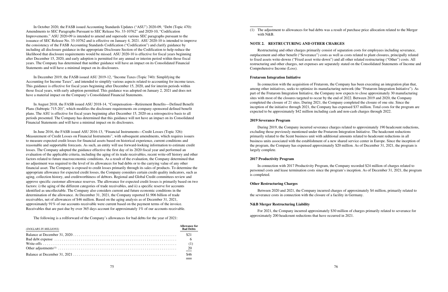In October 2020, the FASB issued Accounting Standards Updates ("ASU") 2020-09, "Debt (Topic 470): Amendments to SEC Paragraphs Pursuant to SEC Release No. 33-10762" and 2020-10, "Codification Improvements." ASU 2020-09 is intended to amend and supersede various SEC paragraphs pursuant to the issuance of SEC Release No. 33-10762 and is effective on January 4, 2021. ASU 2020-10 is intended to improve the consistency of the FASB Accounting Standards Codification ("Codification") and clarify guidance by including all disclosure guidance in the appropriate Disclosure Section of the Codification to help reduce the likelihood that disclosure requirements would be missed. ASU 2020-10 is effective for fiscal years beginning after December 15, 2020, and early adoption is permitted for any annual or interim period within those fiscal years. The Company has determined that neither guidance will have an impact on its Consolidated Financial Statements and will have a minimal impact on its disclosures.

In December 2019, the FASB issued ASU 2019-12, "Income Taxes (Topic 740): Simplifying the Accounting for Income Taxes", and intended to simplify various aspects related to accounting for income taxes. This guidance is effective for fiscal years beginning after December 15, 2020, and for interim periods within those fiscal years, with early adoption permitted. This guidance was adopted on January 2, 2021 and does not have a material impact on the Company's Consolidated Financial Statements.

In August 2018, the FASB issued ASU 2018-14, "Compensation—Retirement Benefits—Defined Benefit Plans (Subtopic 715-20)", which modifies the disclosure requirements on company-sponsored defined benefit plans. The ASU is effective for fiscal years beginning after December 15, 2020 on a retrospective basis to all periods presented. The Company has determined that this guidance will not have an impact on its Consolidated Financial Statements and will have a minimal impact on its disclosures.

In June 2016, the FASB issued ASU 2016-13, "Financial Instruments—Credit Losses (Topic 326): Measurement of Credit Losses on Financial Instruments", with subsequent amendments, which requires issuers to measure expected credit losses for financial assets based on historical experience, current conditions and reasonable and supportable forecasts. As such, an entity will use forward-looking information to estimate credit losses. The Company adopted the guidance effective the first day of its 2020 fiscal year and performed an evaluation of the applicable criteria, including the aging of its trade receivables, recent write-off history and other factors related to future macroeconomic conditions. As a result of the evaluation, the Company determined that no adjustment was required to the level of its allowances for bad debts or to the carrying value of any other financial asset. The Company is exposed to credit losses primarily through its sales of products. To determine the appropriate allowance for expected credit losses, the Company considers certain credit quality indicators, such as aging, collection history, and creditworthiness of debtors. Regional and Global Credit committees review and approve specific customer allowance reserves. The allowance for expected credit losses is primarily based on two factors: i) the aging of the different categories of trade receivables, and ii) a specific reserve for accounts identified as uncollectable. The Company also considers current and future economic conditions in the determination of the allowance. At December 31, 2021, the Company reported \$1.906 billion of trade receivables, net of allowances of \$46 million. Based on the aging analysis as of December 31, 2021, approximately 91% of our accounts receivable were current based on the payment terms of the invoice. Receivables that are past due by over 365 days account for approximately 1% of our accounts receivable.

The following is a rollforward of the Company's allowances for bad debts for the year of 2021:

|      | (DOLLARS IN MILLIONS) | <b>Allowance for</b><br><b>Bad Debts</b> |
|------|-----------------------|------------------------------------------|
|      |                       |                                          |
|      |                       |                                          |
|      |                       |                                          |
|      |                       |                                          |
| \$46 |                       |                                          |

(1) The adjustment to allowances for bad debts was a result of purchase price allocation related to the Merger with N&B.

### **NOTE 2. RESTRUCTURING AND OTHER CHARGES**

Restructuring and other charges primarily consist of separation costs for employees including severance, outplacement and other benefit ("Severance") costs as well as costs related to plant closures, principally related to fixed assets write-downs ("Fixed asset write-down") and all other related restructuring ("Other") costs. All restructuring and other charges, net expenses are separately stated on the Consolidated Statements of Income and Comprehensive Income (Loss).

# **Frutarom Integration Initiative**

In connection with the acquisition of Frutarom, the Company has been executing an integration plan that, among other initiatives, seeks to optimize its manufacturing network (the "Frutarom Integration Initiative"). As part of the Frutarom Integration Initiative, the Company now expects to close approximately 30 manufacturing sites with most of the closures targeted to occur by the end of 2022. Between 2019 and 2020, the Company completed the closure of 21 sites. During 2021, the Company completed the closure of one site. Since the inception of the initiative through 2021, the Company has expensed \$37 million. Total costs for the program are expected to be approximately \$42 million including cash and non-cash charges through 2022.

# **2019 Severance Program**

During 2019, the Company incurred severance charges related to approximately 190 headcount reductions, excluding those previously mentioned under the Frutarom Integration Initiative. The headcount reductions primarily related to the Scent business unit with additional amounts related to headcount reductions in all business units associated with the establishment of a new shared service center in Europe. Since the inception of the program, the Company has expensed approximately \$20 million. As of December 31, 2021, the program is largely complete.

# **2017 Productivity Program**

In connection with 2017 Productivity Program, the Company recorded \$24 million of charges related to personnel costs and lease termination costs since the program's inception. As of December 31, 2021, the program is completed.

# **Other Restructuring Charges**

Between 2020 and 2021, the Company incurred charges of approximately \$4 million, primarily related to the severance costs in connection with the closure of a facility in Germany.

# **N&B Merger Restructuring Liability**

For 2021, the Company incurred approximately \$30 million of charges primarily related to severance for approximately 200 headcount reductions that have occurred in 2021.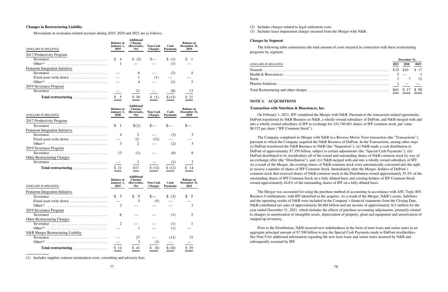### **Changes in Restructuring Liability**

Movements in severance-related accruals during 2019, 2020 and 2021 are as follows:

| (DOLLARS IN MILLIONS)                                               | <b>Balance at</b><br>January 1,<br>2019 | <b>Additional</b><br><b>Charges</b><br>(Reversals),<br><b>Net</b> | <b>Non-Cash</b><br><b>Charges</b> | Cash<br><b>Payments</b> | <b>Balance at</b><br>December 31,<br>2019 |
|---------------------------------------------------------------------|-----------------------------------------|-------------------------------------------------------------------|-----------------------------------|-------------------------|-------------------------------------------|
| 2017 Productivity Program                                           |                                         |                                                                   |                                   |                         |                                           |
| Severance $\ldots \ldots \ldots \ldots \ldots \ldots \ldots \ldots$ | $\frac{1}{2}$ 4                         | (2)                                                               |                                   | (1)                     | S.                                        |
| Other <sup>(1)</sup>                                                |                                         |                                                                   |                                   | (1)                     |                                           |
| Frutarom Integration Initiative                                     |                                         |                                                                   |                                   |                         |                                           |
| Severance $\ldots \ldots \ldots \ldots \ldots \ldots \ldots \ldots$ |                                         | 6                                                                 |                                   | (2)                     |                                           |
| Fixed asset write down                                              |                                         |                                                                   | (1)                               |                         |                                           |
| Other <sup>(1)</sup>                                                |                                         | 4                                                                 |                                   |                         |                                           |
| 2019 Severance Program                                              |                                         |                                                                   |                                   |                         |                                           |
| Severance                                                           |                                         | 21                                                                |                                   | (8)                     |                                           |
| Total restructuring                                                 |                                         | \$30                                                              |                                   | \$(13)                  | \$21                                      |

| (DOLLARS IN MILLIONS)                                               | <b>Balance at</b><br>January 1,<br>2020 | <b>Additional</b><br><b>Charges</b><br>(Reversals),<br><b>Net</b> | <b>Non-Cash</b><br><b>Charges</b> | Cash<br><b>Payments</b> | <b>Balance at</b><br>December 31,<br>2020 |
|---------------------------------------------------------------------|-----------------------------------------|-------------------------------------------------------------------|-----------------------------------|-------------------------|-------------------------------------------|
| 2017 Productivity Program                                           |                                         |                                                                   |                                   |                         |                                           |
| Severance $\ldots \ldots \ldots \ldots \ldots \ldots \ldots \ldots$ | $\frac{1}{2}$                           | $\$(1)$                                                           |                                   |                         |                                           |
| Frutarom Integration Initiative                                     |                                         |                                                                   |                                   |                         |                                           |
| Severance                                                           | 4                                       | 2                                                                 |                                   | (3)                     |                                           |
| Fixed asset write down $\dots\dots\dots\dots\dots\dots$             |                                         | 12                                                                | (12)                              |                         |                                           |
| $Other(1)$                                                          | 3                                       | 2                                                                 |                                   | (2)                     |                                           |
| 2019 Severance Program                                              |                                         |                                                                   |                                   |                         |                                           |
| Severance $\ldots \ldots \ldots \ldots \ldots \ldots \ldots \ldots$ | 13                                      | (1)                                                               |                                   | (6)                     |                                           |
| <b>Other Restructuring Charges</b>                                  |                                         |                                                                   |                                   |                         |                                           |
| Severance                                                           |                                         |                                                                   |                                   |                         |                                           |
| Total restructuring                                                 | 21                                      | \$17                                                              | (12)                              |                         |                                           |

| (DOLLARS IN MILLIONS)                                               | <b>Balance at</b><br>January 1,<br>2021 | <b>Additional</b><br><b>Charges</b><br>(Reversals),<br><b>Net</b> | Non-Cash<br><b>Charges</b> | Cash<br><b>Payments</b> | <b>Balance at</b><br>December 31,<br>2021 |
|---------------------------------------------------------------------|-----------------------------------------|-------------------------------------------------------------------|----------------------------|-------------------------|-------------------------------------------|
| Frutarom Integration Initiative                                     |                                         |                                                                   |                            |                         |                                           |
| Severance                                                           | $\frac{1}{2}$                           | $\frac{1}{2}$ 5                                                   |                            | $\frac{1}{2}$ (3)       |                                           |
| Fixed asset write down                                              |                                         |                                                                   | (5)                        |                         |                                           |
| $Other(1)$                                                          | 3                                       |                                                                   |                            |                         |                                           |
| 2019 Severance Program                                              |                                         |                                                                   |                            |                         |                                           |
| Severance $\ldots \ldots \ldots \ldots \ldots \ldots \ldots \ldots$ | 6                                       |                                                                   |                            | (1)                     |                                           |
| Other Restructuring Charges                                         |                                         |                                                                   |                            |                         |                                           |
| Severance $\ldots \ldots \ldots \ldots \ldots \ldots \ldots \ldots$ |                                         |                                                                   |                            | (1)                     |                                           |
| $Other^{(2)}$                                                       |                                         |                                                                   |                            | (1)                     |                                           |
| N&B Merger Restructuring Liability                                  |                                         |                                                                   |                            |                         |                                           |
| Severance $\ldots \ldots \ldots \ldots \ldots \ldots \ldots \ldots$ |                                         | 27                                                                |                            | (12)                    | 15                                        |
| $Other^{(3)}$                                                       |                                         | 3                                                                 | (3)                        |                         |                                           |
| Total restructuring                                                 | 14                                      | 41                                                                | (8)                        | \$(18)                  | -29                                       |

(1) Includes supplier contract termination costs, consulting and advisory fees.

- (2) Includes charges related to legal settlement costs.
- (3) Includes lease impairment charges incurred from the Merger with N&B.

### **Charges by Segment**

The following table summarizes the total amount of costs incurred in connection with these restructuring programs by segment:

|                       |      | December 31. |      |  |
|-----------------------|------|--------------|------|--|
| (DOLLARS IN MILLIONS) | 2021 | 2020         | 2019 |  |
|                       |      |              |      |  |
|                       |      |              |      |  |
|                       |      |              |      |  |
|                       |      |              |      |  |
|                       |      |              |      |  |

### **NOTE 3. ACQUISITIONS**

### **Transaction with Nutrition & Biosciences, Inc.**

On February 1, 2021, IFF completed the Merger with N&B. Pursuant to the transaction related agreements, DuPont transferred its N&B Business to N&B, a wholly-owned subsidiary of DuPont, and N&B merged with and into a wholly owned subsidiary of IFF in exchange for 141,740,461 shares of IFF common stock, par value \$0.125 per share ("IFF Common Stock").

The Company completed its Merger with N&B in a Reverse Morris Trust transaction (the "Transactions"), pursuant to which the Company acquired the N&B Business of DuPont. In the Transactions, among other steps (i) DuPont transferred the N&B Business to N&B (the "Separation"); (ii) N&B made a cash distribution to DuPont of approximately \$7.359 billion, subject to certain adjustments (the "Special Cash Payments"); (iii) DuPont distributed to its stockholders all of the issued and outstanding shares of N&B common stock by way of an exchange offer (the "Distribution"), and; (iv) N&B merged with and into a wholly owned subsidiary of IFF. As a result of the Merger, the existing shares of N&B common stock were automatically converted into the right to receive a number of shares of IFF Common Stock. Immediately after the Merger, holders of DuPont's common stock that received shares of N&B common stock in the Distribution owned approximately 55.4% of the outstanding shares of IFF Common Stock on a fully diluted basis and existing holders of IFF Common Stock owned approximately 44.6% of the outstanding shares of IFF on a fully diluted basis.

The Merger was accounted for using the purchase method of accounting in accordance with ASC Topic 805, Business Combinations, with IFF identified as the acquirer. As a result of the Merger, N&B's assets, liabilities and the operating results of N&B were included in the Company's financial statements from the Closing Date. N&B contributed net sales of approximately \$6.084 billion and net income of approximately \$11 million for the year ended December 31, 2021, which includes the effects of purchase accounting adjustments, primarily related to changes in amortization of intangible assets, depreciation of property, plant and equipment and amortization of stepped up inventory.

Prior to the Distribution, N&B incurred new indebtedness in the form of term loans and senior notes in an aggregate principal amount of \$7.500 billion to pay the Special Cash Payments made to DuPont stockholders. See Note 9 for additional information regarding the new term loans and senior notes incurred by N&B and subsequently assumed by IFF.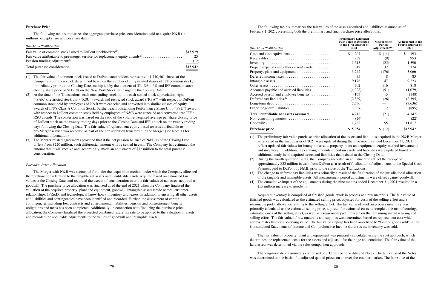# **Purchase Price**

The following table summarizes the aggregate purchase price consideration paid to acquire N&B (in millions, except share and per share data):

### *(DOLLARS IN MILLIONS)*

- (1) The fair value of common stock issued to DuPont stockholders represents 141,740,461 shares of the Company's common stock determined based on the number of fully diluted shares of IFF common stock, immediately prior to the Closing Date, multiplied by the quotient of 55.4%/44.6% and IFF common stock closing share price of \$112.38 on the New York Stock Exchange on the Closing Date.
- (2) At the time of the Transactions, each outstanding stock option, cash-settled stock appreciation right ("SAR"), restricted stock unit ("RSU") award, and restricted stock award ("RSA") with respect to DuPont common stock held by employees of N&B were canceled and converted into similar classes of equity awards of IFF's Class A Common Stock. Further, each outstanding Performance Share Unit ("PSU") award with respect to DuPont common stock held by employees of N&B were canceled and converted into IFF's RSU awards. The conversion was based on the ratio of the volume-weighted average per share closing price of DuPont stock on the twenty trading days prior to the Closing Date and IFF's stock on the twenty trading days following the Closing Date. The fair value of replacement equity-based awards attributable to pre-Merger service was recorded as part of the consideration transferred in the Merger (see Note 13 for additional information).
- (3) The Merger related agreements provided that if the net pension balance of N&B as of the Closing Date differs from \$220 million, such differential amount will be settled in cash. The Company has estimated the amount that it will receive and, accordingly, made an adjustment of \$12 million to the total purchase consideration.

# *Purchase Price Allocation*

The Merger with N&B was accounted for under the acquisition method under which the Company allocated the purchase consideration to the tangible net assets and identifiable assets acquired based on estimated fair values at the Closing Date, and recorded the excess of consideration over the fair values of net assets acquired as goodwill. The purchase price allocation was finalized as of the end of 2021 when the Company finalized the valuation of the acquired property, plant and equipment, goodwill, intangible assets (trade names, customer relationships, IPR&D, and technological know-how), inventory and leases, in addition to ensuring all other assets and liabilities and contingencies have been identified and recorded. Further, the assessment of certain contingencies including loss contracts and environmental liabilities, pension and postretirement benefit obligations and taxes has been completed. Additionally, in connection with finalizing the purchase price allocation, the Company finalized the projected combined future tax rate to be applied to the valuation of assets and recorded the applicable adjustments to the values of goodwill and intangible assets.

The following table summarizes the fair values of the assets acquired and liabilities assumed as of February 1, 2021, presenting both the preliminary and final purchase price allocations:

### *(DOLLARS IN MILLIONS)*

| <b>Preliminary Estimated</b><br><b>Fair Value as Reported</b><br>in the First Quarter of<br>2021 | Measurement<br><b>Period</b><br>Adjustments $(1)(2)$ | As Reported in the<br><b>Fourth Quarter of</b><br>2021 |
|--------------------------------------------------------------------------------------------------|------------------------------------------------------|--------------------------------------------------------|
| \$<br>207                                                                                        | \$(14)                                               | \$<br>193                                              |
| 962                                                                                              | (9)                                                  | 953                                                    |
| 1,615                                                                                            | (25)                                                 | 1,590                                                  |
| 342                                                                                              | 32                                                   | 374                                                    |
| 3,242                                                                                            | (176)                                                | 3,066                                                  |
| 75                                                                                               | 8                                                    | 83                                                     |
| 9,176                                                                                            | 47                                                   | 9,223                                                  |
| 702                                                                                              | 116                                                  | 818                                                    |
| (1,028)                                                                                          | (51)                                                 | (1,079)                                                |
| (163)                                                                                            | 15                                                   | (148)                                                  |
| (2,369)                                                                                          | (26)                                                 | (2,395)                                                |
| (7,636)                                                                                          |                                                      | (7,636)                                                |
| (907)                                                                                            | 12                                                   | (895)                                                  |
| 4,218                                                                                            | (71)                                                 | 4,147                                                  |
| (26)                                                                                             | 4                                                    | (22)                                                   |
| 11,762                                                                                           | 55                                                   | 11,817                                                 |
| \$15,954                                                                                         | \$<br>(12)                                           | \$15,942                                               |

| $Cash and cash equivalents \ldots \ldots \ldots \ldots \ldots \ldots \ldots$ | \$<br>207 | \$(14)     | S<br>193 |
|------------------------------------------------------------------------------|-----------|------------|----------|
|                                                                              | 962       | (9)        | 953      |
|                                                                              | 1,615     | (25)       | 1,590    |
| Prepaid expenses and other current assets $\dots \dots \dots$                | 342       | 32         | 374      |
|                                                                              | 3,242     | (176)      | 3,066    |
| Deferred income taxes                                                        | 75        | 8          | 83       |
|                                                                              | 9,176     | 47         | 9,223    |
|                                                                              | 702       | 116        | 818      |
| Accounts payable and accrued liabilities                                     | (1,028)   | (51)       | (1,079)  |
| Accrued payroll and employee benefits                                        | (163)     | 15         | (148)    |
|                                                                              | (2,369)   | (26)       | (2,395)  |
| Long-term debt                                                               | (7,636)   |            | (7,636)  |
|                                                                              | (907)     | 12         | (895)    |
| Total identifiable net assets assumed                                        | 4,218     | (71)       | 4.147    |
|                                                                              | (26)      | 4          | (22)     |
| $Good will(4)$                                                               | 11,762    | 55         | 11,817   |
| Purchase price                                                               | \$15,954  | (12)<br>S. | \$15,942 |

(1) The preliminary fair value purchase price allocation of the assets and liabilities acquired in the N&B Merger

- as reported in the first quarter of 2021 were updated during the nine months ended December 31, 2021 to reflect updated fair values for intangible assets, property, plant and equipment, equity method investments and inventory. In addition, the carrying amounts of certain assets and liabilities were updated based on additional analysis of acquired assets and liabilities that existed at the Closing Date.
- (2) During the fourth quarter of 2021, the Company recorded an adjustment to reflect the receipt of approximately \$53 million in cash from DuPont as a result of finalization of adjustments to the Special Cash Payment paid to DuPont by N&B, prior to the close of the Transactions.
- (3) The change to deferred tax liabilities was primarily a result of the finalization of the jurisdictional allocation of the tangible and intangible assets. All measurement period adjustments were offset against goodwill.
- (4) The cumulative impact of the adjustments during the nine months ended December 31, 2021 resulted in a \$55 million increase to goodwill.

Acquired inventory is comprised of finished goods, work in process and raw materials. The fair value of finished goods was calculated as the estimated selling price, adjusted for costs of the selling effort and a reasonable profit allowance relating to the selling effort. The fair value of work in process inventory was primarily calculated as the estimated selling price, adjusted for estimated costs to complete the manufacturing, estimated costs of the selling effort, as well as a reasonable profit margin on the remaining manufacturing and selling effort. The fair value of raw materials and supplies was determined based on replacement cost which approximates historical carrying value. The fair value step-up has been amortized to "Cost of goods sold" in the Consolidated Statements of Income and Comprehensive Income (Loss) as the inventory was sold.

The fair value of property, plant and equipment was primarily calculated using the cost approach, which determines the replacement costs for the assets and adjusts it for their age and condition. The fair value of the land assets was determined via the sales comparison approach.

The long-term debt assumed is comprised of a Term Loan Facility and Notes. The fair value of the Notes was determined on the basis of unadjusted quoted prices on an over-the-counter market. The fair value of the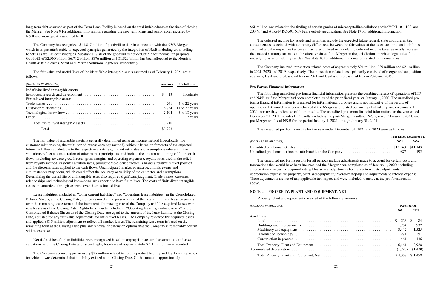long-term debt assumed as part of the Term Loan Facility is based on the total indebtedness at the time of closing the Merger. See Note 9 for additional information regarding the new term loans and senior notes incurred by N&B and subsequently assumed by IFF.

The Company has recognized \$11.817 billion of goodwill to date in connection with the N&B Merger, which is in part attributable to expected synergies generated by the integration of N&B including cross-selling benefits as well as cost synergies. Substantially all of the goodwill is not deductible for income tax purposes. Goodwill of \$2.900 billion, \$6.712 billion, \$876 million and \$1.329 billion has been allocated to the Nourish, Health & Biosciences, Scent and Pharma Solutions segments, respectively.

The fair value and useful lives of the identifiable intangible assets assumed as of February 1, 2021 are as follows:

| (DOLLARS IN MILLIONS)                                                                                   | Amounts | <b>Useful Lives</b> |
|---------------------------------------------------------------------------------------------------------|---------|---------------------|
| Indefinite lived intangible assets                                                                      |         |                     |
| In-process research and development $\dots \dots \dots \dots \dots \dots \dots \dots \dots \dots$ \$ 13 |         | Indefinite          |
| Finite lived intangible assets                                                                          |         |                     |
|                                                                                                         | 261     | 4 to 22 years       |
|                                                                                                         | 6.734   | 11 to 27 years      |
|                                                                                                         | 2.194   | 5 to 18 years       |
|                                                                                                         |         | 2 years             |
|                                                                                                         |         |                     |
|                                                                                                         |         |                     |

The fair value of intangible assets is generally determined using an income method (specifically, for customer relationships, the multi-period excess earnings method), which is based on forecasts of the expected future cash flows attributable to the respective assets. Significant estimates and assumptions inherent in the valuations reflect a consideration of other market participants, and include the amount and timing of future cash flows (including revenue growth rates, gross margins and operating expenses), royalty rates used in the relief from royalty method, customer attrition rates, product obsolescence factors, a brand's relative market position and the discount rates applied to the cash flows. Unanticipated market or macroeconomic events and circumstances may occur, which could affect the accuracy or validity of the estimates and assumptions. Determining the useful life of an intangible asset also requires significant judgment. Trade names, customer relationships and technological know-hows are expected to have finite lives. The costs of finite-lived intangible assets are amortized through expense over their estimated lives.

Lease liabilities, included in "Other current liabilities" and "Operating lease liabilities" in the Consolidated Balance Sheets, at the Closing Date, are remeasured at the present value of the future minimum lease payments over the remaining lease term and the incremental borrowing rate of the Company as if the acquired leases were new leases as of the Closing Date. Right-of-use assets included in "Operating lease right-of-use assets" in the Consolidated Balance Sheets as of the Closing Date, are equal to the amount of the lease liability at the Closing Date, adjusted for any fair value adjustments for off-market leases. The Company reviewed the acquired leases and applied a \$15 million adjustment to reflect off-market leases. The remaining lease term is based on the remaining term at the Closing Date plus any renewal or extension options that the Company is reasonably certain will be exercised.

Net defined benefit plan liabilities were recognized based on appropriate actuarial assumptions and asset valuations as of the Closing Date and, accordingly, liabilities of approximately \$221 million were recorded.

The Company accrued approximately \$75 million related to certain product liability and legal contingencies for which it was determined that a liability existed at the Closing Date. Of this amount, approximately

\$61 million was related to the finding of certain grades of microcrystalline cellulose (Avicel® PH 101, 102, and 200 NF and Avicel® RC-591 NF) being out-of-specification. See Note 19 for additional information.

The deferred income tax assets and liabilities include the expected future federal, state and foreign tax consequences associated with temporary differences between the fair values of the assets acquired and liabilities assumed and the respective tax bases. Tax rates utilized in calculating deferred income taxes generally represent the enacted statutory tax rates at the effective date of the Merger in the jurisdictions in which legal title of the underlying asset or liability resides. See Note 10 for additional information related to income taxes.

The Company incurred transaction-related costs of approximately \$91 million, \$29 million and \$21 million in 2021, 2020 and 2019, respectively. The transaction-related costs primarily consisted of merger and acquisition advisory, legal and professional fees in 2021 and legal and professional fees in 2020 and 2019.

# **Pro Forma Financial Information**

The following unaudited pro forma financial information presents the combined results of operations of IFF and N&B as if the Merger had been completed as of the prior fiscal year, or January 1, 2020. The unaudited pro forma financial information is presented for informational purposes and is not indicative of the results of operations that would have been achieved if the Merger and related borrowings had taken place on January 1, 2020, nor are they indicative of future results. The unaudited pro forma financial information for the year ended December 31, 2021 includes IFF results, including the post-Merger results of N&B, since February 1, 2021, and pre-Merger results of N&B for the period January 1, 2021 through January 31, 2021.

The unaudited pro forma results for the year ended December 31, 2021 and 2020 were as follows:

|                       |      | <b>Year Ended December 31,</b> |
|-----------------------|------|--------------------------------|
| (DOLLARS IN MILLIONS) | 2021 | 2020                           |
|                       |      |                                |
|                       |      | -192                           |

The unaudited pro forma results for all periods include adjustments made to account for certain costs and transactions that would have been incurred had the Merger been completed as of January 1, 2020, including amortization charges for acquired intangibles assets, adjustments for transaction costs, adjustments for depreciation expense for property, plant and equipment, inventory step-up and adjustments to interest expense. These adjustments are net of any applicable tax impact and were included to arrive at the pro forma results above.

# **NOTE 4. PROPERTY, PLANT AND EQUIPMENT, NET**

Property, plant and equipment consisted of the following amounts:

| 2021<br>2020<br>Asset Type<br>84<br>932<br>1.764<br>3.442<br>1.525<br>271<br>251<br>-136<br>461<br>2.928<br>6.161<br>(1,470)<br>(1,793) | (DOLLARS IN MILLIONS) | December 31. |
|-----------------------------------------------------------------------------------------------------------------------------------------|-----------------------|--------------|
|                                                                                                                                         |                       |              |
|                                                                                                                                         |                       |              |
|                                                                                                                                         |                       |              |
|                                                                                                                                         |                       |              |
|                                                                                                                                         |                       |              |
|                                                                                                                                         |                       |              |
|                                                                                                                                         |                       |              |
|                                                                                                                                         |                       |              |
|                                                                                                                                         |                       |              |
|                                                                                                                                         |                       | \$1,458      |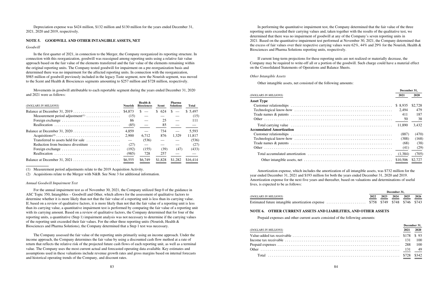Depreciation expense was \$424 million, \$132 million and \$130 million for the years ended December 31, 2021, 2020 and 2019, respectively.

# **NOTE 5. GOODWILL AND OTHER INTANGIBLE ASSETS, NET**

# *Goodwill*

In the first quarter of 2021, in connection to the Merger, the Company reorganized its reporting structure. In connection with this reorganization, goodwill was reassigned among reporting units using a relative fair value approach based on the fair value of the elements transferred and the fair value of the elements remaining within the original reporting units. The Company tested goodwill for impairment on a pre-reorganization basis and determined there was no impairment for the affected reporting units. In connection with the reorganization, \$985 million of goodwill previously included in the legacy Taste segment, now the Nourish segment, was moved to the Scent and Health & Biosciences segments amounting to \$257 million and \$728 million, respectively.

Movements in goodwill attributable to each reportable segment during the years ended December 31, 2020 and 2021 were as follows:

| (DOLLARS IN MILLIONS)                                                | <b>Nourish</b> | Health &<br><b>Biosciences</b>  | Scent   | Pharma<br><b>Solutions</b> | Total    |
|----------------------------------------------------------------------|----------------|---------------------------------|---------|----------------------------|----------|
|                                                                      | \$4,873        | \$.<br>$\overline{\phantom{m}}$ | \$624   | $S =$                      | \$ 5.497 |
|                                                                      | (15)           |                                 |         |                            | (15)     |
| Foreign exchange                                                     | 86             |                                 | 25      |                            | 111      |
|                                                                      | (85)           |                                 | 85      |                            |          |
|                                                                      | 4.859          |                                 | 734     |                            | 5.593    |
|                                                                      | 2.900          | 6.712                           | 876     | 1,329                      | 11,817   |
| Transferred to assets held for sale                                  |                | (536)                           |         |                            | (536)    |
| Reduction from business divestiture $\ldots, \ldots, \ldots, \ldots$ | (27)           |                                 |         |                            | (27)     |
| Foreign exchange                                                     | (192)          | (155)                           | (39)    | (47)                       | (433)    |
|                                                                      | (985)          | 728                             | 257     |                            |          |
|                                                                      | \$6.555        | \$6,749                         | \$1,828 | \$1,282                    | \$16,414 |

(1) Measurement period adjustments relate to the 2019 Acquisition Activity.

(2) Acquisitions relate to the Merger with N&B. See Note 3 for additional information.

# *Annual Goodwill Impairment Test*

For the annual impairment test as of November 30, 2021, the Company utilized Step 0 of the guidance in ASC Topic 350, Intangibles – Goodwill and Other, which allows for the assessment of qualitative factors to determine whether it is more likely than not that the fair value of a reporting unit is less than its carrying value. If, based on a review of qualitative factors, it is more likely than not that the fair value of a reporting unit is less than its carrying value, a quantitative impairment test is performed by comparing the fair value of a reporting unit with its carrying amount. Based on a review of qualitative factors, the Company determined that for four of the reporting units, a quantitative (Step 1) impairment analysis was not necessary to determine if the carrying values of the reporting unit exceeded their fair values. For the other three reporting units (Nourish, Health  $\&$ Biosciences and Pharma Solutions), the Company determined that a Step 1 test was necessary.

The Company assessed the fair value of the reporting units primarily using an income approach. Under the income approach, the Company determines the fair value by using a discounted cash flow method at a rate of return that reflects the relative risk of the projected future cash flows of each reporting unit, as well as a terminal value. The Company uses the most current actual and forecasted operating data available. Key estimates and assumptions used in these valuations include revenue growth rates and gross margins based on internal forecasts and historical operating trends of the Company, and discount rates.

In performing the quantitative impairment test, the Company determined that the fair value of the three reporting units exceeded their carrying values and, taken together with the results of the qualitative test, we determined that there was no impairment of goodwill at any of the Company's seven reporting units in 2021. Based on the quantitative impairment test performed at November 30, 2021, the Company determined that the excess of fair values over their respective carrying values were 62%, 44% and 29% for the Nourish, Health & Biosciences and Pharma Solutions reporting units, respectively.

If current long-term projections for these reporting units are not realized or materially decrease, the Company may be required to write-off all or a portion of the goodwill. Such charge could have a material effect on the Consolidated Statements of Operations and Balance Sheets.

## *Other Intangible Assets*

Other intangible assets, net consisted of the following amounts:

|                                 | December 31, |             |
|---------------------------------|--------------|-------------|
| (DOLLARS IN MILLIONS)           | 2021         | <b>2020</b> |
| <b>Asset Type</b>               |              |             |
|                                 | \$8.935      | \$2,728     |
|                                 | 2.494        | 479         |
|                                 | 411          | 187         |
|                                 | 50           | 38          |
|                                 | 11.890       | 3.432       |
| <b>Accumulated Amortization</b> |              |             |
|                                 | (887)        | (470)       |
|                                 | (388)        | (168)       |
|                                 | (68)         | (38)        |
|                                 | (41)         | (29)        |
|                                 | (1,384)      | (705)       |
|                                 | \$10,506     | \$2,727     |

Amortization expense, which includes the amortization of all intangible assets, was \$732 million for the year ended December 31, 2021 and \$193 million for both the years ended December 31, 2020 and 2019. Amortization expense for the next five years and thereafter, based on valuations and determinations of useful lives, is expected to be as follows:

|                                                             |      |      | December 31, |      |      |
|-------------------------------------------------------------|------|------|--------------|------|------|
|                                                             | 2022 | 2023 | 2024         | 2025 | 2026 |
| $\ldots \ldots \ldots \ldots$ \$758 \$749 \$748 \$746 \$743 |      |      |              |      |      |

### *(DOLLARS IN MILLIONS)* **2022 2023 2024 2025 2026**

Estimated future intangible amortization expense  $\dots \dots$ 

# **NOTE 6. OTHER CURRENT ASSETS AND LIABILITIES, AND OTHER ASSETS**

Prepaid expenses and other current assets consisted of the following amounts:

|                       |      | December 31, |
|-----------------------|------|--------------|
| (DOLLARS IN MILLIONS) | 2021 | 2020         |
|                       |      |              |
|                       |      |              |
|                       |      |              |
|                       |      |              |
|                       |      |              |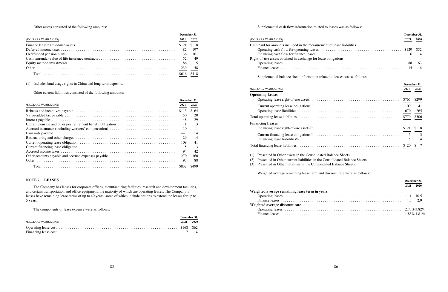Other assets consisted of the following amounts:

|                                                                                                                                          |      | December 31, |
|------------------------------------------------------------------------------------------------------------------------------------------|------|--------------|
| (DOLLARS IN MILLIONS)                                                                                                                    | 2021 | 2020         |
| Finance lease right-of-use assets $\dots \dots \dots \dots \dots \dots \dots \dots \dots \dots \dots \dots \dots \dots \dots$ \$ 21 \$ 8 |      |              |
|                                                                                                                                          |      |              |
|                                                                                                                                          |      | - 101        |
|                                                                                                                                          |      |              |
|                                                                                                                                          |      |              |
|                                                                                                                                          |      |              |
|                                                                                                                                          |      |              |

(1) Includes land usage rights in China and long term deposits.

Other current liabilities consisted of the following amounts:

|                                                                                                                                                                                                                                |                               | December 31, |
|--------------------------------------------------------------------------------------------------------------------------------------------------------------------------------------------------------------------------------|-------------------------------|--------------|
| (DOLLARS IN MILLIONS)                                                                                                                                                                                                          | 2021                          | 2020         |
|                                                                                                                                                                                                                                | \$113                         | \$64         |
|                                                                                                                                                                                                                                | 50                            | 20           |
|                                                                                                                                                                                                                                | 48                            | 29           |
|                                                                                                                                                                                                                                | 11                            | 13           |
|                                                                                                                                                                                                                                | 10                            | 11           |
| Earn outs payable in the continuum control of the control of the control of the control of the control of the control of the control of the control of the control of the control of the control of the control of the control | $\overbrace{\phantom{aaaaa}}$ | 14           |
|                                                                                                                                                                                                                                | 29                            | 14           |
|                                                                                                                                                                                                                                | 109                           | 41           |
|                                                                                                                                                                                                                                | 5                             | 3            |
|                                                                                                                                                                                                                                | 94                            | 42           |
|                                                                                                                                                                                                                                | 270                           | 160          |
|                                                                                                                                                                                                                                | - 93                          | -88          |
|                                                                                                                                                                                                                                |                               | \$499        |

# **NOTE 7. LEASES**

The Company has leases for corporate offices, manufacturing facilities, research and development facilities, and certain transportation and office equipment, the majority of which are operating leases. The Company's leases have remaining lease terms of up to 40 years, some of which include options to extend the leases for up to 5 years.

The components of lease expense were as follows:

|                       | December 31. |  |
|-----------------------|--------------|--|
| (DOLLARS IN MILLIONS) | 2021 2020    |  |
|                       |              |  |
|                       |              |  |

# Supplemental cash flow information related to leases was as follows:

|                                                                        | December 31, |      |
|------------------------------------------------------------------------|--------------|------|
| (DOLLARS IN MILLIONS)                                                  | 2021         | 2020 |
| Cash paid for amounts included in the measurement of lease liabilities |              |      |
|                                                                        |              |      |
|                                                                        |              |      |
| Right-of-use assets obtained in exchange for lease obligations         |              |      |
|                                                                        |              | 63   |
|                                                                        |              | - 6  |

Supplemental balance sheet information related to leases was as follows:

|  |  |  |  |  |  |  |  |  |  |  |  |  |  |  |  |       |      |    |      | December 31, |
|--|--|--|--|--|--|--|--|--|--|--|--|--|--|--|--|-------|------|----|------|--------------|
|  |  |  |  |  |  |  |  |  |  |  |  |  |  |  |  |       | 2021 |    | 2020 |              |
|  |  |  |  |  |  |  |  |  |  |  |  |  |  |  |  | \$767 |      |    |      | \$299        |
|  |  |  |  |  |  |  |  |  |  |  |  |  |  |  |  |       | 109  |    |      | 41           |
|  |  |  |  |  |  |  |  |  |  |  |  |  |  |  |  |       | 670  |    |      | 265          |
|  |  |  |  |  |  |  |  |  |  |  |  |  |  |  |  | \$779 |      |    |      | \$306        |
|  |  |  |  |  |  |  |  |  |  |  |  |  |  |  |  | \$21  |      |    | \$   | 8            |
|  |  |  |  |  |  |  |  |  |  |  |  |  |  |  |  |       |      | 5  |      | 3            |
|  |  |  |  |  |  |  |  |  |  |  |  |  |  |  |  |       |      | 15 |      | 4            |
|  |  |  |  |  |  |  |  |  |  |  |  |  |  |  |  |       | \$20 |    | \$   | 7            |

# *(DOLLARS IN MILLIONS)* **2021 2020**

# **Operating Leases** Operating lease right-of-use assets .................. Current operating lease obligations(2) . . . . . . . . . . . . . . . . . . . . . . . . . . . . . . . . . . . . . . . . . . . . . 109 41 Operating lease liabilities . . . . . . . . . . . . . . . . . . . . . . . . . . . . . . . . . . . . . . . . . . . . . . . . . . . . . . 670 265 Total operating lease liabilities ...................................................... \$779 \$306 **Financing Leases** Financing lease right-of-use assets<sup>(1)</sup> . . . . . . . . . . . . . . . . Current financing lease obligations<sup>(2)</sup>  $\ldots$ ............ Financing lease liabilities(3) . . . . . . . . . . . . . . . . . . . . . . . . . . . . . . . . . . . . . . . . . . . . . . . . . . . . . 15 4 Total financing lease liabilities .......................... (1) Presented in Other assets in the Consolidated Balance Sheets. (2) Presented in Other current liabilities in the Consolidated Balance Sheets.

(3) Presented in Other liabilities in the Consolidated Balance Sheets.

Weighted average remaining lease term and discount rate were as follows:

|                                                | December 31. |  |
|------------------------------------------------|--------------|--|
|                                                | 2021 2020    |  |
| Weighted average remaining lease term in years |              |  |
|                                                |              |  |
|                                                |              |  |
| Weighted average discount rate                 |              |  |
|                                                |              |  |
|                                                |              |  |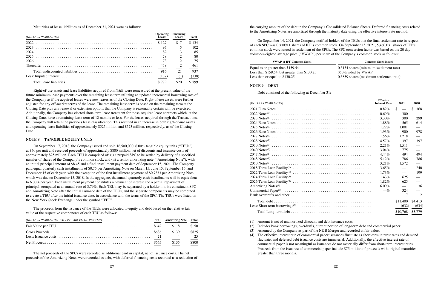Maturities of lease liabilities as of December 31, 2021 were as follows:

| (DOLLARS IN MILLIONS) | <b>Operating</b><br>Leases | Financing<br><b>Leases</b> | Total |
|-----------------------|----------------------------|----------------------------|-------|
|                       |                            |                            | \$134 |
| 2023                  | 97                         |                            | 102   |
|                       | 82                         |                            | 85    |
|                       | 78                         |                            | 80    |
|                       | 73                         |                            | 75    |
|                       | 459                        | $\overline{2}$             | 461   |
|                       | 916                        | 21                         | 937   |
|                       | (137)                      | (1)                        | (138) |
|                       | \$779                      | \$20                       | \$799 |

Right-of-use assets and lease liabilities acquired from N&B were remeasured at the present value of the future minimum lease payments over the remaining lease term utilizing an updated incremental borrowing rate of the Company as if the acquired leases were new leases as of the Closing Date. Right-of-use assets were further adjusted for any off-market terms of the lease. The remaining lease term is based on the remaining term at the Closing Date plus any renewal or extension options that the Company is reasonably certain will be exercised. Additionally, the Company has elected short-term lease treatment for those acquired lease contracts which, at the Closing Date, have a remaining lease term of 12 months or less. For the leases acquired through the Transactions, the Company will retain the previous lease classification. This resulted in an increase in both right-of-use assets and operating lease liabilities of approximately \$525 million and \$523 million, respectively, as of the Closing Date.

# **NOTE 8. TANGIBLE EQUITY UNITS**

On September 17, 2018, the Company issued and sold 16,500,000, 6.00% tangible equity units ("TEUs") at \$50 per unit and received proceeds of approximately \$800 million, net of discounts and issuance costs of approximately \$25 million. Each TEU is comprised of: (i) a prepaid SPC to be settled by delivery of a specified number of shares of the Company's common stock, and (ii) a senior amortizing note ("Amortizing Note"), with an initial principal amount of \$8.45 and a final installment payment date of September 15, 2021. The Company paid equal quarterly cash installments of \$0.75 per Amortizing Note on March 15, June 15, September 15, and December 15 of each year, with the exception of the first installment payment of \$0.7333 per Amortizing Note which was due on December 15, 2018. In the aggregate, the annual quarterly cash installments will be equivalent to 6.00% per year. Each installment payment constitutes a payment of interest and a partial repayment of principal, computed at an annual rate of 3.79%. Each TEU may be separated by a holder into its constituent SPC and Amortizing Note after the initial issuance date of the TEUs, and the separate components may be combined to create a TEU after the initial issuance date, in accordance with the terms of the SPC. The TEUs were listed on the New York Stock Exchange under the symbol "IFFT".

The proceeds from the issuance of the TEUs were allocated to equity and debt based on the relative fair value of the respective components of each TEU as follows:

| (DOLLARS IN MILLIONS, EXCEPT FAIR VALUE PER TEU)                                                                         | <b>SPC</b> Amortizing Note Total |       |
|--------------------------------------------------------------------------------------------------------------------------|----------------------------------|-------|
| Fair Value per TEU $\ldots \ldots \ldots \ldots \ldots \ldots \ldots \ldots \ldots \ldots \ldots \ldots \ldots$ \$42 \$8 |                                  | \$ 50 |
|                                                                                                                          | \$139                            | \$825 |
|                                                                                                                          |                                  | - 25  |
|                                                                                                                          | \$135                            | \$800 |

The net proceeds of the SPCs were recorded as additional paid in capital, net of issuance costs. The net proceeds of the Amortizing Notes were recorded as debt, with deferred financing costs recorded as a reduction of the carrying amount of the debt in the Company's Consolidated Balance Sheets. Deferred financing costs related to the Amortizing Notes are amortized through the maturity date using the effective interest rate method.

On September 14, 2021, the Company notified holders of the TEUs that the final settlement rate in respect of each SPC was 0.330911 shares of IFF's common stock. On September 15, 2021, 5,460,031 shares of IFF's common stock were issued in settlement of the SPCs. The SPC conversion factor was based on the 20 day volume-weighted average price ("VWAP") per share of the Company's common stock as follows:

### **VWAP of IFF Common Stock**

| Equal to or greater than \$159.54                |  |
|--------------------------------------------------|--|
| Less than $$159.54$ , but greater than $$130.25$ |  |
| Less than or equal to $$130.25$                  |  |

### **NOTE 9. DEBT**

Debt consisted of the following at December 31:

| (DOLLARS IN MILLIONS) | <b>Effective</b><br><b>Interest Rate</b> | 2021          | <b>2020</b>          |
|-----------------------|------------------------------------------|---------------|----------------------|
|                       | 0.82%                                    | $\mathcal{S}$ | $\mathcal{S}$<br>368 |
|                       | $0.69\%$                                 | 300           |                      |
|                       | 3.30%                                    | 300           | 299                  |
|                       | 1.88%                                    | 565           | 614                  |
|                       | $1.22\%$                                 | 1,001         |                      |
|                       | $1.93\%$                                 | 900           | 978                  |
|                       | $1.56\%$                                 | 1,218         |                      |
|                       | $4.57\%$                                 | 397           | 397                  |
|                       | 2.21%                                    | 1,511         |                      |
|                       | $3.04\%$                                 | 775           |                      |
|                       | $4.44\%$                                 | 494           | 494                  |
|                       | 5.12%                                    | 786           | 786                  |
|                       | $3.21\%$                                 | 1.572         |                      |
|                       | $3.65\%$                                 |               | 240                  |
|                       | $1.73\%$                                 |               | 199                  |
|                       | $1.43\%$                                 | 625           |                      |
|                       | 1.82%                                    | 625           |                      |
|                       | $6.09\%$                                 |               | 36                   |
|                       | $-\%$                                    | 324           |                      |
|                       |                                          | 7             | 2                    |
|                       |                                          | \$11,400      | \$4,413              |
|                       |                                          | (632)         | (634)                |
|                       |                                          | \$10,768      | \$3,779              |

(1) Amount is net of unamortized discount and debt issuance costs.

(2) Includes bank borrowings, overdrafts, current portion of long-term debt and commercial paper.

(3) Assumed by the Company as part of the N&B Merger and recorded at fair value.

| <b>Common Stock Issued</b> |  |  |
|----------------------------|--|--|
|----------------------------|--|--|

0.3134 shares (minimum settlement rate) \$50 divided by VWAP 0.3839 shares (maximum settlement rate)

<sup>(4)</sup> The effective interest rate of commercial paper issuances fluctuate as short-term interest rates and demand fluctuate, and deferred debt issuance costs are immaterial. Additionally, the effective interest rate of commercial paper is not meaningful as issuances do not materially differ from short-term interest rates. Proceeds from the issuance of commercial paper include \$75 million of proceeds with original maturities greater than three months.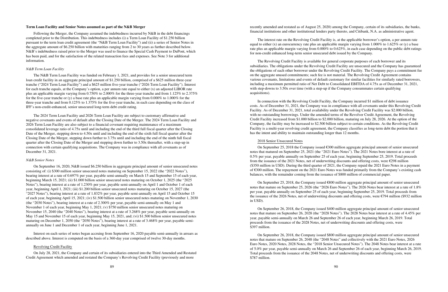### **Term Loan Facility and Senior Notes assumed as part of the N&B Merger**

Following the Merger, the Company assumed the indebtedness incurred by N&B in the debt financings completed prior to the Distribution. This indebtedness includes (i) a Term Loan Facility of \$1.250 billion pursuant to the term loan credit agreement (the "N&B Term Loan Facility") and (ii) a series of Senior Notes in the aggregate amount of \$6.250 billion with maturities ranging from 2 to 30 years as further described below. N&B's indebtedness raised prior to the Merger was used to finance the Special Cash Payment to DuPont, which has been paid, and for the satisfaction of the related transaction fees and expenses. See Note 3 for additional information.

### *N&B Term Loan Facility*

The N&B Term Loan Facility was funded on February 1, 2021, and provides for a senior unsecured term loan credit facility in an aggregate principal amount of \$1.250 billion, comprised of a \$625 million three-year tranche ("2024 Term Loan Facility") and a \$625 million five-year tranche ("2026 Term Loan Facility"). Interest for each tranche equals, at the Company's option, a per annum rate equal to either  $(x)$  an adjusted LIBOR rate plus an applicable margin varying from 0.750% to 2.000% for the three-year tranche and from 1.125% to 2.375% for the five-year tranche or (y) a base rate plus an applicable margin varying from 0.000% to 1.000% for the three-year tranche and from 0.125% to 1.375% for the five-year tranche, in each case depending on the class of IFF's non-credit-enhanced, senior unsecured long-term debt credit rating.

The 2024 Term Loan Facility and 2026 Term Loan Facility are subject to customary affirmative and negative covenants and events of default after the Closing Date of the Merger. The 2024 Term Loan Facility and 2026 Term Loan Facility are also subject to a financial covenant requiring maintenance of a maximum consolidated leverage ratio of 4.75x until and including the end of the third full fiscal quarter after the Closing Date of the Merger, stepping down to 4.50x until and including the end of the sixth full fiscal quarter after the Closing Date of the Merger, stepping down further to 3.75x until and including the end of the ninth full fiscal quarter after the Closing Date of the Merger and stepping down further to 3.50x thereafter, with a step-up in connection with certain qualifying acquisitions. The Company was in compliance with all covenants as of December 31, 2021.

### *N&B Senior Notes*

On September 16, 2020, N&B issued \$6.250 billion in aggregate principal amount of senior unsecured notes consisting of: (i) \$300 million senior unsecured notes maturing on September 15, 2022 (the "2022 Notes"), bearing interest at a rate of 0.697% per year, payable semi-annually on March 15 and September 15 of each year, beginning March 15, 2021; (ii) \$1.000 billion senior unsecured notes maturing on October 1, 2025 (the "2025 Notes"), bearing interest at a rate of 1.230% per year, payable semi-annually on April 1 and October 1 of each year, beginning April 1, 2021; (iii) \$1.200 billion senior unsecured notes maturing on October 15, 2027 (the "2027 Notes"), bearing interest at a rate of 1.832% per year, payable semi-annually on April 15 and October 15 of each year, beginning April 15, 2021; (iv) \$1.500 billion senior unsecured notes maturing on November 1, 2030 (the "2030 Notes"), bearing interest at a rate of 2.300% per year, payable semi-annually on May 1 and November 1 of each year, beginning May 1, 2021; (v) \$750 million senior unsecured notes maturing on November 15, 2040 (the "2040 Notes"), bearing interest at a rate of 3.268% per year, payable semi-annually on May 15 and November 15 of each year, beginning May 15, 2021, and; (vi) \$1.500 billion senior unsecured notes maturing on December 1, 2050 (the "2050 Notes"), bearing interest at a rate of 3.468% per year, payable semiannually on June 1 and December 1 of each year, beginning June 1, 2021.

Interest on each series of notes began accruing from September 16, 2020 payable semi-annually in arrears as described above. Interest is computed on the basis of a 360-day year comprised of twelve 30-day months.

# Revolving Credit Facility

On July 28, 2021, the Company and certain of its subsidiaries entered into the Third Amended and Restated Credit Agreement which amended and restated the Company's Revolving Credit Facility (previously and more

recently amended and restated as of August 25, 2020) among the Company, certain of its subsidiaries, the banks, financial institutions and other institutional lenders party thereto, and Citibank, N.A. as administrative agent.

The interest rate on the Revolving Credit Facility is, at the applicable borrower's option, a per annum rate equal to either (x) an eurocurrency rate plus an applicable margin varying from  $1.000\%$  to  $1.625\%$  or (y) a base rate plus an applicable margin varying from 0.000% to 0.625%, in each case depending on the public debt ratings for non-credit enhanced long-term senior unsecured debt issued by the Company.

The Revolving Credit Facility is available for general corporate purposes of each borrower and its subsidiaries. The obligations under the Revolving Credit Facility are unsecured and the Company has guaranteed the obligations of each other borrower under the Revolving Credit Facility. The Company pays a commitment fee on the aggregate unused commitments; such fee is not material. The Revolving Credit Agreement contains various covenants, limitations and events of default customary for similar facilities for similarly rated borrowers, including a maximum permitted ratio of Net Debt to Consolidated EBITDA of 4.75x as of December 31, 2021, with step-downs to 3.50x over time (with a step-up if the Company consummates certain qualifying acquisitions).

In connection with the Revolving Credit Facility, the Company incurred \$1 million of debt issuance costs. As of December 31, 2021, the Company was in compliance with all covenants under this Revolving Credit Facility. As of December 31, 2021, total availability under the Revolving Credit Facility was \$2.000 billion, with no outstanding borrowings. Under the amended terms of the Revolver Credit Agreement, the Revolving Credit Facility increased from \$1.000 billion to \$2.000 billion, maturing on July 28, 2026. At the option of the Company, the facility may be increased to \$2.500 billion subject to certain conditions. As the Revolving Credit Facility is a multi-year revolving credit agreement, the Company classifies as long-term debt the portion that it has the intent and ability to maintain outstanding longer than 12 months.

### 2018 Senior Unsecured Notes

On September 25, 2018 the Company issued €300 million aggregate principal amount of senior unsecured notes that matured on September 25, 2021 (the "2021 Euro Notes"). The 2021 Notes bore interest at a rate of 0.5% per year, payable annually on September 25 of each year, beginning September 25, 2019. Total proceeds from the issuance of the 2021 Notes, net of underwriting discounts and offering costs, were €298 million (\$350 million in USD). During the third quarter of 2021, the Company repaid the 2021 Euro Notes in a payment of €300 million. The repayment on the 2021 Euro Notes was funded primarily from the Company's existing cash balances, with the remainder coming from the issuance of \$800 million of commercial paper.

On September 25, 2018, the Company issued €800 million aggregate principal amount of senior unsecured notes that mature on September 25, 2026 (the "2026 Euro Notes"). The 2026 Notes bear interest at a rate of 1.8% per year, payable annually on September 25 of each year, beginning September 25, 2019. Total proceeds from the issuance of the 2026 Notes, net of underwriting discounts and offering costs, were  $\epsilon$ 794 million (\$932 million in USD).

On September 26, 2018, the Company issued \$400 million aggregate principal amount of senior unsecured notes that mature on September 26, 2028 (the "2028 Notes"). The 2028 Notes bear interest at a rate of 4.45% per year, payable semi-annually on March 26 and September 26 of each year, beginning March 26, 2019. Total proceeds from the issuance of the 2028 Notes, net of underwriting discounts and offering costs, were \$397 million.

On September 26, 2018, the Company issued \$800 million aggregate principal amount of senior unsecured notes that mature on September 26, 2048 (the "2048 Notes" and collectively with the 2021 Euro Notes, 2026 Euro Notes, 2020 Notes, 2028 Notes, the "2018 Senior Unsecured Notes"). The 2048 Notes bear interest at a rate of 5.0% per year, payable semi-annually on March 26 and September 26 of each year, beginning March 26, 2019. Total proceeds from the issuance of the 2048 Notes, net of underwriting discounts and offering costs, were \$787 million.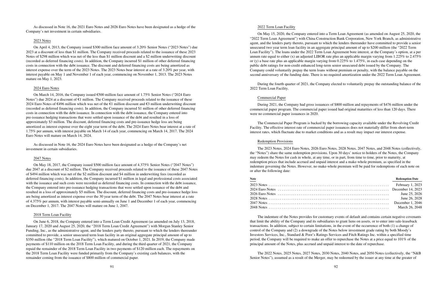As discussed in Note 16, the 2021 Euro Notes and 2026 Euro Notes have been designated as a hedge of the Company's net investment in certain subsidiaries.

# 2023 Notes

On April 4, 2013, the Company issued \$300 million face amount of 3.20% Senior Notes ("2023 Notes") due 2023 at a discount of less than \$1 million. The Company received proceeds related to the issuance of these 2023 Notes of \$298 million which was net of the less than \$1 million discount and a \$2 million underwriting discount (recorded as deferred financing costs). In addition, the Company incurred \$1 million of other deferred financing costs in connection with the debt issuance. The discount and deferred financing costs are being amortized as interest expense over the term of the 2023 Notes. The 2023 Notes bear interest at a rate of 3.20% per year, with interest payable on May 1 and November 1 of each year, commencing on November 1, 2013. The 2023 Notes mature on May 1, 2023.

### 2024 Euro Notes

On March 14, 2016, the Company issued  $\epsilon$ 500 million face amount of 1.75% Senior Notes ("2024 Euro Notes") due 2024 at a discount of  $\epsilon$ 1 million. The Company received proceeds related to the issuance of these 2024 Euro Notes of €496 million which was net of the €1 million discount and €3 million underwriting discount (recorded as deferred financing costs). In addition, the Company incurred \$1 million of other deferred financing costs in connection with the debt issuance. In connection with the debt issuance, the Company entered into pre-issuance hedging transactions that were settled upon issuance of the debt and resulted in a loss of approximately \$3 million. The discount, deferred financing costs and pre-issuance hedge loss are being amortized as interest expense over the eight year term of the debt. The 2024 Euro Notes bear interest at a rate of 1.75% per annum, with interest payable on March 14 of each year, commencing on March 14, 2017. The 2024 Euro Notes will mature on March 14, 2024.

As discussed in Note 16, the 2024 Euro Notes have been designated as a hedge of the Company's net investment in certain subsidiaries.

# 2047 Notes

On May 18, 2017, the Company issued \$500 million face amount of 4.375% Senior Notes ("2047 Notes") due 2047 at a discount of \$2 million. The Company received proceeds related to the issuance of these 2047 Notes of \$494 million which was net of the \$2 million discount and \$4 million in underwriting fees (recorded as deferred financing costs). In addition, the Company incurred \$1 million in legal and professional costs associated with the issuance and such costs were recorded as deferred financing costs. In connection with the debt issuance, the Company entered into pre-issuance hedging transactions that were settled upon issuance of the debt and resulted in a loss of approximately \$5 million. The discount, deferred financing costs and pre-issuance hedge loss are being amortized as interest expense over the 30 year term of the debt. The 2047 Notes bear interest at a rate of 4.375% per annum, with interest payable semi-annually on June 1 and December 1 of each year, commencing on December 1, 2017. The 2047 Notes will mature on June 1, 2047.

## 2018 Term Loan Facility

On June 6, 2018, the Company entered into a Term Loan Credit Agreement (as amended on July 13, 2018, January 17, 2020 and August 25, 2020, the "2018 Term Loan Credit Agreement") with Morgan Stanley Senior Funding, Inc., as the administrative agent, and the lenders party thereto, pursuant to which the lenders thereunder committed to provide, a senior unsecured term loan facility in an original aggregate principal amount of up to \$350 million (the "2018 Term Loan Facility"), which matured on October 1, 2021. In 2019, the Company made payments of \$110 million on the 2018 Term Loan Facility, and during the third quarter of 2021, the Company repaid the remainder of the 2018 Term Loan Facility in two payments of \$120 million each. The repayments on the 2018 Term Loan Facility were funded primarily from the Company's existing cash balances, with the remainder coming from the issuance of \$800 million of commercial paper.

## 2022 Term Loan Facility

On May 15, 2020, the Company entered into a Term Loan Agreement (as amended on August 25, 2020, the "2022 Term Loan Agreement") with China Construction Bank Corporation, New York Branch, as administrative agent, and the lenders party thereto, pursuant to which the lenders thereunder have committed to provide a senior unsecured two year term loan facility in an aggregate principal amount of up to \$200 million (the "2022 Term Loan Facility"). The loans under the 2022 Term Loan Agreement bore interest, at the Company's option, at a per annum rate equal to either  $(x)$  an adjusted LIBOR rate plus an applicable margin varying from 1.225% to 2.475% or (y) a base rate plus an applicable margin varying from  $0.225\%$  to  $1.475\%$ , in each case depending on the public debt ratings for non-credit enhanced long-term senior unsecured debt issued by the Company. The Company could voluntarily prepay the term loans without premium or penalty, with the balance payable on the second anniversary of the funding date. There is no required amortization under the 2022 Term Loan Agreement.

During the fourth quarter of 2021, the Company elected to voluntarily prepay the outstanding balance of the 2022 Term Loan Facility.

# Commercial Paper

During 2021, the Company had gross issuances of \$800 million and repayments of \$476 million under the commercial paper program. The commercial paper issued had original maturities of less than 120 days. There were no commercial paper issuances in 2020.

The Commercial Paper Program is backed by the borrowing capacity available under the Revolving Credit Facility. The effective interest rate of commercial paper issuances does not materially differ from short-term interest rates, which fluctuate due to market conditions and as a result may impact our interest expense.

# Redemption Provisions

The 2023 Notes, 2024 Euro Notes, 2026 Euro Notes, 2028 Notes, 2047 Notes, and 2048 Notes (collectively, the "Notes") share the same redemption provisions. Upon 30 days' notice to holders of the Notes, the Company may redeem the Notes for cash in whole, at any time, or in part, from time to time, prior to maturity, at redemption prices that include accrued and unpaid interest and a make-whole premium, as specified in the indenture governing the Notes. However, no make-whole premium will be paid for redemptions of each note on or after the following date:

| <b>Note</b> | <b>Redemption Date</b> |
|-------------|------------------------|
|             |                        |
|             |                        |
|             |                        |
|             |                        |
|             |                        |
|             |                        |

The indenture of the Notes provides for customary events of default and contains certain negative covenants that limit the ability of the Company and its subsidiaries to grant liens on assets, or to enter into sale-leaseback transactions. In addition, subject to certain limitations, in the event of the occurrence of both (1) a change of control of the Company and (2) a downgrade of the Notes below investment grade rating by both Moody's Investors Services, Inc., Standard & Poor's Ratings Services and Fitch Ratings Inc. within a specified time period, the Company will be required to make an offer to repurchase the Notes at a price equal to 101% of the principal amount of the Notes, plus accrued and unpaid interest to the date of repurchase.

The 2022 Notes, 2025 Notes, 2027 Notes, 2030 Notes, 2040 Notes, and 2050 Notes (collectively, the "N&B Senior Notes"), assumed as a result of the Merger, may be redeemed by the issuer at any time at the greater of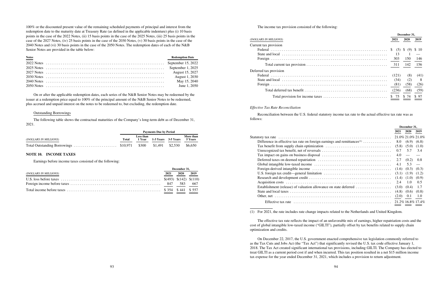100% or the discounted present value of the remaining scheduled payments of principal and interest from the redemption date to the maturity date at Treasury Rate (as defined in the applicable indenture) plus (i) 10 basis points in the case of the 2022 Notes, (ii) 15 basis points in the case of the 2025 Notes, (iii) 25 basis points in the case of the 2027 Notes, (iv) 25 basis points in the case of the 2030 Notes, (v) 30 basis points in the case of the 2040 Notes and (vi) 30 basis points in the case of the 2050 Notes. The redemption dates of each of the N&B Senior Notes are provided in the table below:

| <b>Notes</b> | <b>Redemption Date</b> |
|--------------|------------------------|
|              |                        |
|              |                        |
|              |                        |
|              | <b>August 1, 2030</b>  |
|              | May 15, 2040           |
|              | June 1, 2050           |

On or after the applicable redemption dates, each series of the N&B Senior Notes may be redeemed by the issuer at a redemption price equal to 100% of the principal amount of the N&B Senior Notes to be redeemed, plus accrued and unpaid interest on the notes to be redeemed to, but excluding, the redemption date.

# Outstanding Borrowings

The following table shows the contractual maturities of the Company's long-term debt as of December 31, 2021.

|                       |              |                     | <b>Payments Due by Period</b> |                             |           |
|-----------------------|--------------|---------------------|-------------------------------|-----------------------------|-----------|
| (DOLLARS IN MILLIONS) | <b>Total</b> | Less than<br>1 Year |                               | 1-3 Years 3-5 Years 5 Years | More than |
|                       |              | \$300               | $$1,491$ $$2,530$             |                             | \$6.650   |

# **NOTE 10. INCOME TAXES**

Earnings before income taxes consisted of the following:

|                       |      | December 31, |      |  |
|-----------------------|------|--------------|------|--|
| (DOLLARS IN MILLIONS) | 2021 | <b>2020</b>  | 2019 |  |
|                       |      |              |      |  |
|                       |      |              |      |  |
|                       |      |              |      |  |

The income tax provision consisted of the following:

|                        |             | December 31, |       |
|------------------------|-------------|--------------|-------|
| (DOLLARS IN MILLIONS)  | 2021        | <b>2020</b>  | 2019  |
| Current tax provision  |             |              |       |
|                        | $(5)$ $(9)$ |              | \$ 10 |
|                        | -13         |              |       |
|                        | 303         | 150          | -146  |
|                        |             |              | 156   |
| Deferred tax provision |             |              |       |
|                        | (121)       | (8)          | (41)  |
|                        | (34)        | (2)          | -8    |
|                        | (81)        | (58)         | (26)  |
|                        | (236)       | (68)         | (59)  |
|                        |             |              | \$97  |

# *Effective Tax Rate Reconciliation*

Reconciliation between the U.S. federal statutory income tax rate to the actual effective tax rate was as follows:

|                                                                                     | December 31, |                          |                          |
|-------------------------------------------------------------------------------------|--------------|--------------------------|--------------------------|
|                                                                                     | 2021         | <b>2020</b>              | 2019                     |
|                                                                                     |              |                          | 21.0% 21.0% 21.0%        |
| Difference in effective tax rate on foreign earnings and remittances <sup>(1)</sup> | 8.0          | $(6.9)$ $(6.8)$          |                          |
|                                                                                     | (5.8)        | (5.0)                    | (1.0)                    |
|                                                                                     | 0.7          | 5.7                      | 3.4                      |
|                                                                                     | 4.0          | $\overline{\phantom{m}}$ |                          |
|                                                                                     | 2.7          | (0.2)                    | 0.8                      |
|                                                                                     | 4.1          | 5.3                      | $\overline{\phantom{a}}$ |
|                                                                                     | (1.6)        | (0.3)                    | (0.3)                    |
|                                                                                     | (3.1)        | (1.9)                    | (1.2)                    |
|                                                                                     | (1.4)        | (1.0)                    | (0.9)                    |
|                                                                                     | 2.4          | 1.0                      | 0.5                      |
|                                                                                     | (3.0)        | (0.4)                    | 1.7                      |
|                                                                                     | (4.8)        | (0.6)                    | (0.8)                    |
|                                                                                     | (2.0)        | 0.1                      | 1.0                      |
|                                                                                     |              |                          | 21.2% 16.8% 17.4%        |

<sup>(1)</sup> For 2021, the rate includes rate change impacts related to the Netherlands and United Kingdom.

The effective tax rate reflects the impact of an unfavorable mix of earnings, higher repatriation costs and the cost of global intangible low-taxed income ("GILTI"), partially offset by tax benefits related to supply chain optimization and credits.

On December 22, 2017, the U.S. government enacted comprehensive tax legislation commonly referred to as the Tax Cuts and Jobs Act (the "Tax Act") that significantly revised the U.S. tax code effective January 1, 2018. The Tax Act created significant international tax provisions, including GILTI. The Company has elected to treat GILTI as a current period cost if and when incurred. This tax position resulted in a net \$15 million income tax expense for the year ended December 31, 2021, which includes a provision to return adjustment.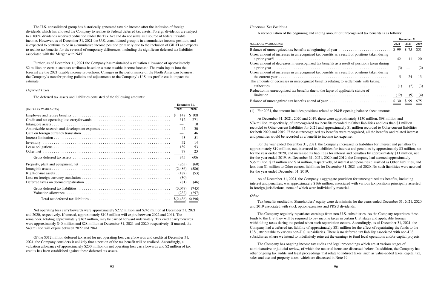The U.S. consolidated group has historically generated taxable income after the inclusion of foreign dividends which has allowed the Company to realize its federal deferred tax assets. Foreign dividends are subject to a 100% dividends received deduction under the Tax Act and do not serve as a source of federal taxable income. However, as of December 31, 2021 the U.S. consolidated group is in a cumulative income position, and is expected to continue to be in a cumulative income position primarily due to the inclusion of GILTI and expects to realize tax benefits for the reversal of temporary differences, including the significant deferred tax liabilities associated with the Merger with N&B.

Further, as of December 31, 2021 the Company has maintained a valuation allowance of approximately \$2 million on certain state tax attributes based on a state taxable income forecast. The main inputs into the forecast are the 2021 taxable income projections. Changes in the performance of the North American business, the Company's transfer pricing policies and adjustments to the Company's U.S. tax profile could impact the estimate.

# *Deferred Taxes*

The deferred tax assets and liabilities consisted of the following amounts:

Net operating loss carryforwards were approximately \$272 million and \$246 million at December 31, 2021 and 2020, respectively. If unused, approximately \$105 million will expire between 2022 and 2041. The remainder, totaling approximately \$167 million, may be carried forward indefinitely. Tax credit carryforwards were approximately \$40 million and \$28 million at December 31, 2021 and 2020, respectively. If unused, the \$40 million will expire between 2022 and 2041.

|                       | December 31, |             |
|-----------------------|--------------|-------------|
| (DOLLARS IN MILLIONS) | 2021         | 2020        |
|                       | 148          | \$108       |
|                       | 312          | 271         |
|                       |              | 10          |
|                       | 42           | 30          |
|                       |              | 46          |
|                       | 43           | 51          |
|                       | 32           | 14          |
|                       | 189          | 53          |
|                       | 79           | 23          |
|                       | 845          | 606         |
|                       | (265)        | (60)        |
|                       | (2,486)      | (586)       |
|                       | (187)        | (53)        |
|                       | (30)         |             |
|                       | (81)         | (46)        |
|                       | (3.049)      | (745)       |
|                       | (232)        | (257)       |
|                       | \$(2,436)    | $$^{(396)}$ |

Of the \$312 million deferred tax asset for net operating loss carryforwards and credits at December 31, 2021, the Company considers it unlikely that a portion of the tax benefit will be realized. Accordingly, a valuation allowance of approximately \$230 million on net operating loss carryforwards and \$2 million of tax credits has been established against these deferred tax assets.

### *Uncertain Tax Positions*

A reconciliation of the beginning and ending amount of unrecognized tax benefits is as follows:

|                                                                                              |           | December 31,    |      |
|----------------------------------------------------------------------------------------------|-----------|-----------------|------|
| (DOLLARS IN MILLIONS)                                                                        | 2021 2020 |                 | 2019 |
|                                                                                              |           | $$99$ \$75 \$51 |      |
| Gross amount of increases in unrecognized tax benefits as a result of positions taken during | 42        | 11              | -20  |
| Gross amount of decreases in unrecognized tax benefits as a result of positions taken during |           |                 | (2)  |
| Gross amount of increases in unrecognized tax benefits as a result of positions taken during |           | 24              | 13   |
| The amounts of decreases in unrecognized benefits relating to settlements with taxing        | (1)       | (2)             | (3)  |
| Reduction in unrecognized tax benefits due to the lapse of applicable statute of             |           |                 | (4)  |
|                                                                                              |           |                 |      |

(1) For 2021, the amount includes positions related to N&B opening balance sheet amounts.

At December 31, 2021, 2020 and 2019, there were approximately \$130 million, \$98 million and \$74 million, respectively, of unrecognized tax benefits recorded to Other liabilities and less than \$1 million recorded to Other current liabilities for 2021 and approximately \$1 million recorded to Other current liabilities for both 2020 and 2019. If these unrecognized tax benefits were recognized, all the benefits and related interest and penalties would be recorded as a benefit to income tax expense.

For the year ended December 31, 2021, the Company increased its liabilities for interest and penalties by approximately \$19 million, net, increased its liabilities for interest and penalties by approximately \$3 million, net for the year ended 2020, and increased its liabilities for interest and penalties by approximately \$11 million, net for the year ended 2019. At December 31, 2021, 2020 and 2019, the Company had accrued approximately \$36 million, \$17 million and \$14 million, respectively, of interest and penalties classified as Other liabilities, and less than \$1 million to Other current liabilities for December 31, 2021 and 2020. No such liabilities were accrued for the year ended December 31, 2019.

As of December 31, 2021, the Company's aggregate provision for unrecognized tax benefits, including interest and penalties, was approximately \$166 million, associated with various tax positions principally asserted in foreign jurisdictions, none of which were individually material.

### *Other*

Tax benefits credited to Shareholders' equity were de minimis for the years ended December 31, 2021, 2020 and 2019 associated with stock option exercises and PRSU dividends.

The Company regularly repatriates earnings from non-U.S. subsidiaries. As the Company repatriates these funds to the U.S. they will be required to pay income taxes in certain U.S. states and applicable foreign withholding taxes during the period when such repatriation occurs. Accordingly, as of December 31, 2021, the Company had a deferred tax liability of approximately \$81 million for the effect of repatriating the funds to the U.S., attributable to various non-U.S. subsidiaries. There is no deferred tax liability associated with non-U.S. subsidiaries where we intend to indefinitely reinvest the earnings to fund local operations and/or capital projects.

The Company has ongoing income tax audits and legal proceedings which are at various stages of administrative or judicial review, of which the material items are discussed below. In addition, the Company has other ongoing tax audits and legal proceedings that relate to indirect taxes, such as value-added taxes, capital tax, sales and use and property taxes, which are discussed in Note 19.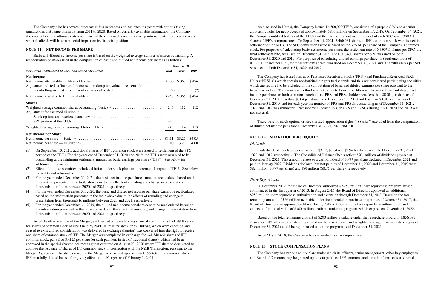The Company also has several other tax audits in process and has open tax years with various taxing jurisdictions that range primarily from 2011 to 2020. Based on currently available information, the Company does not believe the ultimate outcome of any of these tax audits and other tax positions related to open tax years, when finalized, will have a material impact on its financial position.

### **NOTE 11. NET INCOME PER SHARE**

Basic and diluted net income per share is based on the weighted average number of shares outstanding. A reconciliation of shares used in the computation of basic and diluted net income per share is as follows:

|                                                                             |               | December 31, |        |
|-----------------------------------------------------------------------------|---------------|--------------|--------|
| (AMOUNTS IN MILLIONS EXCEPT PER SHARE AMOUNTS)                              | 2021          | <b>2020</b>  | 2019   |
| <b>Net Income</b>                                                           |               |              |        |
|                                                                             | $$270$ $$363$ |              | \$456  |
| Adjustment related to (increase) decrease in redemption value of redeemable |               |              |        |
|                                                                             |               |              |        |
|                                                                             |               |              |        |
| <b>Shares</b>                                                               |               |              |        |
|                                                                             |               | 112          | 112    |
| Adjustment for assumed dilution <sup>(2)</sup> :                            |               |              |        |
|                                                                             |               |              |        |
|                                                                             |               |              |        |
|                                                                             |               |              | 113    |
| <b>Net Income per Share</b>                                                 |               |              |        |
|                                                                             |               |              | \$4.05 |

(1) On September 15, 2021, additional shares of IFF's common stock were issued in settlement of the SPC portion of the TEUs. For the years ended December 31, 2020 and 2019, the TEUs were assumed to be outstanding at the minimum settlement amount for basic earnings per share ("EPS"). See below for additional information.

(2) Effect of dilutive securities includes dilution under stock plans and incremental impact of TEUs. See below for additional information.

- (3) For the year ended December 31, 2021, the basic net income per share cannot be recalculated based on the information presented in the table above due to the effects of rounding and change in presentation from thousands to millions between 2020 and 2021, respectively.
- (4) For the year ended December 31, 2020, the basic and diluted net income per share cannot be recalculated based on the information presented in the table above due to the effects of rounding and change in presentation from thousands to millions between 2020 and 2021, respectively.
- (5) For the year ended December 31, 2019, the diluted net income per share cannot be recalculated based on the information presented in the table above due to the effects of rounding and change in presentation from thousands to millions between 2020 and 2021, respectively.

As of the effective time of the Merger, each issued and outstanding share of common stock of N&B (except for shares of common stock of N&B held by N&B as treasury stock or by DuPont, which were canceled and ceased to exist and no consideration was delivered in exchange therefor) was converted into the right to receive one share of common stock of IFF. The Merger was completed in exchange for 141,740,461 shares of IFF common stock, par value \$0.125 per share (or cash payment in lieu of fractional shares), which had been approved in the special shareholder meeting that occurred on August 27, 2020 where IFF shareholders voted to approve the issuance of shares of IFF common stock in connection with the N&B Transaction, pursuant to the Merger Agreement. The shares issued in the Merger represented approximately 55.4% of the common stock of IFF on a fully diluted basis, after giving effect to the Merger, as of February 1, 2021.

As discussed in Note 8, the Company issued 16,500,000 TEUs, consisting of a prepaid SPC and a senior amortizing note, for net proceeds of approximately \$800 million on September 17, 2018. On September 14, 2021, the Company notified holders of the TEUs that the final settlement rate in respect of each SPC was 0.330911 shares of IFF's common stock. On September 15, 2021, 5,460,031 shares of IFF's common stock were issued in settlement of the SPCs. The SPC conversion factor is based on the VWAP per share of the Company's common stock. For purposes of calculating basic net income per share, the settlement rate of 0.330911 shares per SPC, the final settlement rate, was used on December 31, 2021 and 0.313400 shares per SPC was used on both December 31, 2020 and 2019. For purposes of calculating diluted earnings per share, the settlement rate of 0.330911 shares per SPC, the final settlement rate, was used on December 31, 2021 and 0.383900 shares per SPC was used on both December 31, 2020 and 2019.

The Company has issued shares of Purchased Restricted Stock ("PRS") and Purchased Restricted Stock Units ("PRSUs") which contain nonforfeitable rights to dividends and thus are considered participating securities which are required to be included in the computation of basic and diluted earnings per share pursuant to the two-class method. The two-class method was not presented since the difference between basic and diluted net income per share for both common shareholders, PRS and PRSU holders was less than \$0.01 per share as of December 31, 2021, less than \$0.04 per share as of December 31, 2020 and less than \$0.01 per share as of December 31, 2019, and for each year the number of PRS and PRSUs outstanding as of December 31, 2021, 2020 and 2019 was immaterial. Net income allocated to such PRS and PRSUs during 2021, 2020 and 2019 was not material.

There were no stock options or stock-settled appreciation rights ("SSARs") excluded from the computation of diluted net income per share at December 31, 2021, 2020 and 2019.

### **NOTE 12. SHAREHOLDERS' EQUITY**

### *Dividends*

Cash dividends declared per share were \$3.12, \$3.04 and \$2.96 for the years ended December 31, 2021, 2020 and 2019, respectively. The Consolidated Balance Sheets reflect \$201 million of dividends payable at December 31, 2021. This amount relates to a cash dividend of \$0.79 per share declared in December 2021 and paid in January 2022. Dividends declared, but not paid as of December 31, 2020 and December 31, 2019 were \$82 million (\$0.77 per share) and \$80 million (\$0.75 per share), respectively.

## *Share Repurchases*

In December 2012, the Board of Directors authorized a \$250 million share repurchase program, which commenced in the first quarter of 2013. In August 2015, the Board of Directors approved an additional \$250 million share repurchase authorization and extension through December 31, 2017. Based on the total remaining amount of \$56 million available under the amended repurchase program as of October 31, 2017, the Board of Directors re-approved on November 1, 2017 a \$250 million share repurchase authorization and extension for a total value of \$300 million available under the program, which expires on November 1, 2022.

Based on the total remaining amount of \$280 million available under the repurchase program, 1,856,397 shares, or 0.8% of shares outstanding (based on the market price and weighted average shares outstanding as of December 31, 2021) could be repurchased under the program as of December 31, 2021.

As of May 7, 2018, the Company has suspended its share repurchases.

# **NOTE 13. STOCK COMPENSATION PLANS**

The Company has various equity plans under which its officers, senior management, other key employees and Board of Directors may be granted options to purchase IFF common stock or other forms of stock-based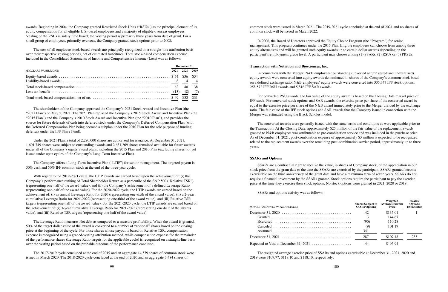awards. Beginning in 2004, the Company granted Restricted Stock Units ("RSUs") as the principal element of its equity compensation for all eligible U.S.-based employees and a majority of eligible overseas employees. Vesting of the RSUs is solely time based; the vesting period is primarily three years from date of grant. For a small group of employees, primarily overseas, the Company granted stock options prior to 2008.

The cost of all employee stock-based awards are principally recognized on a straight-line attribution basis over their respective vesting periods, net of estimated forfeitures. Total stock-based compensation expense included in the Consolidated Statements of Income and Comprehensive Income (Loss) was as follows:

|                                              | December 31, |                |  |
|----------------------------------------------|--------------|----------------|--|
| (DOLLARS IN MILLIONS)                        |              | 2021 2020 2019 |  |
|                                              |              |                |  |
|                                              |              |                |  |
|                                              |              |                |  |
| Less tax benefit $\ldots$ $(13)$ $(8)$ $(7)$ |              |                |  |
|                                              |              |                |  |

The shareholders of the Company approved the Company's 2021 Stock Award and Incentive Plan (the "2021 Plan") on May 5, 2021. The 2021 Plan replaced the Company's 2015 Stock Award and Incentive Plan (the "2015 Plan") and the Company's 2010 Stock Award and Incentive Plan (the "2010 Plan"), and provides the source for future deferrals of cash into deferred stock under the Company's Deferred Compensation Plan (with the Deferred Compensation Plan being deemed a subplan under the 2010 Plan for the sole purpose of funding deferrals under the IFF Share Fund).

Under the 2021 Plan, a total of 2,290,000 shares are authorized for issuance. At December 31, 2021, 1,601,749 shares were subject to outstanding awards and 2,631,269 shares remained available for future awards under all of the Company's equity award plans, including the 2015 Plan and 2010 Plan (excluding shares not yet issued under open cycles of the Company's Long-Term Incentive Plan).

The Company offers a Long-Term Incentive Plan ("LTIP") for senior management. The targeted payout is 50% cash and 50% IFF common stock at the end of the three-year cycle.

With regard to the 2019-2021 cycle, the LTIP awards are earned based upon the achievement of: (i) the Company's performance ranking of Total Shareholder Return as a percentile of the S&P 500 ("Relative TSR") (representing one-half of the award value), and (ii) the Company's achievement of a defined Leverage Ratio (representing one-half of the award value). For the 2020-2022 cycle, the LTIP awards are earned based on the achievement of: (i) an annual Leverage Ratio for 2020 (representing one-sixth of the award value), (ii) a 2-year cumulative Leverage Ratio for 2021-2022 (representing one-third of the award value), and (iii) Relative TSR targets (representing one-half of the award value). For the 2021-2023 cycle, the LTIP awards are earned based on the achievement of: (i) 3-year cumulative Leverage Ratio for 2021-2023 (representing one-half of the awards value), and (iii) Relative TSR targets (representing one-half of the award value).

The Leverage Ratio measures Net debt as compared to a measure profitability. When the award is granted, 50% of the target dollar value of the award is converted to a number of "notional" shares based on the closing price at the beginning of the cycle. For those shares whose payout is based on Relative TSR, compensation expense is recognized using a graded-vesting attribution method, while compensation expense for the remainder of the performance shares (Leverage Ratio targets for the applicable cycle) is recognized on a straight-line basis over the vesting period based on the probable outcome of the performance condition.

The 2017-2019 cycle concluded at the end of 2019 and an aggregate 14,579 shares of common stock were issued in March 2020. The 2018-2020 cycle concluded at the end of 2020 and an aggregate 7,484 shares of

common stock were issued in March 2021. The 2019-2021 cycle concluded at the end of 2021 and no shares of common stock will be issued in March 2022.

In 2006, the Board of Directors approved the Equity Choice Program (the "Program") for senior management. This program continues under the 2015 Plan. Eligible employees can choose from among three equity alternatives and will be granted such equity awards up to certain dollar awards depending on the participant's employment grade level. A participant may choose among (1) SSARs, (2) RSUs or (3) PRSUs.

# **Transaction with Nutrition and Biosciences, Inc.**

In connection with the Merger, N&B employees' outstanding (unvested and/or vested and unexercised) equity awards were converted into equity awards denominated in shares of the Company's common stock based on a defined exchange ratio. N&B employees' equity awards were converted into 335,347 IFF stock options, 258,572 IFF RSU awards and 5,816 IFF SAR awards.

For converted RSU awards, the fair value of the equity award is based on the Closing Date market price of IFF stock. For converted stock options and SAR awards, the exercise price per share of the converted award is equal to the exercise price per share of the N&B award immediately prior to the Merger divided by the exchange ratio. The fair value of the IFF stock options and SAR awards that the Company issued in connection with the Merger was estimated using the Black Scholes model.

The converted awards were generally issued with the same terms and conditions as were applicable prior to the Transaction. At the Closing Date, approximately \$25 million of the fair value of the replacement awards granted to N&B employees was attributable to pre-combination service and was included in the purchase price. As of December 31, 2021, post-combination expense of approximately \$3 million is expected to be recognized related to the replacement awards over the remaining post-combination service period, approximately up to three years.

# **SSARs and Options**

SSARs are a contractual right to receive the value, in shares of Company stock, of the appreciation in our stock price from the grant date to the date the SSARs are exercised by the participant. SSARs granted become exercisable on the third anniversary of the grant date and have a maximum term of seven years. SSARs do not require a financial investment by the SSARs grantee. Stock options require the participant to pay the exercise price at the time they exercise their stock options. No stock options were granted in 2021, 2020 or 2019.

SSARs and options activity was as follows:

| (SHARE AMOUNTS IN THOUSANDS)                                                            | <b>Shares Subject to</b><br><b>SSARs/Options</b> | Weighted<br><b>Average Exercise</b><br>Price | <b>SSARs/</b><br><b>Options</b><br>Exercisable |
|-----------------------------------------------------------------------------------------|--------------------------------------------------|----------------------------------------------|------------------------------------------------|
|                                                                                         | 42                                               | \$135.01                                     |                                                |
|                                                                                         |                                                  | 144.67                                       |                                                |
|                                                                                         | (90)                                             | 110.28                                       |                                                |
| $Canceled \ldots \ldots \ldots \ldots \ldots \ldots \ldots \ldots \ldots \ldots \ldots$ | (9)                                              | 101.19                                       |                                                |
| $Assumed \ldots \ldots \ldots \ldots \ldots \ldots \ldots \ldots \ldots \ldots \ldots$  | 341                                              |                                              |                                                |
|                                                                                         | 287                                              | \$107.48                                     | 235                                            |
|                                                                                         | 44                                               | \$95.94                                      |                                                |

The weighted average exercise price of SSARs and options exercisable at December 31, 2021, 2020 and 2019 were \$109.77, \$118.10 and \$118.10, respectively.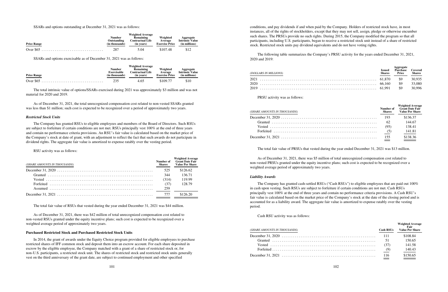SSARs and options outstanding at December 31, 2021 was as follows:

|                    |                                                       | <b>Weighted Average</b>                            |                                              |                                                      |
|--------------------|-------------------------------------------------------|----------------------------------------------------|----------------------------------------------|------------------------------------------------------|
| <b>Price Range</b> | <b>Number</b><br><b>Outstanding</b><br>(in thousands) | Remaining<br><b>Contractual Life</b><br>(in vears) | Weighted<br>Average<br><b>Exercise Price</b> | Aggregate<br><b>Intrinsic Value</b><br>(in millions) |
|                    | 287                                                   | 5.04                                               | \$107.48                                     | \$12                                                 |

SSARs and options exercisable as of December 31, 2021 was as follows:

As of December 31, 2021, the total unrecognized compensation cost related to non-vested SSARs granted was less than \$1 million; such cost is expected to be recognized over a period of approximately two years.

|                    |                                                       | <b>Weighted Average</b>                            |                                              |                                                      |
|--------------------|-------------------------------------------------------|----------------------------------------------------|----------------------------------------------|------------------------------------------------------|
| <b>Price Range</b> | <b>Number</b><br><b>Exercisable</b><br>(in thousands) | Remaining<br><b>Contractual Life</b><br>(in vears) | Weighted<br>Average<br><b>Exercise Price</b> | Aggregate<br><b>Intrinsic Value</b><br>(in millions) |
|                    | 235                                                   | 4.65                                               | \$109.77                                     | \$10                                                 |

The total intrinsic value of options/SSARs exercised during 2021 was approximately \$3 million and was not material for 2020 and 2019.

# *Restricted Stock Units*

The Company has granted RSUs to eligible employees and members of the Board of Directors. Such RSUs are subject to forfeiture if certain conditions are not met. RSUs principally vest 100% at the end of three years and contain no performance criteria provisions. An RSU's fair value is calculated based on the market price of the Company's stock at date of grant, with an adjustment to reflect the fact that such awards do not participate in dividend rights. The aggregate fair value is amortized to expense ratably over the vesting period.

RSU activity was as follows:

| (SHARE AMOUNTS IN THOUSANDS) | Number of<br><b>Shares</b> | <b>Weighted Average</b><br><b>Grant Date Fair</b><br><b>Value Per Share</b> |
|------------------------------|----------------------------|-----------------------------------------------------------------------------|
|                              | 525                        | \$126.62                                                                    |
|                              | 344                        | 136.71                                                                      |
|                              | (314)                      | 119.99                                                                      |
|                              | (37)                       | 128.79                                                                      |
|                              | 259                        |                                                                             |
|                              | 777                        | \$126.20                                                                    |

The total fair value of RSUs that vested during the year ended December 31, 2021 was \$44 million.

As of December 31, 2021, there was \$42 million of total unrecognized compensation cost related to non-vested RSUs granted under the equity incentive plans; such cost is expected to be recognized over a weighted average period of approximately two years.

# **Purchased Restricted Stock and Purchased Restricted Stock Units**

In 2014, the grant of awards under the Equity Choice program provided for eligible employees to purchase restricted shares of IFF common stock and deposit them into an escrow account. For each share deposited in escrow by the eligible employee, the Company matched with a grant of a share of restricted stock or, for non-U.S. participants, a restricted stock unit. The shares of restricted stock and restricted stock units generally vest on the third anniversary of the grant date, are subject to continued employment and other specified

conditions, and pay dividends if and when paid by the Company. Holders of restricted stock have, in most instances, all of the rights of stockholders, except that they may not sell, assign, pledge or otherwise encumber such shares. The PRSUs provide no such rights. During 2015, the Company modified the program so that all participants, including U.S. participants, began to receive a restricted stock unit instead of a share of restricted stock. Restricted stock units pay dividend equivalents and do not have voting rights.

The following table summarizes the Company's PRSU activity for the years ended December 31, 2021, 2020 and 2019:

| (DOLLARS IN MILLIONS) | <b>Issued</b><br><b>Shares</b> | Aggregate<br>Purchase Covered<br><b>Price</b> | Shares |
|-----------------------|--------------------------------|-----------------------------------------------|--------|
|                       |                                |                                               | 30.935 |
|                       |                                |                                               |        |
|                       |                                |                                               | 30.996 |

PRSU activity was as follows:

| (SHARE AMOUNTS IN THOUSANDS) | Number of<br><b>Shares</b> | <b>Weighted Average</b><br><b>Grant Date Fair</b><br><b>Value Per Share</b> |
|------------------------------|----------------------------|-----------------------------------------------------------------------------|
|                              |                            | \$136.37                                                                    |
|                              | 62                         | 144.67                                                                      |
| Vested (95)                  |                            | 138.41                                                                      |
|                              |                            | 141.81                                                                      |
|                              |                            | \$138.36                                                                    |

The total fair value of PRSUs that vested during the year ended December 31, 2021 was \$13 million.

As of December 31, 2021, there was \$5 million of total unrecognized compensation cost related to non-vested PRSUs granted under the equity incentive plans; such cost is expected to be recognized over a weighted average period of approximately two years.

### *Liability Awards*

The Company has granted cash-settled RSUs ("Cash RSUs") to eligible employees that are paid out 100% in cash upon vesting. Such RSUs are subject to forfeiture if certain conditions are not met. Cash RSUs principally vest 100% at the end of three years and contain no performance criteria provisions. A Cash RSU's fair value is calculated based on the market price of the Company's stock at the date of the closing period and is accounted for as a liability award. The aggregate fair value is amortized to expense ratably over the vesting period.

Cash RSU activity was as follows:

| (SHARE AMOUNTS IN THOUSANDS) | <b>Cash RSUs</b> | <b>Weighted Average</b><br><b>Fair</b><br><b>Value Per Share</b> |
|------------------------------|------------------|------------------------------------------------------------------|
|                              |                  | \$108.84                                                         |
|                              |                  | 150.65                                                           |
|                              | (37)             | 141.58                                                           |
|                              | (9)              | 140.43                                                           |
|                              | 116              | \$150.65                                                         |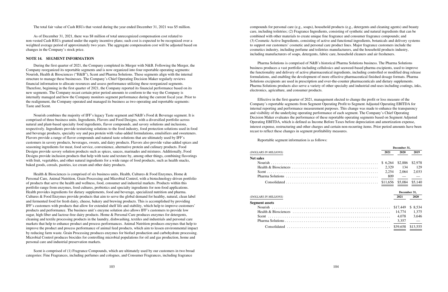The total fair value of Cash RSUs that vested during the year ended December 31, 2021 was \$5 million.

As of December 31, 2021, there was \$8 million of total unrecognized compensation cost related to non-vested Cash RSUs granted under the equity incentive plans; such cost is expected to be recognized over a weighted average period of approximately two years. The aggregate compensation cost will be adjusted based on changes in the Company's stock price.

# **NOTE 14. SEGMENT INFORMATION**

During the first quarter of 2021, the Company completed its Merger with N&B. Following the Merger, the Company reorganized its reportable segments and is now organized into four reportable operating segments: Nourish, Health & Biosciences ("H&B"), Scent and Pharma Solutions. These segments align with the internal structure to manage these businesses. The Company's Chief Operating Decision Maker regularly reviews financial information to allocate resources and assess performance utilizing these reorganized segments. Therefore, beginning in the first quarter of 2021, the Company reported its financial performance based on its new segments. The Company recast certain prior period amounts to conform to the way the Company is internally managed and how the Company monitors segment performance during the current fiscal year. Prior to the realignment, the Company operated and managed its business as two operating and reportable segments: Taste and Scent.

Nourish combines the majority of IFF's legacy Taste segment and N&B's Food & Beverage segment. It is comprised of three business units, Ingredients, Flavors and Food Designs, with a diversified portfolio across natural and plant-based specialty food ingredients, flavor compounds, and savory solutions and inclusions, respectively. Ingredients provide texturizing solutions to the food industry, food protection solutions used in food and beverage products, specialty soy and pea protein with value-added formulations, emulsifiers and sweeteners. Flavors provide a range of flavor compounds and natural taste solutions that are ultimately used by IFF's customers in savory products, beverages, sweets, and dairy products. Flavors also provide value-added spices and seasoning ingredients for meat, food service, convenience, alternative protein and culinary products. Food Designs provide savory solution products such as spices, sauces, marinades and mixtures. Additionally, Food Designs provide inclusion products that help with taste and texture by, among other things, combining flavorings with fruit, vegetables, and other natural ingredients for a wide range of food products, such as health snacks, baked goods, cereals, pastries, ice cream and other dairy products.

Health & Biosciences is comprised of six business units, Health, Cultures & Food Enzymes, Home & Personal Care, Animal Nutrition, Grain Processing and Microbial Control, with a biotechnology-driven portfolio of products that serve the health and wellness, food, consumer and industrial markets. Products within this portfolio range from enzymes, food cultures, probiotics and specialty ingredients for non-food applications. Health provides ingredients for dietary supplements, food and beverage, specialized nutrition and pharma. Cultures & Food Enzymes provide products that aim to serve the global demand for healthy, natural, clean label and fermented food for fresh dairy, cheese, bakery and brewing products. This is accomplished by providing IFF's customers with products that allow for extended shelf life and stability, which help to improve customers' products and performance. The business unit's enzyme solution also allows IFF's customers to provide low sugar, high fiber and lactose-free dairy products. Home & Personal Care produces enzymes for detergents, cleaning and textile processing products in the laundry, dishwashing, textiles and industrials and personal care markets that help to enhance product and process performances. Animal Nutrition produces enzymes that help to improve the product and process performance of animal feed products, which aim to lessen environmental impact by reducing farm waste. Grain Processing produces enzymes for biofuel production and carbohydrate processing. Microbial Control produces biocides for controlling microbial populations for oil and gas production, home and personal care and industrial preservation markets.

Scent is comprised of (1) Fragrance Compounds, which are ultimately used by our customers in two broad categories: Fine Fragrances, including perfumes and colognes, and Consumer Fragrances, including fragrance

compounds for personal care (e.g., soaps), household products (e.g., detergents and cleaning agents) and beauty care, including toiletries; (2) Fragrance Ingredients, consisting of synthetic and natural ingredients that can be combined with other materials to create unique fine fragrance and consumer fragrance compounds; and (3) Cosmetic Active Ingredients, consisting of active and functional ingredients, botanicals and delivery systems to support our customers' cosmetic and personal care product lines. Major fragrance customers include the cosmetics industry, including perfume and toiletries manufacturers, and the household products industry, including manufacturers of soaps, detergents, fabric care, household cleaners and air fresheners.

Pharma Solutions is comprised of N&B's historical Pharma Solutions business. The Pharma Solutions business produces a vast portfolio including cellulosics and seaweed-based pharma excipients, used to improve the functionality and delivery of active pharmaceutical ingredients, including controlled or modified drug release formulations, and enabling the development of more effective pharmaceutical finished dosage formats. Pharma Solutions excipients are used in prescription and over-the-counter pharmaceuticals and dietary supplements. Pharma Solutions products also serve a variety of other specialty and industrial end-uses including coatings, inks, electronics, agriculture, and consumer products.

Effective in the first quarter of 2021, management elected to change the profit or loss measure of the Company's reportable segments from Segment Operating Profit to Segment Adjusted Operating EBITDA for internal reporting and performance measurement purposes. This change was made to enhance the transparency and visibility of the underlying operating performance of each segment. The Company's Chief Operating Decision Maker evaluates the performance of these reportable operating segments based on Segment Adjusted Operating EBITDA, which is defined as Income Before Taxes before depreciation and amortization expense, interest expense, restructuring and other charges and certain non-recurring items. Prior period amounts have been recast to reflect these changes in segment profitability measures.

Reportable segment information is as follows:

# **Net**

|                       |          | December 31, |          |
|-----------------------|----------|--------------|----------|
| (DOLLARS IN MILLIONS) | 2021     | 2020         | 2019     |
| <b>Net sales</b>      |          |              |          |
|                       | \$6,264  | \$2,886      | \$2,978  |
|                       | 2.329    | 134          | 129      |
|                       | 2,254    | 2.064        | 2,033    |
|                       | 809      |              |          |
|                       | \$11,656 | \$5,084      | \$5,140  |
|                       |          | December 31, |          |
| (DOLLARS IN MILLIONS) |          | 2021         | 2020     |
| <b>Segment assets</b> |          |              |          |
|                       |          | \$17,449     | \$ 8,534 |
|                       |          | 14,774       | 1.375    |
|                       |          | 4.078        | 3,646    |
|                       |          | 3,357        |          |
|                       |          | \$39,658     | \$13,555 |

|                     |          | December 31, |          |
|---------------------|----------|--------------|----------|
| ILLARS IN MILLIONS) | 2021     | 2020         | 2019     |
| t sales             |          |              |          |
|                     | \$6,264  | \$2,886      | \$2,978  |
|                     | 2.329    | 134          | 129      |
|                     | 2.254    | 2.064        | 2,033    |
|                     | 809      |              |          |
|                     | \$11,656 | \$5,084      | \$5,140  |
|                     |          | December 31, |          |
| ILLARS IN MILLIONS) |          | 2021         | 2020     |
| ment assets         |          |              |          |
|                     |          | \$17,449     | \$ 8,534 |
|                     |          | 14.774       | 1,375    |
|                     |          | 4.078        | 3,646    |
|                     |          | 3,357        |          |
|                     |          | \$39,658     | \$13,555 |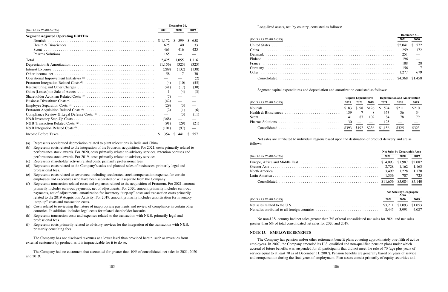|                                           | December 31, |                      |                      |
|-------------------------------------------|--------------|----------------------|----------------------|
| (DOLLARS IN MILLIONS)                     | 2021         | 2020                 | 2019                 |
| <b>Segment Adjusted Operating EBITDA:</b> |              |                      |                      |
|                                           | \$1.172      | 599<br><sup>\$</sup> | <sup>\$</sup><br>658 |
|                                           | 625          | 40                   | 33                   |
|                                           | 463          | 416                  | 425                  |
|                                           | 165          |                      |                      |
|                                           | 2,425        | 1,055                | 1,116                |
|                                           | (1,156)      | (325)                | (323)                |
|                                           | (289)        | (132)                | (138)                |
|                                           | 58           |                      | 30                   |
|                                           |              |                      | (2)                  |
|                                           | (4)          | (10)                 | (55)                 |
|                                           | (41)         | (17)                 | (30)                 |
|                                           | 1            | (4)                  | (3)                  |
|                                           | (7)          |                      |                      |
|                                           | (42)         |                      |                      |
|                                           | (29)         | (3)                  |                      |
|                                           | (2)          | (1)                  | (6)                  |
|                                           |              | (3)                  | (11)                 |
|                                           | (368)        |                      |                      |
|                                           | (91)         | (29)                 | (21)                 |
|                                           | (101)        | (97)                 |                      |
|                                           | 354<br>S.    | S.<br>441            | 557                  |

(a) Represents accelerated depreciation related to plant relocations in India and China.

(b) Represents costs related to the integration of the Frutarom acquisition. For 2021, costs primarily related to performance stock awards. For 2020, costs primarily related to advisory services, retention bonuses and performance stock awards. For 2019, costs primarily related to advisory services.

- (c) Represents shareholder activist related costs, primarily professional fees.
- (d) Represents costs related to the Company's sales and planned sales of businesses, primarily legal and professional fees.
- (e) Represents costs related to severance, including accelerated stock compensation expense, for certain employees and executives who have been separated or will separate from the Company.
- (f) Represents transaction-related costs and expenses related to the acquisition of Frutarom. For 2021, amount primarily includes earn-out payments, net of adjustments. For 2020, amount primarily includes earn-out payments, net of adjustments, amortization for inventory "step-up" costs and transaction costs primarily related to the 2019 Acquisition Activity. For 2019, amount primarily includes amortization for inventory "step-up" costs and transaction costs.
- (g) Costs related to reviewing the nature of inappropriate payments and review of compliance in certain other countries. In addition, includes legal costs for related shareholder lawsuits.
- (h) Represents transaction costs and expenses related to the transaction with N&B, primarily legal and professional fees.
- (i) Represents costs primarily related to advisory services for the integration of the transaction with N&B, primarily consulting fees.

The Company has not disclosed revenues at a lower level than provided herein, such as revenues from external customers by product, as it is impracticable for it to do so.

The Company had no customers that accounted for greater than 10% of consolidated net sales in 2021, 2020 and 2019.

### Long-lived assets, net, by country, consisted as follow

|                       | December 31. |                |
|-----------------------|--------------|----------------|
| (DOLLARS IN MILLIONS) | 2021         | 2020           |
|                       |              | \$ 572         |
|                       | 259          | 172            |
|                       | 251          | $\sim$ $-$     |
|                       | - 196        | $\sim$         |
|                       | 188          | 28             |
|                       |              | $\overline{7}$ |
|                       |              | 679            |
|                       |              | \$1.458        |

Segment capital expenditures and depreciation and amortization consisted as follows:

|                       | <b>Depreciation and Amortization</b><br><b>Capital Expenditures</b> |                                            |      |                 |       |       |
|-----------------------|---------------------------------------------------------------------|--------------------------------------------|------|-----------------|-------|-------|
| (DOLLARS IN MILLIONS) | 2021                                                                | 2020                                       | 2019 | 2021            | 2020  | 2019  |
|                       |                                                                     |                                            |      |                 | \$211 | \$210 |
|                       |                                                                     |                                            |      | 353             | 36    | -34   |
|                       |                                                                     | 87                                         | 102. | 84              | 78    |       |
|                       |                                                                     | and the state of the state of the state of |      | 125             |       |       |
|                       |                                                                     |                                            |      | $$236$ $$1,156$ | \$325 | \$323 |

Net sales are attributed to individual regions based upon the destination of product delivery and are as follows:

|                                               |          | <b>Net Sales by Geographic Area</b>    |         |
|-----------------------------------------------|----------|----------------------------------------|---------|
| (DOLLARS IN MILLIONS)                         | 2021     | 2020                                   | 2019    |
|                                               | \$4.093  | \$1,987                                | \$2,082 |
|                                               | 2.728    | 1.162                                  | 1.163   |
|                                               | 3.499    | 1.228                                  | 1.170   |
|                                               | 1,336    | 707                                    | 725     |
|                                               | \$11,656 | \$5,084                                | \$5,140 |
|                                               |          | <b>Net Sales by Geographic</b><br>Area |         |
| (DOLLARS IN MILLIONS)                         | 2021     | 2020                                   | 2019    |
|                                               | \$3.211  | \$1,093                                | \$1,053 |
| Net sales attributed to all foreign countries | 8.445    | 3.991                                  | 4.087   |

| Net sales attributed to all foreign countries |  |
|-----------------------------------------------|--|

No non-U.S. country had net sales greater than 7% of total consolidated net sales for 2021 and net sales greater than 6% of total consolidated net sales for 2020 and 2019.

### **NOTE 15. EMPLOYEE BENEFITS**

The Company has pension and/or other retirement benefit plans covering approximately one-fifth of active employees. In 2007, the Company amended its U.S. qualified and non-qualified pension plans under which accrual of future benefits was suspended for all participants that did not meet the rule of 70 (age plus years of service equal to at least 70 as of December 31, 2007). Pension benefits are generally based on years of service and compensation during the final years of employment. Plan assets consist primarily of equity securities and

| i | i |  |
|---|---|--|
|   | ٦ |  |
| ٠ | v |  |
|   |   |  |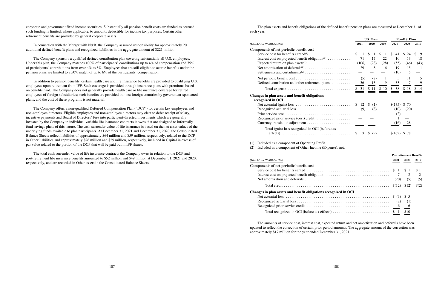corporate and government fixed income securities. Substantially all pension benefit costs are funded as accrued; such funding is limited, where applicable, to amounts deductible for income tax purposes. Certain other retirement benefits are provided by general corporate assets.

In connection with the Merger with N&B, the Company assumed responsibility for approximately 20 additional defined benefit plans and recognized liabilities in the aggregate amount of \$221 million.

The Company sponsors a qualified defined contribution plan covering substantially all U.S. employees. Under this plan, the Company matches 100% of participants' contributions up to 4% of compensation and 75% of participants' contributions from over 4% to 8%. Employees that are still eligible to accrue benefits under the pension plans are limited to a 50% match of up to 6% of the participants' compensation.

In addition to pension benefits, certain health care and life insurance benefits are provided to qualifying U.S. employees upon retirement from IFF. Such coverage is provided through insurance plans with premiums based on benefits paid. The Company does not generally provide health care or life insurance coverage for retired employees of foreign subsidiaries; such benefits are provided in most foreign countries by government-sponsored plans, and the cost of these programs is not material.

The Company offers a non-qualified Deferred Compensation Plan ("DCP") for certain key employees and non-employee directors. Eligible employees and non-employee directors may elect to defer receipt of salary, incentive payments and Board of Directors' fees into participant-directed investments which are generally invested by the Company in individual variable life insurance contracts it owns that are designed to informally fund savings plans of this nature. The cash surrender value of life insurance is based on the net asset values of the underlying funds available to plan participants. At December 31, 2021 and December 31, 2020, the Consolidated Balance Sheets reflect liabilities of approximately \$64 million and \$59 million, respectively, related to the DCP in Other liabilities and approximately \$26 million and \$29 million, respectively, included in Capital in excess of par value related to the portion of the DCP that will be paid out in IFF shares.

# **Components of net periodic benefit cost** Service cost for benefits earned .................... Interest cost on projected benefit obligation  $\dots \dots$ Net amortization and deferrals ............................................. (20) (5) (5) Total credit  $\dots \dots \dots \dots \dots \dots \dots \dots \dots \dots \dots$ **Changes in plan assets and benefit obligations recognize** Net actuarial loss . . . . . . . . . . . . . . . . . . . . . . . . . . . . . . . . . . . . . . . . . . . . . . . . . . . . . . . \$ (3) \$ 5 Recognized actuarial loss  $\dots \dots \dots \dots \dots \dots \dots \dots$

The total cash surrender value of life insurance contracts the Company owns in relation to the DCP and post-retirement life insurance benefits amounted to \$52 million and \$49 million at December 31, 2021 and 2020, respectively, and are recorded in Other assets in the Consolidated Balance Sheets.

The plan assets and benefit obligations of the defined benefit pension plans are measured at December 31 of each year.

### *(DOLLARS IN MILLIONS)* **2021 2020 2019 2021 2020 2019**

# **Components of net periodic benefit cost**

|                                                                                 |               |                | <b>U.S. Plans</b> |      |  |               |               |         | Non-U.S. Plans           |           |  |  |  |
|---------------------------------------------------------------------------------|---------------|----------------|-------------------|------|--|---------------|---------------|---------|--------------------------|-----------|--|--|--|
| LARS IN MILLIONS)                                                               | 2021          |                | <b>2020</b>       |      |  | 2019          |               | 2021    | <b>2020</b>              | 2019      |  |  |  |
| ponents of net periodic benefit cost                                            |               |                |                   |      |  |               |               |         |                          |           |  |  |  |
|                                                                                 | <sup>\$</sup> | 1 \$ 1         |                   |      |  | $\frac{1}{2}$ | <sup>\$</sup> | 41      | \$24                     | \$.<br>19 |  |  |  |
| Interest cost on projected benefit obligation <sup>(2)</sup>                    |               | 71             |                   | 17   |  | 22            |               | 10      | 13                       | 18        |  |  |  |
|                                                                                 |               | (106)          |                   | (28) |  | (28)          |               | (55)    | (46)                     | (43)      |  |  |  |
|                                                                                 |               | 29             |                   | 8    |  | 6             |               | 19      | 15                       | 11        |  |  |  |
|                                                                                 |               |                |                   |      |  |               |               | (10)    | 5                        |           |  |  |  |
| Net periodic benefit cost                                                       |               | (5)            |                   | (2)  |  | 1             |               | 5       | 11                       | 5         |  |  |  |
| Defined contribution and other retirement plans                                 |               | 36             |                   | 13   |  | 9             |               | 33      | 7                        | 9         |  |  |  |
|                                                                                 |               | \$31           | \$11              |      |  | \$10          | $\mathbb{S}$  | 38      | \$18                     | \$14      |  |  |  |
| nges in plan assets and benefit obligations                                     |               |                |                   |      |  |               |               |         |                          |           |  |  |  |
| cognized in OCI                                                                 |               |                |                   |      |  |               |               |         |                          |           |  |  |  |
| Net actuarial (gain) loss $\ldots \ldots \ldots \ldots \ldots \ldots \ldots$ \$ |               | 12             | -SS               | (1)  |  |               |               | \$(135) | <sup>S</sup><br>70       |           |  |  |  |
| Recognized actuarial loss                                                       |               | (9)            |                   | (8)  |  |               |               | (10)    | (20)                     |           |  |  |  |
|                                                                                 |               |                |                   |      |  |               |               | (2)     |                          |           |  |  |  |
| Recognized prior service (cost) credit $\dots\dots\dots\dots\dots\dots$         |               |                |                   |      |  |               |               | 1       |                          |           |  |  |  |
| Currency translation adjustment                                                 |               |                |                   |      |  |               |               | (16)    | 28                       |           |  |  |  |
| Total (gain) loss recognized in OCI (before tax                                 |               |                |                   |      |  |               |               |         |                          |           |  |  |  |
| $\text{eff}_{\text{efto}}$                                                      |               | $2 \notin (0)$ |                   |      |  |               |               |         | $\sqrt{(162)} \times 78$ |           |  |  |  |

|                                                                                      | \$. | -1          | \$<br>$\mathbf{1}$ | S. |              | S. | 41      | \$<br>24 |
|--------------------------------------------------------------------------------------|-----|-------------|--------------------|----|--------------|----|---------|----------|
| Interest cost on projected benefit obligation <sup>(2)</sup>                         |     | 71          | 17                 |    | 22           |    | 10      | 13       |
|                                                                                      |     | (106)       | (28)               |    | (28)         |    | (55)    | (46)     |
|                                                                                      |     | 29          | 8                  |    | 6            |    | 19      | 15       |
|                                                                                      |     |             |                    |    |              |    | (10)    | 5        |
|                                                                                      |     | (5)         | (2)                |    | $\mathbf{1}$ |    | 5       | 11       |
| Defined contribution and other retirement plans                                      |     | 36          | 13                 |    | 9            |    | 33      | 7        |
|                                                                                      |     | $$31$ \$ 11 |                    |    | \$10         |    | \$38    | \$18     |
| Changes in plan assets and benefit obligations                                       |     |             |                    |    |              |    |         |          |
| recognized in OCI                                                                    |     |             |                    |    |              |    |         |          |
| Net actuarial (gain) loss $\dots \dots \dots \dots \dots \dots \dots \dots$ \$ 12 \$ |     |             | (1)                |    |              |    | \$(135) | -S<br>70 |
|                                                                                      |     | (9)         | (8)                |    |              |    | (10)    | (20)     |
|                                                                                      |     |             |                    |    |              |    | (2)     |          |
| Recognized prior service (cost) credit $\dots\dots\dots\dots\dots\dots$              |     |             |                    |    |              |    |         |          |
|                                                                                      |     |             |                    |    |              |    | (16)    | 28       |
| Total (gain) loss recognized in OCI (before tax                                      |     |             |                    |    |              |    |         |          |
|                                                                                      |     | 3           | (9)                |    |              |    | \$(162) | \$78     |
| Included as a component of Operating Profit.<br>(1)                                  |     |             |                    |    |              |    |         |          |

(2) Included as a component of Other Income (Expense), net.

|           |          | <b>Postretirement Benefits</b> |                |
|-----------|----------|--------------------------------|----------------|
|           | 2021     | 2020                           | 2019           |
| .         | \$<br>-1 | $\frac{1}{2}$                  | \$1            |
|           |          | 2                              | $\overline{2}$ |
| .         | (20)     | (5)                            | (5)            |
| .         | \$(12)   | \$(2)                          | \$(2)          |
| d in OCI: |          |                                |                |
| .         | \$ (3)   | $\frac{1}{2}$ 5                |                |
|           | (2)      | (1)                            |                |
|           | 6        | 6                              |                |
| .         | \$<br>1  | \$10                           |                |

## *(DOLLARS IN MILLIONS)* **2021 2020 2019**

The amounts of service cost, interest cost, expected return and net amortization and deferrals have been updated to reflect the correction of certain prior period amounts. The aggregate amount of the correction was approximately \$17 million for the year ended December 31, 2021.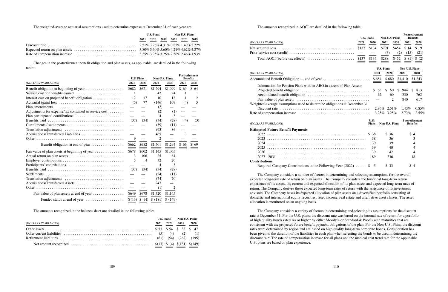The weighted-average actuarial assumptions used to determine expense at December 31 of each year are:

|  |                               | U.S. Plans Non-U.S. Plans |  |  |  |
|--|-------------------------------|---------------------------|--|--|--|
|  | 2021 2020 2019 2021 2020 2019 |                           |  |  |  |
|  |                               |                           |  |  |  |
|  |                               |                           |  |  |  |
|  |                               |                           |  |  |  |

Changes in the postretirement benefit obligation and plan assets, as applicable, are detailed in the following table:

|                                                       |        | <b>U.S. Plans</b><br><b>Non-U.S. Plans</b> |                |         | <b>Postretirement</b><br><b>Benefits</b> |      |  |
|-------------------------------------------------------|--------|--------------------------------------------|----------------|---------|------------------------------------------|------|--|
| (DOLLARS IN MILLIONS)                                 | 2021   | 2020                                       | 2021           | 2020    | 2021                                     | 2020 |  |
|                                                       | \$682  | \$621                                      | \$1,294        | \$1,099 | \$69                                     | \$64 |  |
|                                                       | -1     | 1                                          | 42             | 24      | 1                                        |      |  |
| Interest cost on projected benefit obligation         | 12     | 17                                         | 10             | 13      | 1                                        | 2    |  |
|                                                       | (5)    | 77                                         | (146)          | 109     | (4)                                      | 5    |  |
|                                                       |        |                                            | (2)            |         |                                          |      |  |
| Adjustments for expense/tax contained in service cost |        |                                            | (2)            | (1)     |                                          |      |  |
|                                                       |        |                                            | 4              | 3       |                                          |      |  |
|                                                       | (37)   | (34)                                       | (34)           | (28)    | (4)                                      | (3)  |  |
|                                                       |        |                                            | (39)           | (11)    |                                          |      |  |
|                                                       |        |                                            | (93)           | 86      |                                          |      |  |
| Acquisitions/Transferred Liabilities                  |        |                                            | 465            |         | 3                                        |      |  |
|                                                       | 9      |                                            | 2              |         |                                          |      |  |
| Benefit obligation at end of year                     | \$662  | \$682                                      | \$1,501        | \$1,294 | \$66                                     | \$69 |  |
| Fair value of plan assets at beginning of year        | \$678  | \$602                                      | \$1,145        | \$1,005 |                                          |      |  |
|                                                       | 3      | 106                                        | 25             | 84      |                                          |      |  |
|                                                       | 5      | 4                                          | 32             | 20      |                                          |      |  |
|                                                       |        |                                            | $\overline{4}$ | 3       |                                          |      |  |
|                                                       | (37)   | (34)                                       | (34)           | (28)    |                                          |      |  |
|                                                       |        |                                            | (24)           | (11)    |                                          |      |  |
|                                                       |        |                                            | (74)           | 70      |                                          |      |  |
| Acquisitions/Transferred Assets                       |        |                                            | 247            |         |                                          |      |  |
|                                                       |        |                                            | (1)            | 2       |                                          |      |  |
| Fair value of plan assets at end of year              | \$649  | \$678                                      | \$1,320        | \$1,145 |                                          |      |  |
| Funded status at end of year                          | \$(13) | \$<br>(4)                                  | \$(181)        | \$(149) |                                          |      |  |

The amounts recognized in the balance sheet are detailed in the following table:

|                                                                                                                               |      |      | U.S. Plans Non-U.S. Plans |  |  |
|-------------------------------------------------------------------------------------------------------------------------------|------|------|---------------------------|--|--|
| (DOLLARS IN MILLIONS)                                                                                                         | 2021 | 2020 | 2021 2020                 |  |  |
|                                                                                                                               |      |      |                           |  |  |
|                                                                                                                               |      |      |                           |  |  |
|                                                                                                                               |      |      |                           |  |  |
| Net amount recognized $\dots \dots \dots \dots \dots \dots \dots \dots \dots \dots \dots \dots$ \$(13) \$ (4) \$(181) \$(149) |      |      |                           |  |  |

The amounts recognized in AOCI are detailed in the following table:

# *(DOLLARS IN MILLIONS)* **2021 2020 2021 2020 2021 2020**

|                   |      | <b>U.S. Plans</b> | <b>Non-U.S. Plans</b>     |      | <b>Postretirement</b><br>Benefits |             |
|-------------------|------|-------------------|---------------------------|------|-----------------------------------|-------------|
| LARS IN MILLIONS) | 2021 | 2020              | 2021                      | 2020 | 2021                              | <b>2020</b> |
|                   |      | \$134             | $$291$ $$454$ $$14$ $$19$ |      |                                   |             |
|                   |      |                   | (3)                       | (2)  | (15)                              | (21)        |
|                   |      |                   |                           |      |                                   |             |
|                   |      |                   | <b>U.S. Plans</b>         |      | Non-U.S. Plans                    |             |

| (DOLLARS IN MILLIONS)                                                                                                     | 2021 |    |  | 2020 |     | 2021                       |    | <b>2020</b> |
|---------------------------------------------------------------------------------------------------------------------------|------|----|--|------|-----|----------------------------|----|-------------|
|                                                                                                                           |      |    |  |      |     |                            |    |             |
| Information for Pension Plans with an ABO in excess of Plan Assets:                                                       |      |    |  |      |     |                            |    |             |
|                                                                                                                           |      |    |  |      | -SS | 944                        | -S | -813        |
|                                                                                                                           |      | 62 |  | 60   |     | 330                        |    | 762         |
|                                                                                                                           |      |    |  |      |     | 840                        |    | 617         |
| Weighted-average assumptions used to determine obligations at December 31                                                 |      |    |  |      |     |                            |    |             |
| $Discount rate \dots \dots \dots \dots \dots \dots \dots \dots \dots \dots \dots \dots \dots \dots \dots$                 |      |    |  |      |     | $2.86\%$ $2.51\%$ $1.43\%$ |    | 0.85%       |
| Rate of compensation increase $\dots \dots \dots \dots \dots \dots \dots \dots \dots \dots \dots$ 3.25% 3.25% 2.72% 2.55% |      |    |  |      |     |                            |    |             |

# *(DOLLARS IN MILLIONS)*

| (DOLLARS IN MILLIONS)                                                     | U.S.<br><b>Plans</b> | Non-U.S. Plans | <b>Postretirement</b><br><b>Benefits</b> |
|---------------------------------------------------------------------------|----------------------|----------------|------------------------------------------|
| <b>Estimated Future Benefit Payments</b>                                  |                      |                |                                          |
|                                                                           |                      | \$ 36          | $\frac{1}{2}$                            |
|                                                                           | -38                  | 36             |                                          |
|                                                                           | 39                   | 39             |                                          |
|                                                                           | 39                   | 40             |                                          |
|                                                                           | 39                   | 42             |                                          |
|                                                                           | 189                  | 236            | 18                                       |
| Contributions                                                             |                      |                |                                          |
| Required Company Contributions in the Following Year $(2022) \ldots$ \$ 5 |                      | \$ 33          |                                          |

### **Con**

The Company considers a number of factors in determining and selecting assumptions for the overall expected long-term rate of return on plan assets. The Company considers the historical long-term return experience of its assets, the current and expected allocation of its plan assets and expected long-term rates of return. The Company derives these expected long-term rates of return with the assistance of its investment advisors. The Company bases its expected allocation of plan assets on a diversified portfolio consisting of domestic and international equity securities, fixed income, real estate and alternative asset classes. The asset allocation is monitored on an ongoing basis.

The Company considers a variety of factors in determining and selecting its assumptions for the discount rate at December 31. For the U.S. plans, the discount rate was based on the internal rate of return for a portfolio of high quality bonds rated Aa or higher by either Moody's or Standard & Poor's with maturities that are consistent with the projected future benefit payment obligations of the plan. For the Non-U.S. Plans, the discount rates were determined by region and are based on high quality long-term corporate bonds. Consideration has been given to the duration of the liabilities in each plan when selecting the bonds to be used in determining the discount rate. The rate of compensation increase for all plans and the medical cost trend rate for the applicable U.S. plans are based on plan experience.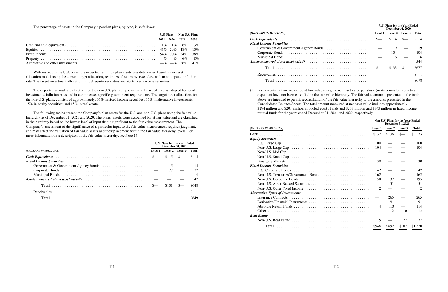The percentage of assets in the Company's pension plans, by type, is as follows:

|  | <b>U.S. Plans</b> Non-U.S. Plans |  |  |
|--|----------------------------------|--|--|
|  | 2021 2020 2021 2020              |  |  |
|  |                                  |  |  |
|  |                                  |  |  |
|  |                                  |  |  |
|  |                                  |  |  |
|  |                                  |  |  |

With respect to the U.S. plans, the expected return on plan assets was determined based on an asset allocation model using the current target allocation, real rates of return by asset class and an anticipated inflation rate. The target investment allocation is 10% equity securities and 90% fixed income securities.

The expected annual rate of return for the non-U.S. plans employs a similar set of criteria adapted for local investments, inflation rates and in certain cases specific government requirements. The target asset allocation, for the non-U.S. plans, consists of approximately: 35% in fixed income securities; 35% in alternative investments; 15% in equity securities; and 15% in real estate.

The following tables present the Company's plan assets for the U.S. and non-U.S. plans using the fair value hierarchy as of December 31, 2021 and 2020. The plans' assets were accounted for at fair value and are classified in their entirety based on the lowest level of input that is significant to the fair value measurement. The Company's assessment of the significance of a particular input to the fair value measurement requires judgment, and may affect the valuation of fair value assets and their placement within the fair value hierarchy levels. For more information on a description of the fair value hierarchy, see Note 16.

|                                                                                                                               | December 31, 2021       |        | <b>U.S. Plans for the Year Ended</b> |  |
|-------------------------------------------------------------------------------------------------------------------------------|-------------------------|--------|--------------------------------------|--|
| (DOLLARS IN MILLIONS)                                                                                                         | Level 1 Level 2 Level 3 |        | <b>Total</b>                         |  |
| Cash Equivalents $\ldots \ldots \ldots \ldots \ldots \ldots \ldots \ldots \ldots \ldots \ldots \ldots \qquad \$ - \$ \$ \$ -$ |                         |        | $\frac{1}{2}$ 5                      |  |
| <b>Fixed Income Securities</b>                                                                                                |                         |        |                                      |  |
|                                                                                                                               | -15                     |        | 15                                   |  |
|                                                                                                                               |                         | $77 -$ | 77                                   |  |
|                                                                                                                               | $\overline{4}$          |        | $\overline{4}$                       |  |
|                                                                                                                               |                         |        | 547                                  |  |
| Total                                                                                                                         | \$101                   | $s-$   | \$648                                |  |
|                                                                                                                               |                         |        | $\frac{1}{2}$                        |  |
| Total                                                                                                                         |                         |        | \$649                                |  |

|  | DOLLARS IN MILLIONS) |  |
|--|----------------------|--|
|--|----------------------|--|

|                                | <b>U.S. Plans for the Year Ended</b><br>December 31, 2020 |                                      |               |  |
|--------------------------------|-----------------------------------------------------------|--------------------------------------|---------------|--|
| (DOLLARS IN MILLIONS)          | Level 1 Level 2 Level 3                                   |                                      | <b>Total</b>  |  |
|                                |                                                           |                                      |               |  |
| <b>Fixed Income Securities</b> |                                                           |                                      |               |  |
|                                |                                                           |                                      | 19            |  |
|                                |                                                           | $104 -$                              | 104           |  |
|                                | 6                                                         |                                      | - 6           |  |
|                                |                                                           |                                      | 544           |  |
|                                |                                                           | $\frac{$133}{\ }$ $\frac{$-133}{\ }$ | \$677         |  |
|                                |                                                           |                                      | $\frac{1}{2}$ |  |
| Total                          |                                                           |                                      | \$678         |  |

(1) Investments that are measured at fair value using the net asset value per share (or its equivalent) practical

expedient have not been classified in the fair value hierarchy. The fair value amounts presented in the table above are intended to permit reconciliation of the fair value hierarchy to the amounts presented in the Consolidated Balance Sheets. The total amount measured at net asset value includes approximately \$294 million and \$201 million in pooled equity funds and \$253 million and \$343 million in fixed income mutual funds for the years ended December 31, 2021 and 2020, respectively.

# *(DOLLARS IN MILLIONS)* **Level 1 Level 2 Level 3 Total**

|                                         | \$ 37          | \$36           | $S-$ | $\mathcal{S}$<br>73 |
|-----------------------------------------|----------------|----------------|------|---------------------|
| <b>Equity Securities</b>                |                |                |      |                     |
|                                         | 100            |                |      | 100                 |
|                                         | 104            |                |      | 104                 |
|                                         | $\mathbf{1}$   |                |      | 1                   |
|                                         |                |                |      | 1                   |
|                                         | 30             |                |      | 30                  |
| <b>Fixed Income Securities</b>          |                |                |      |                     |
|                                         | 42             |                |      | 42                  |
|                                         | 162            |                |      | 162                 |
|                                         | 58             | 137            |      | 195                 |
|                                         |                | 51             |      | 51                  |
|                                         | 2              |                |      | $\overline{2}$      |
| <b>Alternative Types of Investments</b> |                |                |      |                     |
|                                         |                | 265            |      | 265                 |
|                                         |                | 91             |      | 91                  |
|                                         | $\overline{4}$ | 110            |      | 114                 |
|                                         |                | $\overline{2}$ | 10   | 12                  |
| <b>Real Estate</b>                      |                |                |      |                     |
|                                         | 5              |                | 72   | 77                  |
|                                         | \$546          | \$692          | \$82 | \$1,320             |

|                                                                                                                 | Non-U.S. Plans for the Year Ended<br><b>December 31, 2021</b> |                         |      |                     |  |
|-----------------------------------------------------------------------------------------------------------------|---------------------------------------------------------------|-------------------------|------|---------------------|--|
| LARS IN MILLIONS)                                                                                               |                                                               | Level 1 Level 2 Level 3 |      | <b>Total</b>        |  |
|                                                                                                                 | \$37                                                          | \$36                    | $S-$ | $\mathcal{S}$<br>73 |  |
| ty Securities                                                                                                   |                                                               |                         |      |                     |  |
|                                                                                                                 | 100                                                           |                         |      | 100                 |  |
| Non-U.S. Large Cap $\ldots \ldots \ldots \ldots \ldots \ldots \ldots \ldots \ldots \ldots \ldots \ldots \ldots$ | 104                                                           |                         |      | 104                 |  |
| Non-U.S. Mid Cap $\ldots \ldots \ldots \ldots \ldots \ldots \ldots \ldots \ldots \ldots \ldots \ldots \ldots$   | $\overline{1}$                                                |                         |      | $\mathbf{1}$        |  |
|                                                                                                                 | $\overline{1}$                                                |                         |      | $\mathbf{1}$        |  |
|                                                                                                                 | 30                                                            |                         |      | 30                  |  |
| d Income Securities                                                                                             |                                                               |                         |      |                     |  |
|                                                                                                                 | 42                                                            |                         |      | 42                  |  |
| Non-U.S. Treasuries/Government Bonds                                                                            | 162                                                           |                         |      | 162                 |  |
|                                                                                                                 | 58                                                            | 137                     |      | 195                 |  |
|                                                                                                                 |                                                               | 51                      |      | 51                  |  |
|                                                                                                                 | $\mathcal{L}$                                                 |                         |      | $\overline{2}$      |  |
| native Types of Investments                                                                                     |                                                               |                         |      |                     |  |
|                                                                                                                 |                                                               | 265                     |      | 265                 |  |
|                                                                                                                 |                                                               | 91                      |      | 91                  |  |
|                                                                                                                 | $\overline{4}$                                                | 110                     |      | 114                 |  |
|                                                                                                                 |                                                               | $\mathfrak{D}$          | 10   | 12                  |  |
| <b>Estate</b>                                                                                                   |                                                               |                         |      |                     |  |
| Non-U.S. Real Estate $\ldots \ldots \ldots \ldots \ldots \ldots \ldots \ldots \ldots \ldots \ldots \ldots$      | 5                                                             |                         | 72   | 77                  |  |
|                                                                                                                 | \$546                                                         | \$692                   | \$82 | \$1,320             |  |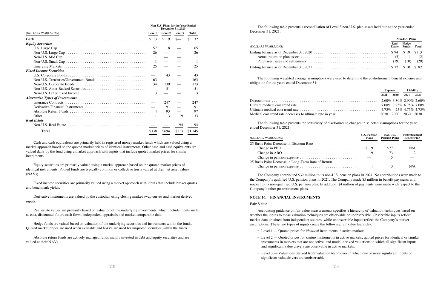|                                                                                                               | <b>Non-U.S. Plans for the Year Ended</b><br><b>December 31, 2020</b> |         |         |                    |
|---------------------------------------------------------------------------------------------------------------|----------------------------------------------------------------------|---------|---------|--------------------|
| (DOLLARS IN MILLIONS)                                                                                         | Level 1                                                              | Level 2 | Level 3 | Total              |
| Cash                                                                                                          | \$13                                                                 | \$19    | $s-$    | $\mathbb{S}$<br>32 |
| <b>Equity Securities</b>                                                                                      |                                                                      |         |         |                    |
|                                                                                                               | 57                                                                   | 8       |         | 65                 |
|                                                                                                               | 26                                                                   |         |         | 26                 |
| Non-U.S. Mid Cap $\ldots \ldots \ldots \ldots \ldots \ldots \ldots \ldots \ldots \ldots \ldots \ldots \ldots$ | 1                                                                    |         |         | 1                  |
|                                                                                                               | 1                                                                    |         |         | -1                 |
|                                                                                                               | 25                                                                   |         |         | 25                 |
| <b>Fixed Income Securities</b>                                                                                |                                                                      |         |         |                    |
|                                                                                                               |                                                                      | 43      |         | 43                 |
|                                                                                                               | 163                                                                  |         |         | 163                |
|                                                                                                               | 34                                                                   | 139     |         | 173                |
|                                                                                                               |                                                                      | 51      |         | 51                 |
|                                                                                                               | 3                                                                    |         |         | 3                  |
| <b>Alternative Types of Investments</b>                                                                       |                                                                      |         |         |                    |
|                                                                                                               |                                                                      | 247     |         | 247                |
|                                                                                                               |                                                                      | 91      |         | 91                 |
|                                                                                                               | $\overline{4}$                                                       | 93      |         | 97                 |
|                                                                                                               | 11                                                                   | 3       | 19      | 33                 |
| <b>Real Estate</b>                                                                                            |                                                                      |         |         |                    |
|                                                                                                               |                                                                      |         | 94      | 94                 |
|                                                                                                               | \$338                                                                | \$694   | \$113   | \$1.145            |

Cash and cash equivalents are primarily held in registered money market funds which are valued using a market approach based on the quoted market prices of identical instruments. Other cash and cash equivalents are valued daily by the fund using a market approach with inputs that include quoted market prices for similar instruments.

Equity securities are primarily valued using a market approach based on the quoted market prices of identical instruments. Pooled funds are typically common or collective trusts valued at their net asset values (NAVs).

Fixed income securities are primarily valued using a market approach with inputs that include broker quotes and benchmark yields.

Derivative instruments are valued by the custodian using closing market swap curves and market derived inputs.

Real estate values are primarily based on valuation of the underlying investments, which include inputs such as cost, discounted future cash flows, independent appraisals and market comparable data.

Hedge funds are valued based on valuation of the underlying securities and instruments within the funds. Quoted market prices are used when available and NAVs are used for unquoted securities within the funds.

Absolute return funds are actively managed funds mainly invested in debt and equity securities and are valued at their NAVs.

- Level 1 Quoted prices for *identical* instruments in active markets.
- instruments in markets that are not active; and model-derived valuations in which all significant inputs and significant value drivers are observable in active markets.
- Level 3 Valuations derived from valuation techniques in which one or more significant inputs or significant value drivers are unobservable*.*

# The following table presents a reconciliation of Level 3 non-U.S. plan assets held during the year ended

December 31, 2021:

|                                                                                                                                                         | Non-U.S. Plans          |                |                         |             |
|---------------------------------------------------------------------------------------------------------------------------------------------------------|-------------------------|----------------|-------------------------|-------------|
| (DOLLARS IN MILLIONS)                                                                                                                                   |                         | Real<br>Estate | Hedge<br>Funds          | Total       |
|                                                                                                                                                         |                         | \$94           | \$19                    | \$113       |
|                                                                                                                                                         |                         | (3)            |                         | (2)         |
|                                                                                                                                                         |                         | (19)           | (10)                    | (29)        |
|                                                                                                                                                         |                         | \$72           | \$10                    | \$82        |
| The following weighted average assumptions were used to determine the postretirement benefit expense and<br>obligation for the years ended December 31: |                         |                |                         |             |
|                                                                                                                                                         | <b>Expense</b>          |                | Liability               |             |
|                                                                                                                                                         | 2021                    | <b>2020</b>    | 2021                    | <b>2020</b> |
|                                                                                                                                                         |                         |                | 2.60% 3.30% 2.90% 2.60% |             |
|                                                                                                                                                         | 7.00% 7.25% 6.75% 7.00% |                |                         |             |
|                                                                                                                                                         |                         |                | 4.75% 4.75% 4.75% 4.75% |             |
| Medical cost trend rate decreases to ultimate rate in year $\dots\dots\dots\dots\dots\dots\dots$                                                        | 2030 2030 2030 2030     |                |                         |             |

The following table presents the sensitivity of disclosures to changes in selected assumptions for the year ended December 31, 2021:

### *(DOLLARS IN MILLIONS)*

| (DOLLARS IN MILLIONS)                               | <b>U.S. Pension</b><br><b>Plans</b> | Non-U.S.<br><b>Pension Plans</b> | <b>Postretirement</b><br><b>Benefit Plan</b> |
|-----------------------------------------------------|-------------------------------------|----------------------------------|----------------------------------------------|
| 25 Basis Point Decrease in Discount Rate            |                                     |                                  |                                              |
|                                                     | \$19                                | -S77                             | N/A                                          |
|                                                     | 19                                  |                                  |                                              |
|                                                     |                                     |                                  |                                              |
| 25 Basis Point Decrease in Long-Term Rate of Return |                                     |                                  |                                              |
|                                                     |                                     |                                  | N/A                                          |
|                                                     |                                     |                                  |                                              |

The Company contributed \$32 million to its non-U.S. pension plans in 2021. No contributions were made to the Company's qualified U.S. pension plans in 2021. The Company made \$5 million in benefit payments with respect to its non-qualified U.S. pension plan. In addition, \$4 million of payments were made with respect to the Company's other postretirement plans.

## **NOTE 16. FINANCIAL INSTRUMENTS**

# **Fair Value**

Accounting guidance on fair value measurements specifies a hierarchy of valuation techniques based on whether the inputs to those valuation techniques are observable or unobservable. Observable inputs reflect market data obtained from independent sources, while unobservable inputs reflect the Company's market assumptions. These two types of inputs create the following fair value hierarchy:

‰ Level 2 — Quoted prices for *similar* instruments in active markets; quoted prices for identical or similar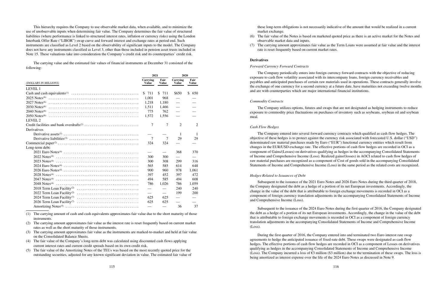This hierarchy requires the Company to use observable market data, when available, and to minimize the use of unobservable inputs when determining fair value. The Company determines the fair value of structured liabilities (where performance is linked to structured interest rates, inflation or currency risks) using the London Interbank Offer Rate ("LIBOR") swap curve and forward interest and exchange rates at period end. Such instruments are classified as Level 2 based on the observability of significant inputs to the model. The Company does not have any instruments classified as Level 3, other than those included in pension asset trusts included in Note 15. These valuations take into consideration the Company's credit risk and its counterparties' credit risk.

The carrying value and the estimated fair values of financial instruments at December 31 consisted of the following:

|                                                                                                                      | 2021                     |                               |                          | 2020                          |  |
|----------------------------------------------------------------------------------------------------------------------|--------------------------|-------------------------------|--------------------------|-------------------------------|--|
| (DOLLARS IN MILLIONS)                                                                                                | Carrying<br><b>Value</b> | Fair<br><b>Value</b>          | Carrying<br><b>Value</b> | Fair<br><b>Value</b>          |  |
| LEVEL 1                                                                                                              |                          |                               |                          |                               |  |
|                                                                                                                      | \$711                    | $\mathbb{S}$<br>711           | \$650                    | \$<br>650                     |  |
| $2025$ Notes <sup><math>(6)</math></sup>                                                                             | 1.001                    | 968                           |                          |                               |  |
| $2027$ Notes <sup><math>(6)</math></sup>                                                                             | 1,218                    | 1,180                         |                          |                               |  |
| $2030$ Notes <sup><math>(6)</math></sup>                                                                             | 1,511                    | 1,466                         |                          |                               |  |
| $2040$ Notes <sup><math>(6)</math></sup>                                                                             | 775                      | 762                           |                          |                               |  |
| $2050$ Notes <sup><math>(6)</math></sup>                                                                             | 1,572                    | 1,556                         |                          |                               |  |
| LEVEL 2                                                                                                              |                          |                               |                          |                               |  |
|                                                                                                                      | 7                        | 7                             | $\mathfrak{D}$           | $\mathfrak{D}$                |  |
| Derivatives                                                                                                          |                          |                               |                          |                               |  |
|                                                                                                                      |                          |                               | -1                       | $\overline{1}$                |  |
|                                                                                                                      | $\overline{7}$           | $\tau$                        | 29                       | 29                            |  |
|                                                                                                                      | 324                      | 324                           |                          |                               |  |
| Long-term debt:                                                                                                      |                          |                               |                          |                               |  |
|                                                                                                                      |                          |                               | 368                      | 370                           |  |
|                                                                                                                      | 300                      | 300                           | $\qquad \qquad$          | $\overbrace{\phantom{aaaaa}}$ |  |
|                                                                                                                      | 300                      | 308                           | 299                      | 316                           |  |
|                                                                                                                      | 565                      | 585                           | 614                      | 648                           |  |
|                                                                                                                      | 900                      | 960                           | 978                      | 1,061                         |  |
|                                                                                                                      | 397                      | 452                           | 397                      | 472                           |  |
|                                                                                                                      | 494                      | 585                           | 494                      | 608                           |  |
| $2048 \text{ Notes}^{(4)} \dots \dots \dots \dots \dots \dots \dots \dots \dots \dots \dots \dots \dots \dots \dots$ | 786                      | 1,026                         | 786                      | 1,059                         |  |
| $2018$ Term Loan Facility <sup>(2)</sup>                                                                             |                          |                               | 240                      | 240                           |  |
| 2022 Term Loan Facility <sup>(2)</sup>                                                                               | $\qquad \qquad$          | $\overbrace{\phantom{aaaaa}}$ | 199                      | 200                           |  |
| 2024 Term Loan Facility <sup>(7)</sup>                                                                               | 625                      | 625                           |                          |                               |  |
| 2026 Term Loan Facility <sup>(7)</sup>                                                                               | 625                      | 625                           |                          |                               |  |
|                                                                                                                      |                          |                               | 36                       | 37                            |  |

(1) The carrying amount of cash and cash equivalents approximates fair value due to the short maturity of those instruments.

(2) The carrying amount approximates fair value as the interest rate is reset frequently based on current market rates as well as the short maturity of those instruments.

(3) The carrying amount approximates fair value as the instruments are marked-to-market and held at fair value on the Consolidated Balance Sheets.

- (4) The fair value of the Company's long-term debt was calculated using discounted cash flows applying current interest rates and current credit spreads based on its own credit risk.
- (5) The fair value of the Amortizing Notes of the TEUs was based on the most recently quoted price for the outstanding securities, adjusted for any known significant deviation in value. The estimated fair value of

these long-term obligations is not necessarily indicative of the amount that would be realized in a current market exchange. (6) The fair value of the Notes is based on marketed quoted price as there is an active market for the Notes and (7) The carrying amount approximates fair value as the Term Loans were assumed at fair value and the interest

- observable market data and inputs.
- rate is reset frequently based on current market rates.

### **Derivatives**

# *Forward Currency Forward Contracts*

The Company periodically enters into foreign currency forward contracts with the objective of reducing exposure to cash flow volatility associated with its intercompany loans, foreign currency receivables and payables and anticipated purchases of certain raw materials used in operations. These contracts generally involve the exchange of one currency for a second currency at a future date, have maturities not exceeding twelve months and are with counterparties which are major international financial institutions.

### *Commodity Contracts*

The Company utilizes options, futures and swaps that are not designated as hedging instruments to reduce exposure to commodity price fluctuations on purchases of inventory such as soybeans, soybean oil and soybean meal.

# *Cash Flow Hedges*

The Company entered into several forward currency contracts which qualified as cash flow hedges. The objective of these hedges is to protect against the currency risk associated with forecasted U.S. dollar ("USD") denominated raw material purchases made by Euro ("EUR") functional currency entities which result from changes in the EUR/USD exchange rate. The effective portions of cash flow hedges are recorded in OCI as a component of Gains/(Losses) on derivatives qualifying as hedges in the accompanying Consolidated Statements of Income and Comprehensive Income (Loss). Realized gains/(losses) in AOCI related to cash flow hedges of raw material purchases are recognized as a component of Cost of goods sold in the accompanying Consolidated Statements of Income and Comprehensive Income (Loss) in the same period as the related costs are recognized.

## *Hedges Related to Issuances of Debt*

Subsequent to the issuance of the 2021 Euro Notes and 2026 Euro Notes during the third quarter of 2018, the Company designated the debt as a hedge of a portion of its net European investments. Accordingly, the change in the value of the debt that is attributable to foreign exchange movements is recorded in OCI as a component of foreign currency translation adjustments in the accompanying Consolidated Statements of Income and Comprehensive Income (Loss).

Subsequent to the issuance of the 2024 Euro Notes during the first quarter of 2016, the Company designated the debt as a hedge of a portion of its net European investments. Accordingly, the change in the value of the debt that is attributable to foreign exchange movements is recorded in OCI as a component of foreign currency translation adjustments in the accompanying Consolidated Statements of Income and Comprehensive Income (Loss).

During the first quarter of 2016, the Company entered into and terminated two Euro interest rate swap agreements to hedge the anticipated issuance of fixed-rate debt. These swaps were designated as cash flow hedges. The effective portions of cash flow hedges are recorded in OCI as a component of Losses on derivatives qualifying as hedges in the accompanying Consolidated Statements of Income and Comprehensive Income (Loss). The Company incurred a loss of €3 million (\$3 million) due to the termination of these swaps. The loss is being amortized as interest expense over the life of the 2024 Euro Notes as discussed in Note 9.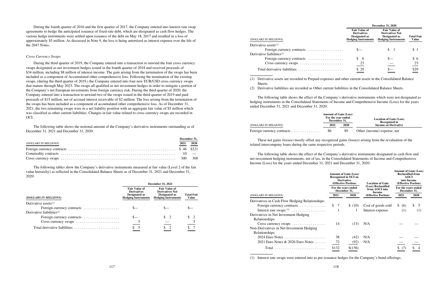During the fourth quarter of 2016 and the first quarter of 2017, the Company entered into interest rate swap agreements to hedge the anticipated issuance of fixed-rate debt, which are designated as cash flow hedges. The various hedge instruments were settled upon issuance of the debt on May 18, 2017 and resulted in a loss of approximately \$5 million. As discussed in Note 9, the loss is being amortized as interest expense over the life of the 2047 Notes.

# *Cross Currency Swaps*

During the third quarter of 2019, the Company entered into a transaction to unwind the four cross currency swaps designated as net investment hedges issued in the fourth quarter of 2018 and received proceeds of \$34 million, including \$8 million of interest income. The gain arising from the termination of the swaps has been included as a component of Accumulated other comprehensive loss. Following the termination of the existing swaps, (during the third quarter of 2019,) the Company entered into four new EUR/USD cross currency swaps that mature through May 2023. The swaps all qualified as net investment hedges in order to mitigate a portion of the Company's net European investments from foreign currency risk. During the third quarter of 2020, the Company entered into a transaction to unwind two of the swaps issued in the third quarter of 2019 and paid proceeds of \$15 million, net of accrued interest receivable of \$2 million. The loss arising from the termination of the swaps has been included as a component of accumulated other comprehensive loss. As of December 31, 2021, the two remaining swaps were in a net liability position with an aggregate fair value of \$5 million which was classified as other current liabilities. Changes in fair value related to cross currency swaps are recorded in OCI.

The following table shows the notional amount of the Company's derivative instruments outstanding as of December 31, 2021 and December 31, 2020:

|                       | December 31, |      |
|-----------------------|--------------|------|
| (DOLLARS IN MILLIONS) | 2021         | 2020 |
|                       |              |      |
|                       |              |      |
|                       |              |      |

The following tables show the Company's derivative instruments measured at fair value (Level 2 of the fair value hierarchy) as reflected in the Consolidated Balance Sheets as of December 31, 2021 and December 31, 2020:

|                                                             | <b>December 31, 2021</b>                                                                  |                                                                                               |                                   |
|-------------------------------------------------------------|-------------------------------------------------------------------------------------------|-----------------------------------------------------------------------------------------------|-----------------------------------|
| (DOLLARS IN MILLIONS)                                       | <b>Fair Value of</b><br><b>Derivatives</b><br>Designated as<br><b>Hedging Instruments</b> | <b>Fair Value of</b><br><b>Derivatives Not</b><br>Designated as<br><b>Hedging Instruments</b> | <b>Total Fair</b><br><b>Value</b> |
| Derivative assets $(1)$                                     |                                                                                           |                                                                                               |                                   |
| Foreign currency contracts $\dots\dots\dots\dots\dots\dots$ |                                                                                           |                                                                                               |                                   |
| Derivative liabilities $(2)$                                |                                                                                           |                                                                                               |                                   |
| Foreign currency contracts                                  |                                                                                           | S.<br>-2                                                                                      | S.                                |
|                                                             |                                                                                           |                                                                                               |                                   |
| Total derivative liabilities                                |                                                                                           |                                                                                               |                                   |

|                                                             | <b>December 31, 2020</b>                                                                  |                                                                                               |                                   |  |  |  |
|-------------------------------------------------------------|-------------------------------------------------------------------------------------------|-----------------------------------------------------------------------------------------------|-----------------------------------|--|--|--|
| (DOLLARS IN MILLIONS)                                       | <b>Fair Value of</b><br><b>Derivatives</b><br>Designated as<br><b>Hedging Instruments</b> | <b>Fair Value of</b><br><b>Derivatives Not</b><br>Designated as<br><b>Hedging Instruments</b> | <b>Total Fair</b><br><b>Value</b> |  |  |  |
| Derivative assets $(1)$                                     |                                                                                           |                                                                                               |                                   |  |  |  |
| Foreign currency contracts                                  |                                                                                           | \$.                                                                                           | S <sub>1</sub>                    |  |  |  |
| Derivative liabilities <sup>(2)</sup>                       |                                                                                           |                                                                                               |                                   |  |  |  |
| Foreign currency contracts $\dots\dots\dots\dots\dots\dots$ | <sup>\$</sup><br>- 6                                                                      |                                                                                               | \$6                               |  |  |  |
|                                                             | $\frac{23}{2}$                                                                            |                                                                                               | $\frac{23}{2}$                    |  |  |  |
| Total derivative liabilities                                | \$29                                                                                      |                                                                                               | $\stackrel{$29}{=}$               |  |  |  |

(1) Derivative assets are recorded to Prepaid expenses and other current assets in the Consolidated Balance Sheets.

(2) Derivative liabilities are recorded as Other current liabilities in the Consolidated Balance Sheets.

The following table shows the effect of the Company's derivative instruments which were not designated as hedging instruments in the Consolidated Statements of Income and Comprehensive Income (Loss) for the years ended December 31, 2021 and December 31, 2020:

|                            | <b>Amount of Gain (Loss)</b><br>For the year ended<br>December 31. |      | <b>Location of Gain (Loss)</b><br><b>Recognized in</b> |
|----------------------------|--------------------------------------------------------------------|------|--------------------------------------------------------|
| (DOLLARS IN MILLIONS)      | 2021                                                               | 2020 | <b>Income on Derivative</b>                            |
| Foreign currency contracts | \$6                                                                | -\$9 | Other (income) expense, net                            |

These net gains (losses) mostly offset any recognized gains (losses) arising from the revaluation of the related intercompany loans during the same respective periods.

The following table shows the effect of the Company's derivative instruments designated as cash flow and net investment hedging instruments, net of tax, in the Consolidated Statements of Income and Comprehensive Income (Loss) for the years ended December 31, 2021 and December 31, 2020:

|                                                 | <b>Amount of Gain (Loss)</b><br>Recognized in OCI on<br><b>Derivative</b><br>(Effective Portion) |                                     | <b>Location of Gain</b>                                | <b>Amount of Gain (Loss)</b><br><b>Reclassified from</b><br><b>AOCI</b><br>into Income<br>(Effective Portion) |          |  |
|-------------------------------------------------|--------------------------------------------------------------------------------------------------|-------------------------------------|--------------------------------------------------------|---------------------------------------------------------------------------------------------------------------|----------|--|
|                                                 |                                                                                                  | For the years ended<br>December 31, | (Loss) Reclassified<br>from AOCI into<br><b>Income</b> | For the years ended<br>December 31,                                                                           |          |  |
| (DOLLARS IN MILLIONS)                           | 2021                                                                                             | 2020                                | (Effective Portion)                                    | 2021                                                                                                          | 2020     |  |
| Derivatives in Cash Flow Hedging Relationships: |                                                                                                  |                                     |                                                        |                                                                                                               |          |  |
| Foreign currency contracts                      | \$<br>$7\phantom{.0}$                                                                            | \$ (10)                             | Cost of goods sold                                     | \$ (6)                                                                                                        | \$.<br>5 |  |
|                                                 |                                                                                                  |                                     | Interest expense                                       | (1)                                                                                                           | (1)      |  |
| Derivatives in Net Investment Hedging           |                                                                                                  |                                     |                                                        |                                                                                                               |          |  |
| Relationships:                                  |                                                                                                  |                                     |                                                        |                                                                                                               |          |  |
| Cross currency swaps                            | 14                                                                                               | (13)                                | N/A                                                    |                                                                                                               |          |  |
| Non-Derivatives in Net Investment Hedging       |                                                                                                  |                                     |                                                        |                                                                                                               |          |  |
| Relationships:                                  |                                                                                                  |                                     |                                                        |                                                                                                               |          |  |
| 2024 Euro Notes                                 | 38                                                                                               | (42)                                | N/A                                                    |                                                                                                               |          |  |
| 2021 Euro Notes $& 2026$ Euro Notes             | 72                                                                                               | (92)                                | N/A                                                    |                                                                                                               |          |  |
| Total                                           | \$132                                                                                            | \$(156)                             |                                                        |                                                                                                               |          |  |

(1) Interest rate swaps were entered into as pre-issuance hedges for the Company's bond offerings.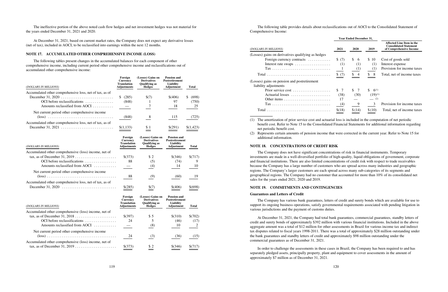The ineffective portion of the above noted cash flow hedges and net investment hedges was not material for the years ended December 31, 2021 and 2020.

At December 31, 2021, based on current market rates, the Company does not expect any derivative losses (net of tax), included in AOCI, to be reclassified into earnings within the next 12 months.

# **NOTE 17. ACCUMULATED OTHER COMPREHENSIVE INCOME (LOSS)**

The following tables present changes in the accumulated balances for each component of other comprehensive income, including current period other comprehensive income and reclassifications out of accumulated other comprehensive income:

| (DOLLARS IN MILLIONS)                                   | Foreign<br>Currency<br><b>Translation</b><br><b>Adjustments</b> | (Losses) Gains on<br><b>Derivatives</b><br><b>Qualifying as</b><br><b>Hedges</b> | <b>Pension and</b><br><b>Postretirement</b><br>Liability<br><b>Adjustment</b> | <b>Total</b> |
|---------------------------------------------------------|-----------------------------------------------------------------|----------------------------------------------------------------------------------|-------------------------------------------------------------------------------|--------------|
| Accumulated other comprehensive loss, net of tax, as of |                                                                 |                                                                                  |                                                                               |              |
|                                                         | (285)                                                           | S(7)                                                                             | \$(406)                                                                       | (698)        |
| OCI before reclassifications                            | (848)                                                           |                                                                                  | 97                                                                            | (750)        |
| Amounts reclassified from AOCI                          |                                                                 |                                                                                  | 18                                                                            | 25           |
| Net current period other comprehensive income.          |                                                                 |                                                                                  |                                                                               |              |
|                                                         | (848)                                                           |                                                                                  | 115                                                                           | (725)        |
| Accumulated other comprehensive loss, net of tax, as of | \$(1,133)                                                       | \$1                                                                              | \$(291)                                                                       | \$(1,423)    |

| Foreign<br>Currency<br><b>Translation</b><br><b>Adjustments</b> | (Losses) Gains on<br><b>Derivatives</b><br><b>Qualifying as</b><br><b>Hedges</b> | <b>Pension and</b><br><b>Postretirement</b><br>Liability<br>Adjustment | <b>Total</b> |
|-----------------------------------------------------------------|----------------------------------------------------------------------------------|------------------------------------------------------------------------|--------------|
|                                                                 |                                                                                  |                                                                        |              |
| \$(373)                                                         | \$2                                                                              | \$(346)                                                                | \$(717)      |
| 88                                                              | (5)                                                                              | (74)                                                                   |              |
|                                                                 | (4)                                                                              | 14                                                                     | 10           |
|                                                                 |                                                                                  |                                                                        |              |
| 88                                                              | (9)                                                                              | (60)                                                                   | 19           |
|                                                                 |                                                                                  |                                                                        | $$^{(698)}$  |
|                                                                 | $$^{(285)}$                                                                      | $\frac{1}{2}$ (7)                                                      | \$(406)      |

| (DOLLARS IN MILLIONS)                                                                                                             | Foreign<br>Currency<br><b>Translation</b><br><b>Adjustments</b> | (Losses) Gains on<br><b>Derivatives</b><br><b>Qualifying as</b><br><b>Hedges</b> | <b>Pension and</b><br><b>Postretirement</b><br>Liability<br>Adjustment | Total   |
|-----------------------------------------------------------------------------------------------------------------------------------|-----------------------------------------------------------------|----------------------------------------------------------------------------------|------------------------------------------------------------------------|---------|
| Accumulated other comprehensive (loss) income, net of                                                                             |                                                                 |                                                                                  |                                                                        |         |
|                                                                                                                                   | \$(397)                                                         | \$5                                                                              | \$(310)                                                                | \$(702) |
| OCI before reclassifications                                                                                                      | 24                                                              |                                                                                  | (46)                                                                   | (17)    |
| Amounts reclassified from AOCI                                                                                                    |                                                                 | (8)                                                                              | 10                                                                     |         |
| Net current period other comprehensive income                                                                                     |                                                                 |                                                                                  |                                                                        |         |
|                                                                                                                                   | -24                                                             | (3)                                                                              | (36)                                                                   | (15)    |
| Accumulated other comprehensive (loss) income, net of<br>tax, as of December 31, 2019 $\dots \dots \dots \dots \dots \dots \dots$ | \$(373)                                                         | $\frac{1}{2}$                                                                    | $$^{(346)}$                                                            | \$(717) |

The following table provides details about reclassifications out of AOCI to the Consolidated Statement of Comprehensive Income:

|                                                          | <b>Year Ended December 31,</b> |                |                 |                                                                                              |
|----------------------------------------------------------|--------------------------------|----------------|-----------------|----------------------------------------------------------------------------------------------|
| (DOLLARS IN MILLIONS)                                    | 2021                           | 2020           | 2019            | <b>Affected Line Item in the</b><br><b>Consolidated Statement</b><br>of Comprehensive Income |
| (Losses) gains on derivatives qualifying as hedges       |                                |                |                 |                                                                                              |
| Foreign currency contracts                               | \$(7)                          | S.<br>- 6      | \$10            | Cost of goods sold                                                                           |
| Interest rate swaps                                      | (1)                            | (1)            | (1)             | Interest expense                                                                             |
|                                                          | $\overline{1}$                 | (1)            | (1)             | Provision for income taxes                                                                   |
|                                                          | \$ (7)                         | \$4            | $\frac{1}{2}$   | Total, net of income taxes                                                                   |
| (Losses) gains on pension and postretirement             |                                |                |                 |                                                                                              |
| liability adjustments                                    |                                |                |                 |                                                                                              |
| Prior service cost $\dots\dots\dots\dots\dots\dots\dots$ | S <sub>7</sub>                 | S <sub>7</sub> | \$<br>$6^{(1)}$ |                                                                                              |
| Actuarial losses                                         | (38)                           | (30)           | $(19)^{(1)}$    |                                                                                              |
|                                                          | 17                             |                | $-$ (2)         |                                                                                              |
|                                                          | (4)                            | 9              | 3               | Provision for income taxes                                                                   |
|                                                          | \$(18)                         | \$(14)         | \$(10)          | Total, net of income taxes                                                                   |

(1) The amortization of prior service cost and actuarial loss is included in the computation of net periodic benefit cost. Refer to Note 15 to the Consolidated Financial Statements for additional information regarding net periodic benefit cost.

(2) Represents certain amounts of pension income that were corrected in the current year. Refer to Note 15 for additional information.

# **NOTE 18. CONCENTRATIONS OF CREDIT RISK**

The Company does not have significant concentrations of risk in financial instruments. Temporary investments are made in a well-diversified portfolio of high-quality, liquid obligations of government, corporate and financial institutions. There are also limited concentrations of credit risk with respect to trade receivables because the Company has a large number of customers who are spread across many industries and geographic regions. The Company's larger customers are each spread across many sub-categories of its segments and geographical regions. The Company had no customer that accounted for more than 10% of its consolidated net sales for the years ended 2021, 2020 and 2019.

# **NOTE 19. COMMITMENTS AND CONTINGENCIES**

### **Guarantees and Letters of Credit**

The Company has various bank guarantees, letters of credit and surety bonds which are available for use to support its ongoing business operations, satisfy governmental requirements associated with pending litigation in various jurisdictions and the payment of customs duties.

At December 31, 2021, the Company had total bank guarantees, commercial guarantees, standby letters of credit and surety bonds of approximately \$392 million with various financial institutions. Included in the above aggregate amount was a total of \$12 million for other assessments in Brazil for various income tax and indirect tax disputes related to fiscal years 1998-2011. There was a total of approximately \$28 million outstanding under the bank guarantees and standby letters of credit and approximately \$98 million outstanding under the commercial guarantees as of December 31, 2021.

In order to challenge the assessments in these cases in Brazil, the Company has been required to and has separately pledged assets, principally property, plant and equipment to cover assessments in the amount of approximately \$7 million as of December 31, 2021.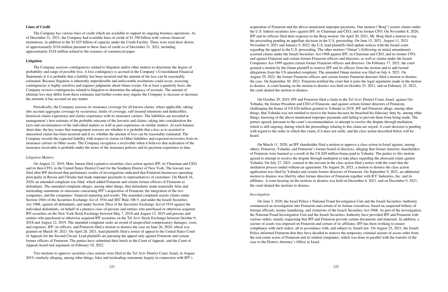# **Lines of Credit**

The Company has various lines of credit which are available to support its ongoing business operations. As of December 31, 2021, the Company had available lines of credit of \$1.398 billion with various financial institutions, in addition to the \$1.025 billion of capacity under the Credit Facility. There were total draw downs of approximately \$334 million pursuant to these lines of credit as of December 31, 2021, including approximately \$324 million related to the issuance of commercial paper.

### **Litigation**

The Company assesses contingencies related to litigation and/or other matters to determine the degree of probability and range of possible loss. A loss contingency is accrued in the Company's Consolidated Financial Statements if it is probable that a liability has been incurred and the amount of the loss can be reasonably estimated. Because litigation is inherently unpredictable and unfavorable resolutions could occur, assessing contingencies is highly sensitive and requires judgments about future events. On at least a quarterly basis, the Company reviews contingencies related to litigation to determine the adequacy of accruals. The amount of ultimate loss may differ from these estimates and further events may require the Company to increase or decrease the amounts it has accrued on any matter.

Periodically, the Company assesses its insurance coverage for all known claims, where applicable, taking into account aggregate coverage by occurrence, limits of coverage, self-insured retentions and deductibles, historical claims experience and claims experience with its insurance carriers. The liabilities are recorded at management's best estimate of the probable outcome of the lawsuits and claims, taking into consideration the facts and circumstances of the individual matters as well as past experience on similar matters. At each balance sheet date, the key issues that management assesses are whether it is probable that a loss as to asserted or unasserted claims has been incurred and if so, whether the amount of loss can be reasonably estimated. The Company records the expected liability with respect to claims in Other liabilities and expected recoveries from its insurance carriers in Other assets. The Company recognizes a receivable when it believes that realization of the insurance receivable is probable under the terms of the insurance policies and its payment experience to date.

### *Litigation Matters*

On August 12, 2019, Marc Jansen filed a putative securities class action against IFF, its Chairman and CEO, and its then-CFO, in the United States District Court for the Southern District of New York. The lawsuit was filed after IFF disclosed that preliminary results of investigations indicated that Frutarom businesses operating principally in Russia and Ukraine had made improper payments to representatives of customers. On March 16, 2020, an amended complaint was filed, which added Frutarom and certain former officers of Frutarom as defendants. The amended complaint alleges, among other things, that defendants made materially false and misleading statements or omissions concerning IFF's acquisition of Frutarom, the integration of the two companies, and the companies' financial reporting and results. The amended complaint asserts claims under Section 10(b) of the Securities Exchange Act of 1934 and SEC Rule 10b-5, and under the Israeli Securities Act-1968, against all defendants, and under Section 20(a) of the Securities Exchange Act of 1934 against the individual defendants, on behalf of a putative class of persons and entities who purchased or otherwise acquired IFF securities on the New York Stock Exchange between May 7, 2018 and August 12, 2019 and persons and entities who purchased or otherwise acquired IFF securities on the Tel Aviv Stock Exchange between October 9, 2018 and August 12, 2019. The amended complaint seeks an award of unspecified compensatory damages, costs, and expenses. IFF, its officers, and Frutarom filed a motion to dismiss the case on June 26, 2020, which was granted on March 30, 2021. On April 28, 2021, lead plaintiffs filed a notice of appeal to the United States Court of Appeals for the Second Circuit. Lead plaintiffs are pursuing the appeal only against Frutarom and certain former officers of Frutarom. The parties have submitted their briefs to the Court of Appeals, and the Court of Appeals heard oral argument on February 10, 2022.

Two motions to approve securities class actions were filed in the Tel Aviv District Court, Israel, in August 2019, similarly alleging, among other things, false and misleading statements largely in connection with IFF's

acquisition of Frutarom and the above-mentioned improper payments. One motion ("Borg") asserts claims under the U.S. federal securities laws against IFF, its Chairman and CEO, and its former CFO. On November 8, 2020, IFF and its officers filed their response to the Borg motion. On April 20, 2021, Mr. Borg filed a motion to stay the proceeding pending an appellate decision in the U.S. proceeding. On June 15, 2021, August 11, 2021 November 9, 2021 and January 9, 2022, the U.S. lead plaintiffs filed update notices with the Israeli court regarding the appeal in the U.S. proceeding. The other motion ("Oman") (following an initial amendment) asserted claims under the Israeli Securities Act-1968 against IFF, its Chairman and CEO, and its former CFO, and against Frutarom and certain former Frutarom officers and directors, as well as claims under the Israeli Companies Act-1999 against certain former Frutarom officers and directors. On February 17, 2021, the court granted a motion by the Oman plaintiff to remove IFF and its officers from the motion and to add factual allegations from the US amended complaint. The amended Oman motion was filed on July 4, 2021. On August 29, 2021, the former Frutarom officers and certain former Frutarom directors filed a motion to dismiss the case. On September 30, 2021, Frutarom notified the court that it joins the legal arguments made in the motion to dismiss. A court hearing on the motion to dismiss was held on October 25, 2021, and on February 22, 2022, the court denied the motion to dismiss.

On October 29, 2019, IFF and Frutarom filed a claim in the Tel Aviv District Court, Israel, against Ori Yehudai, the former President and CEO of Frutarom, and against certain former directors of Frutarom, challenging the bonus of US \$20 million granted to Yehudai in 2018. IFF and Frutarom allege, among other things, that Yehudai was not entitled to receive the bonus because he breached his fiduciary duty by, among other things, knowing of the above-mentioned improper payments and failing to prevent them from being made. The parties agreed, pursuant to the court's recommendation, to attempt to resolve the dispute through mediation, which is still ongoing, during which the proceedings relating to this claim are stayed. A court decision is pending with regard to the order in which this claim, if it does not settle, and the class action described below will be heard.

On March 11, 2020, an IFF shareholder filed a motion to approve a class action in Israel against, among others, Frutarom, Yehudai, and Frutarom's former board of directors, alleging that former minority shareholders of Frutarom were harmed as a result of the US \$20 million bonus paid to Yehudai. The parties to this motion agreed to attempt to resolve the dispute through mediation to take place regarding the aforesaid claim against Yehudai. On July 27, 2021, counsel to the movant in the class action filed a notice with the court that the mediation process ended without an agreement. On August 26, 2021, a motion to dismiss the class action application was filed by Yehudai and certain former directors of Frutarom. On September 9, 2021, an additional motion to dismiss was filed by other former directors of Frutarom together with ICC Industries, Inc. and its affiliates. A court hearing on the motions to dismiss was held on December 6, 2021, and on December 9, 2021, the court denied the motions to dismiss.

### *Investigation*

On June 3, 2020, the Israel Police's National Fraud Investigation Unit and the Israeli Securities Authority commenced an investigation into Frutarom and certain of its former executives, based on suspected bribery of foreign officials, money laundering, and violations of the Israeli Securities Act-1968. As part of the investigation, the National Fraud Investigation Unit and the Israeli Securities Authority have provided IFF and Frutarom with various orders, mainly requesting that IFF and Frutarom provide certain documents and materials. In addition, a seizure of assets was imposed on Frutarom and certain of its affiliates. IFF has been working to ensure compliance with such orders, all in accordance with, and subject to, Israeli law. On August 25, 2021, the Israeli Police informed Frutarom that they have decided to remove the temporary criminal seizure of assets order from the real estate assets of Frutarom and its related companies, which was done in parallel with the transfer of the case to the District Attorney's Office in Israel.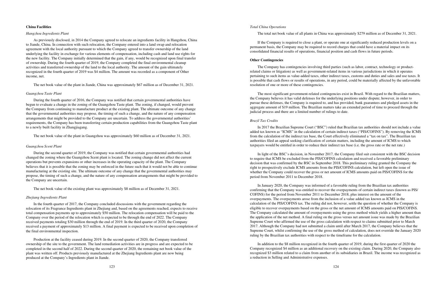# **China Facilities**

## *Hangzhou Ingredients Plant*

As previously disclosed, in 2014 the Company agreed to relocate an ingredients facility in Hangzhou, China to Jiande, China. In connection with such relocation, the Company entered into a land swap and relocation agreement with the local authority pursuant to which the Company agreed to transfer ownership of the land underlying the facility in exchange for various elements of compensation, including cash and land use rights for the new facility. The Company initially determined that the gain, if any, would be recognized upon final transfer of ownership. During the fourth quarter of 2019, the Company completed the final environmental cleanup activities and transferred ownership of the land to the local authority. The amount of the gain ultimately recognized in the fourth quarter of 2019 was \$4 million. The amount was recorded as a component of Other income, net.

The net book value of the plant in Jiande, China was approximately \$67 million as of December 31, 2021.

## *Guangzhou Taste Plant*

During the fourth quarter of 2016, the Company was notified that certain governmental authorities have begun to evaluate a change in the zoning of the Guangzhou Taste plant. The zoning, if changed, would prevent the Company from continuing to manufacture product at the existing plant. The ultimate outcome of any change that the governmental authorities may propose, the timing of such a change, and the nature of any compensation arrangements that might be provided to the Company are uncertain. To address the governmental authorities' requirements, the Company has been transferring certain production capabilities from the Guangzhou Taste plant to a newly built facility in Zhangjiagang.

The net book value of the plant in Guangzhou was approximately \$60 million as of December 31, 2021.

# *Guangzhou Scent Plant*

During the second quarter of 2019, the Company was notified that certain governmental authorities had changed the zoning where the Guangzhou Scent plant is located. The zoning change did not affect the current operations but prevents expansions or other increases in the operating capacity of the plant. The Company believes that it is possible that the zoning may be enforced in the future such that it would not be able to continue manufacturing at the existing site. The ultimate outcome of any change that the governmental authorities may propose, the timing of such a change, and the nature of any compensation arrangements that might be provided to the Company are uncertain.

The net book value of the existing plant was approximately \$8 million as of December 31, 2021.

### *Zhejiang Ingredients Plant*

In the fourth quarter of 2017, the Company concluded discussions with the government regarding the relocation of its Fragrance Ingredients plant in Zhejiang and, based on the agreements reached, expects to receive total compensation payments up to approximately \$50 million. The relocation compensation will be paid to the Company over the period of the relocation which is expected to be through the end of 2022. The Company received payments totaling \$30 million through the end of 2019. In the third quarter of 2020, the Company received a payment of approximately \$13 million. A final payment is expected to be received upon completion of the final environmental inspection.

Production at the facility ceased during 2019. In the second quarter of 2020, the Company transferred ownership of the site to the government. The land remediation activities are in progress and are expected to be completed in the second half of 2022. During the second quarter of 2020, the remaining net book value of the plant was written off. Products previously manufactured at the Zhejiang Ingredients plant are now being produced at the Company's Ingredients plant in Jiande.

### *Total China Operations*

The total net book value of all plants in China was approximately \$279 million as of December 31, 2021.

If the Company is required to close a plant, or operate one at significantly reduced production levels on a permanent basis, the Company may be required to record charges that could have a material impact on its consolidated financial results of operations, financial position and cash flows in future periods.

# **Other Contingencies**

The Company has contingencies involving third parties (such as labor, contract, technology or productrelated claims or litigation) as well as government-related items in various jurisdictions in which it operates pertaining to such items as value-added taxes, other indirect taxes, customs and duties and sales and use taxes. It is possible that cash flows or results of operations, in any period, could be materially affected by the unfavorable resolution of one or more of these contingencies.

The most significant government-related contingencies exist in Brazil. With regard to the Brazilian matters, the Company believes it has valid defenses for the underlying positions under dispute; however, in order to pursue these defenses, the Company is required to, and has provided, bank guarantees and pledged assets in the aggregate amount of \$19 million. The Brazilian matters take an extended period of time to proceed through the judicial process and there are a limited number of rulings to date.

### *Brazil Tax Credits*

In 2017 the Brazilian Supreme Court ("BSC") ruled that Brazilian tax authorities should not include a value added tax known as "ICMS" in the calculation of certain indirect taxes ("PIS/COFINS"). By removing the ICMS from the calculation of the indirect tax base, the Court effectively eliminated a "tax on tax". The Brazilian tax authorities filed an appeal seeking clarification of certain matters, including the amount of ICMS to which taxpayers would be entitled in order to reduce their indirect tax base (i.e. the gross rate or the net rate.)

In light of the BSC's decision, in November 2017, the Company filed suit consistent with the BSC decision to require that ICMS be excluded from the PIS/COFINS calculation and received a favorable preliminary decision that was confirmed by the BSC in September 2018. This preliminary ruling granted the Company the right to prospectively exclude ICMS amounts from the PIS/COFINS calculation, but left open the issue of whether the Company could recover the gross or net amount of ICMS amounts paid on PIS/COFINS for the period from November 2011 to December 2018.

In January 2020, the Company was informed of a favorable ruling from the Brazilian tax authorities confirming that the Company was entitled to recover the overpayments of certain indirect taxes (known as PIS/ COFINS) for the period from November 2011 to December 2018, plus interest on the amount of the overpayments. The overpayments arose from the inclusion of a value added tax known as ICMS in the calculation of the PIS/COFINS tax. The ruling did not, however, settle the question of whether the Company is eligible to recover overpayments based on the gross or the net amount of ICMS amounts paid on PIS/COFINS. The Company calculated the amount of overpayments using the gross method which yields a higher amount than the application of the net method. A final ruling on the gross versus net amount issue was made by the Brazilian Supreme Court who affirmed the use of the gross calculation with respect to claims submitted prior to March 2017. Although the Company had not submitted a claim until after March 2017, the Company believes that the Supreme Court, whilst confirming the use of the gross method of calculation, does not override the January 2020 ruling by the Brazilian tax authorities with respect to the timeframe for the calculation.

In addition to the \$8 million recognized in the fourth quarter of 2019, during the first quarter of 2020 the Company recognized \$4 million as an additional recovery on the existing claim. During 2020, the Company also recognized \$3 million related to a claim from another of its subsidiaries in Brazil. The income was recognized as a reduction in Selling and Administrative expenses.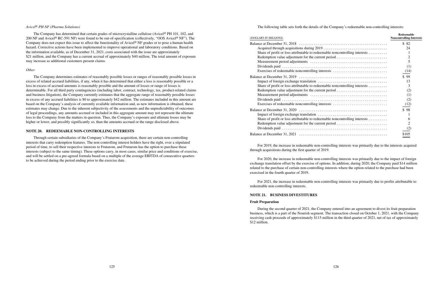## *Avicel® PH NF (Pharma Solutions)*

The Company has determined that certain grades of microcrystalline cellulose (Avicel® PH 101, 102, and 200 NF and Avicel® RC-591 NF) were found to be out-of-specification (collectively, "OOS Avicel® NF"). The Company does not expect this issue to affect the functionality of Avicel® NF grades or to pose a human health hazard. Corrective actions have been implemented to improve operational and laboratory conditions. Based on the information available, as of December 31, 2021, costs associated with the issue are approximately \$21 million, and the Company has a current accrual of approximately \$40 million. The total amount of exposure may increase as additional customers present claims.

### *Other*

The Company determines estimates of reasonably possible losses or ranges of reasonably possible losses in excess of related accrued liabilities, if any, when it has determined that either a loss is reasonably possible or a loss in excess of accrued amounts is reasonably possible and the amount of losses or range of losses is determinable. For all third party contingencies (including labor, contract, technology, tax, product-related claims and business litigation), the Company currently estimates that the aggregate range of reasonably possible losses in excess of any accrued liabilities is \$0 to approximately \$42 million. The estimates included in this amount are based on the Company's analysis of currently available information and, as new information is obtained, these estimates may change. Due to the inherent subjectivity of the assessments and the unpredictability of outcomes of legal proceedings, any amounts accrued or included in this aggregate amount may not represent the ultimate loss to the Company from the matters in question. Thus, the Company's exposure and ultimate losses may be higher or lower, and possibly significantly so, than the amounts accrued or the range disclosed above.

# **NOTE 20. REDEEMABLE NON-CONTROLLING INTERESTS**

Through certain subsidiaries of the Company's Frutarom acquisition, there are certain non-controlling interests that carry redemption features. The non-controlling interest holders have the right, over a stipulated period of time, to sell their respective interests to Frutarom, and Frutarom has the option to purchase these interests (subject to the same timing). These options carry, in most cases, similar price and conditions of exercise, and will be settled on a pre-agreed formula based on a multiple of the average EBITDA of consecutive quarters to be achieved during the period ending prior to the exercise date.

### The following table sets forth the details of the Company's redeemable non-controlling interests: The Company's redeemable non-controlling interests: The Company's reduced in the Company's reduced in the Company's reduced

| (DOLLARS IN MILLIONS)                                                       | Redeemable<br><b>Noncontrolling Interests</b> |
|-----------------------------------------------------------------------------|-----------------------------------------------|
|                                                                             | \$82                                          |
|                                                                             | 24                                            |
| Share of profit or loss attributable to redeemable noncontrolling interests |                                               |
| Redemption value adjustment for the current period                          | 2                                             |
|                                                                             | 5                                             |
|                                                                             | (1)                                           |
| Exercises of redeemable noncontrolling interests                            | (14)                                          |
|                                                                             | \$99                                          |
|                                                                             | 13                                            |
| Share of profit or loss attributable to redeemable noncontrolling interests | 3                                             |
|                                                                             | (2)                                           |
|                                                                             | (1)                                           |
|                                                                             | (2)                                           |
| Exercises of redeemable noncontrolling interests                            | (12)                                          |
|                                                                             | \$98                                          |
|                                                                             |                                               |
| Share of profit or loss attributable to redeemable noncontrolling interests | 6                                             |
|                                                                             | 2                                             |
|                                                                             | (2)                                           |
|                                                                             | \$105                                         |

For 2019, the increase in redeemable non-controlling interests was primarily due to the interests acquired through acquisitions during the first quarter of 2019.

For 2020, the increase in redeemable non-controlling interests was primarily due to the impact of foreign exchange translation offset by the exercise of options. In addition, during 2020, the Company paid \$14 million related to the purchase of certain non-controlling interests where the option related to the purchase had been exercised in the fourth quarter of 2019.

For 2021, the increase in redeemable non-controlling interests was primarily due to profits attributable to redeemable non-controlling interests.

# **NOTE 21. BUSINESS DIVESTITURES**

### **Fruit Preparation**

During the second quarter of 2021, the Company entered into an agreement to divest its fruit preparation business, which is a part of the Nourish segment. The transaction closed on October 1, 2021, with the Company receiving cash proceeds of approximately \$115 million in the third quarter of 2021, net of tax of approximately \$12 million.

|  | any's redeemable non-controlling interests: |  |
|--|---------------------------------------------|--|
|  |                                             |  |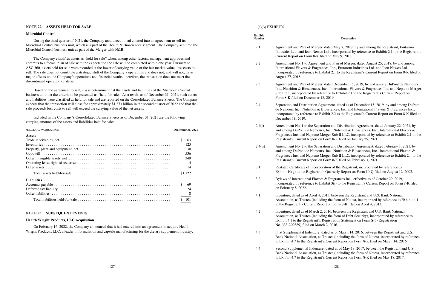## **NOTE 22. ASSETS HELD FOR SALE**

### **Microbial Control**

During the third quarter of 2021, the Company announced it had entered into an agreement to sell its Microbial Control business unit, which is a part of the Health & Biosciences segment. The Company acquired the Microbial Control business unit as part of the Merger with N&B.

The Company classifies assets as "held for sale" when, among other factors, management approves and commits to a formal plan of sale with the expectation the sale will be completed within one year. Pursuant to ASC 360, assets held for sale were recorded at the lower of carrying value or the fair market value, less costs to sell. The sale does not constitute a strategic shift of the Company's operations and does not, and will not, have major effects on the Company's operations and financial results; therefore, the transaction does not meet the discontinued operations criteria.

Based on the agreement to sell, it was determined that the assets and liabilities of the Microbial Control business unit met the criteria to be presented as "held for sale." As a result, as of December 31, 2021, such assets and liabilities were classified as held for sale and are reported on the Consolidated Balance Sheets. The Company expects that the transaction will close for approximately \$1.273 billion in the second quarter of 2022 and that the sale proceeds less costs to sell will exceed the carrying value of the net assets.

Included in the Company's Consolidated Balance Sheets as of December 31, 2021 are the following carrying amounts of the assets and liabilities held for sale:

| (DOLLARS IN MILLIONS) | <b>December 31, 2021</b> |
|-----------------------|--------------------------|
| <b>Assets</b>         |                          |
|                       | <sup>\$</sup><br>- 63    |
|                       | 125                      |
|                       | 30                       |
|                       | 536                      |
|                       | 349                      |
|                       |                          |
|                       | - 14                     |
|                       | $\underline{\$1,122}$    |
| <b>Liabilities</b>    |                          |
|                       | -69                      |
|                       | 24                       |
|                       |                          |
|                       | \$101                    |

# **NOTE 23. SUBSEQUENT EVENTS**

# **Health Wright Products, LLC Acquisition**

On February 16, 2022, the Company announced that it had entered into an agreement to acquire Health Wright Products, LLC, a leader in formulation and capsule manufacturing for the dietary supplement industry.

### **Description**

### (a)(3) EXHIBITS

# **Exhibit**

Industries Ltd. and Icon Newco Ltd., incorporated by reference to Exhibit 2.1 to the Registrant's

2.2 Amendment No. 1 to Agreement and Plan of Merger, dated August 25, 2018, by and among International Flavors & Fragrances, Inc., Frutarom Industries Ltd. and Icon Newco Ltd. incorporated by reference to Exhibit 2.1 to the Registrant's Current Report on Form 8-K filed on

2.3 Agreement and Plan of Merger, dated December 15, 2019, by and among DuPont de Nemours Inc., Nutrition & Biosciences, Inc., International Flavors & Fragrances Inc. and Neptune Merger Sub I Inc., incorporated by reference to Exhibit 2.1 to the Registrant's Current Report on

2.4 Separation and Distribution Agreement, dated as of December 15, 2019, by and among DuPont de Nemours Inc., Nutrition & Biosciences, Inc. and International Flavors & Fragrances Inc., incorporated by reference to Exhibit 2.2 to the Registrant's Current Report on Form 8-K filed on

2.4(i) Amendment No. 1 to the Separation and Distribution Agreement, dated January 22, 2021, by and among DuPont de Nemours, Inc., Nutrition & Biosciences, Inc., International Flavors & Fragrances Inc. and Neptune Merger Sub II LLC, incorporated by reference to Exhibit 2.1 to the

- 2.1 Agreement and Plan of Merger, dated May 7, 2018, by and among the Registrant, Frutarom Current Report on Form 8-K filed on May 9, 2018.
	- August 27, 2018.
	- Form 8-K filed on December 18, 2019.
	- December 18, 2019.
	- Registrant's Current Report on Form 8-K filed on January 25, 2021.
	- Registrant's Current Report on Form 8-K filed on February 3, 2021.
- 3.1 Restated Certificate of Incorporation of the Registrant, incorporated by reference to
- 3.2 Bylaws of International Flavors & Fragrances Inc., effective as of October 29, 2019, on February 8, 2022.
- 4.1 Indenture, dated as of April 4, 2013, between the Registrant and U.S. Bank National to the Registrant's Current Report on Form 8-K filed on April 4, 2013.
- 4.2 Indenture, dated as of March 2, 2016, between the Registrant and U.S. Bank National Exhibit 4.1 to the Registrant's Registration Statement on Form S-3 (Registration No. 333-209889) filed on March 2, 2016.
- 4.3 First Supplemental Indenture, dated as of March 14, 2016, between the Registrant and U.S.
- 4.4 Second Supplemental Indenture, dated as of May 18, 2017, between the Registrant and U.S.

2.4(ii) Amendment No. 2 to the Separation and Distribution Agreement, dated February 1, 2021, by and among DuPont de Nemours, Inc., Nutrition & Biosciences, Inc., International Flavors & Fragrances Inc. and Neptune Merger Sub II LLC, incorporated by reference to Exhibit 2.4 to the

Exhibit 10(g) to the Registrant's Quarterly Report on Form 10-Q filed on August 12, 2002.

incorporated by reference to Exhibit 3(i) to the Registrant's Current Report on Form 8-K filed

Association, as Trustee (including the form of Notes), incorporated by reference to Exhibit 4.1

Association, as Trustee (including the form of Debt Security), incorporated by reference to

Bank National Association, as Trustee (including the form of Notes), incorporated by reference to Exhibit 4.7 to the Registrant's Current Report on Form 8-K filed on March 14, 2016.

Bank National Association, as Trustee (including the form of Notes), incorporated by reference to Exhibit 4.7 to the Registrant's Current Report on Form 8-K filed on May 18, 2017.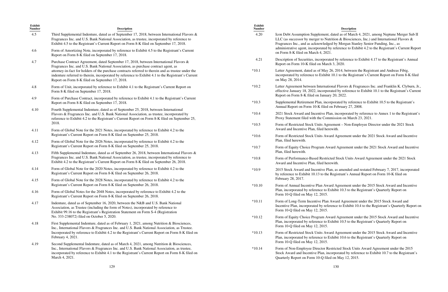| Exhibit<br><b>Number</b> | <b>Description</b>                                                                                                                                                                                                                                                                                              | Exhibit<br><b>Number</b> | De                                                                                                                                                                           |
|--------------------------|-----------------------------------------------------------------------------------------------------------------------------------------------------------------------------------------------------------------------------------------------------------------------------------------------------------------|--------------------------|------------------------------------------------------------------------------------------------------------------------------------------------------------------------------|
| 4.5                      | Third Supplemental Indenture, dated as of September 17, 2018, between International Flavors &<br>Fragrances Inc. and U.S. Bank National Association, as trustee, incorporated by reference to<br>Exhibit 4.5 to the Registrant's Current Report on Form 8-K filed on September 17, 2018.                        | 4.20                     | Icon Debt Assumption Supplement, dated as o<br>LLC (as successor by merger to Nutrition $&$ E<br>Fragrances Inc., and as acknowledged by Mor                                 |
| 4.6                      | Form of Amortizing Note, incorporated by reference to Exhibit 4.5 to the Registrant's Current<br>Report on Form 8-K filed on September 17, 2018.                                                                                                                                                                |                          | administrative agent, incorporated by referenc<br>on Form 8-K filed on March 4, 2021.                                                                                        |
| 4.7                      | Purchase Contract Agreement, dated September 17, 2018, between International Flavors &<br>Fragrances Inc. and U.S. Bank National Association, as purchase contract agent, as                                                                                                                                    | 4.21                     | Description of Securities, incorporated by refe<br>Report on Form 10-K filed on March 3, 2020.                                                                               |
|                          | attorney-in-fact for holders of the purchase contracts referred to therein and as trustee under the<br>indenture referred to therein, incorporated by reference to Exhibit 4.1 to the Registrant's Current<br>Report on Form 8-K filed on September 17, 2018.                                                   | $*10.1$                  | Letter Agreement, dated as of May 26, 2014,<br>incorporated by reference to Exhibit 10.1 to th<br>on May 28, 2014.                                                           |
| 4.8                      | Form of Unit, incorporated by reference to Exhibit 4.1 to the Registrant's Current Report on<br>Form 8-K filed on September 17, 2018.                                                                                                                                                                           | $*10.2$                  | Letter Agreement between International Flavo<br>effective January 18, 2022, incorporated by re<br>Report on Form 8-K filed on January 20, 2022                               |
| 4.9                      | Form of Purchase Contract, incorporated by reference to Exhibit 4.1 to the Registrant's Current<br>Report on Form 8-K filed on September 17, 2018.                                                                                                                                                              | $*10.3$                  | Supplemental Retirement Plan, incorporated b<br>Annual Report on Form 10-K filed on Februa                                                                                   |
| 4.10                     | Fourth Supplemental Indenture, dated as of September 25, 2018, between International<br>Flavors & Fragrances Inc. and U.S. Bank National Association, as trustee, incorporated by<br>reference to Exhibit 4.2 to the Registrant's Current Report on Form 8-K filed on September 25,                             | $*10.4$                  | 2021 Stock Award and Incentive Plan, incorp<br>Proxy Statement filed with the Commission of                                                                                  |
| 4.11                     | 2018.<br>Form of Global Note for the 2021 Notes, incorporated by reference to Exhibit 4.2 to the                                                                                                                                                                                                                | $*10.5$                  | Form of Restricted Stock Units Agreement - 1<br>Award and Incentive Plan, filed herewith.                                                                                    |
| 4.12                     | Registrant's Current Report on Form 8-K filed on September 25, 2018.<br>Form of Global Note for the 2026 Notes, incorporated by reference to Exhibit 4.2 to the                                                                                                                                                 | $*10.6$                  | Form of Restricted Stock Units Award Agreen<br>Plan, filed herewith.                                                                                                         |
|                          | Registrant's Current Report on Form 8-K filed on September 25, 2018.                                                                                                                                                                                                                                            | $*10.7$                  | Form of Equity Choice Program Award Agree<br>Plan, filed herewith.                                                                                                           |
| 4.13                     | Fifth Supplemental Indenture, dated as of September 26, 2018, between International Flavors &<br>Fragrances Inc. and U.S. Bank National Association, as trustee, incorporated by reference to<br>Exhibit 4.2 to the Registrant's Current Report on Form 8-K filed on September 26, 2018.                        | $*10.8$                  | Form of Performance-Based Restricted Stock<br>Award and Incentive Plan, filed herewith.                                                                                      |
| 4.14                     | Form of Global Note for the 2020 Notes, incorporated by reference to Exhibit 4.2 to the<br>Registrant's Current Report on Form 8-K filed on September 26, 2018.                                                                                                                                                 | $*10.9$                  | 2015 Stock Award and Incentive Plan, as ame<br>by reference to Exhibit 10.13 to the Registran                                                                                |
| 4.15                     | Form of Global Note for the 2028 Notes, incorporated by reference to Exhibit 4.2 to the<br>Registrant's Current Report on Form 8-K filed on September 26, 2018.                                                                                                                                                 | $*10.10$                 | February 28, 2017.<br>Form of Annual Incentive Plan Award Agreer                                                                                                             |
| 4.16                     | Form of Global Notes for the 2048 Notes, incorporated by reference to Exhibit 4.2 to the<br>Registrant's Current Report on Form 8-K filed on September 26, 2018.                                                                                                                                                |                          | Plan, incorporated by reference to Exhibit 10.<br>Form 10-Q filed on May 12, 2015.                                                                                           |
| 4.17                     | Indenture, dated as of September 16, 2020, between the N&B and U.S. Bank National<br>Association, as Trustee (including the form of Notes), incorporated by reference to<br>Exhibit 99.16 to the Registrant's Registration Statement on Form S-4 (Registration                                                  | $*10.11$                 | Form of Long-Term Incentive Plan Award Ag<br>Incentive Plan, incorporated by reference to E<br>Form 10-Q filed on May 12, 2015.                                              |
| 4.18                     | No. 333-238072) filed on October 5, 2020.<br>First Supplemental Indenture, dated as of February 1, 2021, among Nutrition & Biosciences,                                                                                                                                                                         | $*10.12$                 | Form of Equity Choice Program Award Agree<br>Plan, incorporated by reference to Exhibit 10.<br>Form 10-Q filed on May 12, 2015.                                              |
|                          | Inc., International Flavors & Fragrances Inc. and U.S. Bank National Association, as Trustee.<br>Incorporated by reference to Exhibit 4.2 to the Registrant's Current Report on Form 8-K filed on<br>February 4, 2021.                                                                                          | $*10.13$                 | Form of Restricted Stock Units Award Agreer<br>Plan, incorporated by reference to Exhibit 10.                                                                                |
| 4.19                     | Second Supplemental Indenture, dated as of March 4, 2021, among Nutrition & Biosciences,<br>Inc., International Flavors & Fragrances Inc. and U.S. Bank National Association, as trustee,<br>incorporated by reference to Exhibit 4.1 to the Registrant's Current Report on Form 8-K filed on<br>March 4, 2021. | $*10.14$                 | Form 10-Q filed on May 12, 2015.<br>Form of Non-Employee Director Restricted S<br>Stock Award and Incentive Plan, incorporated<br>Quarterly Report on Form 10-Q filed on May |
|                          |                                                                                                                                                                                                                                                                                                                 |                          |                                                                                                                                                                              |

130

### **Description**

- as of March 4, 2021, among Neptune Merger Sub II & Biosciences, Inc.) and International Flavors  $\&$ Morgan Stanley Senior Funding, Inc., as rence to Exhibit 4.2 to the Registrant's Current Report
- reference to Exhibit 4.17 to the Registrant's Annual
- 114, between the Registrant and Andreas Fibig, to the Registrant's Current Report on Form 8-K filed
- The Taylors & Fragrances Inc. and Franklin K. Clyburn, Jr., by reference to Exhibit 10.1 to the Registrant's Current 2022.
- ted by reference to Exhibit 10.5 to the Registrant's bruary  $27, 2008$ .
- corporated by reference to Annex 1 to the Registrant's on on March 23, 2021.
- nt Non-Employee Director under the 2021 Stock
- reement under the 2021 Stock Award and Incentive
- Agreement under the 2021 Stock Award and Incentive
- tock Units Award Agreement under the 2021 Stock
- amended and restated February 7, 2017, incorporated strant's Annual Report on Form 10-K filed on
- greement under the 2015 Stock Award and Incentive Plan, 10.3 to the Registrant's Quarterly Report on
- 1 Agreement under the 2015 Stock Award and to Exhibit 10.4 to the Registrant's Quarterly Report on
- Agreement under the 2015 Stock Award and Incentive 10.5 to the Registrant's Quarterly Report on
- greement under the 2015 Stock Award and Incentive 10.6 to the Registrant's Quarterly Report on
- ed Stock Units Award Agreement under the 2015 rated by reference to Exhibit 10.7 to the Registrant's May 12, 2015.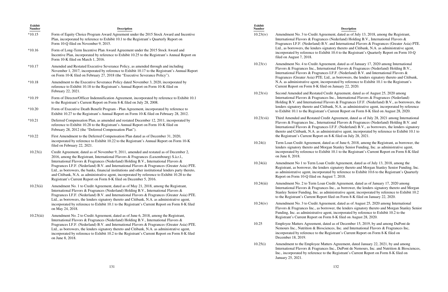### **Description**

ed as of July 13, 2018, among the Registrant, nd) Holding B.V., International Flavors  $\&$ mational Flavors & Fragrances (Greater Asia) PTE. reto and Citibank, N.A. as administrative agent, the Registrant's Quarterly Report on Form 10-Q

ed as of January 17, 2020 among International  $\gamma$  Fragrances (Nederland) Holding B.V., ederland) B.V. and International Flavors  $\&$ fragrances (Greenter Asia) Powers, the lenders signatory thereto and Citibank, y reference to Exhibit 10.1 to the Registrant's  $v$  22, 2020.

ement, dated as of August 25, 2020 among International Flavors & Fragrances (Nederland) ragrances I.F.F. (Nederland) B.V., as borrowers, the as administrative agent, incorporated by reference eport on Form 8-K filed on August 28, 2020.

nent, dated as of July 28, 2021 among International vors  $&$  Fragrances (Nederland) Holding B.V. and ederland) B.V., as borrowers, the lenders signatory agent, incorporated by reference to Exhibit 10.1 to on July 28, 2021.

 $\epsilon$  the Gegistrant, as borrower, the  $\epsilon$ y Senior Funding, Inc. as administrative agent, the Registrant's Current Report on Form 8-K filed

eement, dated as of July 13, 2018, among the y thereto and Morgan Stanley Senior Funding, Inc. rence to Exhibit 10.6 to the Registrant's Quarterly

eement, dated as of January 17, 2020 among International Flavors are flavors and Morgan inc., the lenders signatory thereto and Morgan ve agent, incorporated by reference to Exhibit 10.2 orm 8-K filed on January 22, 2020.

ed as of August 25, 2020 among International lenders signatory thereto and Morgan Stanley Senior orated by reference to Exhibit 10.2 to the  $ed$  on August 28, 2020.

ecember 15, 2019, by and among DuPont de and International Flavors  $&$  Fragrances Inc, Current Report on Form 8-K filed on

| <b>Exhibit</b><br><b>Number</b> | <b>Description</b>                                                                                                                                                                                                                                                                                                                                                                                                                                                   | Exhibit<br><b>Number</b>                                                                                                                                   | Des                                                                                                                                                                                               |  |
|---------------------------------|----------------------------------------------------------------------------------------------------------------------------------------------------------------------------------------------------------------------------------------------------------------------------------------------------------------------------------------------------------------------------------------------------------------------------------------------------------------------|------------------------------------------------------------------------------------------------------------------------------------------------------------|---------------------------------------------------------------------------------------------------------------------------------------------------------------------------------------------------|--|
| $*10.15$                        | Form of Equity Choice Program Award Agreement under the 2015 Stock Award and Incentive<br>Plan, incorporated by reference to Exhibit 10.1 to the Registrant's Quarterly Report on<br>Form 10-Q filed on November 9, 2015.                                                                                                                                                                                                                                            | 10.23(iv)                                                                                                                                                  | Amendment No. 3 to Credit Agreement, dated<br>International Flavors & Fragrances (Nederland<br>Fragrances I.F.F. (Nederland) B.V. and Interna                                                     |  |
| $*10.16$                        | Form of Long-Term Incentive Plan Award Agreement under the 2015 Stock Award and<br>Incentive Plan, incorporated by reference to Exhibit 10.25 to the Registrant's Annual Report on<br>Form 10-K filed on March 1, 2016.                                                                                                                                                                                                                                              |                                                                                                                                                            | Ltd., as borrowers, the lenders signatory theret<br>incorporated by reference to Exhibit 10.4 to th<br>filed on August 7, 2018.                                                                   |  |
| $*10.17$                        | Amended and Restated Executive Severance Policy, as amended through and including<br>November 1, 2017, incorporated by reference to Exhibit 10.17 to the Registrant's Annual Report<br>on Form 10-K filed on February 27, 2018 (the "Executive Severance Policy").                                                                                                                                                                                                   | 10.23(v)                                                                                                                                                   | Amendment No. 4 to Credit Agreement, dated<br>Flavors & Fragrances Inc., International Flavo<br>International Flavors & Fragrances I.F.F. (Ned<br>Fragrances (Greater Asia) PTE. Ltd., as borrov  |  |
| $*10.18$                        | Amendment to the Executive Severance Policy dated November 3, 2020, incorporated by<br>reference to Exhibit 10.18 to the Registrant's Annual Report on Form 10-K filed on<br>February 22, 2021.                                                                                                                                                                                                                                                                      |                                                                                                                                                            | N.A. as administrative agent, incorporated by<br>Current Report on Form 8-K filed on January 2                                                                                                    |  |
| $*10.19$                        | Form of Director/Officer Indemnification Agreement, incorporated by reference to Exhibit 10.1<br>to the Registrant's Current Report on Form 8-K filed on July 28, 2008.                                                                                                                                                                                                                                                                                              | Second Amended and Restated Credit Agreem<br>10.23(vi)<br>International Flavors & Fragrances Inc., Intern<br>Holding B.V. and International Flavors & Frag |                                                                                                                                                                                                   |  |
| $*10.20$                        | Form of Executive Death Benefit Program - Plan Agreement, incorporated by reference to<br>Exhibit 10.27 to the Registrant's Annual Report on Form 10-K filed on February 28, 2012.                                                                                                                                                                                                                                                                                   |                                                                                                                                                            | lenders signatory thereto and Citibank, N.A. as<br>to Exhibit 10.1 to the Registrant's Current Rep                                                                                                |  |
| $*10.21$                        | Deferred Compensation Plan, as amended and restated December 12, 2011, incorporated by<br>reference to Exhibit 10.28 to the Registrant's Annual Report on Form 10-K filed on<br>February 28, 2012 (the "Deferred Compensation Plan").                                                                                                                                                                                                                                | 10.23(vii)                                                                                                                                                 | Third Amended and Restated Credit Agreemer<br>Flavors & Fragrances Inc., International Flavo<br>International Flavors & Fragrances I.F.F. (Ned<br>thereto and Citibank, N.A. as administrative ag |  |
| $*10.22$                        | First Amendment to the Deferred Compensation Plan dated as of December 31, 2020,<br>incorporated by reference to Exhibit 10.22 to the Registrant's Annual Report on Form 10-K                                                                                                                                                                                                                                                                                        |                                                                                                                                                            | the Registrant's Current Report on 8-K filed of                                                                                                                                                   |  |
|                                 | filed on February 22, 2021.                                                                                                                                                                                                                                                                                                                                                                                                                                          | 10.24(i)                                                                                                                                                   | Term Loan Credit Agreement, dated as of June<br>lenders signatory thereto and Morgan Stanley                                                                                                      |  |
| 10.23(i)                        | Credit Agreement, dated as of November 9, 2011, amended and restated as of December 2,<br>2016, among the Registrant, International Flavors & Fragrances (Luxembourg) S.à.r.l.,                                                                                                                                                                                                                                                                                      |                                                                                                                                                            | incorporated by reference to Exhibit 10.1 to th<br>on June 8, 2018.                                                                                                                               |  |
|                                 | International Flavors & Fragrances (Nederland) Holding B.V., International Flavors &<br>Fragrances I.F.F. (Nederland) B.V. and International Flavors & Fragrances (Greater Asia) PTE.<br>Ltd., as borrowers, the banks, financial institutions and other institutional lenders party thereto,<br>and Citibank, N.A. as administrative agent, incorporated by reference to Exhibit 10.28 to the<br>Registrant's Current Report on Form 8-K filed on December 5, 2016. | 10.24(ii)                                                                                                                                                  | Amendment No 1 to Term Loan Credit Agreer<br>Registrant, as borrower, the lenders signatory t<br>as administrative agent, incorporated by refere<br>Report on Form 10-Q filed on August 7, 2018.  |  |
| 10.23(ii)                       | Amendment No. 1 to Credit Agreement, dated as of May 21, 2018, among the Registrant,<br>International Flavors & Fragrances (Nederland) Holding B.V., International Flavors &<br>Fragrances I.F.F. (Nederland) B.V. and International Flavors & Fragrances (Greater Asia) PTE.<br>Ltd., as borrowers, the lenders signatory thereto and Citibank, N.A. as administrative agent,                                                                                       | 10.24(iii)                                                                                                                                                 | Amendment No. 2 to Term Loan Credit Agree<br>International Flavors & Fragrances Inc., as bor<br>Stanley Senior Funding, Inc. as administrative<br>to the Registrant's Current Report filed on For |  |
|                                 | incorporated by reference to Exhibit 10.1 to the Registrant's Current Report on Form 8-K filed<br>on May 24, 2018.                                                                                                                                                                                                                                                                                                                                                   | 10.24(iv)                                                                                                                                                  | Amendment No. 3 to Credit Agreement, dated<br>Flavors & Fragrances Inc., as borrower, the len<br>Funding, Inc. as administrative agent, incorpor                                                  |  |
| 10.23(iii)                      | Amendment No. 2 to Credit Agreement, dated as of June 6, 2018, among the Registrant,<br>International Flavors & Fragrances (Nederland) Holding B.V., International Flavors &                                                                                                                                                                                                                                                                                         |                                                                                                                                                            | Registrant's Current Report on Form 8-K filed                                                                                                                                                     |  |
|                                 | Fragrances I.F.F. (Nederland) B.V. and International Flavors & Fragrances (Greater Asia) PTE.<br>Ltd., as borrowers, the lenders signatory thereto and Citibank, N.A. as administrative agent,<br>incorporated by reference to Exhibit 10.2 to the Registrant's Current Report on Form 8-K filed<br>on June 8, 2018.                                                                                                                                                 | 10.25                                                                                                                                                      | Employee Matters Agreement, dated as of Dec<br>Nemours Inc., Nutrition & Biosciences, Inc. and<br>incorporated by reference to the Registrant's C<br>December 18, 2019.                           |  |
|                                 |                                                                                                                                                                                                                                                                                                                                                                                                                                                                      | 10.25(i)                                                                                                                                                   | Amendment to the Employee Matters Agreem<br>International Flavors & Fragrances Inc., DuPo<br>Inc., incorporated by reference to the Registral                                                     |  |

ment, dated January 22, 2021, by and among Pont de Nemours, Inc. and Nutrition & Biosciences, Inc., incorporated by reference to the Registrant's Current Report on Form 8-K filed on

January 25, 2021.

132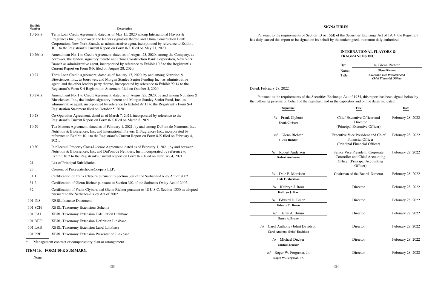| Exhibit<br><b>Number</b> | Description                                                                                                                                                                                                                                                                                                                                                                                                        | <b>SIGNATURES</b>                                                                                                                                                                                                                    |                                                                                                                           |                   |  |  |
|--------------------------|--------------------------------------------------------------------------------------------------------------------------------------------------------------------------------------------------------------------------------------------------------------------------------------------------------------------------------------------------------------------------------------------------------------------|--------------------------------------------------------------------------------------------------------------------------------------------------------------------------------------------------------------------------------------|---------------------------------------------------------------------------------------------------------------------------|-------------------|--|--|
| 10.26(i)                 | Term Loan Credit Agreement, dated as of May 15, 2020 among International Flavors &<br>Fragrances Inc., as borrower, the lenders signatory thereto and China Construction Bank<br>Corporation, New York Branch, as administrative agent, incorporated by reference to Exhibit<br>10.1 to the Registrant's Current Report on Form 8-K filed on May 21, 2020.                                                         | Pursuant to the requirements of Section 13 or 15(d) of the Securities Exchange Act of 1934, the Registrant<br>has duly caused this report to be signed on its behalf by the undersigned, thereunto duly authorized.                  |                                                                                                                           |                   |  |  |
| 10.26(ii)                | Amendment No. 1 to Credit Agreement, dated as of August 25, 2020, among the Company, as<br>borrower, the lenders signatory thereto and China Construction Bank Corporation, New York<br>Branch as administrative agent, incorporated by reference to Exhibit 10.3 to the Registrant's                                                                                                                              |                                                                                                                                                                                                                                      | <b>INTERNATIONAL FLAVORS &amp;</b><br><b>FRAGRANCES INC.</b><br>By:<br>/s/ Glenn Richter                                  |                   |  |  |
| 10.27                    | Current Report on Form 8-K filed on August 28, 2020.<br>Term Loan Credit Agreement, dated as of January 17, 2020, by and among Nutrition &<br>Biosciences, Inc., as borrower, and Morgan Stanley Senior Funding Inc., as administrative<br>agent, and the other lenders party thereto, incorporated by reference to Exhibit 99.14 to the<br>Registrant's Form S-4 Registration Statement filed on October 5, 2020. | Dated: February 28, 2022                                                                                                                                                                                                             | <b>Glenn Richter</b><br>Name:<br><b>Executive Vice President and</b><br>Title:<br><b>Chief Financial Officer</b>          |                   |  |  |
| 10.27(i)                 | Amendment No. 1 to Credit Agreement, dated as of August 25, 2020, by and among Nutrition &<br>Biosciences, Inc., the lenders signatory thereto and Morgan Stanley Senior Fund, Inc., as<br>administrative agent, incorporated by reference to Exhibit 99.15 to the Registrant's Form S-4<br>Registration Statement filed on October 5, 2020.                                                                       | Pursuant to the requirements of the Securities Exchange Act of 1934, this report has been signed below by<br>the following persons on behalf of the registrant and in the capacities and on the dates indicated:<br><b>Signature</b> | Title                                                                                                                     | Date              |  |  |
| 10.28                    | Co-Operation Agreement, dated as of March 7, 2021, incorporated by reference to the<br>Registrant's Current Report on Form 8-K filed on March 8, 2021.                                                                                                                                                                                                                                                             | /s/ Frank Clyburn<br><b>Frank Clyburn</b>                                                                                                                                                                                            | Chief Executive Officer and<br>Director                                                                                   | February 28, 2022 |  |  |
| 10.29                    | Tax Matters Agreement, dated as of February 1, 2021, by and among DuPont de Nemours, Inc.,<br>Nutrition & Biosciences, Inc. and International Flavors & Fragrances Inc., incorporated by<br>reference to Exhibit 10.1 to the Registrant's Current Report on Form 8-K filed on February 4,<br>2021.                                                                                                                 | /s/ Glenn Richter<br><b>Glenn Richter</b>                                                                                                                                                                                            | (Principal Executive Officer)<br>Executive Vice President and Chief<br>Financial Officer<br>(Principal Financial Officer) | February 28, 2022 |  |  |
| 10.30                    | Intellectual Property Cross-License Agreement, dated as of February 1, 2021, by and between<br>Nutrition & Biosciences, Inc. and DuPont de Nemours, Inc., incorporated by reference to<br>Exhibit 10.2 to the Registrant's Current Report on Form 8-K filed on February 4, 2021.                                                                                                                                   | Robert Anderson<br>$\sqrt{s}$<br><b>Robert Anderson</b>                                                                                                                                                                              | Senior Vice President, Corporate<br>Controller and Chief Accounting                                                       | February 28, 2022 |  |  |
| 21                       | List of Principal Subsidiaries.                                                                                                                                                                                                                                                                                                                                                                                    |                                                                                                                                                                                                                                      | Officer (Principal Accounting<br>Officer)                                                                                 |                   |  |  |
| 23<br>31.1               | Consent of PricewaterhouseCoopers LLP.<br>Certification of Frank Clyburn pursuant to Section 302 of the Sarbanes-Oxley Act of 2002.                                                                                                                                                                                                                                                                                | /s/ Dale F. Morrison<br>Dale F. Morrison                                                                                                                                                                                             | Chairman of the Board, Director                                                                                           | February 28, 2022 |  |  |
| 31.2<br>32               | Certification of Glenn Richter pursuant to Section 302 of the Sarbanes-Oxley Act of 2002.<br>Certification of Frank Clyburn and Glenn Richter pursuant to 18 U.S.C. Section 1350 as adopted<br>pursuant to the Sarbanes-Oxley Act of 2002.                                                                                                                                                                         | /s/ Kathryn J. Boor<br>Kathryn J. Boor                                                                                                                                                                                               | Director                                                                                                                  | February 28, 2022 |  |  |
| 101.INS                  | <b>XBRL Instance Document</b>                                                                                                                                                                                                                                                                                                                                                                                      | /s/ Edward D. Breen                                                                                                                                                                                                                  | Director                                                                                                                  | February 28, 2022 |  |  |
| 101.SCH                  | XBRL Taxonomy Extensions Schema                                                                                                                                                                                                                                                                                                                                                                                    | <b>Edward D. Breen</b>                                                                                                                                                                                                               |                                                                                                                           |                   |  |  |
| 101.CAL                  | XBRL Taxonomy Extension Calculation Linkbase                                                                                                                                                                                                                                                                                                                                                                       | /s/ Barry A. Bruno                                                                                                                                                                                                                   | Director                                                                                                                  | February 28, 2022 |  |  |
| $101.DEF$                | XBRL Taxonomy Extension Definition Linkbase                                                                                                                                                                                                                                                                                                                                                                        | <b>Barry A. Bruno</b>                                                                                                                                                                                                                |                                                                                                                           |                   |  |  |
| 101.LAB                  | XBRL Taxonomy Extension Label Linkbase                                                                                                                                                                                                                                                                                                                                                                             | Carol Anthony (John) Davidson<br>$\sqrt{s}$<br><b>Carol Anthony (John) Davidson</b>                                                                                                                                                  | Director                                                                                                                  | February 28, 2022 |  |  |
| 101.PRE                  | XBRL Taxonomy Extension Presentation Linkbase                                                                                                                                                                                                                                                                                                                                                                      |                                                                                                                                                                                                                                      |                                                                                                                           |                   |  |  |
|                          | Management contract or compensatory plan or arrangement                                                                                                                                                                                                                                                                                                                                                            | /s/ Michael Ducker<br><b>Michael Ducker</b>                                                                                                                                                                                          | Director                                                                                                                  | February 28, 2022 |  |  |
|                          | ITEM 16. FORM 10-K SUMMARY.                                                                                                                                                                                                                                                                                                                                                                                        | /s/ Roger W. Ferguson, Jr.                                                                                                                                                                                                           | Director                                                                                                                  | February 28, 2022 |  |  |
| None.                    |                                                                                                                                                                                                                                                                                                                                                                                                                    | Roger W. Ferguson, Jr.                                                                                                                                                                                                               |                                                                                                                           |                   |  |  |

134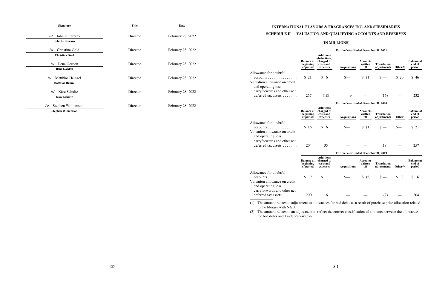| Signature                                                        | <b>Title</b> | Date              | <b>INTERNATIONAL FLAVORS &amp; FRAGRANCES INC. AND SUBSIDIARIES</b>                                                                                                                                                                                                          |
|------------------------------------------------------------------|--------------|-------------------|------------------------------------------------------------------------------------------------------------------------------------------------------------------------------------------------------------------------------------------------------------------------------|
| /s/ John F. Ferraro                                              | Director     | February 28, 2022 | <b>SCHEDULE II — VALUATION AND QUALIFYING ACCOUNTS AND RESERVES</b>                                                                                                                                                                                                          |
| John F. Ferraro                                                  |              |                   | (IN MILLIONS)                                                                                                                                                                                                                                                                |
| /s/ Christina Gold                                               | Director     | February 28, 2022 | For the Year Ended December 31, 2021                                                                                                                                                                                                                                         |
| <b>Christina Gold</b><br>/s/ Ilene Gordon<br><b>Ilene Gordon</b> | Director     | February 28, 2022 | <b>Additions</b><br>(deductions)<br><b>Balance</b> at<br><b>Balance at</b> charged to<br><b>Accounts</b><br><b>Translation</b><br>written<br>end of<br>beginning<br>costs and<br><b>Acquisitions</b><br>of period<br>adjustments Other $^{(1)}$<br>period<br>off<br>expenses |
| /s/ Matthias Heinzel<br><b>Matthias Heinzel</b>                  | Director     | February 28, 2022 | Allowance for doubtful<br>\$21<br>\$6<br>\$20<br>$s-$<br>(1)<br>\$46<br>$\mathbf{s}$ —<br>$accounds \ldots \ldots \ldots \ldots$<br>Valuation allowance on credit                                                                                                            |
| /s/ Kåre Schultz<br>Kåre Schultz                                 | Director     | February 28, 2022 | and operating loss<br>carryforwards and other net<br>257<br>(16)<br>232<br>deferred tax assets<br>(18)                                                                                                                                                                       |
| /s/ Stephen Williamson                                           | Director     | February 28, 2022 | For the Year Ended December 31, 2020                                                                                                                                                                                                                                         |
| <b>Stephen Williamson</b>                                        |              |                   | <b>Additions</b><br><b>Balance</b> at<br><b>Balance at</b><br>charged to<br><b>Accounts</b><br>beginning<br>written<br><b>Translation</b><br>end of<br>costs and<br>of period<br><b>Acquisitions</b><br>off<br>adjustments<br>Other<br>period<br>expenses                    |
|                                                                  |              |                   | Allowance for doubtful<br>\$16<br>\$6<br>\$21<br>$s-$<br>(1)<br>$\mathbf{s} =$<br>$S-$<br>$accounds \dots \dots \dots \dots \dots \dots$<br>Valuation allowance on credit<br>and operating loss<br>carryforwards and other net                                               |

|                                                                                                                                 | For the Year Ended December 31, 2019        |                                                         |                     |                                   |                                   |                      |                                       |
|---------------------------------------------------------------------------------------------------------------------------------|---------------------------------------------|---------------------------------------------------------|---------------------|-----------------------------------|-----------------------------------|----------------------|---------------------------------------|
|                                                                                                                                 | <b>Balance at</b><br>beginning<br>of period | <b>Additions</b><br>charged to<br>costs and<br>expenses | <b>Acquisitions</b> | <b>Accounts</b><br>written<br>off | <b>Translation</b><br>adjustments | Other <sup>(2)</sup> | <b>Balance</b> at<br>end of<br>period |
| Allowance for doubtful<br>$accounds \dots \dots \dots \dots \dots \dots$<br>Valuation allowance on credit<br>and operating loss | $\frac{1}{2}$                               | $\frac{1}{2}$                                           |                     | (2)                               |                                   | $\frac{1}{2}$        | \$16                                  |
| carryforwards and other net<br>deferred tax assets $\dots\dots$                                                                 | 200                                         | 6                                                       |                     |                                   | (2)                               |                      | 204                                   |

deferred tax assets . . . . . . . . 204 35 - 18 - 257

(1) The amount relates to adjustment to allowances for bad debts as a result of purchase price allocation related to the Merger with N&B. (2) The amount relates to an adjustment to reflect the correct classification of amounts between the allowance

for bad debts and Trade Receivables.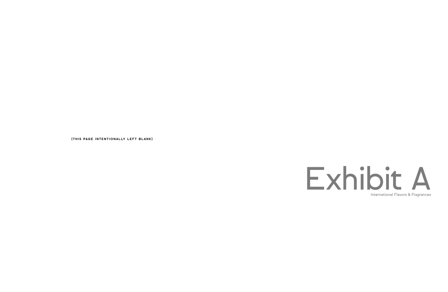**[THIS PAGE INTENTIONALLY LEFT BLANK]** 

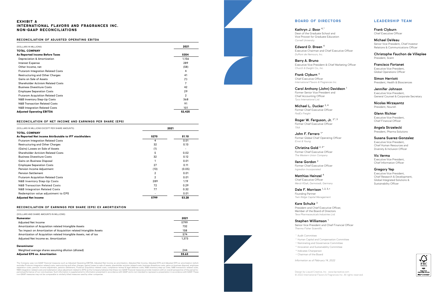### EXHIBIT A INTERNATIONAL FLAVORS AND FRAGRANCES INC. NON-GAAP RECONCILIATIONS

#### **RECONCILIATION OF ADJUSTED OPERATING EBITDA**

| (DOLLARS IN MILLIONS)                     | 2021           |
|-------------------------------------------|----------------|
| <b>TOTAL COMPANY</b>                      |                |
| As Reported Income Before Taxes           | \$354          |
| Depreciation & Amortization               | 1,156          |
| <b>Interest Expense</b>                   | 289            |
| Other Income, net                         | (58)           |
| <b>Frutarom Integration Related Costs</b> | 4              |
| Restructuring and Other Charges           | 41             |
| Gains on Sale of Assets                   | (1)            |
| <b>Shareholder Activism Related Costs</b> |                |
| <b>Business Divestiture Costs</b>         | 42             |
| <b>Employee Separation Costs</b>          | 29             |
| Frutarom Acquisition Related Costs        | $\overline{2}$ |
| N&B Inventory Step-Up Costs               | 368            |
| N&B Transaction Related Costs             | 91             |
| N&B Integration Related Costs             | 101            |
| <b>Adjusted Operating EBITDA</b>          | \$2,425        |

### **RECONCILATION OF NET INCOME AND EARNINGS PER SHARE (EPS)**

| (DOLLARS IN MILLIONS EXCEPT PER SHARE AMOUNTS)          | 2021           |        |
|---------------------------------------------------------|----------------|--------|
| TOTAL COMPANY                                           |                |        |
| As Reported Net income Attributable to IFF stockholders | \$270          | \$1.10 |
| <b>Frutarom Integration Related Costs</b>               | 4              | 0.01   |
| Restructuring and Other Charges                         | 32             | 0.13   |
| (Gains) Losses on Sale of Assets                        | (1)            |        |
| Shareholder Activism Related Costs                      | 5              | 0.02   |
| <b>Business Divestiture Costs</b>                       | 32             | 0.12   |
| Gains on Business Disposal                              |                | 0.01   |
| <b>Employee Separation Costs</b>                        | 27             | 0.11   |
| Pension Income Adjustment                               | (13)           | (0.05) |
| <b>Pension Settlement</b>                               | 2              | 0.01   |
| <b>Frutarom Acquisition Related Costs</b>               | $\overline{2}$ | 0.01   |
| <b>N&amp;B Inventory Step-Up Costs</b>                  | 289            | 1.19   |
| <b>N&amp;B Transaction Related Costs</b>                | 72             | 0.29   |
| <b>N&amp;B Integration Related Costs</b>                | 77             | 0.32   |
| Redemption value adjustment to EPS                      |                | 0.01   |
| <b>Adiusted Net Income</b>                              | \$799          | \$3.28 |

#### **RECONCILIATION OF EARNINGS PER SHARE (EPS) EX AMORTIZATION**

Kathryn J. Boor 4,\* Dean of the Graduate School and Vice Provost for Graduate Education *Cornell University*

| (DOLLARS AND SHARE AMOUNTS IN MILLIONS)                             |        |
|---------------------------------------------------------------------|--------|
| <b>Numerator</b>                                                    | 2021   |
| <b>Adjusted Net Income</b>                                          | \$799  |
| Amortization of Acquisition related Intangible Assets               | 732    |
| Tax impact on Amortization of Acquisition related Intangible Assets | 158    |
| Amortization of Acquisition related Intangible Assets, net of tax   | 574    |
| Adjusted Net Income ex. Amortization                                | 1,373  |
| Denominator                                                         |        |
| Weighted average shares assuming dilution (diluted)                 | 244    |
| <b>Adjusted EPS ex. Amortization</b>                                | \$5.63 |

The Company uses non-GAAP financial measures such as Adjusted Operating EBITDA, Adjusted Net Income ex amortization, Adjusted Net Income, Adjusted EPS and Adjusted EPS ex amortization (which<br>excludes Frutarom integration r



Michael L. Ducker<sup>2,4</sup> Former Chief Executive Officer *FedEx Freight*

Roger W. Ferguson, Jr.  $2^*$ ,  $3$ Former Chief Executive Officer *TIAA*

John F. Ferraro  $^{\textrm{\texttt{+}}}$ Former Global Chief Operating Officer *Ernst & Young*

Christina Gold  $2,3$ \* Former Chief Executive Officer *The Western Union Company*

Dale F. Morrison  $1, 2, 3, +$ Founding Partner *Twin Ridge Capital Management*

## **BOARD OF DIRECTORS**

Edward D. Breen 4 Executive Chairman and Chief Executive Officer *DuPont de Nemours, Inc.*

Barry A. Bruno Executive Vice President & Chief Marketing Officer *Church & Dwight Co., Inc.*

Frank Clyburn 4 Chief Executive Officer *International Flavors & Fragrances Inc.* 

Carol Anthony (John) Davidson 1 Former Senior Vice President and Chief Accounting Officer *Tyco International Ltd.* 

Ilene Gordon 2 Former Chief Executive Officer *Ingredion Incorporated*

Matthias Heinzel 4 Chief Executive Officer *Merck KGaA, Darmstadt, Germany*

Kare Schultz 3

President and Chief Executive Officer, Member of the Board of Directors *Teva Pharmaceuticals Industries Ltd.*

### Stephen Williamson  $^1$

Senior Vice President and Chief Financial Officer *Thermo Fisher Scientific*

<sup>1</sup> Audit Committee

- <sup>2</sup> Human Capital and Compensation Committee
- <sup>3</sup> Nominating and Governance Committee
- <sup>4</sup> Innovation and Sustainability Committee
- \* Indicates Chairperson
- + Chairman of the Board

*Information as of February 14, 2022*

# **LEADERSHIP TEAM**

Frank Clyburn Chief Executive Officer

Michael DeVeau Senior Vice President, Chief Investor Relations & Communications Officer

Christophe Fauchon de Villeplee President, Scent

Francisco Fortanet Executive Vice President, Global Operations Officer

Simon Herriott President, Health & Biosciences

Jennifer Johnson Executive Vice President, General Counsel & Corporate Secretary

Nicolas Mirzayantz President, Nourish

Glenn Richter Executive Vice President, Chief Financial Officer

Angela Strzelecki President, Pharma Solutions

Susana Suarez-Gonzalez Executive Vice President, Chief Human Resources and Diversity & Inclusion Officer

Vic Verma Executive Vice President, Chief Information Officer

Gregory Yep Executive Vice President, Chief Research & Development, Global Integrated Solutions & Sustainability Officer

√ข∽่ FSC **MIX** Paper from<br>asponsible so FSC\* C10153

Design by Liquid Creative, Inc. www.lqcreative.com © 2022 International Flavors & Fragrances Inc. All rights reserved.